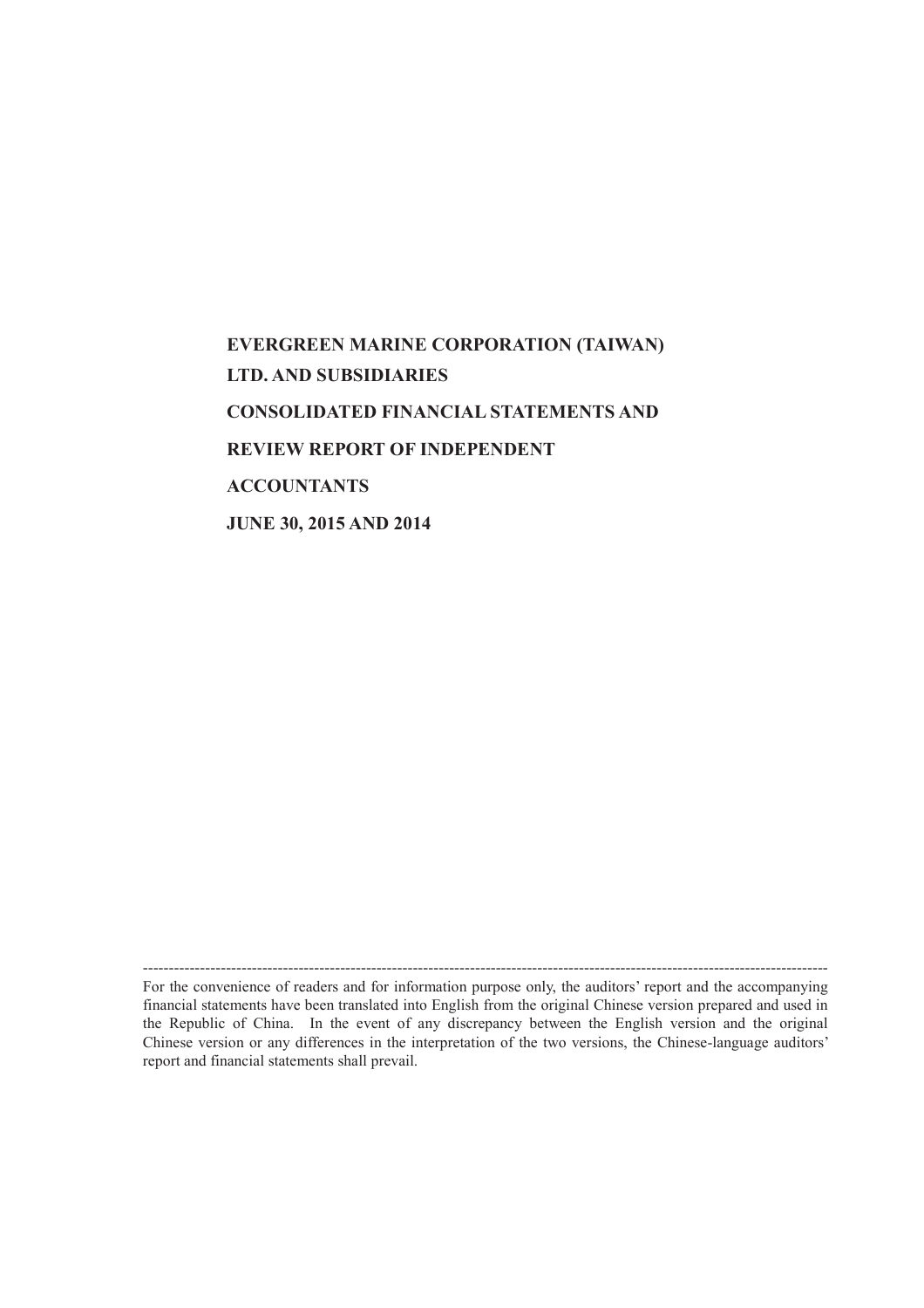# **EVERGREEN MARINE CORPORATION (TAIWAN) LTD. AND SUBSIDIARIES CONSOLIDATED FINANCIAL STATEMENTS AND REVIEW REPORT OF INDEPENDENT ACCOUNTANTS JUNE 30, 2015 AND 2014**

------------------------------------------------------------------------------------------------------------------------------------ For the convenience of readers and for information purpose only, the auditors' report and the accompanying financial statements have been translated into English from the original Chinese version prepared and used in the Republic of China. In the event of any discrepancy between the English version and the original Chinese version or any differences in the interpretation of the two versions, the Chinese-language auditors' report and financial statements shall prevail.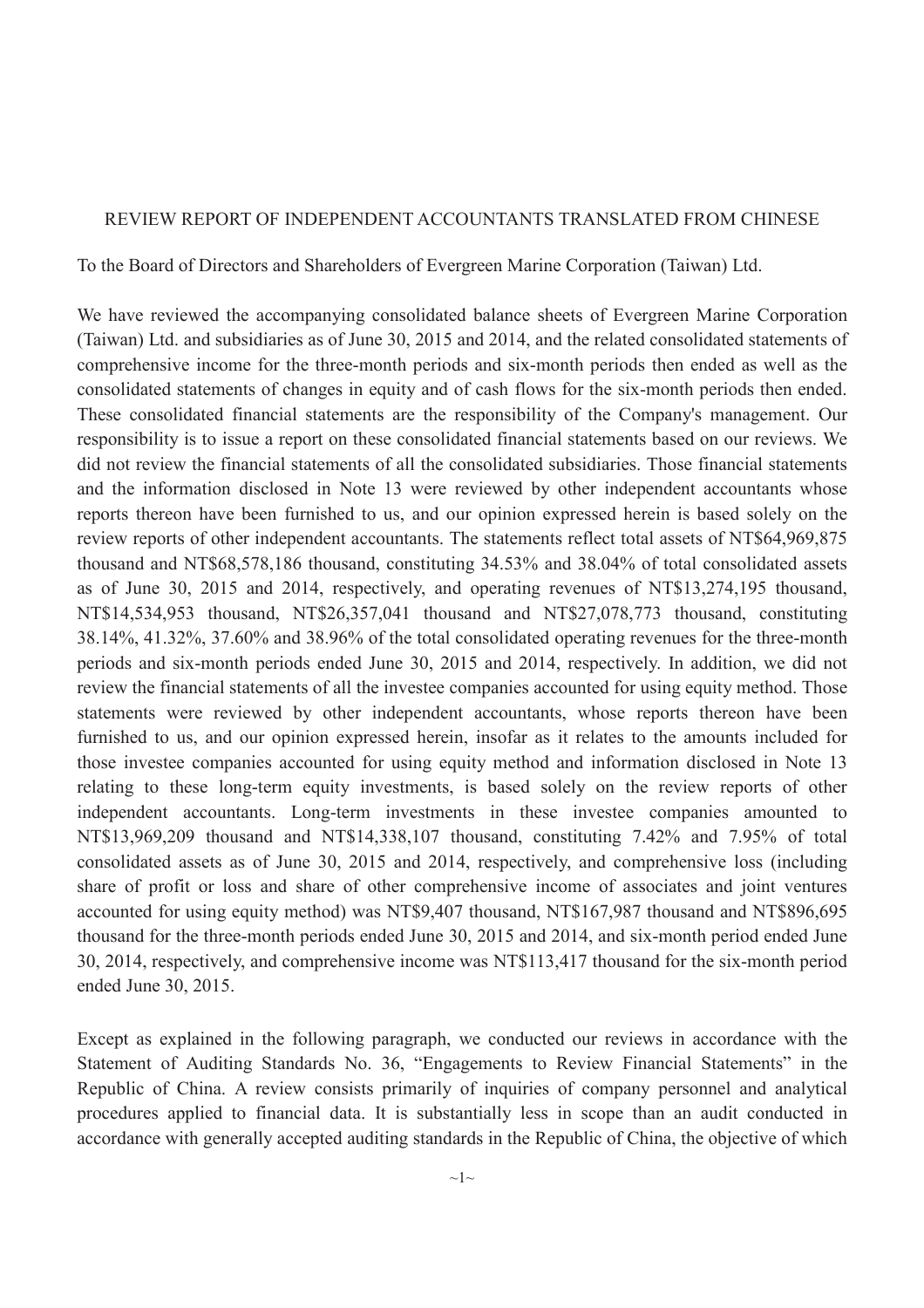### REVIEW REPORT OF INDEPENDENT ACCOUNTANTS TRANSLATED FROM CHINESE

To the Board of Directors and Shareholders of Evergreen Marine Corporation (Taiwan) Ltd.

We have reviewed the accompanying consolidated balance sheets of Evergreen Marine Corporation (Taiwan) Ltd. and subsidiaries as of June 30, 2015 and 2014, and the related consolidated statements of comprehensive income for the three-month periods and six-month periods then ended as well as the consolidated statements of changes in equity and of cash flows for the six-month periods then ended. These consolidated financial statements are the responsibility of the Company's management. Our responsibility is to issue a report on these consolidated financial statements based on our reviews. We did not review the financial statements of all the consolidated subsidiaries. Those financial statements and the information disclosed in Note 13 were reviewed by other independent accountants whose reports thereon have been furnished to us, and our opinion expressed herein is based solely on the review reports of other independent accountants. The statements reflect total assets of NT\$64,969,875 thousand and NT\$68,578,186 thousand, constituting 34.53% and 38.04% of total consolidated assets as of June 30, 2015 and 2014, respectively, and operating revenues of NT\$13,274,195 thousand, NT\$14,534,953 thousand, NT\$26,357,041 thousand and NT\$27,078,773 thousand, constituting 38.14%, 41.32%, 37.60% and 38.96% of the total consolidated operating revenues for the three-month periods and six-month periods ended June 30, 2015 and 2014, respectively. In addition, we did not review the financial statements of all the investee companies accounted for using equity method. Those statements were reviewed by other independent accountants, whose reports thereon have been furnished to us, and our opinion expressed herein, insofar as it relates to the amounts included for those investee companies accounted for using equity method and information disclosed in Note 13 relating to these long-term equity investments, is based solely on the review reports of other independent accountants. Long-term investments in these investee companies amounted to NT\$13,969,209 thousand and NT\$14,338,107 thousand, constituting 7.42% and 7.95% of total consolidated assets as of June 30, 2015 and 2014, respectively, and comprehensive loss (including share of profit or loss and share of other comprehensive income of associates and joint ventures accounted for using equity method) was NT\$9,407 thousand, NT\$167,987 thousand and NT\$896,695 thousand for the three-month periods ended June 30, 2015 and 2014, and six-month period ended June 30, 2014, respectively, and comprehensive income was NT\$113,417 thousand for the six-month period ended June 30, 2015.

Except as explained in the following paragraph, we conducted our reviews in accordance with the Statement of Auditing Standards No. 36, "Engagements to Review Financial Statements" in the Republic of China. A review consists primarily of inquiries of company personnel and analytical procedures applied to financial data. It is substantially less in scope than an audit conducted in accordance with generally accepted auditing standards in the Republic of China, the objective of which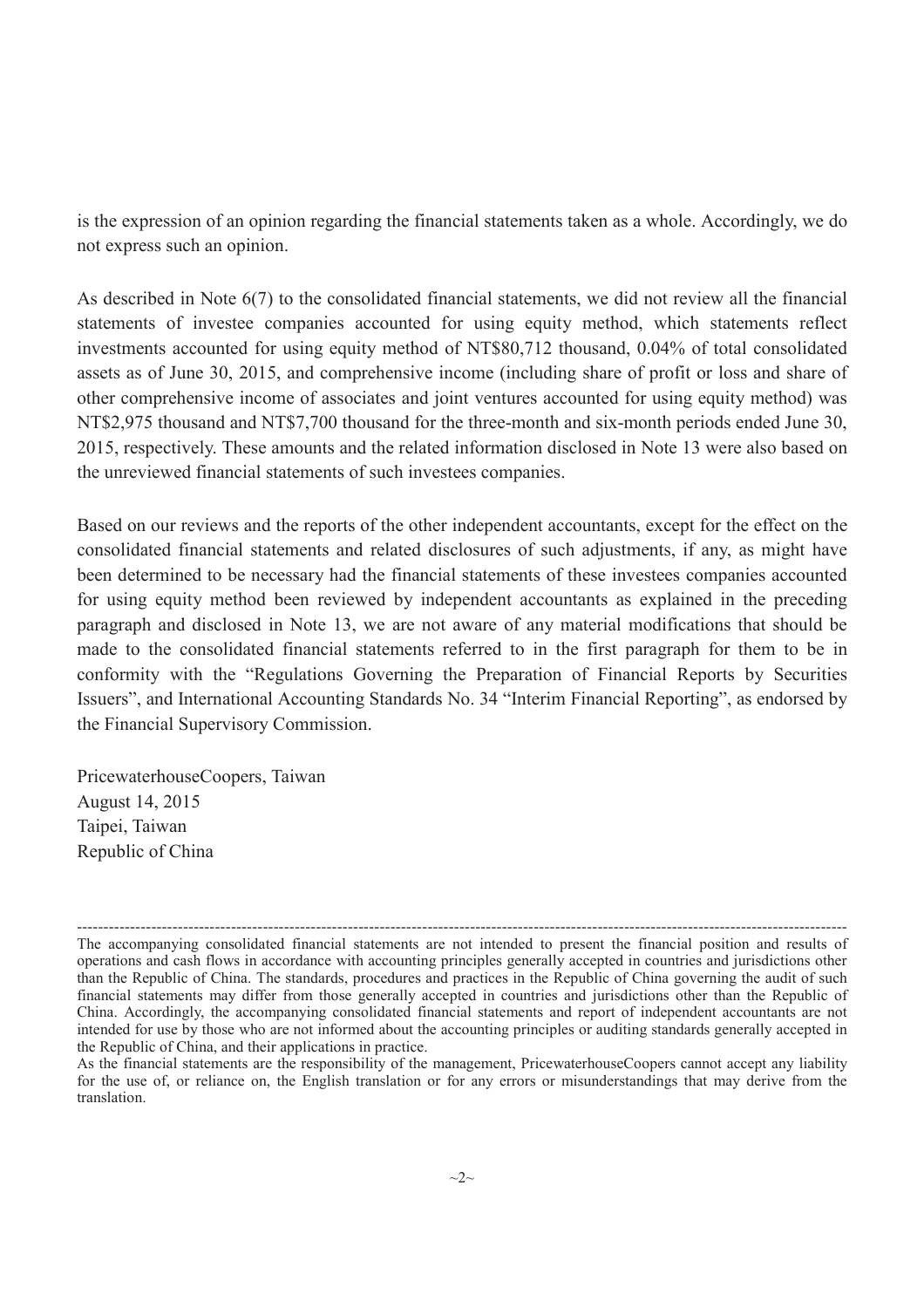is the expression of an opinion regarding the financial statements taken as a whole. Accordingly, we do not express such an opinion.

As described in Note 6(7) to the consolidated financial statements, we did not review all the financial statements of investee companies accounted for using equity method, which statements reflect investments accounted for using equity method of NT\$80,712 thousand, 0.04% of total consolidated assets as of June 30, 2015, and comprehensive income (including share of profit or loss and share of other comprehensive income of associates and joint ventures accounted for using equity method) was NT\$2,975 thousand and NT\$7,700 thousand for the three-month and six-month periods ended June 30, 2015, respectively. These amounts and the related information disclosed in Note 13 were also based on the unreviewed financial statements of such investees companies.

Based on our reviews and the reports of the other independent accountants, except for the effect on the consolidated financial statements and related disclosures of such adjustments, if any, as might have been determined to be necessary had the financial statements of these investees companies accounted for using equity method been reviewed by independent accountants as explained in the preceding paragraph and disclosed in Note 13, we are not aware of any material modifications that should be made to the consolidated financial statements referred to in the first paragraph for them to be in conformity with the "Regulations Governing the Preparation of Financial Reports by Securities Issuers", and International Accounting Standards No. 34 "Interim Financial Reporting", as endorsed by the Financial Supervisory Commission.

PricewaterhouseCoopers, Taiwan August 14, 2015 Taipei, Taiwan Republic of China

<sup>-------------------------------------------------------------------------------------------------------------------------------------------------</sup> The accompanying consolidated financial statements are not intended to present the financial position and results of operations and cash flows in accordance with accounting principles generally accepted in countries and jurisdictions other than the Republic of China. The standards, procedures and practices in the Republic of China governing the audit of such financial statements may differ from those generally accepted in countries and jurisdictions other than the Republic of China. Accordingly, the accompanying consolidated financial statements and report of independent accountants are not intended for use by those who are not informed about the accounting principles or auditing standards generally accepted in the Republic of China, and their applications in practice.

As the financial statements are the responsibility of the management, PricewaterhouseCoopers cannot accept any liability for the use of, or reliance on, the English translation or for any errors or misunderstandings that may derive from the translation.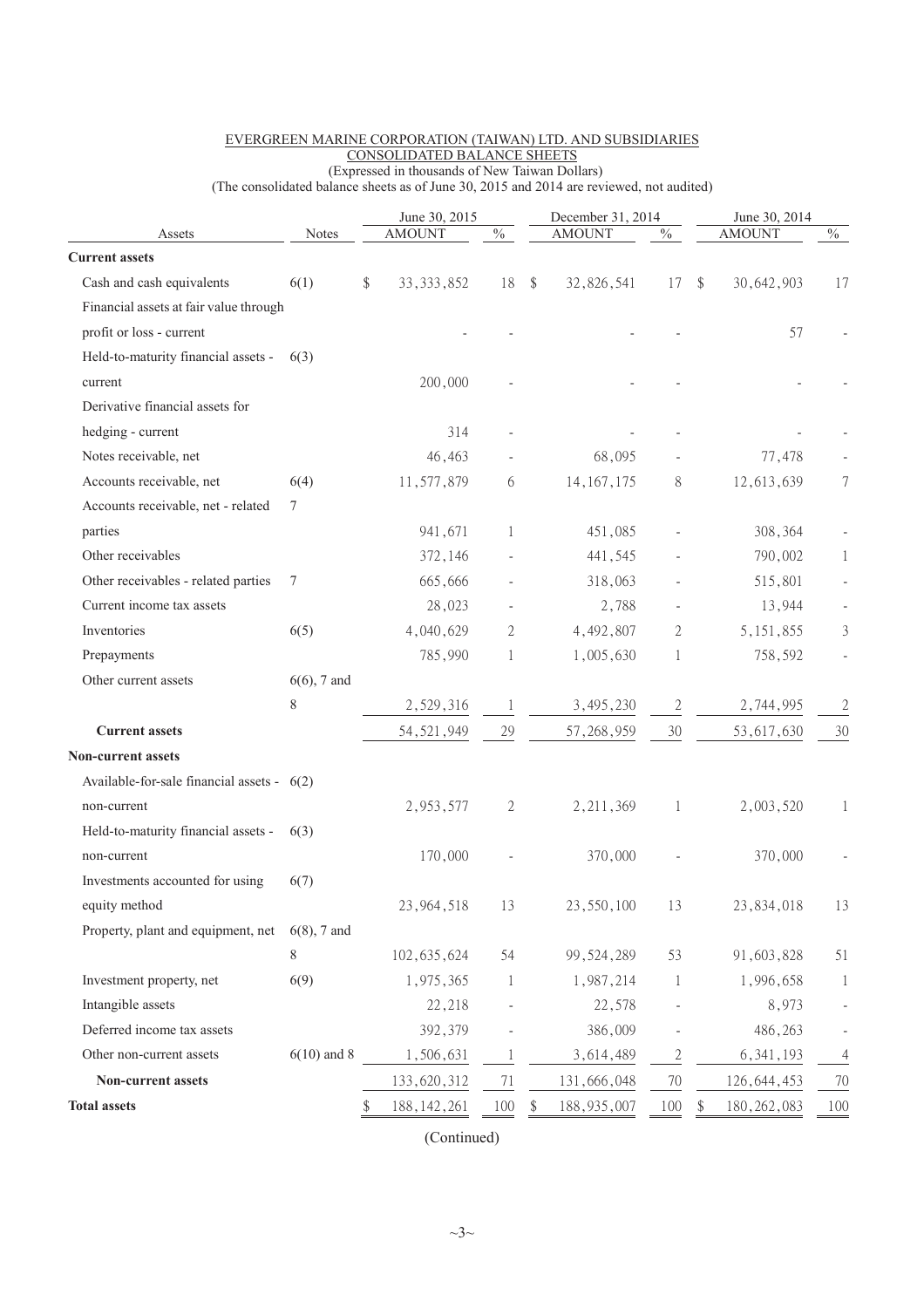|                                            |                | June 30, 2015 |               |                           | December 31, 2014 |               |                |    | June 30, 2014 |                |  |
|--------------------------------------------|----------------|---------------|---------------|---------------------------|-------------------|---------------|----------------|----|---------------|----------------|--|
| Assets                                     | <b>Notes</b>   |               | <b>AMOUNT</b> | $\sqrt[0]{\phantom{0}}_0$ |                   | <b>AMOUNT</b> | $\%$           |    | <b>AMOUNT</b> | $\%$           |  |
| <b>Current assets</b>                      |                |               |               |                           |                   |               |                |    |               |                |  |
| Cash and cash equivalents                  | 6(1)           | \$            | 33, 333, 852  | 18                        | $\mathbb{S}$      | 32,826,541    | 17             | \$ | 30,642,903    | 17             |  |
| Financial assets at fair value through     |                |               |               |                           |                   |               |                |    |               |                |  |
| profit or loss - current                   |                |               |               |                           |                   |               |                |    | 57            |                |  |
| Held-to-maturity financial assets -        | 6(3)           |               |               |                           |                   |               |                |    |               |                |  |
| current                                    |                |               | 200,000       |                           |                   |               |                |    |               |                |  |
| Derivative financial assets for            |                |               |               |                           |                   |               |                |    |               |                |  |
| hedging - current                          |                |               | 314           | $\overline{a}$            |                   |               |                |    |               |                |  |
| Notes receivable, net                      |                |               | 46,463        |                           |                   | 68,095        |                |    | 77,478        |                |  |
| Accounts receivable, net                   | 6(4)           |               | 11,577,879    | 6                         |                   | 14, 167, 175  | 8              |    | 12,613,639    | 7              |  |
| Accounts receivable, net - related         | 7              |               |               |                           |                   |               |                |    |               |                |  |
| parties                                    |                |               | 941,671       | 1                         |                   | 451,085       |                |    | 308,364       |                |  |
| Other receivables                          |                |               | 372,146       |                           |                   | 441,545       |                |    | 790,002       | 1              |  |
| Other receivables - related parties        | 7              |               | 665,666       |                           |                   | 318,063       |                |    | 515,801       |                |  |
| Current income tax assets                  |                |               | 28,023        |                           |                   | 2,788         |                |    | 13,944        |                |  |
| Inventories                                | 6(5)           |               | 4,040,629     | 2                         |                   | 4,492,807     | 2              |    | 5, 151, 855   | 3              |  |
| Prepayments                                |                |               | 785,990       | 1                         |                   | 1,005,630     | 1              |    | 758,592       |                |  |
| Other current assets                       | $6(6)$ , 7 and |               |               |                           |                   |               |                |    |               |                |  |
|                                            | 8              |               | 2,529,316     | $\mathbf{1}$              |                   | 3,495,230     | $\mathbf{2}$   |    | 2,744,995     | $\mathfrak{2}$ |  |
| <b>Current assets</b>                      |                |               | 54, 521, 949  | 29                        |                   | 57, 268, 959  | 30             |    | 53, 617, 630  | 30             |  |
| <b>Non-current assets</b>                  |                |               |               |                           |                   |               |                |    |               |                |  |
| Available-for-sale financial assets - 6(2) |                |               |               |                           |                   |               |                |    |               |                |  |
| non-current                                |                |               | 2,953,577     | 2                         |                   | 2, 211, 369   | 1              |    | 2,003,520     | 1              |  |
| Held-to-maturity financial assets -        | 6(3)           |               |               |                           |                   |               |                |    |               |                |  |
| non-current                                |                |               | 170,000       |                           |                   | 370,000       |                |    | 370,000       |                |  |
| Investments accounted for using            | 6(7)           |               |               |                           |                   |               |                |    |               |                |  |
| equity method                              |                |               | 23,964,518    | 13                        |                   | 23,550,100    | 13             |    | 23,834,018    | 13             |  |
| Property, plant and equipment, net         | $6(8)$ , 7 and |               |               |                           |                   |               |                |    |               |                |  |
|                                            | 8              |               | 102, 635, 624 | 54                        |                   | 99, 524, 289  | 53             |    | 91,603,828    | 51             |  |
| Investment property, net                   | 6(9)           |               | 1,975,365     | 1                         |                   | 1,987,214     | 1              |    | 1,996,658     | $\mathbf{1}$   |  |
| Intangible assets                          |                |               | 22,218        |                           |                   | 22,578        |                |    | 8,973         |                |  |
| Deferred income tax assets                 |                |               | 392,379       |                           |                   | 386,009       |                |    | 486,263       |                |  |
| Other non-current assets                   | $6(10)$ and 8  |               | 1,506,631     | $\mathbf{1}$              |                   | 3,614,489     | $\overline{c}$ |    | 6, 341, 193   | 4              |  |
| Non-current assets                         |                |               | 133,620,312   | 71                        |                   | 131,666,048   | 70             |    | 126, 644, 453 | 70             |  |
| <b>Total assets</b>                        |                | \$            | 188, 142, 261 | 100                       | \$                | 188, 935, 007 | 100            | \$ | 180, 262, 083 | 100            |  |
|                                            |                |               |               |                           |                   |               |                |    |               |                |  |

#### EVERGREEN MARINE CORPORATION (TAIWAN) LTD. AND SUBSIDIARIES CONSOLIDATED BALANCE SHEETS (Expressed in thousands of New Taiwan Dollars)

(The consolidated balance sheets as of June 30, 2015 and 2014 are reviewed, not audited)

(Continued)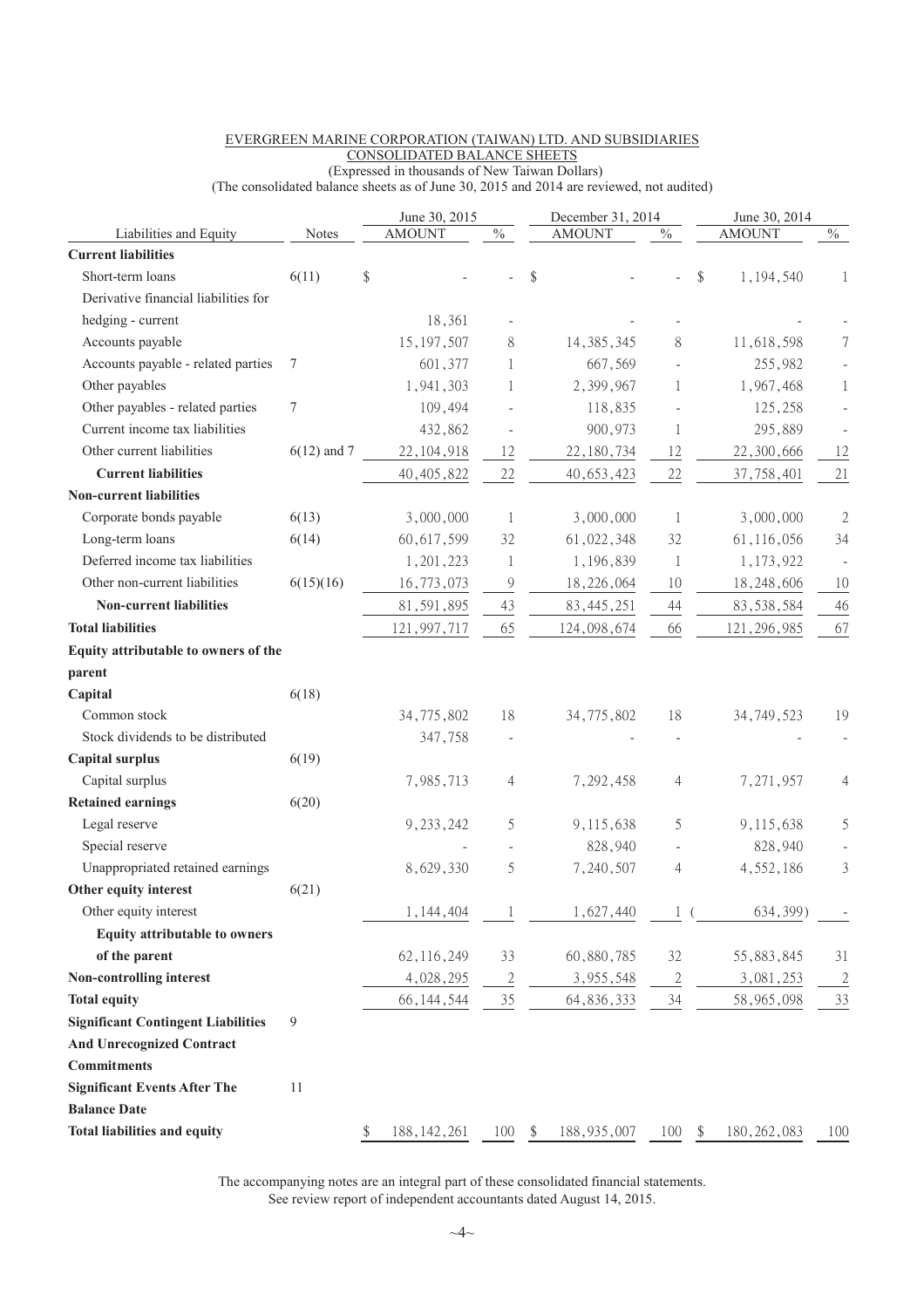|                                           |               | June 30, 2015       |                           | December 31, 2014   |                | June 30, 2014       |                  |  |
|-------------------------------------------|---------------|---------------------|---------------------------|---------------------|----------------|---------------------|------------------|--|
| Liabilities and Equity                    | Notes         | <b>AMOUNT</b>       | $\sqrt[0]{\phantom{0}}_0$ | <b>AMOUNT</b>       | $\frac{0}{6}$  | <b>AMOUNT</b>       | $\frac{0}{6}$    |  |
| <b>Current liabilities</b>                |               |                     |                           |                     |                |                     |                  |  |
| Short-term loans                          | 6(11)         | \$                  |                           | \$                  |                | \$<br>1,194,540     | $\mathbf{1}$     |  |
| Derivative financial liabilities for      |               |                     |                           |                     |                |                     |                  |  |
| hedging - current                         |               | 18,361              |                           |                     |                |                     |                  |  |
| Accounts payable                          |               | 15, 197, 507        | 8                         | 14, 385, 345        | 8              | 11,618,598          | $\boldsymbol{7}$ |  |
| Accounts payable - related parties        | 7             | 601,377             | 1                         | 667,569             |                | 255,982             |                  |  |
| Other payables                            |               | 1,941,303           | 1                         | 2,399,967           | 1              | 1,967,468           | 1                |  |
| Other payables - related parties          | 7             | 109,494             |                           | 118,835             |                | 125,258             |                  |  |
| Current income tax liabilities            |               | 432,862             |                           | 900,973             | 1              | 295,889             |                  |  |
| Other current liabilities                 | $6(12)$ and 7 | 22, 104, 918        | 12                        | 22, 180, 734        | 12             | 22,300,666          | 12               |  |
| <b>Current liabilities</b>                |               | 40, 405, 822        | 22                        | 40, 653, 423        | 22             | 37,758,401          | 21               |  |
| <b>Non-current liabilities</b>            |               |                     |                           |                     |                |                     |                  |  |
| Corporate bonds payable                   | 6(13)         | 3,000,000           | 1                         | 3,000,000           | 1              | 3,000,000           | $\sqrt{2}$       |  |
| Long-term loans                           | 6(14)         | 60, 617, 599        | 32                        | 61,022,348          | 32             | 61,116,056          | 34               |  |
| Deferred income tax liabilities           |               | 1,201,223           | 1                         | 1,196,839           | 1              | 1,173,922           |                  |  |
| Other non-current liabilities             | 6(15)(16)     | 16,773,073          | 9                         | 18,226,064          | 10             | 18,248,606          | 10               |  |
| <b>Non-current liabilities</b>            |               | 81,591,895          | 43                        | 83, 445, 251        | 44             | 83, 538, 584        | 46               |  |
| <b>Total liabilities</b>                  |               | 121,997,717         | 65                        | 124,098,674         | 66             | 121, 296, 985       | 67               |  |
| Equity attributable to owners of the      |               |                     |                           |                     |                |                     |                  |  |
| parent                                    |               |                     |                           |                     |                |                     |                  |  |
| Capital                                   | 6(18)         |                     |                           |                     |                |                     |                  |  |
| Common stock                              |               | 34,775,802          | 18                        | 34,775,802          | 18             | 34, 749, 523        | 19               |  |
| Stock dividends to be distributed         |               | 347,758             |                           |                     |                |                     |                  |  |
| <b>Capital surplus</b>                    | 6(19)         |                     |                           |                     |                |                     |                  |  |
| Capital surplus                           |               | 7,985,713           | 4                         | 7,292,458           | 4              | 7,271,957           | 4                |  |
| <b>Retained earnings</b>                  | 6(20)         |                     |                           |                     |                |                     |                  |  |
| Legal reserve                             |               | 9, 233, 242         | 5                         | 9,115,638           | 5              | 9,115,638           | 5                |  |
| Special reserve                           |               |                     |                           | 828,940             |                | 828,940             |                  |  |
| Unappropriated retained earnings          |               | 8,629,330           | 5                         | 7,240,507           | 4              | 4,552,186           | 3                |  |
| Other equity interest                     | 6(21)         |                     |                           |                     |                |                     |                  |  |
| Other equity interest                     |               | 1,144,404           | 1                         | 1,627,440           |                | 634,399)            |                  |  |
| <b>Equity attributable to owners</b>      |               |                     |                           |                     |                |                     |                  |  |
| of the parent                             |               | 62, 116, 249        | 33                        | 60,880,785          | 32             | 55,883,845          | 31               |  |
| Non-controlling interest                  |               | 4,028,295           | $\overline{2}$            | 3,955,548           | $\overline{2}$ | 3,081,253           | $\overline{2}$   |  |
| <b>Total equity</b>                       |               | 66, 144, 544        | 35                        | 64, 836, 333        | 34             | 58,965,098          | 33               |  |
| <b>Significant Contingent Liabilities</b> | 9             |                     |                           |                     |                |                     |                  |  |
| <b>And Unrecognized Contract</b>          |               |                     |                           |                     |                |                     |                  |  |
| <b>Commitments</b>                        |               |                     |                           |                     |                |                     |                  |  |
| <b>Significant Events After The</b>       | 11            |                     |                           |                     |                |                     |                  |  |
| <b>Balance Date</b>                       |               |                     |                           |                     |                |                     |                  |  |
| <b>Total liabilities and equity</b>       |               | \$<br>188, 142, 261 | 100                       | \$<br>188, 935, 007 | 100            | \$<br>180, 262, 083 | 100              |  |
|                                           |               |                     |                           |                     |                |                     |                  |  |

#### EVERGREEN MARINE CORPORATION (TAIWAN) LTD. AND SUBSIDIARIES CONSOLIDATED BALANCE SHEETS (Expressed in thousands of New Taiwan Dollars)

(The consolidated balance sheets as of June 30, 2015 and 2014 are reviewed, not audited)

The accompanying notes are an integral part of these consolidated financial statements. See review report of independent accountants dated August 14, 2015.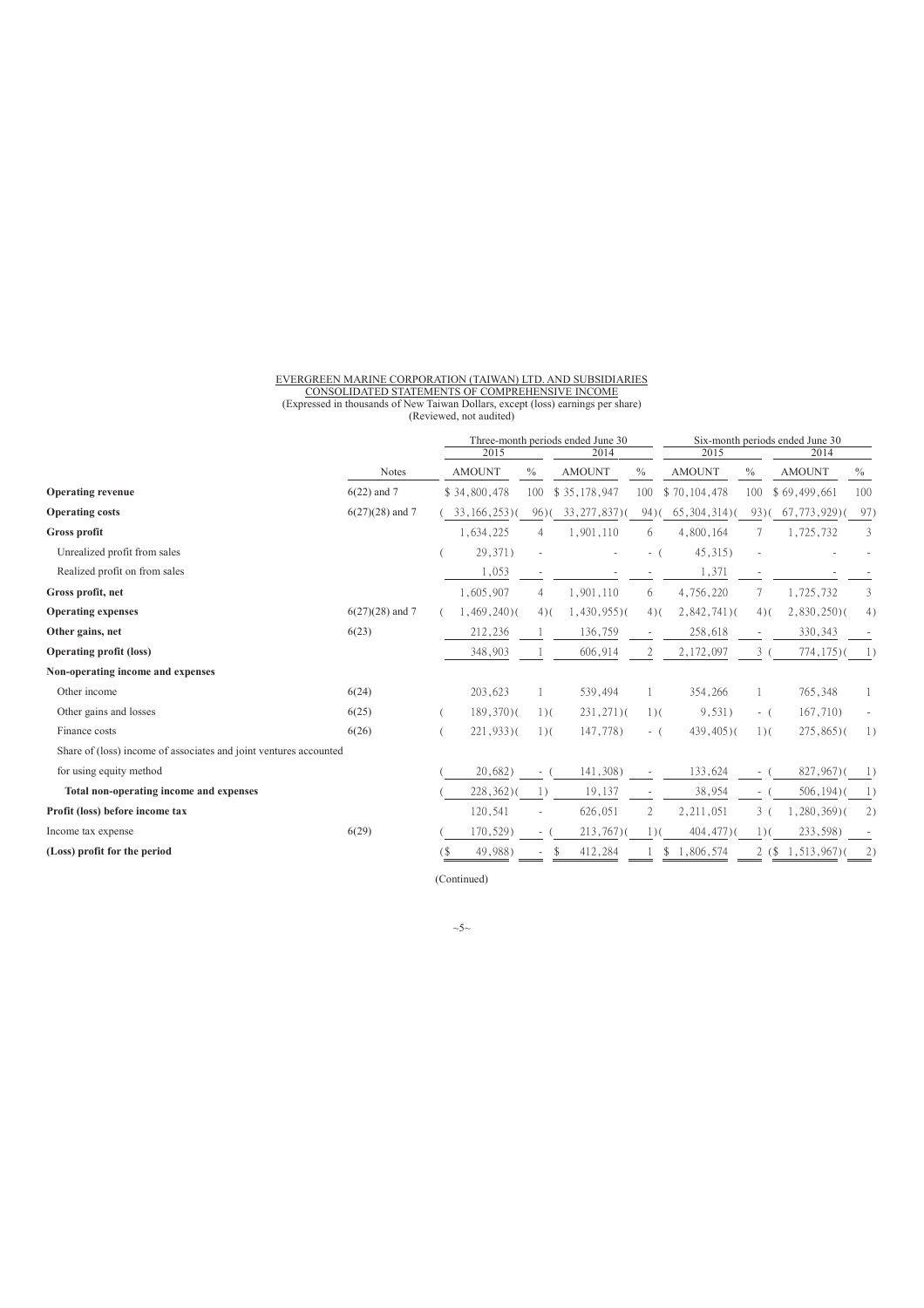# EVERGREEN MARINE CORPORATION (TAIWAN) LTD. AND SUBSIDIARIES<br>CONSOLIDATED STATEMENTS OF COMPREHENSIVE INCOME<br>(Expressed in thousands of New Taiwan Dollars, except (loss) earnings per share)<br>(Reviewed, not audited)

|                                                                   |                   | 2015              |                  | Three-month periods ended June 30<br>2014 | 2015                     |                 | Six-month periods ended June 30<br>2014 |                 |                  |
|-------------------------------------------------------------------|-------------------|-------------------|------------------|-------------------------------------------|--------------------------|-----------------|-----------------------------------------|-----------------|------------------|
|                                                                   | Notes             | <b>AMOUNT</b>     | $\frac{0}{0}$    | <b>AMOUNT</b>                             | $\frac{0}{0}$            | <b>AMOUNT</b>   | $\%$                                    | <b>AMOUNT</b>   | $\%$             |
| <b>Operating revenue</b>                                          | $6(22)$ and 7     | \$34,800,478      | 100              | \$35,178,947                              | 100                      | \$70,104,478    | 100                                     | \$69,499,661    | 100              |
| <b>Operating costs</b>                                            | $6(27)(28)$ and 7 | $33, 166, 253$ )( | 96(              | $33, 277, 837$ )(                         | 94(                      | (65, 304, 314)  | 93(                                     | (67, 773, 929)  | 97)              |
| Gross profit                                                      |                   | 1,634,225         | 4                | 1,901,110                                 | 6                        | 4,800,164       | 7                                       | 1,725,732       | 3                |
| Unrealized profit from sales                                      |                   | 29,371)           |                  |                                           | $\overline{\phantom{a}}$ | $45,315$ )      |                                         |                 |                  |
| Realized profit on from sales                                     |                   | 1,053             |                  |                                           |                          | 1,371           | $\overline{\phantom{a}}$                |                 |                  |
| Gross profit, net                                                 |                   | 1,605,907         | 4                | 1,901,110                                 | 6                        | 4,756,220       | 7                                       | 1,725,732       | 3                |
| <b>Operating expenses</b>                                         | $6(27)(28)$ and 7 | $1,469,240$ )(    | $4)$ (           | $1,430,955$ )(                            | $4)$ (                   | $2,842,741$ $($ | $4)$ (                                  | $2,830,250$ )(  | 4)               |
| Other gains, net                                                  | 6(23)             | 212,236           |                  | 136,759                                   |                          | 258,618         | $\overline{\phantom{a}}$                | 330, 343        |                  |
| <b>Operating profit (loss)</b>                                    |                   | 348,903           |                  | 606,914                                   | 2                        | 2,172,097       | $\mathfrak{Z}$                          | 774, 175)       |                  |
| Non-operating income and expenses                                 |                   |                   |                  |                                           |                          |                 |                                         |                 |                  |
| Other income                                                      | 6(24)             | 203,623           |                  | 539,494                                   |                          | 354,266         |                                         | 765,348         |                  |
| Other gains and losses                                            | 6(25)             | $189,370$ )(      | $1)$ (           | $231,271)$ (                              | $1)$ (                   | 9,531)          | $-$ (                                   | 167,710)        |                  |
| Finance costs                                                     | 6(26)             | $221,933$ )(      | $1)$ (           | 147,778)                                  | - (                      | $439,405$ )(    | $1)$ (                                  | $275,865$ )(    | $\left  \right $ |
| Share of (loss) income of associates and joint ventures accounted |                   |                   |                  |                                           |                          |                 |                                         |                 |                  |
| for using equity method                                           |                   | 20,682)           |                  | 141,308)                                  |                          | 133,624         | $\sim$                                  | $827,967$ )     |                  |
| Total non-operating income and expenses                           |                   | $228,362$ )(      | $\left  \right $ | 19,137                                    | $\overline{\phantom{a}}$ | 38,954          | $\overline{\phantom{a}}$                | $506, 194$ )(   | $\left  \right $ |
| Profit (loss) before income tax                                   |                   | 120,541           |                  | 626,051                                   | $\mathfrak{2}$           | 2,211,051       | $3 -$                                   | $,280,369$ $($  | 2)               |
| Income tax expense                                                | 6(29)             | 170,529)          |                  | $213,767$ )(                              | $1)$ (                   | $404,477$ )(    | 1)                                      | 233,598)        |                  |
| (Loss) profit for the period                                      |                   | 49,988)<br>18     |                  | 412,284                                   |                          | 1,806,574       | 2(                                      | $1, 513, 967$ ) | 2                |

(Continued)

 $~5~$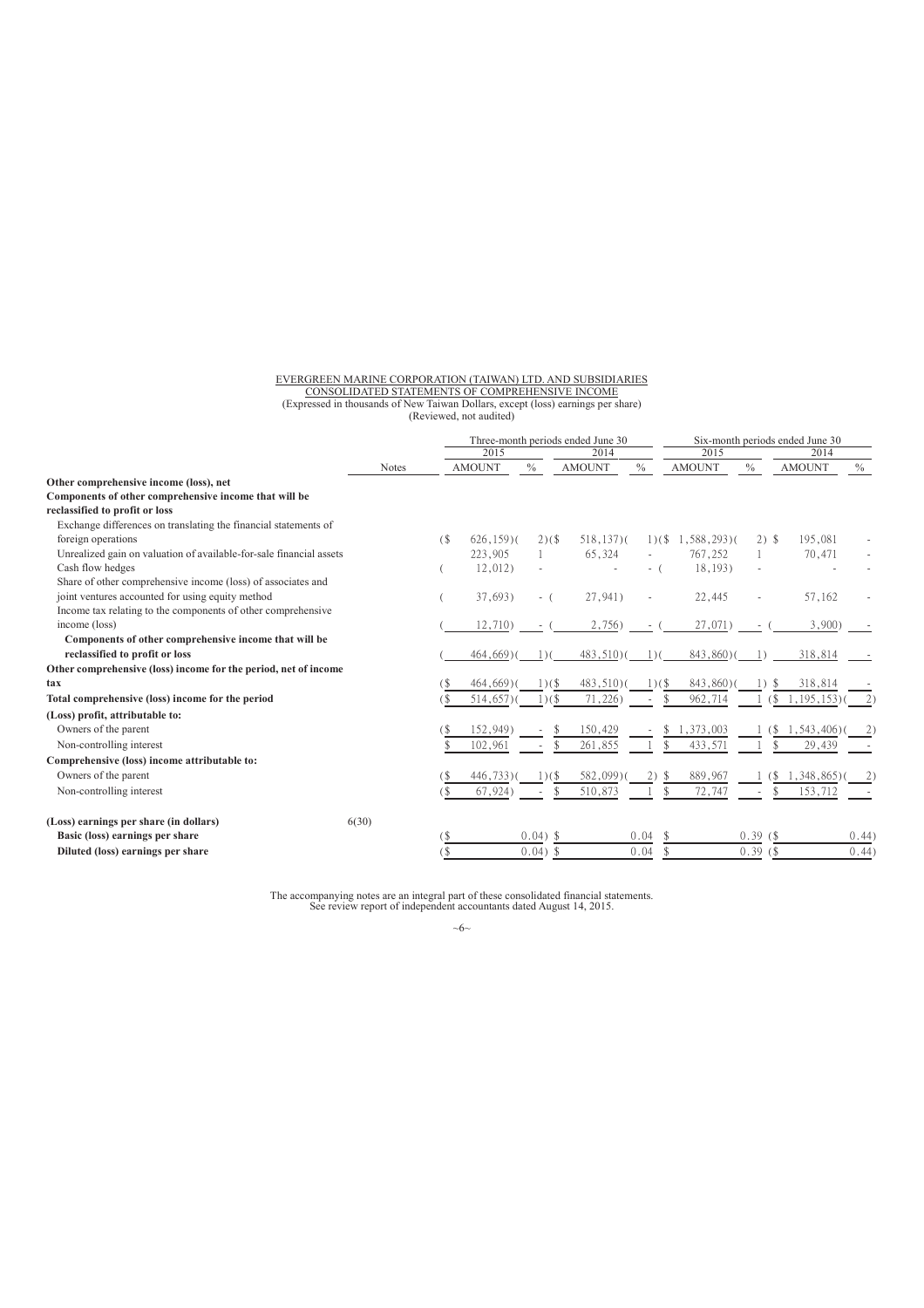# EVERGREEN MARINE CORPORATION (TAIWAN) LTD. AND SUBSIDIARIES<br>CONSOLIDATED STATEMENTS OF COMPREHENSIVE INCOME<br>(Expressed in thousands of New Taiwan Dollars, except (loss) earnings per share)<br>(Reviewed, not audited)

|                                                                     |              |        |               |            | Three-month periods ended June 30 |               | Six-month periods ended June 30 |                         |               |       |  |
|---------------------------------------------------------------------|--------------|--------|---------------|------------|-----------------------------------|---------------|---------------------------------|-------------------------|---------------|-------|--|
|                                                                     |              |        | 2015          |            | 2014                              |               | 2015                            |                         | 2014          |       |  |
|                                                                     | <b>Notes</b> |        | <b>AMOUNT</b> | $\%$       | <b>AMOUNT</b>                     | $\frac{0}{0}$ | <b>AMOUNT</b>                   | $\frac{0}{0}$           | <b>AMOUNT</b> | $\%$  |  |
| Other comprehensive income (loss), net                              |              |        |               |            |                                   |               |                                 |                         |               |       |  |
| Components of other comprehensive income that will be               |              |        |               |            |                                   |               |                                 |                         |               |       |  |
| reclassified to profit or loss                                      |              |        |               |            |                                   |               |                                 |                         |               |       |  |
| Exchange differences on translating the financial statements of     |              |        |               |            |                                   |               |                                 |                         |               |       |  |
| foreign operations                                                  |              | $($ \$ | $626, 159$ )( | $2)($ \$   | $518, 137$ )(                     | 1)(           | $1,588,293$ )(                  | $2)$ \$                 | 195,081       |       |  |
| Unrealized gain on valuation of available-for-sale financial assets |              |        | 223,905       |            | 65,324                            |               | 767,252                         |                         | 70,471        |       |  |
| Cash flow hedges                                                    |              |        | 12,012)       |            |                                   | - (           | 18,193)                         |                         |               |       |  |
| Share of other comprehensive income (loss) of associates and        |              |        |               |            |                                   |               |                                 |                         |               |       |  |
| joint ventures accounted for using equity method                    |              |        | 37,693)       | $-$ (      | 27,941)                           |               | 22,445                          |                         | 57,162        |       |  |
| Income tax relating to the components of other comprehensive        |              |        |               |            |                                   |               |                                 |                         |               |       |  |
| income (loss)                                                       |              |        | 12,710)       |            | 2,756)                            |               | 27,071)                         |                         | 3,900         |       |  |
| Components of other comprehensive income that will be               |              |        |               |            |                                   |               |                                 |                         |               |       |  |
| reclassified to profit or loss                                      |              |        | $464,669$ )(  | $\cup$     | $483,510$ )(                      |               | 843,860)(                       |                         | 318,814       |       |  |
| Other comprehensive (loss) income for the period, net of income     |              |        |               |            |                                   |               |                                 |                         |               |       |  |
| tax                                                                 |              |        | $464,669$ )   | 1)(        | $483,510$ )(                      | $1)(\$        | 843,860)(                       | $\left  \right $        | 318,814       |       |  |
| Total comprehensive (loss) income for the period                    |              | 18     | 514,657)      | 1)(        | 71,226)                           |               | 962,714                         | ′\$                     | 1,195,153)    |       |  |
| (Loss) profit, attributable to:                                     |              |        |               |            |                                   |               |                                 |                         |               |       |  |
| Owners of the parent                                                |              |        | 152,949       |            | 150,429                           |               | 1,373,003                       | í \$                    | 1,543,406)    |       |  |
| Non-controlling interest                                            |              |        | 102,961       |            | 261,855                           |               | 433,571                         |                         | 29,439        |       |  |
| Comprehensive (loss) income attributable to:                        |              |        |               |            |                                   |               |                                 |                         |               |       |  |
| Owners of the parent                                                |              | 8      | 446,733)      | $1)(\$     | 582,099)                          |               | 889,967                         | 8.                      | 1,348,865)    |       |  |
| Non-controlling interest                                            |              | (\$    | 67,924        | \$         | 510,873                           |               | 72,747                          | $\mathcal{S}$<br>$\sim$ | 153,712       |       |  |
| (Loss) earnings per share (in dollars)                              | 6(30)        |        |               |            |                                   |               |                                 |                         |               |       |  |
| Basic (loss) earnings per share                                     |              | (\$    |               | $0.04)$ \$ |                                   | 0.04          |                                 | 0.39(                   |               | 0.44) |  |
| Diluted (loss) earnings per share                                   |              | 1\$    |               | $0.04)$ \$ |                                   | 0.04          |                                 | 0.39(                   |               | 0.44) |  |

The accompanying notes are an integral part of these consolidated financial statements. See review report of independent accountants dated August 14, 2015.

 $~\sim$ 6 $~\sim$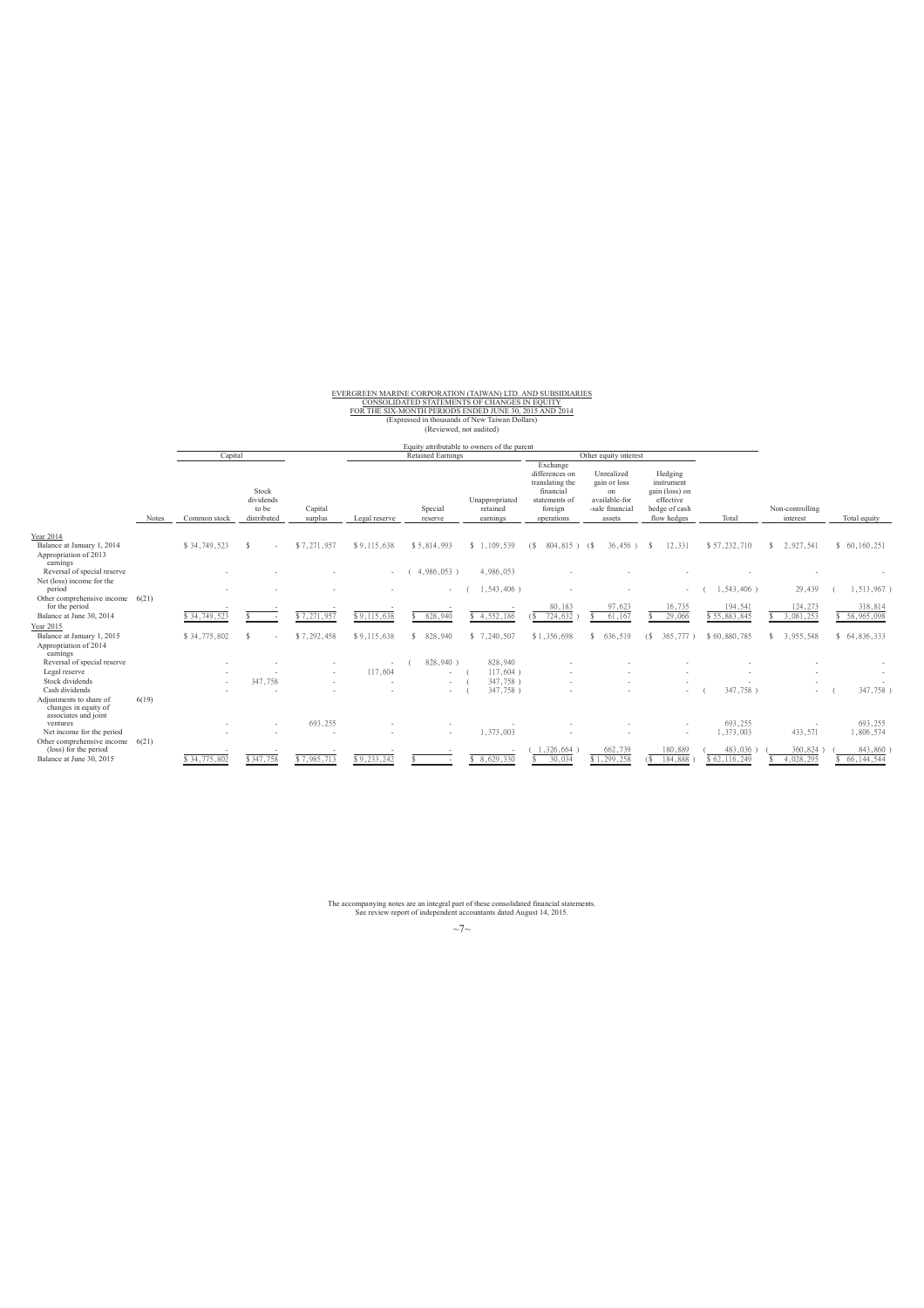# EVERGREEN MARINE CORPORATION (TAIWAN) LTD. AND SUBSIDIARIES<br>FOR THE SIX-MONTH PERIODS ENDED JUNE 30, 2015 AND 2014<br>FOR THE SIX-MONTH PERIODS ENDED JUNE 30, 2015 AND 2014<br>(Expressed in thousands of New Taiwan Dollars)<br>(Revi

### Equity attributable to owners of the parent

|                                                                              |       | Capital      |                                            |                    |               | <b>Retained Earnings</b> |                                        |                                                                                                      | Other equity interest                                                          |                                                                                      |              |                             |               |
|------------------------------------------------------------------------------|-------|--------------|--------------------------------------------|--------------------|---------------|--------------------------|----------------------------------------|------------------------------------------------------------------------------------------------------|--------------------------------------------------------------------------------|--------------------------------------------------------------------------------------|--------------|-----------------------------|---------------|
|                                                                              | Notes | Common stock | Stock<br>dividends<br>to be<br>distributed | Capital<br>surplus | Legal reserve | Special<br>reserve       | Unappropriated<br>retained<br>earnings | Exchange<br>differences on<br>translating the<br>financial<br>statements of<br>foreign<br>operations | Unrealized<br>gain or loss<br>on<br>available-for<br>-sale financial<br>assets | Hedging<br>instrument<br>gain (loss) on<br>effective<br>hedge of cash<br>flow hedges | Total        | Non-controlling<br>interest | Total equity  |
| Year 2014<br>Balance at January 1, 2014<br>Appropriation of 2013<br>earnings |       | \$34,749,523 | ٠                                          | \$7,271,957        | \$9,115,638   | \$5,814,993              | \$1,109,539                            | 804,815)<br>(S                                                                                       | 36,456)<br>- 68                                                                | 12,331                                                                               | \$57,232,710 | 2,927,541<br>S.             | \$60,160,251  |
| Reversal of special reserve                                                  |       |              |                                            |                    | $\sim$        | 4,986,053)               | 4,986,053                              |                                                                                                      |                                                                                |                                                                                      |              |                             |               |
| Net (loss) income for the<br>period                                          |       |              |                                            |                    |               | $\sim$                   | 1,543,406)                             |                                                                                                      |                                                                                |                                                                                      | 1,543,406)   | 29,439                      | ,513,967)     |
| Other comprehensive income<br>for the period                                 | 6(21) |              |                                            |                    |               |                          |                                        | 80,183                                                                                               | 97,623                                                                         | 16,735                                                                               | 194,541      | 124,273                     | 318,814       |
| Balance at June 30, 2014                                                     |       | \$34,749,523 |                                            | \$7,271,957        | \$9,115,638   | 828,940                  | 4,552,186                              | 724,632                                                                                              | 61,167                                                                         | 29,066                                                                               | \$55,883,845 | 3,081,253                   | \$ 58,965,098 |
| Year 2015                                                                    |       |              |                                            |                    |               |                          |                                        |                                                                                                      |                                                                                |                                                                                      |              |                             |               |
| Balance at January 1, 2015<br>Appropriation of 2014<br>earnings              |       | \$34,775,802 |                                            | \$7,292,458        | \$9,115,638   | 828,940<br>£.            | \$7,240,507                            | \$1,356,698                                                                                          | 636,519                                                                        | 365.777<br>(\$                                                                       | \$60,880,785 | 3,955,548                   | \$64,836,333  |
| Reversal of special reserve                                                  |       |              |                                            |                    |               | 828,940)                 | 828,940                                |                                                                                                      |                                                                                |                                                                                      |              |                             |               |
| Legal reserve                                                                |       |              |                                            | $\sim$             | 117,604       |                          | 117,604)                               |                                                                                                      |                                                                                |                                                                                      |              |                             |               |
| Stock dividends<br>Cash dividends                                            |       | $\sim$       | 347,758                                    |                    |               | $\sim$                   | 347,758)                               |                                                                                                      |                                                                                |                                                                                      |              |                             |               |
| Adjustments to share of<br>changes in equity of<br>associates and joint      | 6(19) |              |                                            |                    |               | . .                      | 347,758)                               |                                                                                                      |                                                                                |                                                                                      | 347,758      | ٠                           | 347,758)      |
| ventures                                                                     |       |              |                                            | 693,255            |               |                          |                                        |                                                                                                      |                                                                                |                                                                                      | 693,255      |                             | 693,255       |
| Net income for the period                                                    |       |              |                                            |                    |               |                          | 1,373,003                              |                                                                                                      |                                                                                |                                                                                      | 1,373,003    | 433,571                     | 1,806,574     |
| Other comprehensive income<br>(loss) for the period                          | 6(21) |              |                                            |                    |               |                          |                                        | 1,326,664                                                                                            | 662,739                                                                        | 180,889                                                                              | 483,036      | 360,824                     | 843,860       |
| Balance at June 30, 2015                                                     |       | \$34,775,802 | \$347,758                                  | \$7,985,713        | \$9,233,242   |                          | 8,629,330                              | 30,034                                                                                               | \$1,299,258                                                                    | 184,888                                                                              | \$62,116,249 | 4,028,295                   | 66, 144, 544  |

The accompanying notes are an integral part of these consolidated financial statements. See review report of independent accountants dated August 14, 2015.

 $~\sim$ 7 $~\sim$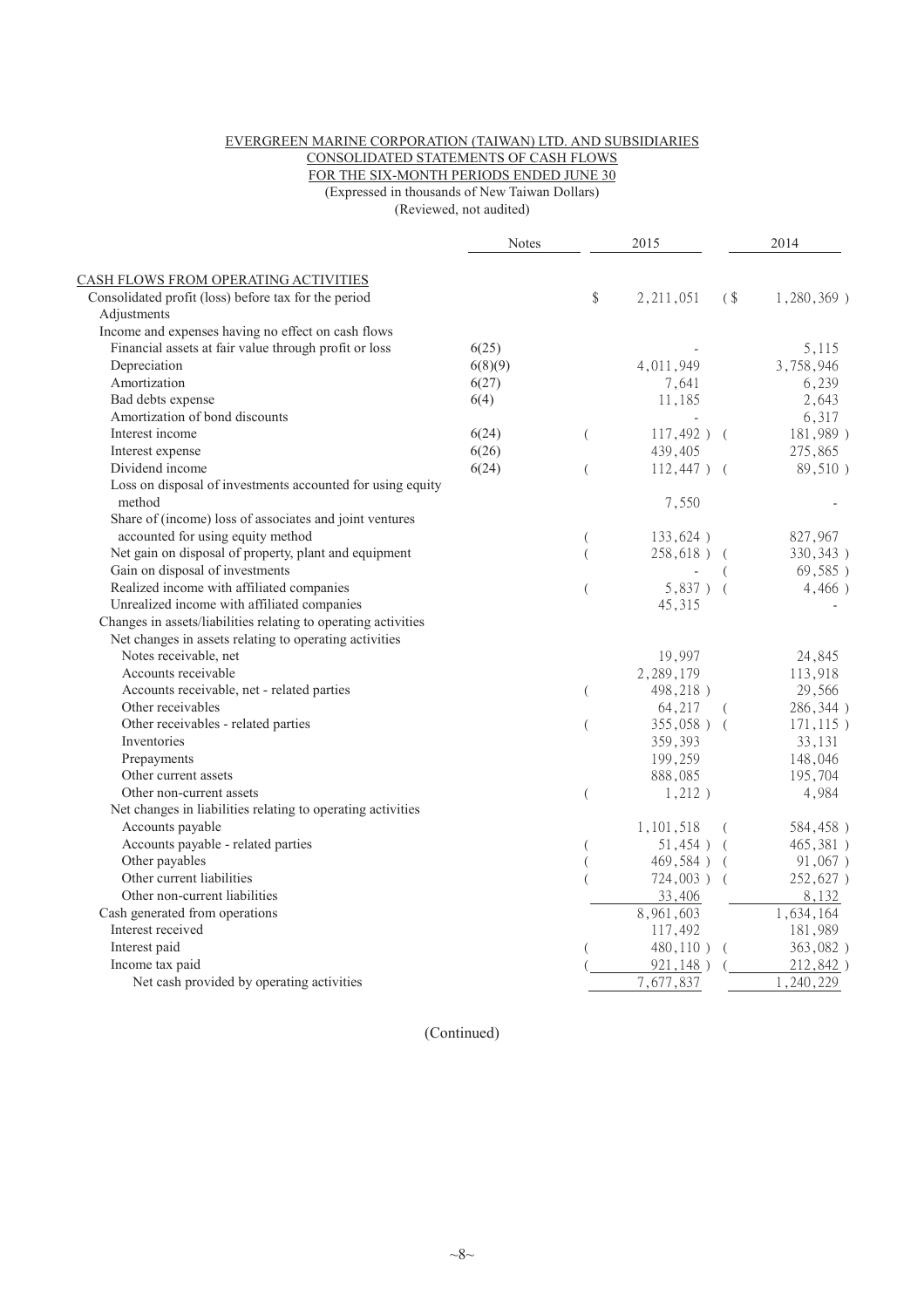### EVERGREEN MARINE CORPORATION (TAIWAN) LTD. AND SUBSIDIARIES CONSOLIDATED STATEMENTS OF CASH FLOWS

FOR THE SIX-MONTH PERIODS ENDED JUNE 30

(Expressed in thousands of New Taiwan Dollars)

(Reviewed, not audited)

|                                                                      | <b>Notes</b> |                  | 2015          |            | 2014          |
|----------------------------------------------------------------------|--------------|------------------|---------------|------------|---------------|
| CASH FLOWS FROM OPERATING ACTIVITIES                                 |              |                  |               |            |               |
| Consolidated profit (loss) before tax for the period                 |              | \$               | 2, 211, 051   | $($ \$     | $1,280,369$ ) |
| Adjustments                                                          |              |                  |               |            |               |
| Income and expenses having no effect on cash flows                   |              |                  |               |            |               |
| Financial assets at fair value through profit or loss                | 6(25)        |                  |               |            | 5,115         |
| Depreciation                                                         | 6(8)(9)      |                  | 4,011,949     |            | 3,758,946     |
| Amortization                                                         | 6(27)        |                  | 7,641         |            | 6,239         |
| Bad debts expense                                                    | 6(4)         |                  | 11,185        |            | 2,643         |
| Amortization of bond discounts                                       |              |                  |               |            | 6,317         |
| Interest income                                                      | 6(24)        | $\left($         | $117,492$ ) ( |            | 181,989)      |
| Interest expense                                                     | 6(26)        |                  | 439,405       |            | 275,865       |
| Dividend income                                                      | 6(24)        | $\overline{(\ }$ | $112,447$ ) ( |            | 89,510)       |
| Loss on disposal of investments accounted for using equity<br>method |              |                  | 7,550         |            |               |
| Share of (income) loss of associates and joint ventures              |              |                  |               |            |               |
| accounted for using equity method                                    |              |                  | 133,624)      |            | 827,967       |
| Net gain on disposal of property, plant and equipment                |              | $\overline{(}$   | 258,618) (    |            | 330, 343)     |
| Gain on disposal of investments                                      |              |                  |               |            | 69,585)       |
| Realized income with affiliated companies                            |              | $\left($         | $5,837$ ) (   |            | 4,466)        |
| Unrealized income with affiliated companies                          |              |                  | 45,315        |            |               |
| Changes in assets/liabilities relating to operating activities       |              |                  |               |            |               |
| Net changes in assets relating to operating activities               |              |                  |               |            |               |
| Notes receivable, net                                                |              |                  | 19,997        |            | 24,845        |
| Accounts receivable                                                  |              |                  | 2,289,179     |            | 113,918       |
| Accounts receivable, net - related parties                           |              | $\big($          | 498,218)      |            | 29,566        |
| Other receivables                                                    |              |                  | 64,217        |            | 286,344)      |
| Other receivables - related parties                                  |              | $\overline{(\ }$ | $355,058$ ) ( |            | $171, 115$ )  |
| Inventories                                                          |              |                  | 359,393       |            | 33,131        |
| Prepayments                                                          |              |                  | 199,259       |            | 148,046       |
| Other current assets                                                 |              |                  | 888,085       |            | 195,704       |
| Other non-current assets                                             |              | $\overline{(\ }$ | 1,212)        |            | 4,984         |
| Net changes in liabilities relating to operating activities          |              |                  |               |            |               |
| Accounts payable                                                     |              |                  | 1,101,518     |            | 584,458)      |
| Accounts payable - related parties                                   |              | (                | 51,454)       | - (        | 465,381)      |
| Other payables                                                       |              |                  | 469,584)      | $\sqrt{ }$ | 91,067)       |
| Other current liabilities                                            |              |                  | $724,003$ )   |            | 252,627)      |
| Other non-current liabilities                                        |              |                  | 33,406        |            | 8,132         |
| Cash generated from operations                                       |              |                  | 8,961,603     |            | 1,634,164     |
| Interest received                                                    |              |                  | 117,492       |            | 181,989       |
| Interest paid                                                        |              |                  | $480,110$ )   | $\left($   | 363,082)      |
| Income tax paid                                                      |              |                  | 921,148)      |            | 212,842)      |
| Net cash provided by operating activities                            |              |                  | 7,677,837     |            | , 240, 229    |
|                                                                      |              |                  |               |            |               |

(Continued)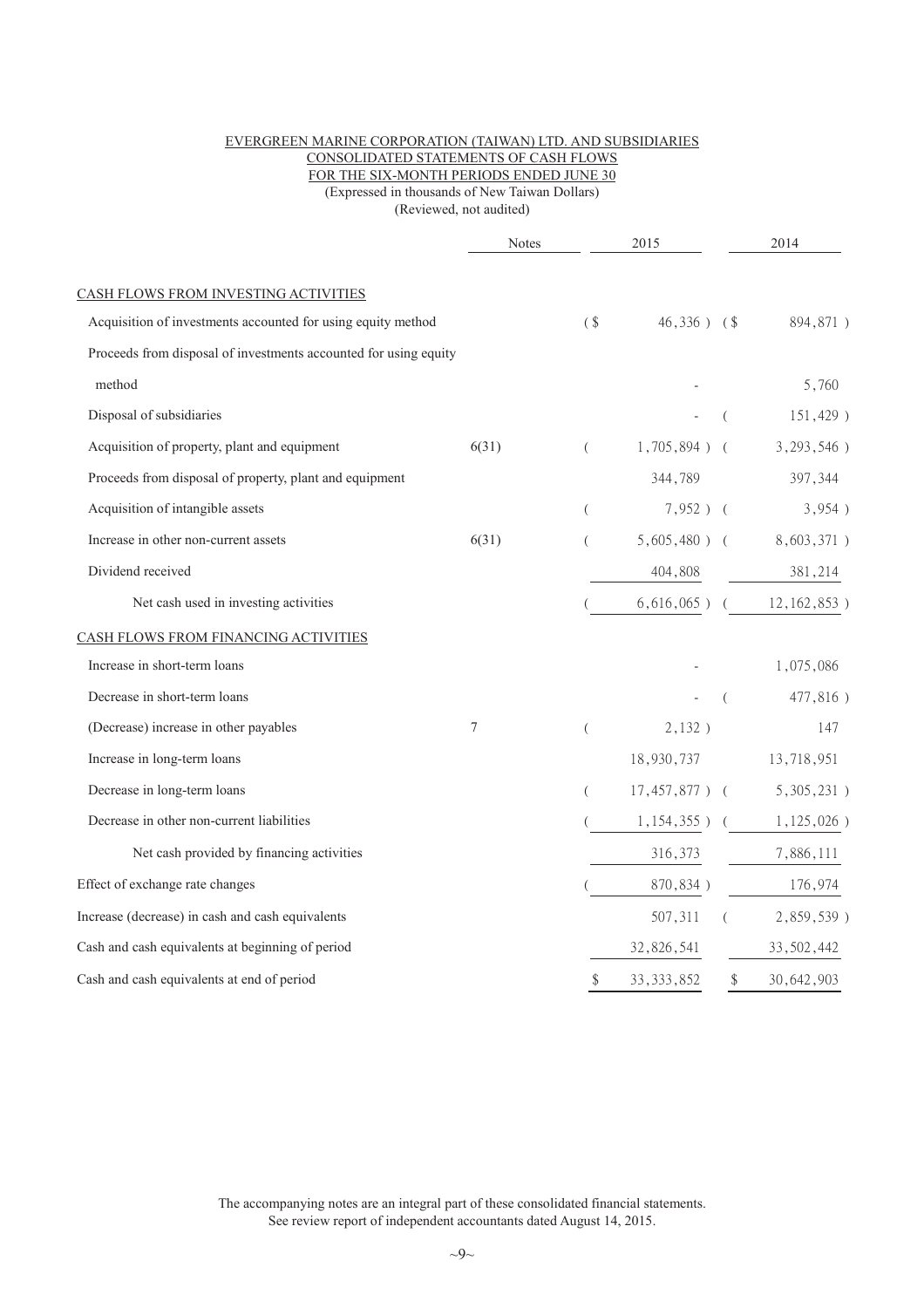#### EVERGREEN MARINE CORPORATION (TAIWAN) LTD. AND SUBSIDIARIES CONSOLIDATED STATEMENTS OF CASH FLOWS FOR THE SIX-MONTH PERIODS ENDED JUNE 30 (Expressed in thousands of New Taiwan Dollars)

(Reviewed, not audited)

|                                                                  | 2015<br><b>Notes</b> |          |                  | 2014          |                                |
|------------------------------------------------------------------|----------------------|----------|------------------|---------------|--------------------------------|
| CASH FLOWS FROM INVESTING ACTIVITIES                             |                      |          |                  |               |                                |
| Acquisition of investments accounted for using equity method     |                      | $($ \$   | $46,336$ ) $\$$  |               | 894,871)                       |
| Proceeds from disposal of investments accounted for using equity |                      |          |                  |               |                                |
| method                                                           |                      |          |                  |               | 5,760                          |
| Disposal of subsidiaries                                         |                      |          |                  |               | 151,429)                       |
| Acquisition of property, plant and equipment                     | 6(31)                | $\left($ | $1,705,894$ ) (  |               | $3,293,546$ )                  |
| Proceeds from disposal of property, plant and equipment          |                      |          | 344,789          |               | 397,344                        |
| Acquisition of intangible assets                                 |                      | $\left($ | $7,952$ ) (      |               | 3,954)                         |
| Increase in other non-current assets                             | 6(31)                | $\left($ |                  |               | $5,605,480$ ) ( $8,603,371$ )  |
| Dividend received                                                |                      |          | 404,808          |               | 381,214                        |
| Net cash used in investing activities                            |                      |          |                  |               | $6,616,065$ ) ( $12,162,853$ ) |
| CASH FLOWS FROM FINANCING ACTIVITIES                             |                      |          |                  |               |                                |
| Increase in short-term loans                                     |                      |          |                  |               | 1,075,086                      |
| Decrease in short-term loans                                     |                      |          |                  | $\left($      | 477,816)                       |
| (Decrease) increase in other payables                            | 7                    | $\left($ | 2,132)           |               | 147                            |
| Increase in long-term loans                                      |                      |          | 18,930,737       |               | 13,718,951                     |
| Decrease in long-term loans                                      |                      | (        | $17,457,877$ ) ( |               | $5,305,231$ )                  |
| Decrease in other non-current liabilities                        |                      |          |                  |               | $1,154,355$ ) ( $1,125,026$ )  |
| Net cash provided by financing activities                        |                      |          | 316,373          |               | 7,886,111                      |
| Effect of exchange rate changes                                  |                      |          | 870,834)         |               | 176,974                        |
| Increase (decrease) in cash and cash equivalents                 |                      |          | 507,311          |               | 2,859,539)                     |
| Cash and cash equivalents at beginning of period                 |                      |          | 32,826,541       |               | 33, 502, 442                   |
| Cash and cash equivalents at end of period                       |                      | \$       | 33, 333, 852     | $\mathcal{S}$ | 30,642,903                     |

The accompanying notes are an integral part of these consolidated financial statements. See review report of independent accountants dated August 14, 2015.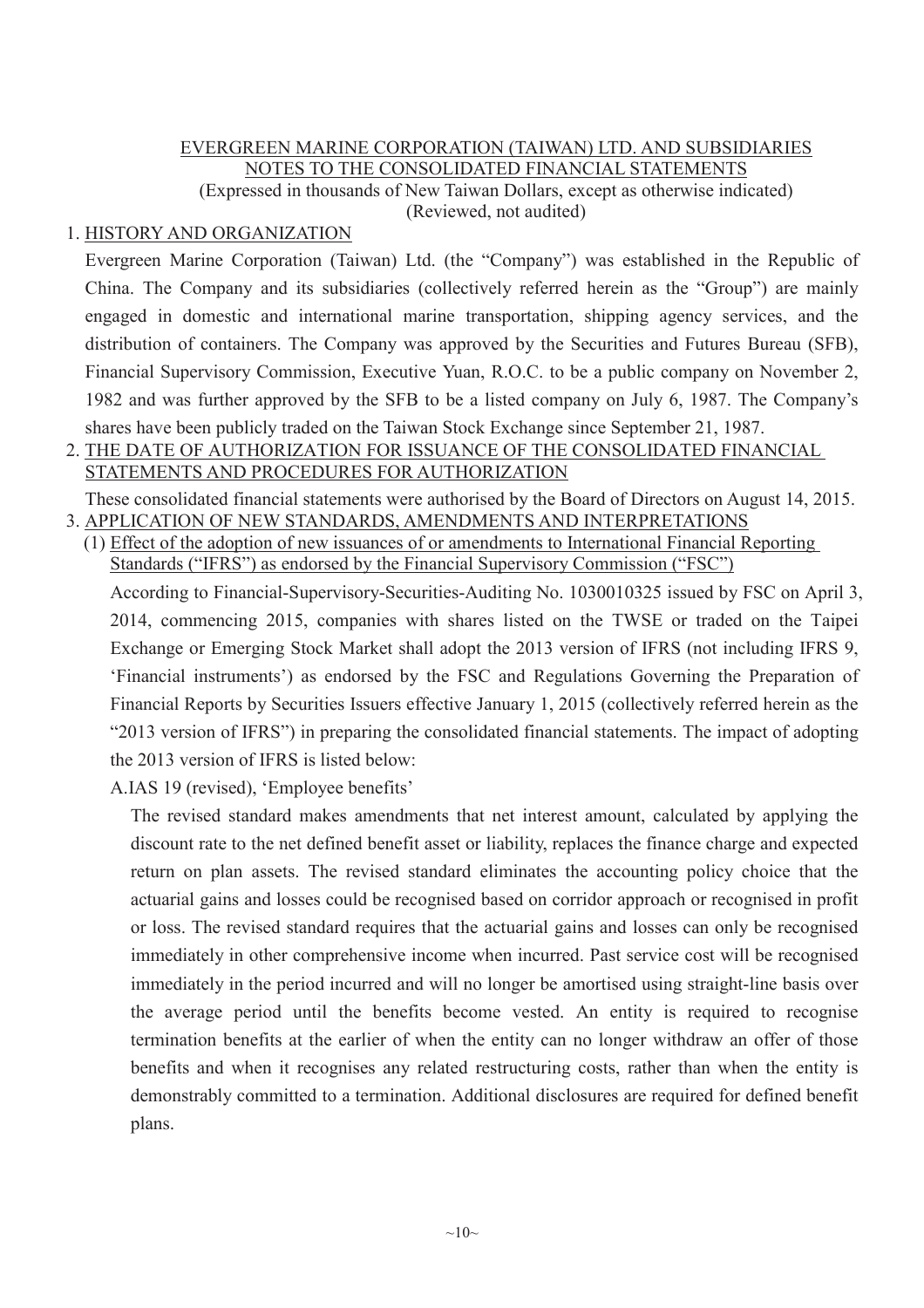## EVERGREEN MARINE CORPORATION (TAIWAN) LTD. AND SUBSIDIARIES NOTES TO THE CONSOLIDATED FINANCIAL STATEMENTS

(Expressed in thousands of New Taiwan Dollars, except as otherwise indicated) (Reviewed, not audited)

## 1. HISTORY AND ORGANIZATION

Evergreen Marine Corporation (Taiwan) Ltd. (the "Company") was established in the Republic of China. The Company and its subsidiaries (collectively referred herein as the "Group") are mainly engaged in domestic and international marine transportation, shipping agency services, and the distribution of containers. The Company was approved by the Securities and Futures Bureau (SFB), Financial Supervisory Commission, Executive Yuan, R.O.C. to be a public company on November 2, 1982 and was further approved by the SFB to be a listed company on July 6, 1987. The Company's shares have been publicly traded on the Taiwan Stock Exchange since September 21, 1987.

# 2. THE DATE OF AUTHORIZATION FOR ISSUANCE OF THE CONSOLIDATED FINANCIAL STATEMENTS AND PROCEDURES FOR AUTHORIZATION

These consolidated financial statements were authorised by the Board of Directors on August 14, 2015. 3. APPLICATION OF NEW STANDARDS, AMENDMENTS AND INTERPRETATIONS

(1) Effect of the adoption of new issuances of or amendments to International Financial Reporting Standards ("IFRS") as endorsed by the Financial Supervisory Commission ("FSC")

According to Financial-Supervisory-Securities-Auditing No. 1030010325 issued by FSC on April 3, 2014, commencing 2015, companies with shares listed on the TWSE or traded on the Taipei Exchange or Emerging Stock Market shall adopt the 2013 version of IFRS (not including IFRS 9, 'Financial instruments') as endorsed by the FSC and Regulations Governing the Preparation of Financial Reports by Securities Issuers effective January 1, 2015 (collectively referred herein as the "2013 version of IFRS") in preparing the consolidated financial statements. The impact of adopting the 2013 version of IFRS is listed below:

A.IAS 19 (revised), 'Employee benefits'

The revised standard makes amendments that net interest amount, calculated by applying the discount rate to the net defined benefit asset or liability, replaces the finance charge and expected return on plan assets. The revised standard eliminates the accounting policy choice that the actuarial gains and losses could be recognised based on corridor approach or recognised in profit or loss. The revised standard requires that the actuarial gains and losses can only be recognised immediately in other comprehensive income when incurred. Past service cost will be recognised immediately in the period incurred and will no longer be amortised using straight-line basis over the average period until the benefits become vested. An entity is required to recognise termination benefits at the earlier of when the entity can no longer withdraw an offer of those benefits and when it recognises any related restructuring costs, rather than when the entity is demonstrably committed to a termination. Additional disclosures are required for defined benefit plans.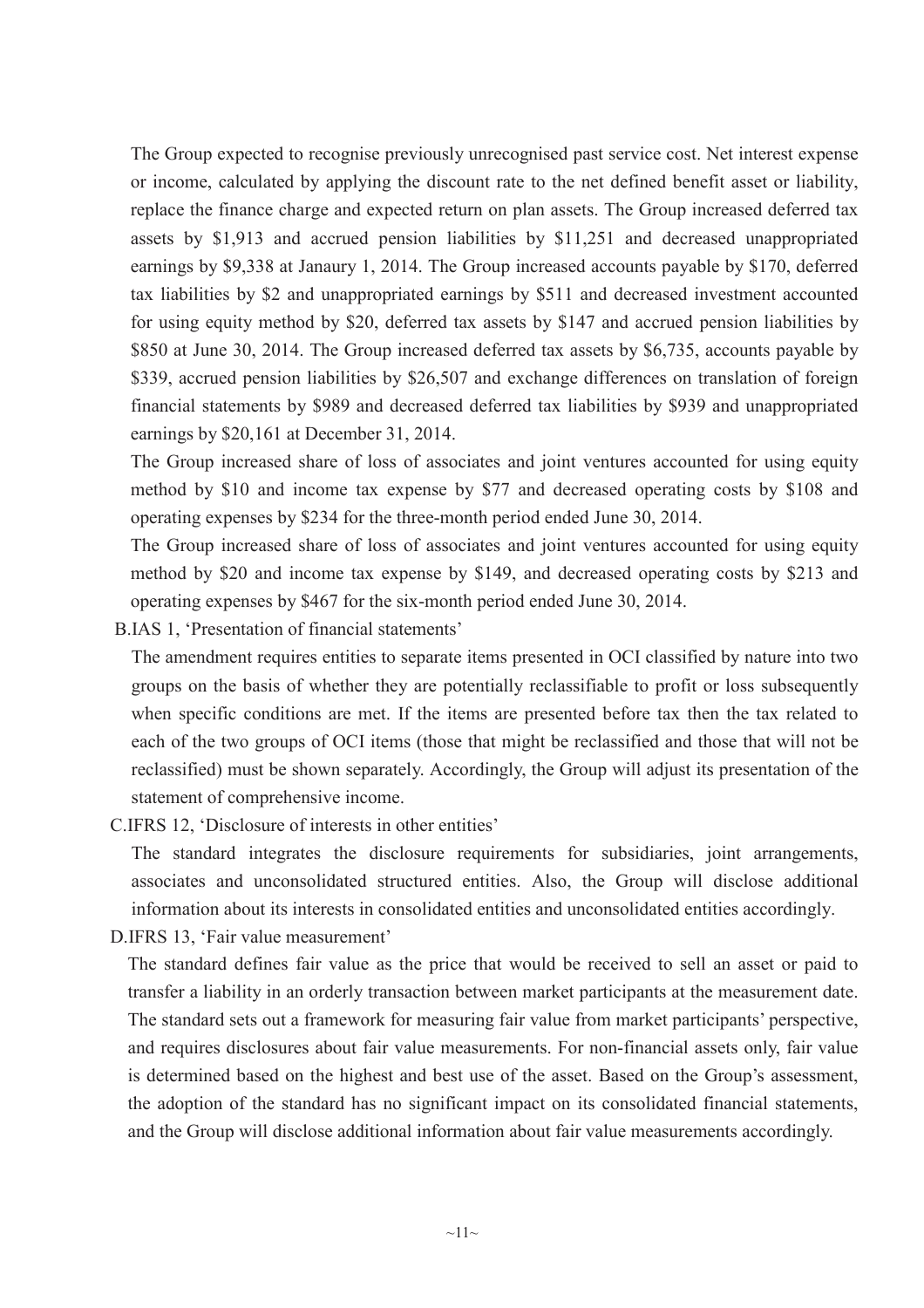The Group expected to recognise previously unrecognised past service cost. Net interest expense or income, calculated by applying the discount rate to the net defined benefit asset or liability, replace the finance charge and expected return on plan assets. The Group increased deferred tax assets by \$1,913 and accrued pension liabilities by \$11,251 and decreased unappropriated earnings by \$9,338 at Janaury 1, 2014. The Group increased accounts payable by \$170, deferred tax liabilities by \$2 and unappropriated earnings by \$511 and decreased investment accounted for using equity method by \$20, deferred tax assets by \$147 and accrued pension liabilities by \$850 at June 30, 2014. The Group increased deferred tax assets by \$6,735, accounts payable by \$339, accrued pension liabilities by \$26,507 and exchange differences on translation of foreign financial statements by \$989 and decreased deferred tax liabilities by \$939 and unappropriated earnings by \$20,161 at December 31, 2014.

The Group increased share of loss of associates and joint ventures accounted for using equity method by \$10 and income tax expense by \$77 and decreased operating costs by \$108 and operating expenses by \$234 for the three-month period ended June 30, 2014.

The Group increased share of loss of associates and joint ventures accounted for using equity method by \$20 and income tax expense by \$149, and decreased operating costs by \$213 and operating expenses by \$467 for the six-month period ended June 30, 2014.

B.IAS 1, 'Presentation of financial statements'

The amendment requires entities to separate items presented in OCI classified by nature into two groups on the basis of whether they are potentially reclassifiable to profit or loss subsequently when specific conditions are met. If the items are presented before tax then the tax related to each of the two groups of OCI items (those that might be reclassified and those that will not be reclassified) must be shown separately. Accordingly, the Group will adjust its presentation of the statement of comprehensive income.

C.IFRS 12, 'Disclosure of interests in other entities'

The standard integrates the disclosure requirements for subsidiaries, joint arrangements, associates and unconsolidated structured entities. Also, the Group will disclose additional information about its interests in consolidated entities and unconsolidated entities accordingly.

D.IFRS 13, 'Fair value measurement'

The standard defines fair value as the price that would be received to sell an asset or paid to transfer a liability in an orderly transaction between market participants at the measurement date. The standard sets out a framework for measuring fair value from market participants' perspective, and requires disclosures about fair value measurements. For non-financial assets only, fair value is determined based on the highest and best use of the asset. Based on the Group's assessment, the adoption of the standard has no significant impact on its consolidated financial statements, and the Group will disclose additional information about fair value measurements accordingly.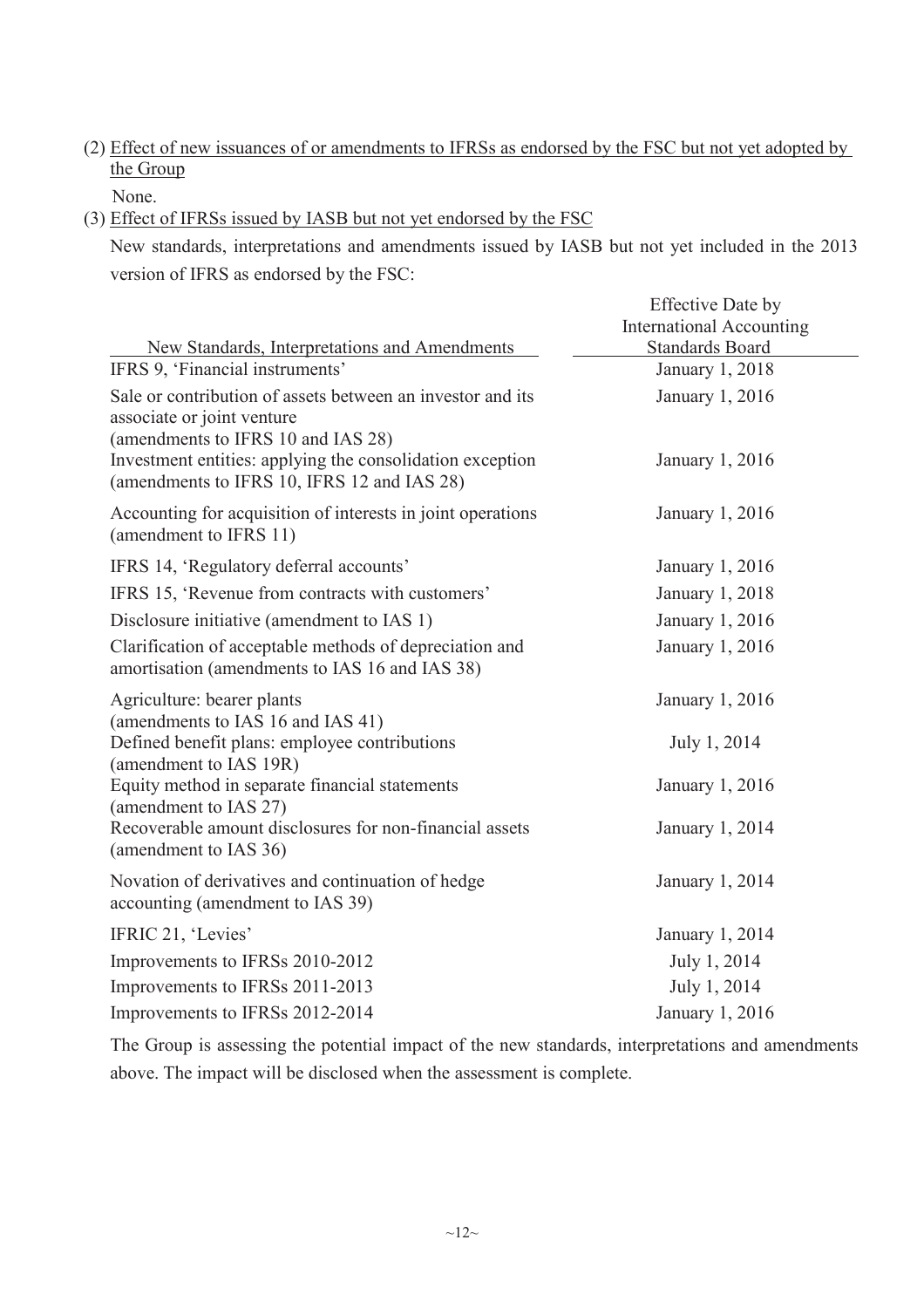(2) Effect of new issuances of or amendments to IFRSs as endorsed by the FSC but not yet adopted by the Group

None.

(3) Effect of IFRSs issued by IASB but not yet endorsed by the FSC

New standards, interpretations and amendments issued by IASB but not yet included in the 2013 version of IFRS as endorsed by the FSC:

Effective Date by

|                                                                                                                                | <b>International Accounting</b>           |
|--------------------------------------------------------------------------------------------------------------------------------|-------------------------------------------|
| New Standards, Interpretations and Amendments<br>IFRS 9, 'Financial instruments'                                               | <b>Standards Board</b><br>January 1, 2018 |
| Sale or contribution of assets between an investor and its<br>associate or joint venture<br>(amendments to IFRS 10 and IAS 28) | January 1, 2016                           |
| Investment entities: applying the consolidation exception<br>(amendments to IFRS 10, IFRS 12 and IAS 28)                       | January 1, 2016                           |
| Accounting for acquisition of interests in joint operations<br>(amendment to IFRS 11)                                          | January 1, 2016                           |
| IFRS 14, 'Regulatory deferral accounts'                                                                                        | January 1, 2016                           |
| IFRS 15, 'Revenue from contracts with customers'                                                                               | January 1, 2018                           |
| Disclosure initiative (amendment to IAS 1)                                                                                     | January 1, 2016                           |
| Clarification of acceptable methods of depreciation and<br>amortisation (amendments to IAS 16 and IAS 38)                      | January 1, 2016                           |
| Agriculture: bearer plants<br>(amendments to IAS 16 and IAS 41)                                                                | January 1, 2016                           |
| Defined benefit plans: employee contributions<br>(amendment to IAS 19R)                                                        | July 1, 2014                              |
| Equity method in separate financial statements<br>(amendment to IAS 27)                                                        | January 1, 2016                           |
| Recoverable amount disclosures for non-financial assets<br>(amendment to IAS 36)                                               | January 1, 2014                           |
| Novation of derivatives and continuation of hedge<br>accounting (amendment to IAS 39)                                          | January 1, 2014                           |
| IFRIC 21, 'Levies'                                                                                                             | January 1, 2014                           |
| Improvements to IFRSs 2010-2012                                                                                                | July 1, 2014                              |
| Improvements to IFRSs 2011-2013                                                                                                | July 1, 2014                              |
| Improvements to IFRSs 2012-2014                                                                                                | January 1, 2016                           |

The Group is assessing the potential impact of the new standards, interpretations and amendments above. The impact will be disclosed when the assessment is complete.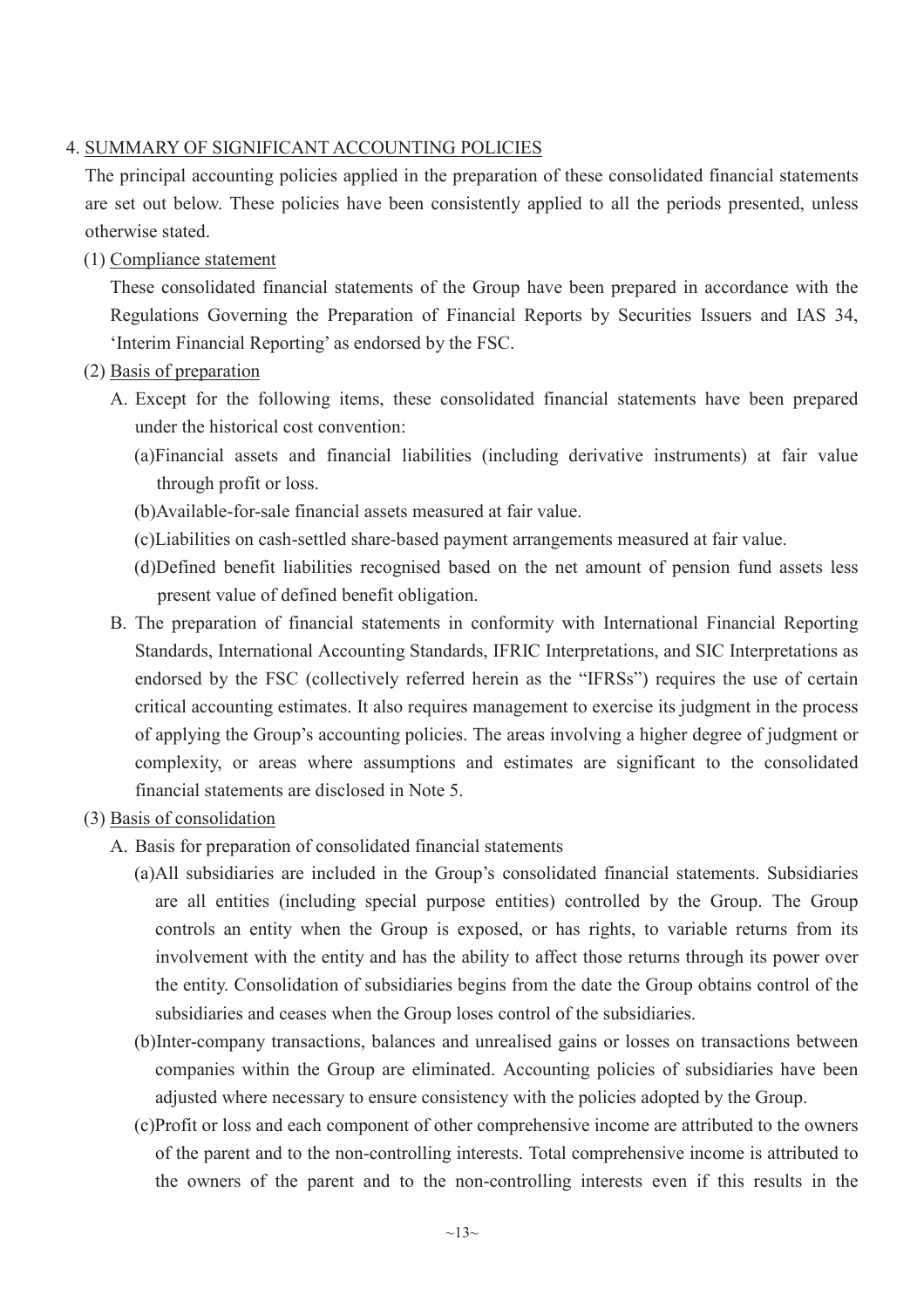# 4. SUMMARY OF SIGNIFICANT ACCOUNTING POLICIES

The principal accounting policies applied in the preparation of these consolidated financial statements are set out below. These policies have been consistently applied to all the periods presented, unless otherwise stated.

(1) Compliance statement

These consolidated financial statements of the Group have been prepared in accordance with the Regulations Governing the Preparation of Financial Reports by Securities Issuers and IAS 34, 'Interim Financial Reporting' as endorsed by the FSC.

- (2) Basis of preparation
	- A. Except for the following items, these consolidated financial statements have been prepared under the historical cost convention:
		- (a)Financial assets and financial liabilities (including derivative instruments) at fair value through profit or loss.
		- (b)Available-for-sale financial assets measured at fair value.
		- (c)Liabilities on cash-settled share-based payment arrangements measured at fair value.
		- (d)Defined benefit liabilities recognised based on the net amount of pension fund assets less present value of defined benefit obligation.
	- B. The preparation of financial statements in conformity with International Financial Reporting Standards, International Accounting Standards, IFRIC Interpretations, and SIC Interpretations as endorsed by the FSC (collectively referred herein as the "IFRSs") requires the use of certain critical accounting estimates. It also requires management to exercise its judgment in the process of applying the Group's accounting policies. The areas involving a higher degree of judgment or complexity, or areas where assumptions and estimates are significant to the consolidated financial statements are disclosed in Note 5.
- (3) Basis of consolidation
	- A. Basis for preparation of consolidated financial statements
		- (a)All subsidiaries are included in the Group's consolidated financial statements. Subsidiaries are all entities (including special purpose entities) controlled by the Group. The Group controls an entity when the Group is exposed, or has rights, to variable returns from its involvement with the entity and has the ability to affect those returns through its power over the entity. Consolidation of subsidiaries begins from the date the Group obtains control of the subsidiaries and ceases when the Group loses control of the subsidiaries.
		- (b)Inter-company transactions, balances and unrealised gains or losses on transactions between companies within the Group are eliminated. Accounting policies of subsidiaries have been adjusted where necessary to ensure consistency with the policies adopted by the Group.
		- (c)Profit or loss and each component of other comprehensive income are attributed to the owners of the parent and to the non-controlling interests. Total comprehensive income is attributed to the owners of the parent and to the non-controlling interests even if this results in the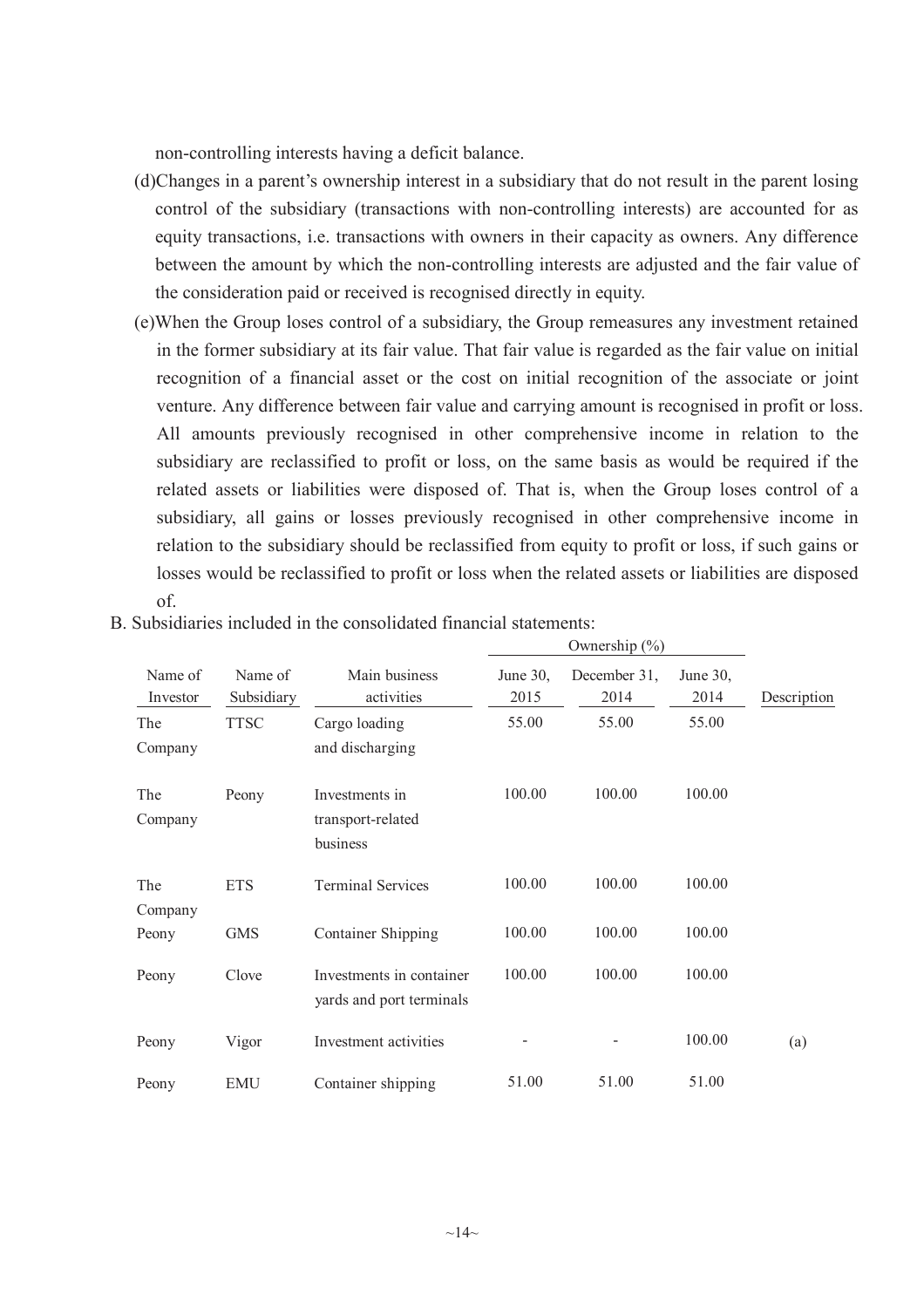non-controlling interests having a deficit balance.

- (d)Changes in a parent's ownership interest in a subsidiary that do not result in the parent losing control of the subsidiary (transactions with non-controlling interests) are accounted for as equity transactions, i.e. transactions with owners in their capacity as owners. Any difference between the amount by which the non-controlling interests are adjusted and the fair value of the consideration paid or received is recognised directly in equity.
- (e)When the Group loses control of a subsidiary, the Group remeasures any investment retained in the former subsidiary at its fair value. That fair value is regarded as the fair value on initial recognition of a financial asset or the cost on initial recognition of the associate or joint venture. Any difference between fair value and carrying amount is recognised in profit or loss. All amounts previously recognised in other comprehensive income in relation to the subsidiary are reclassified to profit or loss, on the same basis as would be required if the related assets or liabilities were disposed of. That is, when the Group loses control of a subsidiary, all gains or losses previously recognised in other comprehensive income in relation to the subsidiary should be reclassified from equity to profit or loss, if such gains or losses would be reclassified to profit or loss when the related assets or liabilities are disposed of.

 $O$ wnership  $(0/2)$ 

|                     |                       |                                                      |                  | $\sigma$ when simp $(70)$ |                  |             |
|---------------------|-----------------------|------------------------------------------------------|------------------|---------------------------|------------------|-------------|
| Name of<br>Investor | Name of<br>Subsidiary | Main business<br>activities                          | June 30,<br>2015 | December 31,<br>2014      | June 30,<br>2014 | Description |
| The<br>Company      | <b>TTSC</b>           | Cargo loading<br>and discharging                     | 55.00            | 55.00                     | 55.00            |             |
| The<br>Company      | Peony                 | Investments in<br>transport-related<br>business      | 100.00           | 100.00                    | 100.00           |             |
| The<br>Company      | <b>ETS</b>            | <b>Terminal Services</b>                             | 100.00           | 100.00                    | 100.00           |             |
| Peony               | <b>GMS</b>            | <b>Container Shipping</b>                            | 100.00           | 100.00                    | 100.00           |             |
| Peony               | Clove                 | Investments in container<br>yards and port terminals | 100.00           | 100.00                    | 100.00           |             |
| Peony               | Vigor                 | Investment activities                                |                  |                           | 100.00           | (a)         |
| Peony               | <b>EMU</b>            | Container shipping                                   | 51.00            | 51.00                     | 51.00            |             |

B. Subsidiaries included in the consolidated financial statements: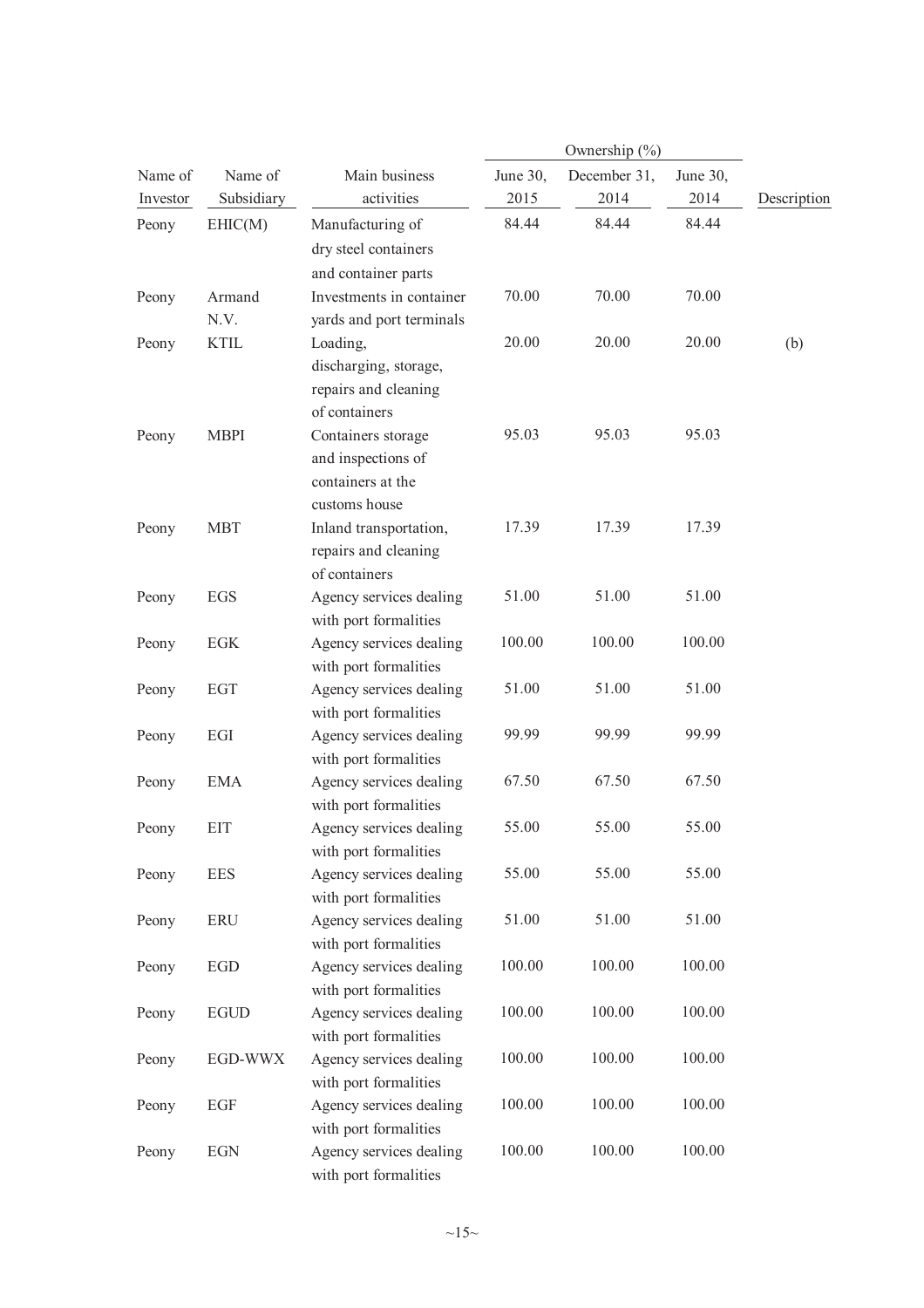|          |                |                                                                                |          | Ownership (%) |          |             |
|----------|----------------|--------------------------------------------------------------------------------|----------|---------------|----------|-------------|
| Name of  | Name of        | Main business                                                                  | June 30, | December 31,  | June 30, |             |
| Investor | Subsidiary     | activities                                                                     | 2015     | 2014          | 2014     | Description |
| Peony    | EHIC(M)        | Manufacturing of<br>dry steel containers<br>and container parts                | 84.44    | 84.44         | 84.44    |             |
| Peony    | Armand<br>N.V. | Investments in container<br>yards and port terminals                           | 70.00    | 70.00         | 70.00    |             |
| Peony    | <b>KTIL</b>    | Loading,<br>discharging, storage,<br>repairs and cleaning<br>of containers     | 20.00    | 20.00         | 20.00    | (b)         |
| Peony    | <b>MBPI</b>    | Containers storage<br>and inspections of<br>containers at the<br>customs house | 95.03    | 95.03         | 95.03    |             |
| Peony    | <b>MBT</b>     | Inland transportation,<br>repairs and cleaning<br>of containers                | 17.39    | 17.39         | 17.39    |             |
| Peony    | <b>EGS</b>     | Agency services dealing<br>with port formalities                               | 51.00    | 51.00         | 51.00    |             |
| Peony    | EGK            | Agency services dealing<br>with port formalities                               | 100.00   | 100.00        | 100.00   |             |
| Peony    | <b>EGT</b>     | Agency services dealing<br>with port formalities                               | 51.00    | 51.00         | 51.00    |             |
| Peony    | $EGI$          | Agency services dealing<br>with port formalities                               | 99.99    | 99.99         | 99.99    |             |
| Peony    | <b>EMA</b>     | Agency services dealing<br>with port formalities                               | 67.50    | 67.50         | 67.50    |             |
| Peony    | <b>EIT</b>     | Agency services dealing<br>with port formalities                               | 55.00    | 55.00         | 55.00    |             |
| Peony    | <b>EES</b>     | Agency services dealing<br>with port formalities                               | 55.00    | 55.00         | 55.00    |             |
| Peony    | <b>ERU</b>     | Agency services dealing<br>with port formalities                               | 51.00    | 51.00         | 51.00    |             |
| Peony    | EGD            | Agency services dealing<br>with port formalities                               | 100.00   | 100.00        | 100.00   |             |
| Peony    | <b>EGUD</b>    | Agency services dealing<br>with port formalities                               | 100.00   | 100.00        | 100.00   |             |
| Peony    | EGD-WWX        | Agency services dealing<br>with port formalities                               | 100.00   | 100.00        | 100.00   |             |
| Peony    | EGF            | Agency services dealing<br>with port formalities                               | 100.00   | 100.00        | 100.00   |             |
| Peony    | <b>EGN</b>     | Agency services dealing<br>with port formalities                               | 100.00   | 100.00        | 100.00   |             |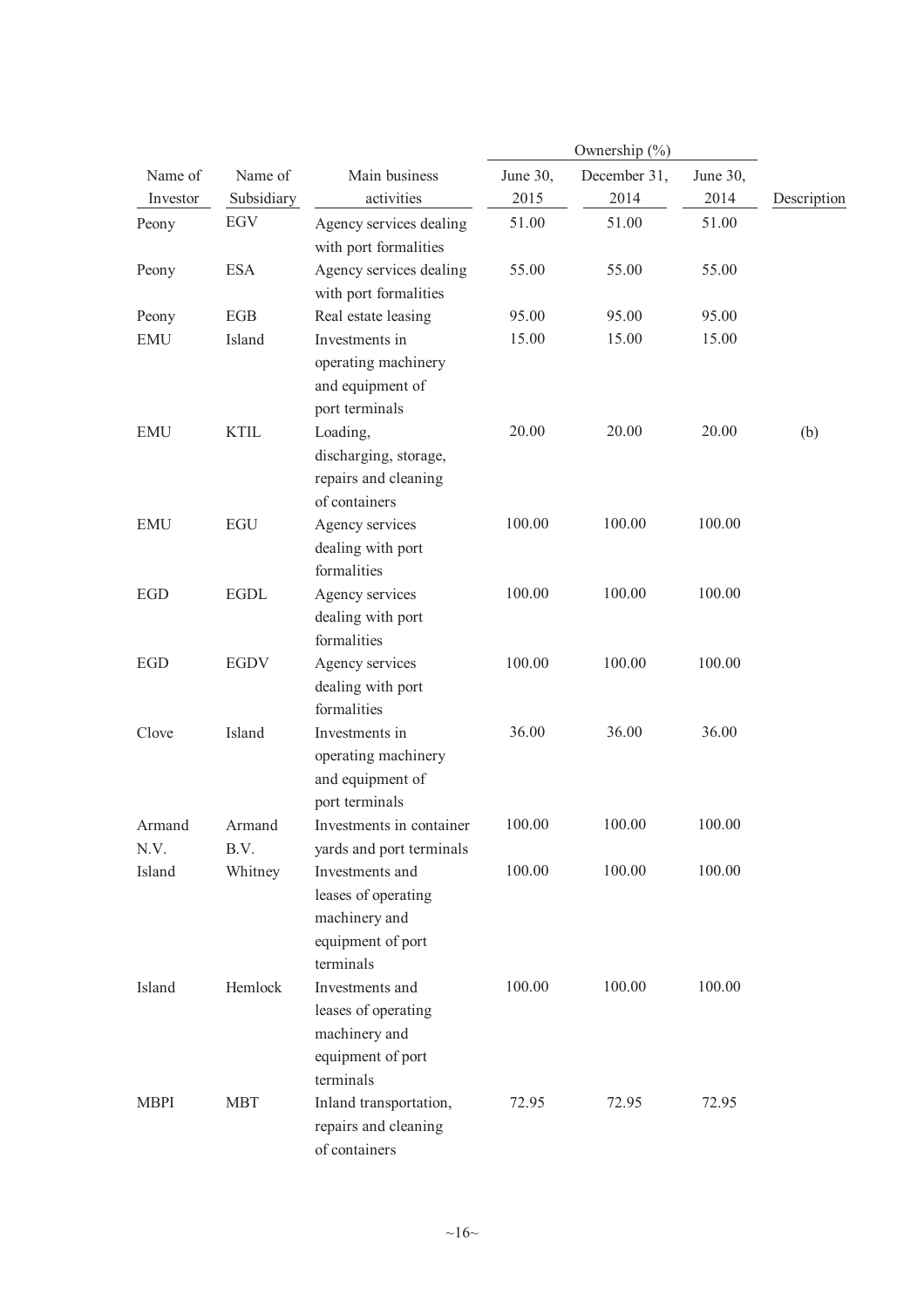|                |                |                                                                                           |          | Ownership (%) |          |             |
|----------------|----------------|-------------------------------------------------------------------------------------------|----------|---------------|----------|-------------|
| Name of        | Name of        | Main business                                                                             | June 30, | December 31,  | June 30, |             |
| Investor       | Subsidiary     | activities                                                                                | 2015     | 2014          | 2014     | Description |
| Peony          | EGV            | Agency services dealing<br>with port formalities                                          | 51.00    | 51.00         | 51.00    |             |
| Peony          | <b>ESA</b>     | Agency services dealing<br>with port formalities                                          | 55.00    | 55.00         | 55.00    |             |
| Peony          | <b>EGB</b>     | Real estate leasing                                                                       | 95.00    | 95.00         | 95.00    |             |
| <b>EMU</b>     | Island         | Investments in<br>operating machinery<br>and equipment of<br>port terminals               | 15.00    | 15.00         | 15.00    |             |
| <b>EMU</b>     | <b>KTIL</b>    | Loading,<br>discharging, storage,<br>repairs and cleaning<br>of containers                | 20.00    | 20.00         | 20.00    | (b)         |
| <b>EMU</b>     | <b>EGU</b>     | Agency services<br>dealing with port<br>formalities                                       | 100.00   | 100.00        | 100.00   |             |
| <b>EGD</b>     | <b>EGDL</b>    | Agency services<br>dealing with port<br>formalities                                       | 100.00   | 100.00        | 100.00   |             |
| <b>EGD</b>     | <b>EGDV</b>    | Agency services<br>dealing with port<br>formalities                                       | 100.00   | 100.00        | 100.00   |             |
| Clove          | Island         | Investments in<br>operating machinery<br>and equipment of<br>port terminals               | 36.00    | 36.00         | 36.00    |             |
| Armand<br>N.V. | Armand<br>B.V. | Investments in container<br>yards and port terminals                                      | 100.00   | 100.00        | 100.00   |             |
| Island         | Whitney        | Investments and<br>leases of operating<br>machinery and<br>equipment of port<br>terminals | 100.00   | 100.00        | 100.00   |             |
| Island         | Hemlock        | Investments and<br>leases of operating<br>machinery and<br>equipment of port<br>terminals | 100.00   | 100.00        | 100.00   |             |
| <b>MBPI</b>    | <b>MBT</b>     | Inland transportation,<br>repairs and cleaning<br>of containers                           | 72.95    | 72.95         | 72.95    |             |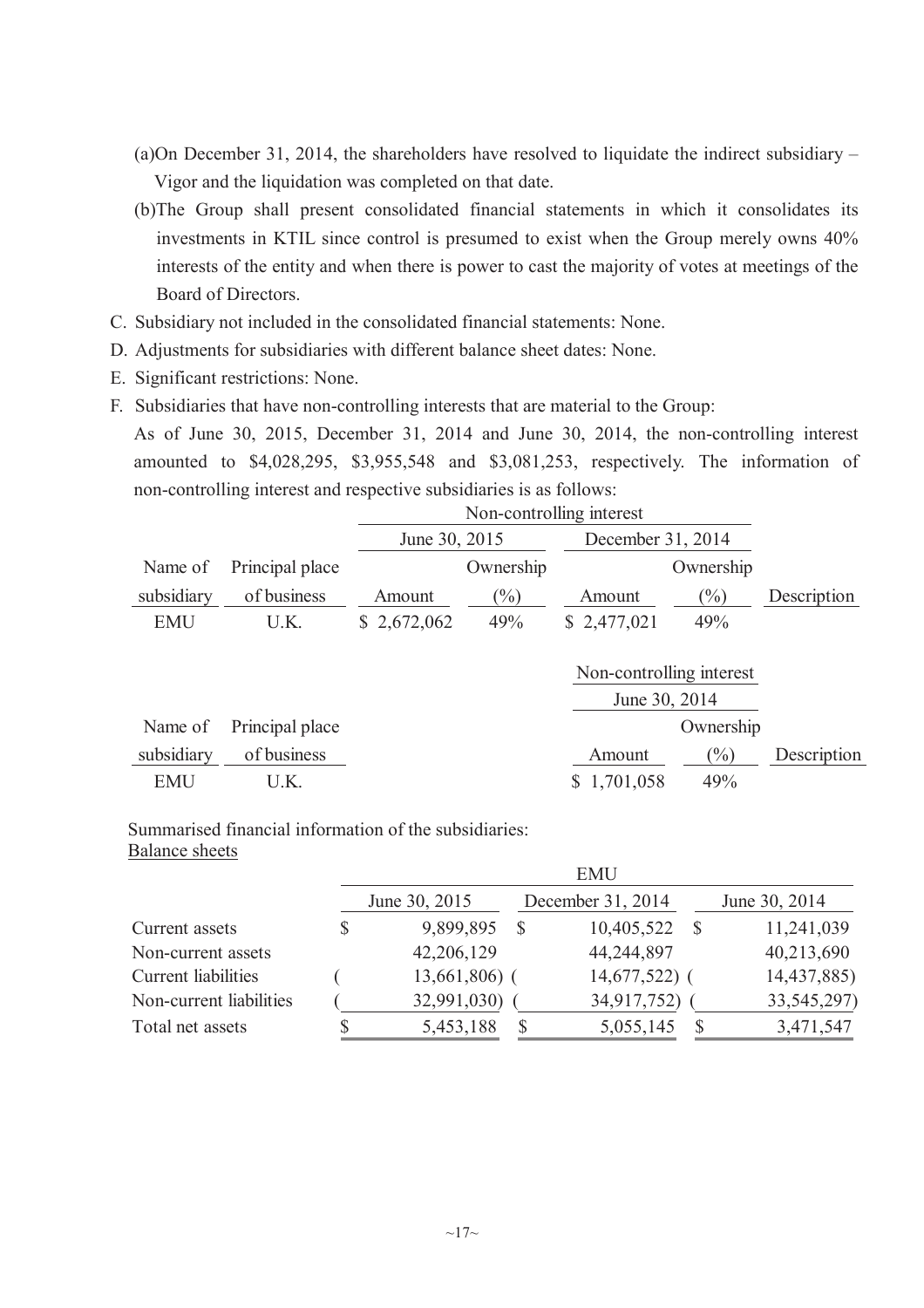- (a)On December 31, 2014, the shareholders have resolved to liquidate the indirect subsidiary Vigor and the liquidation was completed on that date.
- (b)The Group shall present consolidated financial statements in which it consolidates its investments in KTIL since control is presumed to exist when the Group merely owns 40% interests of the entity and when there is power to cast the majority of votes at meetings of the Board of Directors.
- C. Subsidiary not included in the consolidated financial statements: None.
- D. Adjustments for subsidiaries with different balance sheet dates: None.
- E. Significant restrictions: None.
- F. Subsidiaries that have non-controlling interests that are material to the Group:

As of June 30, 2015, December 31, 2014 and June 30, 2014, the non-controlling interest amounted to \$4,028,295, \$3,955,548 and \$3,081,253, respectively. The information of non-controlling interest and respective subsidiaries is as follows:

|            |                 |               | Non-controlling interest |                          |           |             |  |
|------------|-----------------|---------------|--------------------------|--------------------------|-----------|-------------|--|
|            |                 | June 30, 2015 |                          | December 31, 2014        |           |             |  |
| Name of    | Principal place |               | Ownership                |                          | Ownership |             |  |
| subsidiary | of business     | Amount        | $\frac{9}{0}$            | Amount                   | $(\%)$    | Description |  |
| <b>EMU</b> | U.K.            | \$2,672,062   | 49%                      | \$2,477,021              | 49%       |             |  |
|            |                 |               |                          |                          |           |             |  |
|            |                 |               |                          | Non-controlling interest |           |             |  |
|            |                 |               |                          | June 30, 2014            |           |             |  |
| Name of    | Principal place |               |                          |                          | Ownership |             |  |
| subsidiary | of business     |               |                          | Amount                   | $(\%)$    | Description |  |
| <b>EMU</b> | U.K.            |               |                          | 1,701,058                | 49%       |             |  |

Summarised financial information of the subsidiaries: Balance sheets

|                         | <b>EMU</b> |                |   |                   |    |               |
|-------------------------|------------|----------------|---|-------------------|----|---------------|
|                         |            | June 30, 2015  |   | December 31, 2014 |    | June 30, 2014 |
| Current assets          | S          | 9,899,895      | S | 10,405,522        | -S | 11,241,039    |
| Non-current assets      |            | 42,206,129     |   | 44,244,897        |    | 40,213,690    |
| Current liabilities     |            | $13,661,806$ ( |   | $14,677,522$ (    |    | 14,437,885)   |
| Non-current liabilities |            | 32,991,030)    |   | 34,917,752)       |    | 33, 545, 297) |
| Total net assets        |            | 5,453,188      |   | 5,055,145         |    | 3,471,547     |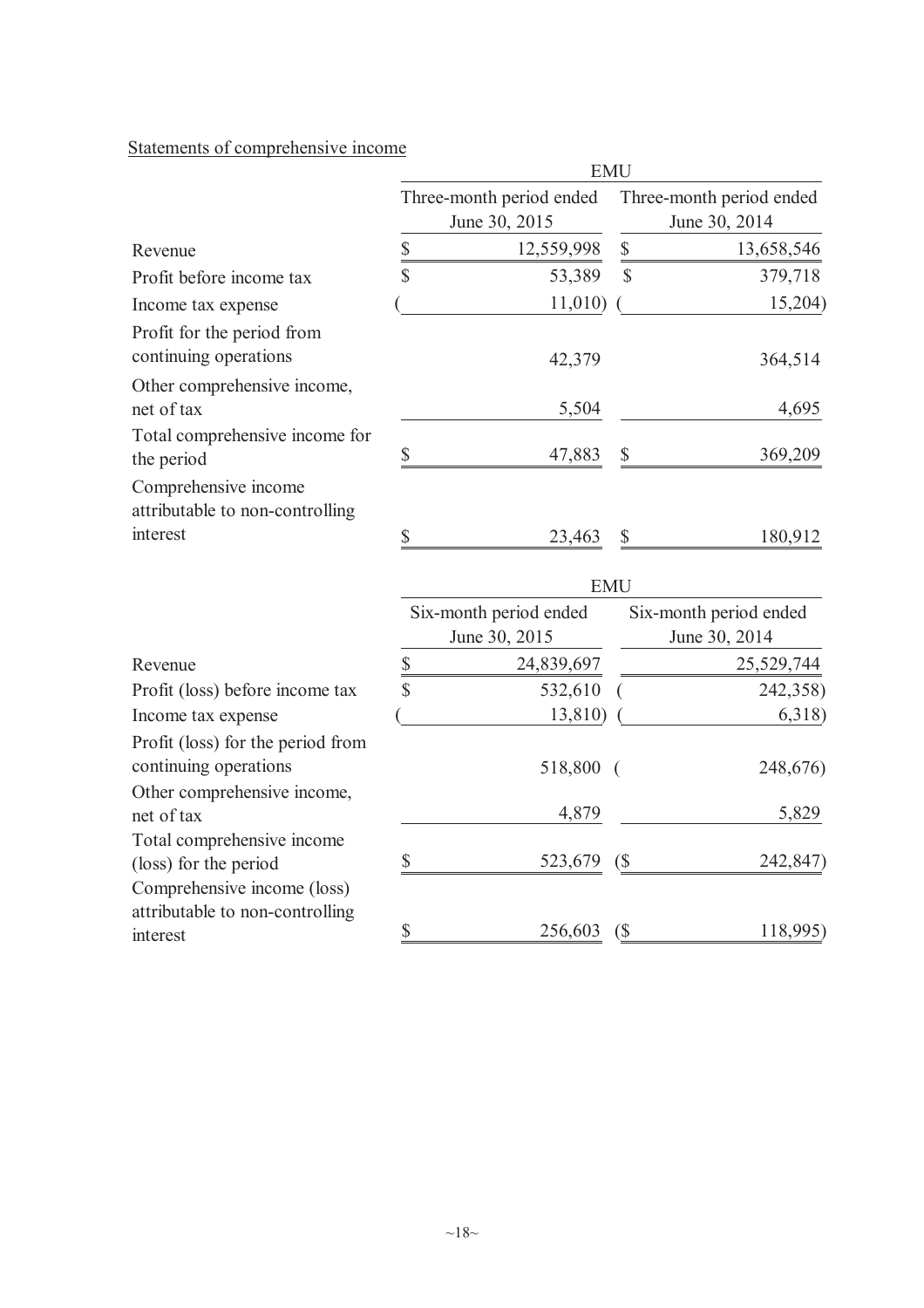# Statements of comprehensive income

| <b>EMU</b>                                |                                  |                                           |                    |  |
|-------------------------------------------|----------------------------------|-------------------------------------------|--------------------|--|
| Three-month period ended<br>June 30, 2015 |                                  | Three-month period ended<br>June 30, 2014 |                    |  |
|                                           | 12,559,998                       | $\boldsymbol{\mathbb{S}}$                 | 13,658,546         |  |
|                                           | 53,389                           | $\mathcal{S}$                             | 379,718            |  |
|                                           |                                  |                                           | 15,204)            |  |
|                                           | 42,379                           |                                           | 364,514            |  |
|                                           | 5,504                            |                                           | 4,695              |  |
| \$                                        | 47,883                           | \$                                        | 369,209            |  |
|                                           |                                  |                                           |                    |  |
| \$                                        | 23,463                           | $\boldsymbol{\mathsf{S}}$                 | 180,912            |  |
| <b>EMU</b>                                |                                  |                                           |                    |  |
| Six-month period ended<br>June 30, 2015   |                                  | Six-month period ended<br>June 30, 2014   |                    |  |
|                                           | 24,839,697                       |                                           | 25,529,744         |  |
| \$                                        | 532,610                          |                                           | 242,358)           |  |
|                                           |                                  |                                           | 6,318)             |  |
|                                           | 518,800                          | $\overline{ }$                            | 248,676)           |  |
|                                           | 4,879                            |                                           | 5,829              |  |
| \$                                        | 523,679                          | $\left( \text{\$} \right)$                | 242,847)           |  |
| \$                                        | 256,603                          | $\left( \text{\$} \right)$                | 118,995)           |  |
|                                           | $\frac{\$}{\$}$<br>$\frac{1}{2}$ |                                           | 11,010)<br>13,810) |  |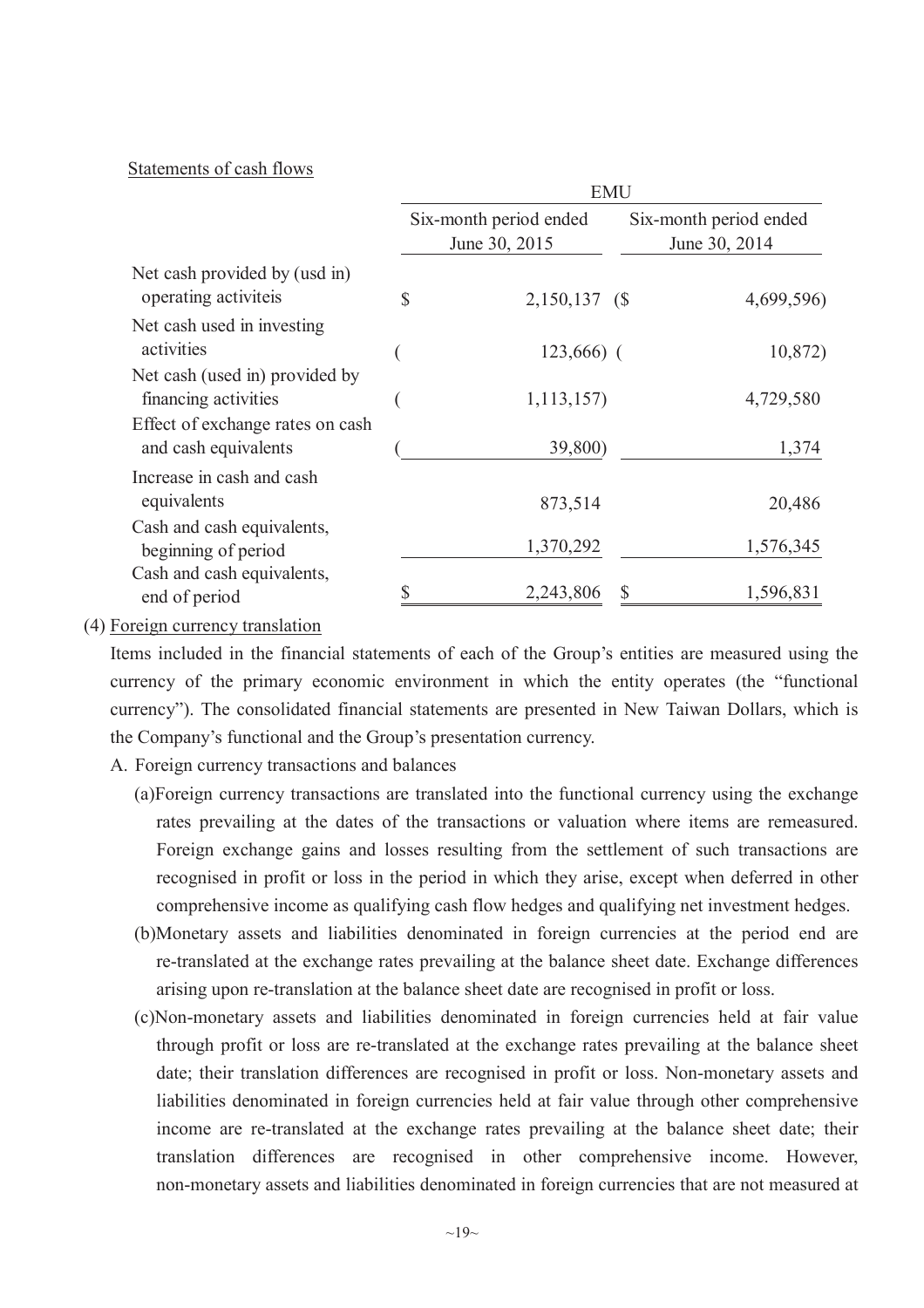## Statements of cash flows

|                                                          | <b>EMU</b>                              |                |                                         |  |
|----------------------------------------------------------|-----------------------------------------|----------------|-----------------------------------------|--|
|                                                          | Six-month period ended<br>June 30, 2015 |                | Six-month period ended<br>June 30, 2014 |  |
| Net cash provided by (usd in)<br>operating activiteis    | $\mathcal{S}$                           | 2,150,137 (\$) | 4,699,596)                              |  |
| Net cash used in investing<br>activities                 |                                         | $123,666$ ) (  | 10,872)                                 |  |
| Net cash (used in) provided by<br>financing activities   |                                         | 1, 113, 157    | 4,729,580                               |  |
| Effect of exchange rates on cash<br>and cash equivalents |                                         | 39,800)        | 1,374                                   |  |
| Increase in cash and cash<br>equivalents                 |                                         | 873,514        | 20,486                                  |  |
| Cash and cash equivalents,<br>beginning of period        |                                         | 1,370,292      | 1,576,345                               |  |
| Cash and cash equivalents,<br>end of period              |                                         | 2,243,806      | 1,596,831<br>S                          |  |

(4) Foreign currency translation

Items included in the financial statements of each of the Group's entities are measured using the currency of the primary economic environment in which the entity operates (the "functional currency"). The consolidated financial statements are presented in New Taiwan Dollars, which is the Company's functional and the Group's presentation currency.

- A. Foreign currency transactions and balances
	- (a)Foreign currency transactions are translated into the functional currency using the exchange rates prevailing at the dates of the transactions or valuation where items are remeasured. Foreign exchange gains and losses resulting from the settlement of such transactions are recognised in profit or loss in the period in which they arise, except when deferred in other comprehensive income as qualifying cash flow hedges and qualifying net investment hedges.
	- (b)Monetary assets and liabilities denominated in foreign currencies at the period end are re-translated at the exchange rates prevailing at the balance sheet date. Exchange differences arising upon re-translation at the balance sheet date are recognised in profit or loss.
	- (c)Non-monetary assets and liabilities denominated in foreign currencies held at fair value through profit or loss are re-translated at the exchange rates prevailing at the balance sheet date; their translation differences are recognised in profit or loss. Non-monetary assets and liabilities denominated in foreign currencies held at fair value through other comprehensive income are re-translated at the exchange rates prevailing at the balance sheet date; their translation differences are recognised in other comprehensive income. However, non-monetary assets and liabilities denominated in foreign currencies that are not measured at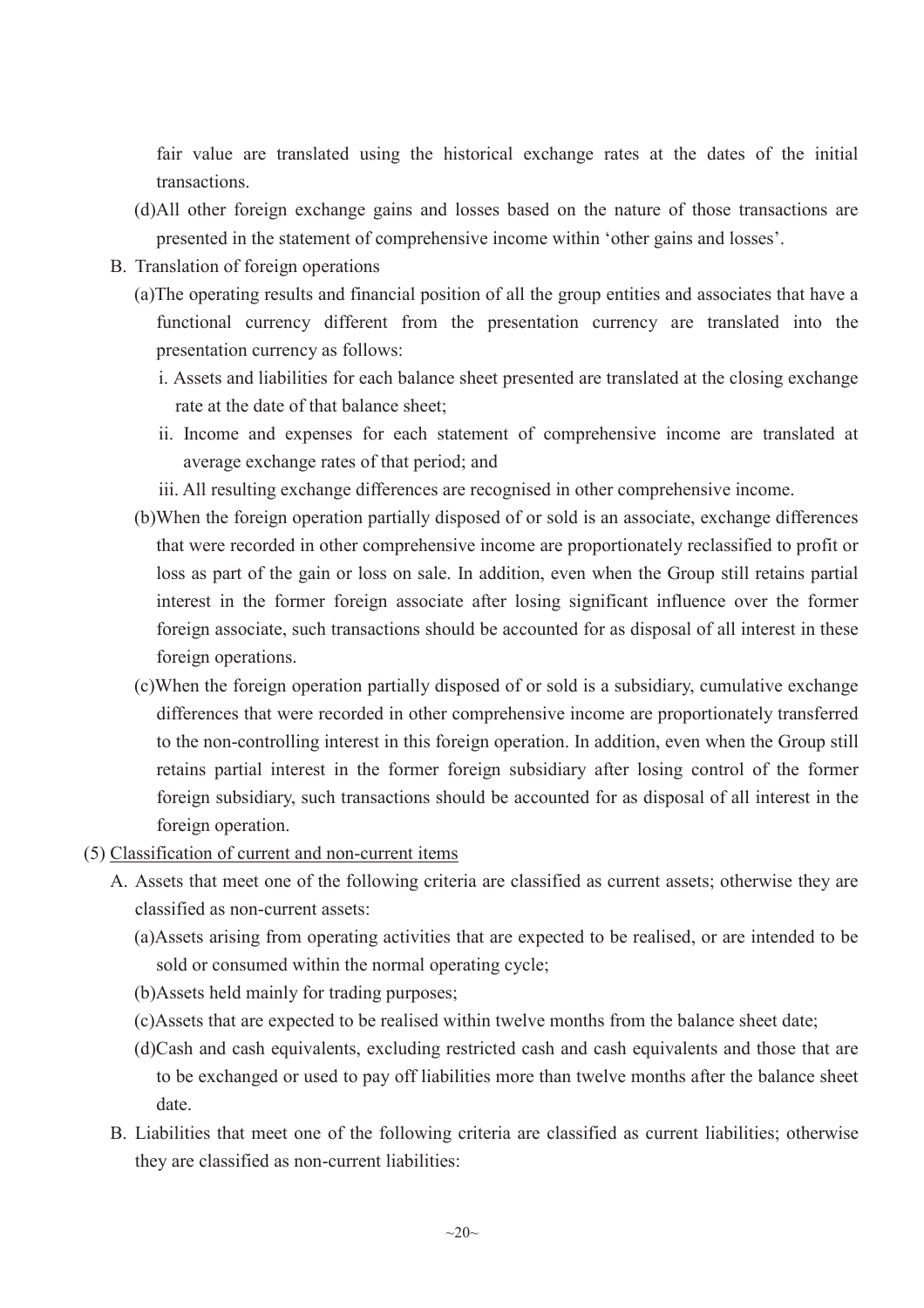fair value are translated using the historical exchange rates at the dates of the initial transactions.

- (d)All other foreign exchange gains and losses based on the nature of those transactions are presented in the statement of comprehensive income within 'other gains and losses'.
- B. Translation of foreign operations
	- (a)The operating results and financial position of all the group entities and associates that have a functional currency different from the presentation currency are translated into the presentation currency as follows:
		- i. Assets and liabilities for each balance sheet presented are translated at the closing exchange rate at the date of that balance sheet;
		- ii. Income and expenses for each statement of comprehensive income are translated at average exchange rates of that period; and
		- iii. All resulting exchange differences are recognised in other comprehensive income.
	- (b)When the foreign operation partially disposed of or sold is an associate, exchange differences that were recorded in other comprehensive income are proportionately reclassified to profit or loss as part of the gain or loss on sale. In addition, even when the Group still retains partial interest in the former foreign associate after losing significant influence over the former foreign associate, such transactions should be accounted for as disposal of all interest in these foreign operations.
	- (c)When the foreign operation partially disposed of or sold is a subsidiary, cumulative exchange differences that were recorded in other comprehensive income are proportionately transferred to the non-controlling interest in this foreign operation. In addition, even when the Group still retains partial interest in the former foreign subsidiary after losing control of the former foreign subsidiary, such transactions should be accounted for as disposal of all interest in the foreign operation.
- (5) Classification of current and non-current items
	- A. Assets that meet one of the following criteria are classified as current assets; otherwise they are classified as non-current assets:
		- (a)Assets arising from operating activities that are expected to be realised, or are intended to be sold or consumed within the normal operating cycle;
		- (b)Assets held mainly for trading purposes;
		- (c)Assets that are expected to be realised within twelve months from the balance sheet date;
		- (d)Cash and cash equivalents, excluding restricted cash and cash equivalents and those that are to be exchanged or used to pay off liabilities more than twelve months after the balance sheet date.
	- B. Liabilities that meet one of the following criteria are classified as current liabilities; otherwise they are classified as non-current liabilities: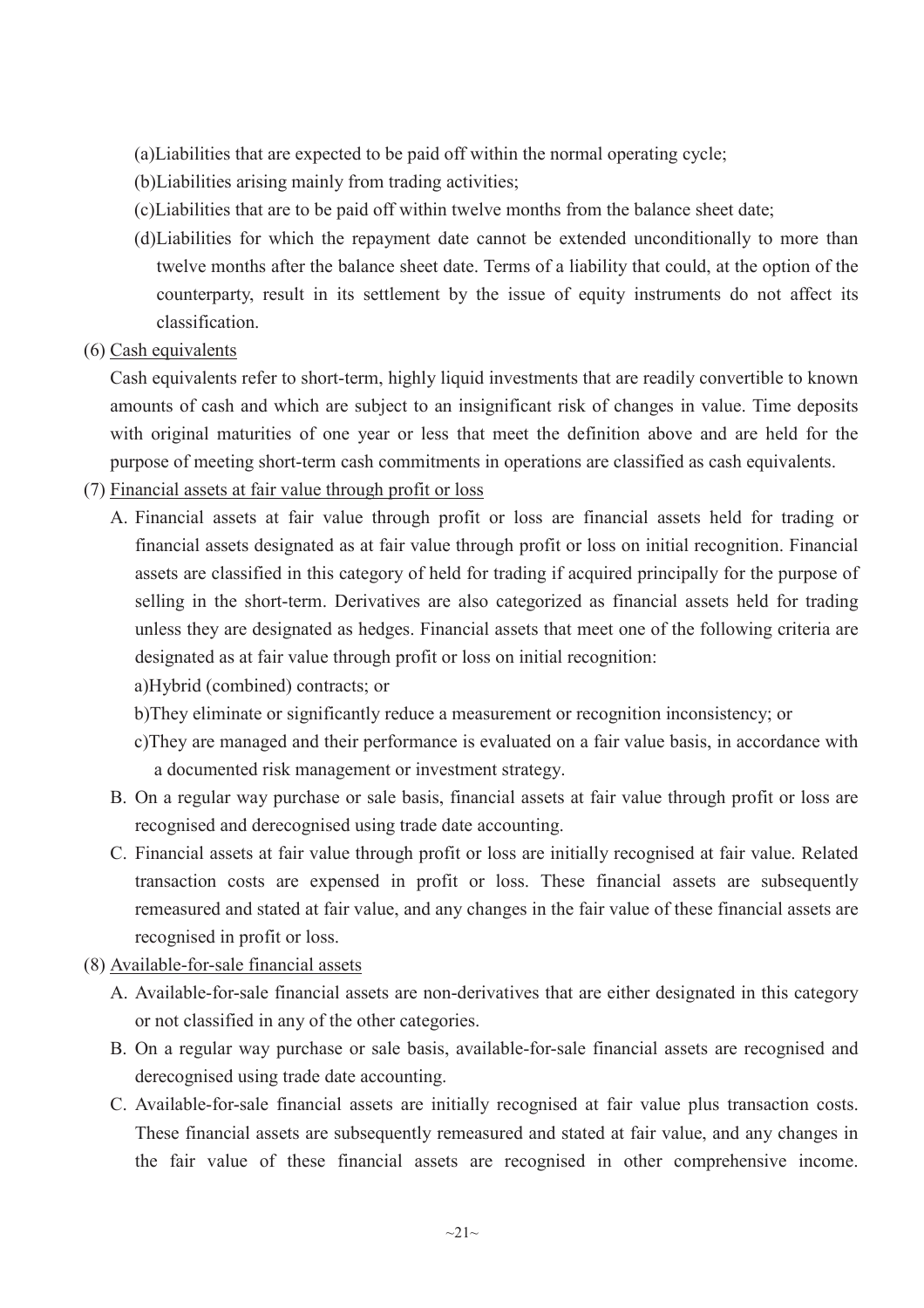(a)Liabilities that are expected to be paid off within the normal operating cycle;

(b)Liabilities arising mainly from trading activities;

- (c)Liabilities that are to be paid off within twelve months from the balance sheet date;
- (d)Liabilities for which the repayment date cannot be extended unconditionally to more than twelve months after the balance sheet date. Terms of a liability that could, at the option of the counterparty, result in its settlement by the issue of equity instruments do not affect its classification.
- (6) Cash equivalents

Cash equivalents refer to short-term, highly liquid investments that are readily convertible to known amounts of cash and which are subject to an insignificant risk of changes in value. Time deposits with original maturities of one year or less that meet the definition above and are held for the purpose of meeting short-term cash commitments in operations are classified as cash equivalents.

- (7) Financial assets at fair value through profit or loss
	- A. Financial assets at fair value through profit or loss are financial assets held for trading or financial assets designated as at fair value through profit or loss on initial recognition. Financial assets are classified in this category of held for trading if acquired principally for the purpose of selling in the short-term. Derivatives are also categorized as financial assets held for trading unless they are designated as hedges. Financial assets that meet one of the following criteria are designated as at fair value through profit or loss on initial recognition:

a)Hybrid (combined) contracts; or

b)They eliminate or significantly reduce a measurement or recognition inconsistency; or

- c)They are managed and their performance is evaluated on a fair value basis, in accordance with a documented risk management or investment strategy.
- B. On a regular way purchase or sale basis, financial assets at fair value through profit or loss are recognised and derecognised using trade date accounting.
- C. Financial assets at fair value through profit or loss are initially recognised at fair value. Related transaction costs are expensed in profit or loss. These financial assets are subsequently remeasured and stated at fair value, and any changes in the fair value of these financial assets are recognised in profit or loss.
- (8) Available-for-sale financial assets
	- A. Available-for-sale financial assets are non-derivatives that are either designated in this category or not classified in any of the other categories.
	- B. On a regular way purchase or sale basis, available-for-sale financial assets are recognised and derecognised using trade date accounting.
	- C. Available-for-sale financial assets are initially recognised at fair value plus transaction costs. These financial assets are subsequently remeasured and stated at fair value, and any changes in the fair value of these financial assets are recognised in other comprehensive income.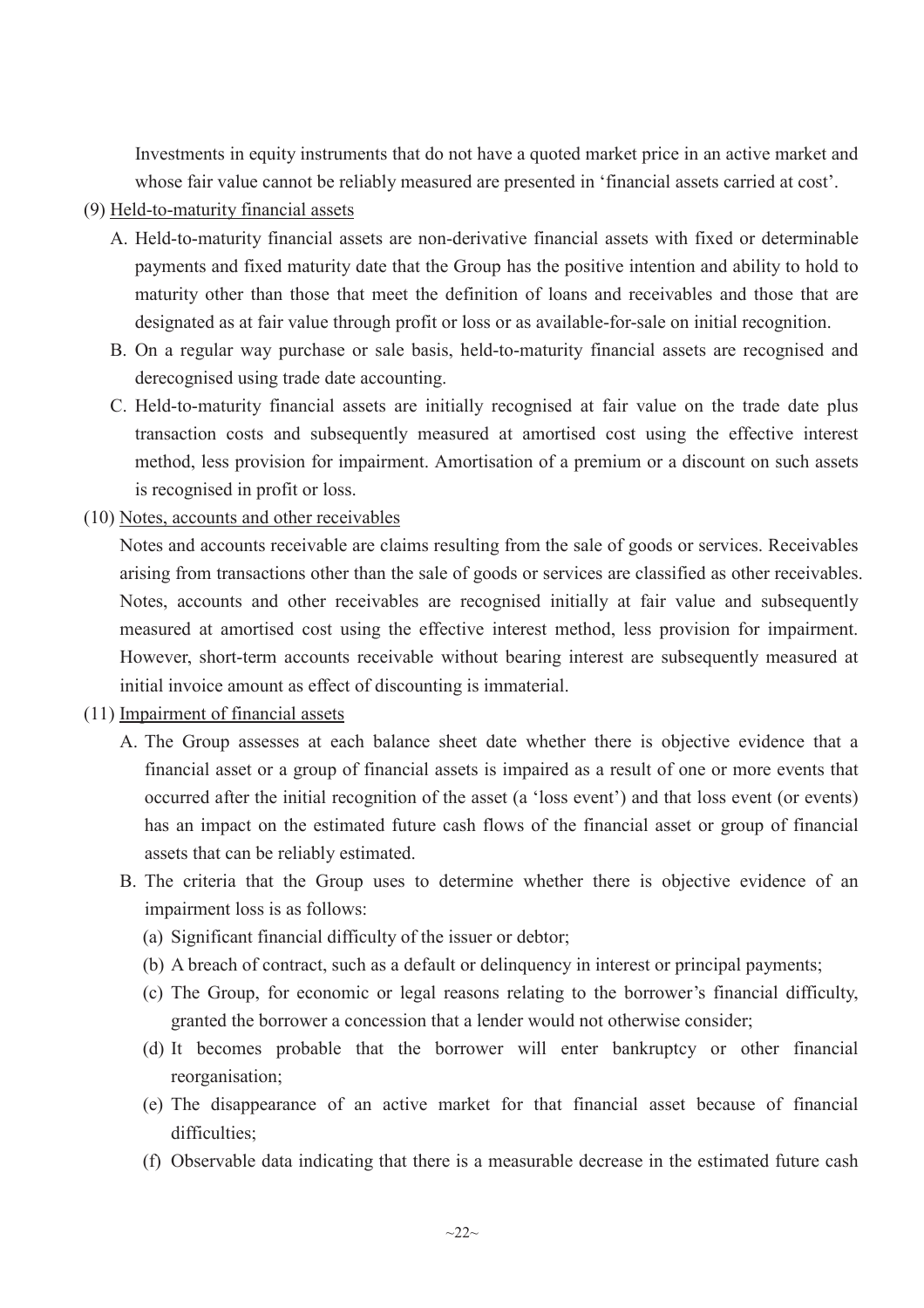Investments in equity instruments that do not have a quoted market price in an active market and whose fair value cannot be reliably measured are presented in 'financial assets carried at cost'.

## (9) Held-to-maturity financial assets

- A. Held-to-maturity financial assets are non-derivative financial assets with fixed or determinable payments and fixed maturity date that the Group has the positive intention and ability to hold to maturity other than those that meet the definition of loans and receivables and those that are designated as at fair value through profit or loss or as available-for-sale on initial recognition.
- B. On a regular way purchase or sale basis, held-to-maturity financial assets are recognised and derecognised using trade date accounting.
- C. Held-to-maturity financial assets are initially recognised at fair value on the trade date plus transaction costs and subsequently measured at amortised cost using the effective interest method, less provision for impairment. Amortisation of a premium or a discount on such assets is recognised in profit or loss.
- (10) Notes, accounts and other receivables

Notes and accounts receivable are claims resulting from the sale of goods or services. Receivables arising from transactions other than the sale of goods or services are classified as other receivables. Notes, accounts and other receivables are recognised initially at fair value and subsequently measured at amortised cost using the effective interest method, less provision for impairment. However, short-term accounts receivable without bearing interest are subsequently measured at initial invoice amount as effect of discounting is immaterial.

## (11) Impairment of financial assets

- A. The Group assesses at each balance sheet date whether there is objective evidence that a financial asset or a group of financial assets is impaired as a result of one or more events that occurred after the initial recognition of the asset (a 'loss event') and that loss event (or events) has an impact on the estimated future cash flows of the financial asset or group of financial assets that can be reliably estimated.
- B. The criteria that the Group uses to determine whether there is objective evidence of an impairment loss is as follows:
	- (a) Significant financial difficulty of the issuer or debtor;
	- (b) A breach of contract, such as a default or delinquency in interest or principal payments;
	- (c) The Group, for economic or legal reasons relating to the borrower's financial difficulty, granted the borrower a concession that a lender would not otherwise consider;
	- (d) It becomes probable that the borrower will enter bankruptcy or other financial reorganisation;
	- (e) The disappearance of an active market for that financial asset because of financial difficulties:
	- (f) Observable data indicating that there is a measurable decrease in the estimated future cash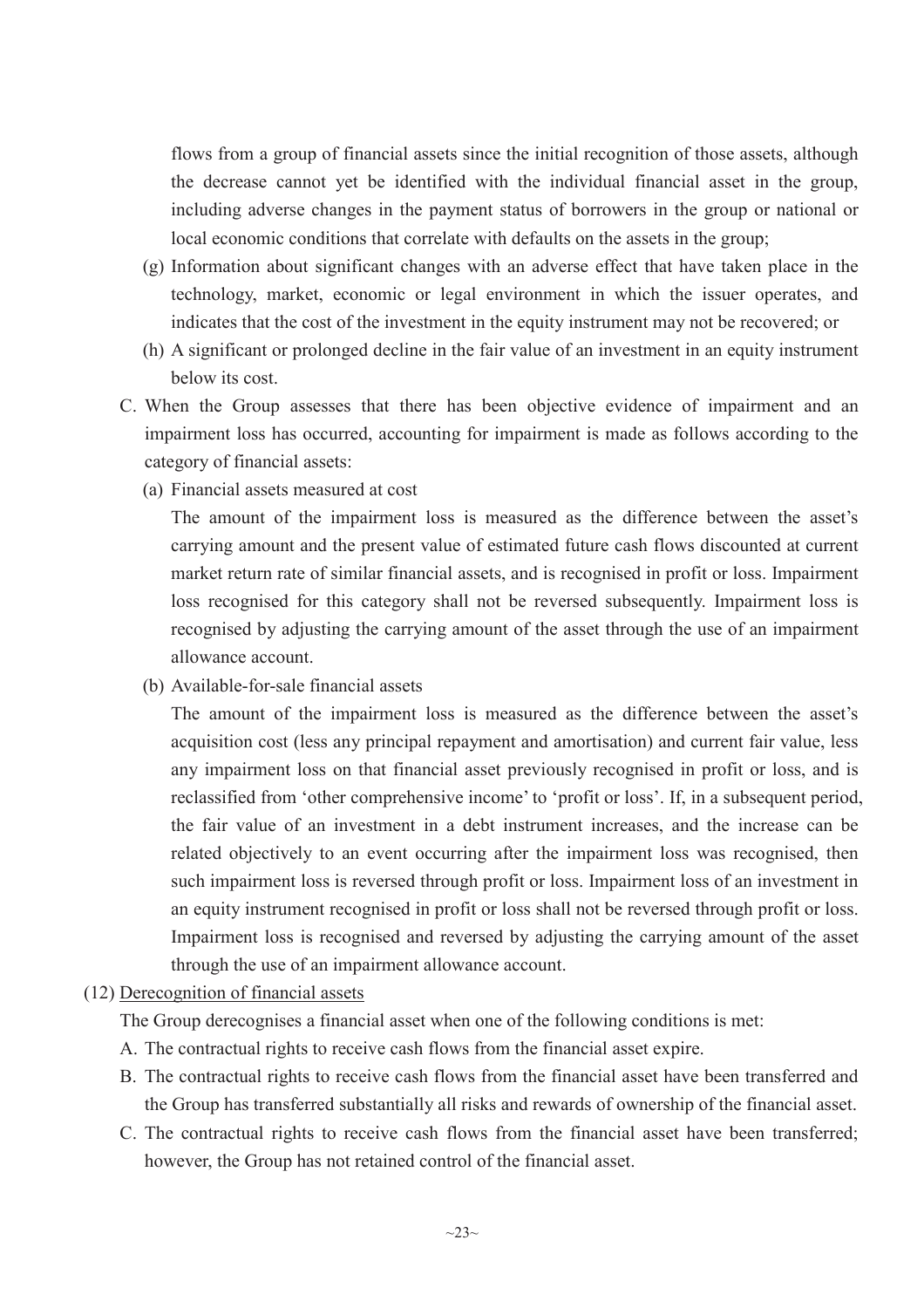flows from a group of financial assets since the initial recognition of those assets, although the decrease cannot yet be identified with the individual financial asset in the group, including adverse changes in the payment status of borrowers in the group or national or local economic conditions that correlate with defaults on the assets in the group;

- (g) Information about significant changes with an adverse effect that have taken place in the technology, market, economic or legal environment in which the issuer operates, and indicates that the cost of the investment in the equity instrument may not be recovered; or
- (h) A significant or prolonged decline in the fair value of an investment in an equity instrument below its cost.
- C. When the Group assesses that there has been objective evidence of impairment and an impairment loss has occurred, accounting for impairment is made as follows according to the category of financial assets:
	- (a) Financial assets measured at cost

The amount of the impairment loss is measured as the difference between the asset's carrying amount and the present value of estimated future cash flows discounted at current market return rate of similar financial assets, and is recognised in profit or loss. Impairment loss recognised for this category shall not be reversed subsequently. Impairment loss is recognised by adjusting the carrying amount of the asset through the use of an impairment allowance account.

(b) Available-for-sale financial assets

The amount of the impairment loss is measured as the difference between the asset's acquisition cost (less any principal repayment and amortisation) and current fair value, less any impairment loss on that financial asset previously recognised in profit or loss, and is reclassified from 'other comprehensive income' to 'profit or loss'. If, in a subsequent period, the fair value of an investment in a debt instrument increases, and the increase can be related objectively to an event occurring after the impairment loss was recognised, then such impairment loss is reversed through profit or loss. Impairment loss of an investment in an equity instrument recognised in profit or loss shall not be reversed through profit or loss. Impairment loss is recognised and reversed by adjusting the carrying amount of the asset through the use of an impairment allowance account.

# (12) Derecognition of financial assets

The Group derecognises a financial asset when one of the following conditions is met:

- A. The contractual rights to receive cash flows from the financial asset expire.
- B. The contractual rights to receive cash flows from the financial asset have been transferred and the Group has transferred substantially all risks and rewards of ownership of the financial asset.
- C. The contractual rights to receive cash flows from the financial asset have been transferred; however, the Group has not retained control of the financial asset.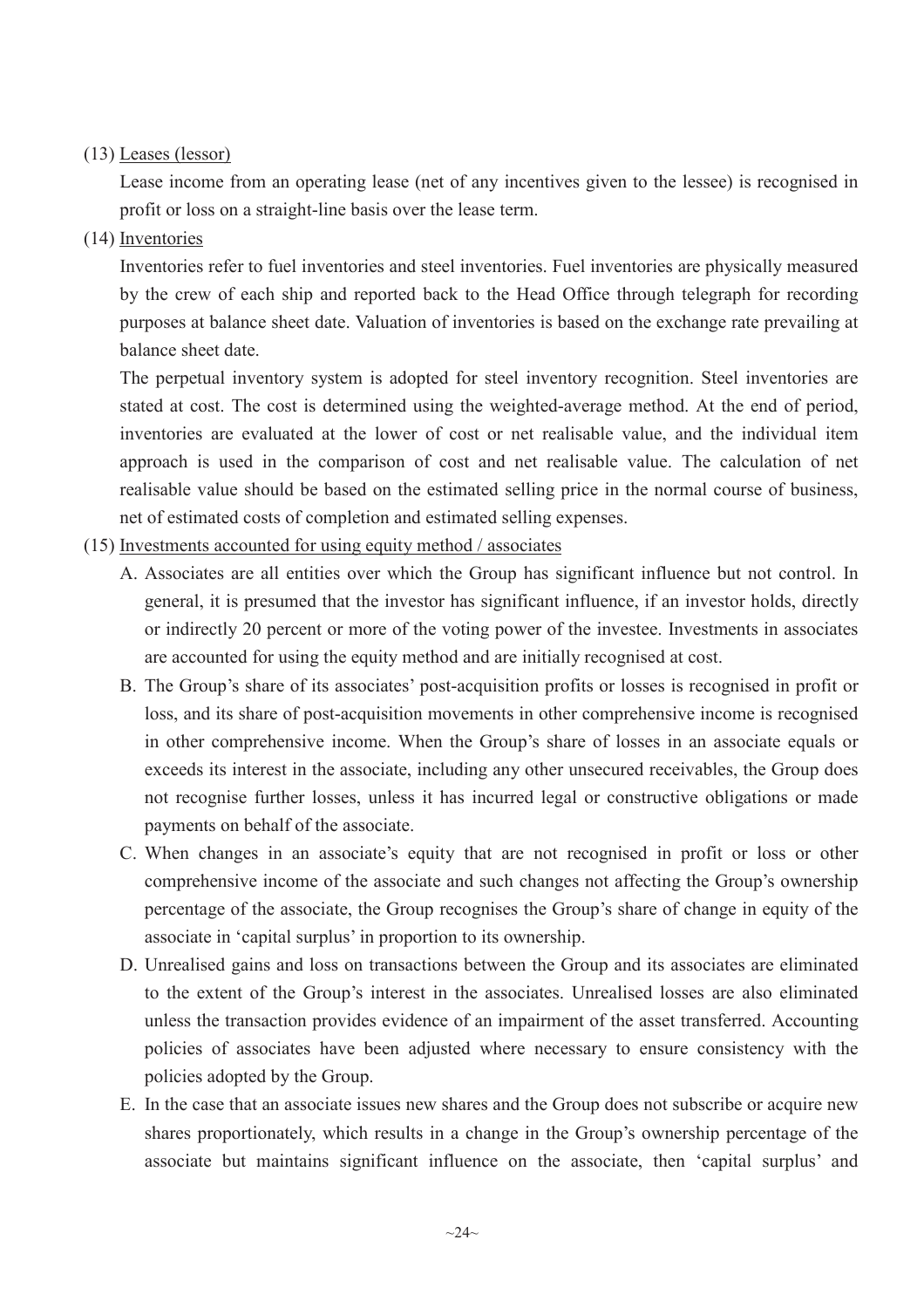# (13) Leases (lessor)

Lease income from an operating lease (net of any incentives given to the lessee) is recognised in profit or loss on a straight-line basis over the lease term.

(14) Inventories

Inventories refer to fuel inventories and steel inventories. Fuel inventories are physically measured by the crew of each ship and reported back to the Head Office through telegraph for recording purposes at balance sheet date. Valuation of inventories is based on the exchange rate prevailing at balance sheet date.

The perpetual inventory system is adopted for steel inventory recognition. Steel inventories are stated at cost. The cost is determined using the weighted-average method. At the end of period, inventories are evaluated at the lower of cost or net realisable value, and the individual item approach is used in the comparison of cost and net realisable value. The calculation of net realisable value should be based on the estimated selling price in the normal course of business, net of estimated costs of completion and estimated selling expenses.

- (15) Investments accounted for using equity method / associates
	- A. Associates are all entities over which the Group has significant influence but not control. In general, it is presumed that the investor has significant influence, if an investor holds, directly or indirectly 20 percent or more of the voting power of the investee. Investments in associates are accounted for using the equity method and are initially recognised at cost.
	- B. The Group's share of its associates' post-acquisition profits or losses is recognised in profit or loss, and its share of post-acquisition movements in other comprehensive income is recognised in other comprehensive income. When the Group's share of losses in an associate equals or exceeds its interest in the associate, including any other unsecured receivables, the Group does not recognise further losses, unless it has incurred legal or constructive obligations or made payments on behalf of the associate.
	- C. When changes in an associate's equity that are not recognised in profit or loss or other comprehensive income of the associate and such changes not affecting the Group's ownership percentage of the associate, the Group recognises the Group's share of change in equity of the associate in 'capital surplus' in proportion to its ownership.
	- D. Unrealised gains and loss on transactions between the Group and its associates are eliminated to the extent of the Group's interest in the associates. Unrealised losses are also eliminated unless the transaction provides evidence of an impairment of the asset transferred. Accounting policies of associates have been adjusted where necessary to ensure consistency with the policies adopted by the Group.
	- E. In the case that an associate issues new shares and the Group does not subscribe or acquire new shares proportionately, which results in a change in the Group's ownership percentage of the associate but maintains significant influence on the associate, then 'capital surplus' and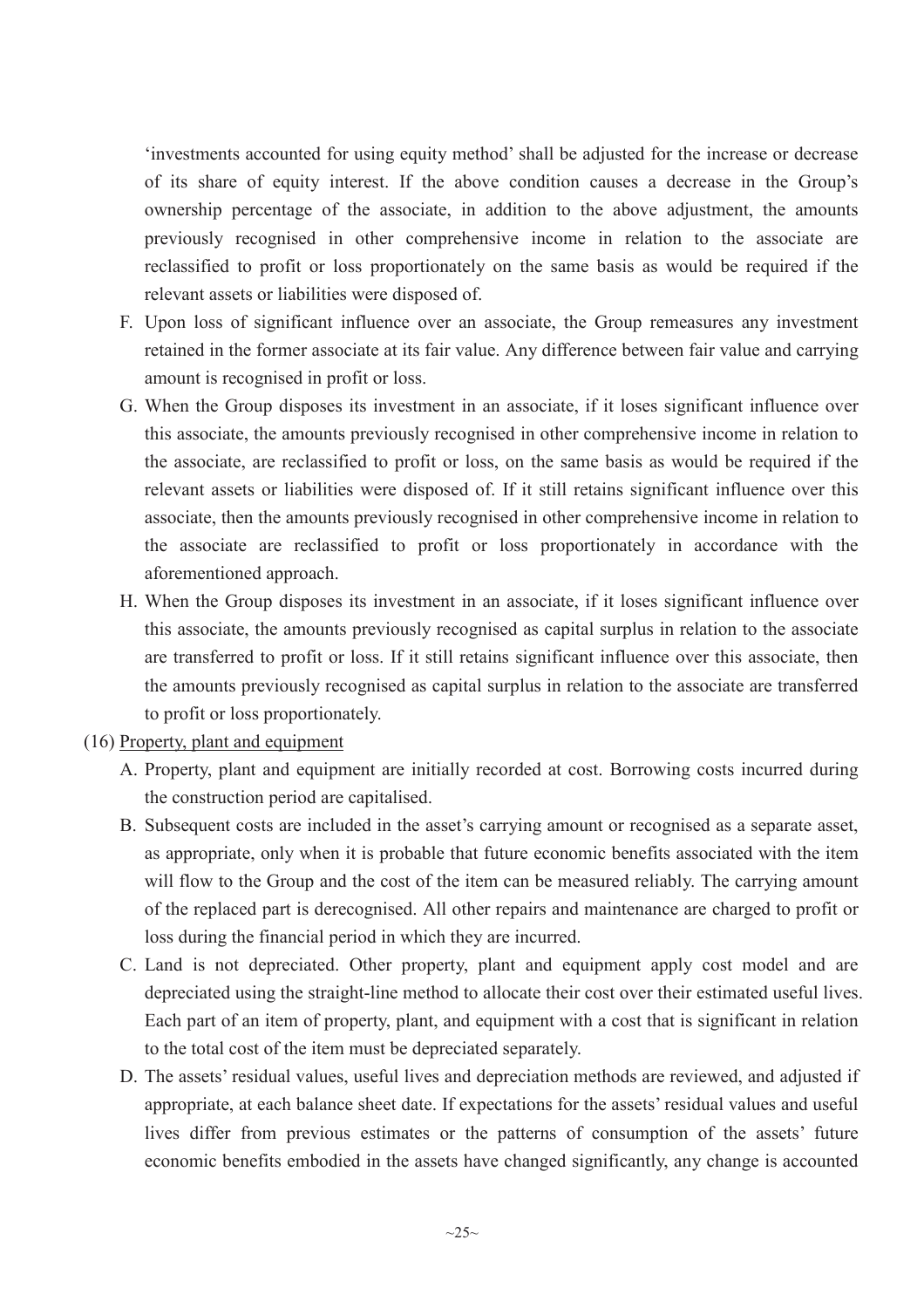'investments accounted for using equity method' shall be adjusted for the increase or decrease of its share of equity interest. If the above condition causes a decrease in the Group's ownership percentage of the associate, in addition to the above adjustment, the amounts previously recognised in other comprehensive income in relation to the associate are reclassified to profit or loss proportionately on the same basis as would be required if the relevant assets or liabilities were disposed of.

- F. Upon loss of significant influence over an associate, the Group remeasures any investment retained in the former associate at its fair value. Any difference between fair value and carrying amount is recognised in profit or loss.
- G. When the Group disposes its investment in an associate, if it loses significant influence over this associate, the amounts previously recognised in other comprehensive income in relation to the associate, are reclassified to profit or loss, on the same basis as would be required if the relevant assets or liabilities were disposed of. If it still retains significant influence over this associate, then the amounts previously recognised in other comprehensive income in relation to the associate are reclassified to profit or loss proportionately in accordance with the aforementioned approach.
- H. When the Group disposes its investment in an associate, if it loses significant influence over this associate, the amounts previously recognised as capital surplus in relation to the associate are transferred to profit or loss. If it still retains significant influence over this associate, then the amounts previously recognised as capital surplus in relation to the associate are transferred to profit or loss proportionately.
- (16) Property, plant and equipment
	- A. Property, plant and equipment are initially recorded at cost. Borrowing costs incurred during the construction period are capitalised.
	- B. Subsequent costs are included in the asset's carrying amount or recognised as a separate asset, as appropriate, only when it is probable that future economic benefits associated with the item will flow to the Group and the cost of the item can be measured reliably. The carrying amount of the replaced part is derecognised. All other repairs and maintenance are charged to profit or loss during the financial period in which they are incurred.
	- C. Land is not depreciated. Other property, plant and equipment apply cost model and are depreciated using the straight-line method to allocate their cost over their estimated useful lives. Each part of an item of property, plant, and equipment with a cost that is significant in relation to the total cost of the item must be depreciated separately.
	- D. The assets' residual values, useful lives and depreciation methods are reviewed, and adjusted if appropriate, at each balance sheet date. If expectations for the assets' residual values and useful lives differ from previous estimates or the patterns of consumption of the assets' future economic benefits embodied in the assets have changed significantly, any change is accounted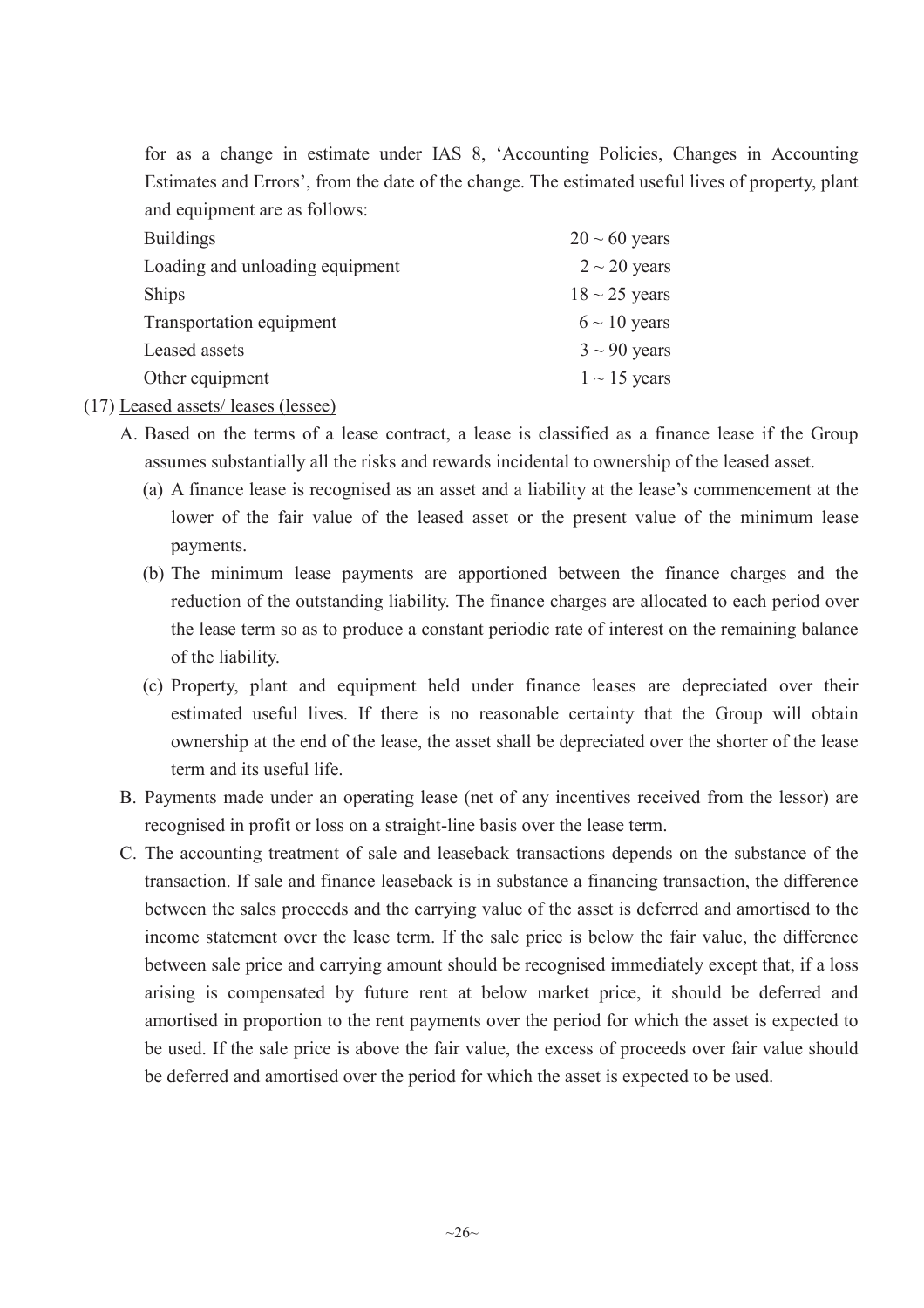for as a change in estimate under IAS 8, 'Accounting Policies, Changes in Accounting Estimates and Errors', from the date of the change. The estimated useful lives of property, plant and equipment are as follows:

| <b>Buildings</b>                | $20 \sim 60$ years |
|---------------------------------|--------------------|
| Loading and unloading equipment | $2 \sim 20$ years  |
| <b>Ships</b>                    | $18 \sim 25$ years |
| Transportation equipment        | $6 \sim 10$ years  |
| Leased assets                   | $3 \sim 90$ years  |
| Other equipment                 | $1 \sim 15$ years  |
|                                 |                    |

(17) Leased assets/ leases (lessee)

- A. Based on the terms of a lease contract, a lease is classified as a finance lease if the Group assumes substantially all the risks and rewards incidental to ownership of the leased asset.
	- (a) A finance lease is recognised as an asset and a liability at the lease's commencement at the lower of the fair value of the leased asset or the present value of the minimum lease payments.
	- (b) The minimum lease payments are apportioned between the finance charges and the reduction of the outstanding liability. The finance charges are allocated to each period over the lease term so as to produce a constant periodic rate of interest on the remaining balance of the liability.
	- (c) Property, plant and equipment held under finance leases are depreciated over their estimated useful lives. If there is no reasonable certainty that the Group will obtain ownership at the end of the lease, the asset shall be depreciated over the shorter of the lease term and its useful life.
- B. Payments made under an operating lease (net of any incentives received from the lessor) are recognised in profit or loss on a straight-line basis over the lease term.
- C. The accounting treatment of sale and leaseback transactions depends on the substance of the transaction. If sale and finance leaseback is in substance a financing transaction, the difference between the sales proceeds and the carrying value of the asset is deferred and amortised to the income statement over the lease term. If the sale price is below the fair value, the difference between sale price and carrying amount should be recognised immediately except that, if a loss arising is compensated by future rent at below market price, it should be deferred and amortised in proportion to the rent payments over the period for which the asset is expected to be used. If the sale price is above the fair value, the excess of proceeds over fair value should be deferred and amortised over the period for which the asset is expected to be used.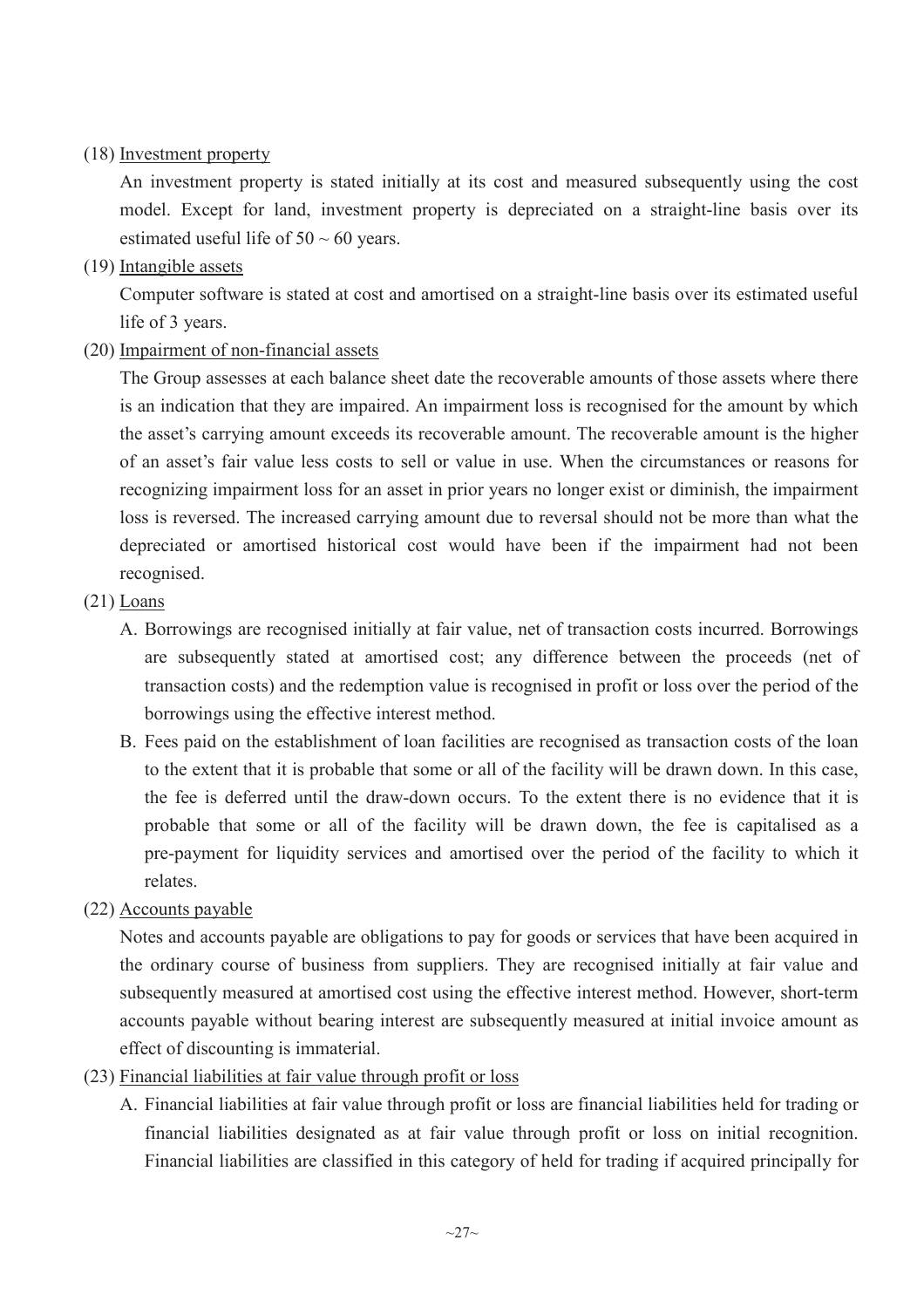# (18) Investment property

An investment property is stated initially at its cost and measured subsequently using the cost model. Except for land, investment property is depreciated on a straight-line basis over its estimated useful life of  $50 \sim 60$  years.

(19) Intangible assets

Computer software is stated at cost and amortised on a straight-line basis over its estimated useful life of 3 years.

(20) Impairment of non-financial assets

The Group assesses at each balance sheet date the recoverable amounts of those assets where there is an indication that they are impaired. An impairment loss is recognised for the amount by which the asset's carrying amount exceeds its recoverable amount. The recoverable amount is the higher of an asset's fair value less costs to sell or value in use. When the circumstances or reasons for recognizing impairment loss for an asset in prior years no longer exist or diminish, the impairment loss is reversed. The increased carrying amount due to reversal should not be more than what the depreciated or amortised historical cost would have been if the impairment had not been recognised.

- $(21)$  Loans
	- A. Borrowings are recognised initially at fair value, net of transaction costs incurred. Borrowings are subsequently stated at amortised cost; any difference between the proceeds (net of transaction costs) and the redemption value is recognised in profit or loss over the period of the borrowings using the effective interest method.
	- B. Fees paid on the establishment of loan facilities are recognised as transaction costs of the loan to the extent that it is probable that some or all of the facility will be drawn down. In this case, the fee is deferred until the draw-down occurs. To the extent there is no evidence that it is probable that some or all of the facility will be drawn down, the fee is capitalised as a pre-payment for liquidity services and amortised over the period of the facility to which it relates.
- (22) Accounts payable

Notes and accounts payable are obligations to pay for goods or services that have been acquired in the ordinary course of business from suppliers. They are recognised initially at fair value and subsequently measured at amortised cost using the effective interest method. However, short-term accounts payable without bearing interest are subsequently measured at initial invoice amount as effect of discounting is immaterial.

- (23) Financial liabilities at fair value through profit or loss
	- A. Financial liabilities at fair value through profit or loss are financial liabilities held for trading or financial liabilities designated as at fair value through profit or loss on initial recognition. Financial liabilities are classified in this category of held for trading if acquired principally for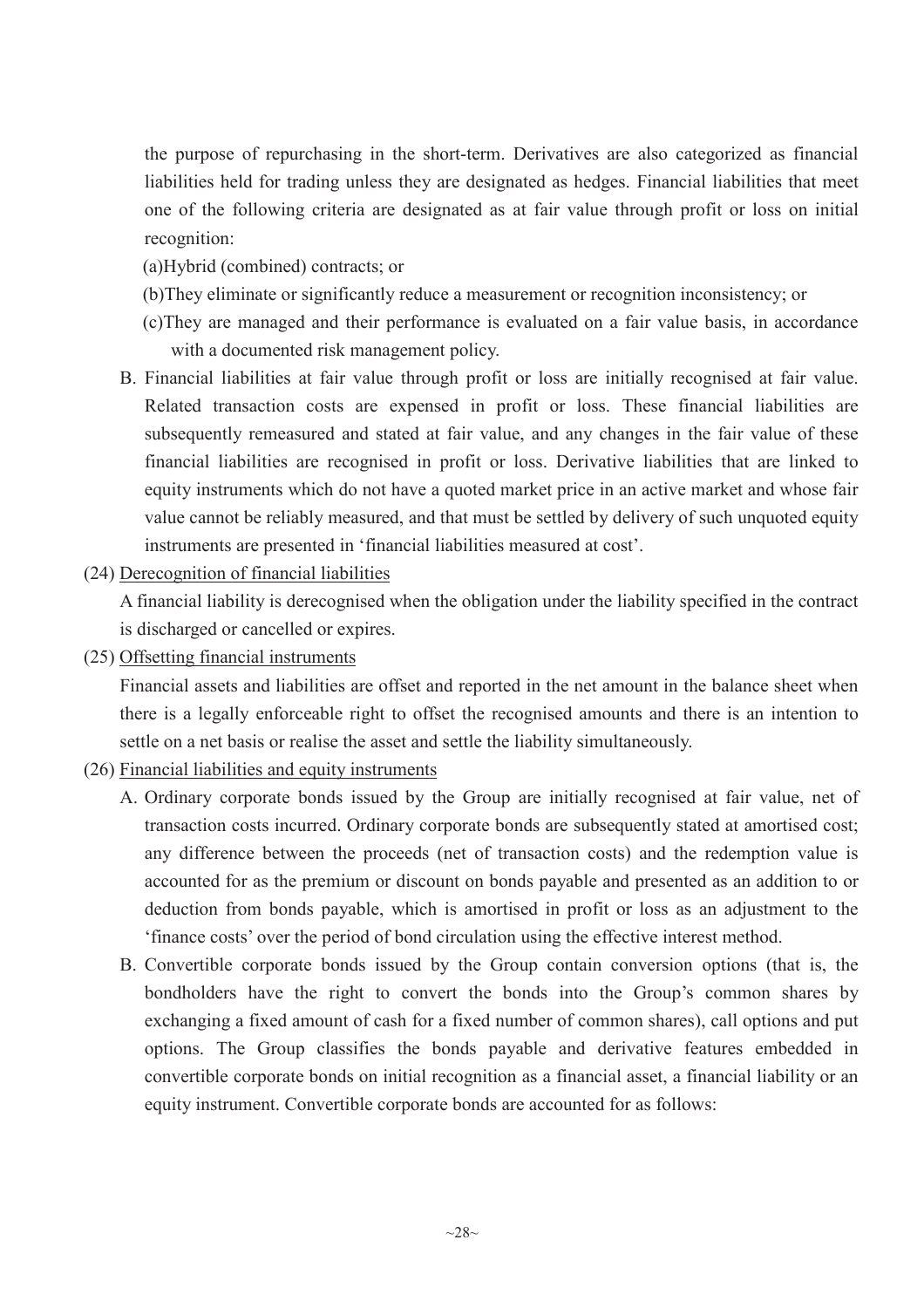the purpose of repurchasing in the short-term. Derivatives are also categorized as financial liabilities held for trading unless they are designated as hedges. Financial liabilities that meet one of the following criteria are designated as at fair value through profit or loss on initial recognition:

- (a)Hybrid (combined) contracts; or
- (b)They eliminate or significantly reduce a measurement or recognition inconsistency; or
- (c)They are managed and their performance is evaluated on a fair value basis, in accordance with a documented risk management policy.
- B. Financial liabilities at fair value through profit or loss are initially recognised at fair value. Related transaction costs are expensed in profit or loss. These financial liabilities are subsequently remeasured and stated at fair value, and any changes in the fair value of these financial liabilities are recognised in profit or loss. Derivative liabilities that are linked to equity instruments which do not have a quoted market price in an active market and whose fair value cannot be reliably measured, and that must be settled by delivery of such unquoted equity instruments are presented in 'financial liabilities measured at cost'.
- (24) Derecognition of financial liabilities

A financial liability is derecognised when the obligation under the liability specified in the contract is discharged or cancelled or expires.

(25) Offsetting financial instruments

Financial assets and liabilities are offset and reported in the net amount in the balance sheet when there is a legally enforceable right to offset the recognised amounts and there is an intention to settle on a net basis or realise the asset and settle the liability simultaneously.

- (26) Financial liabilities and equity instruments
	- A. Ordinary corporate bonds issued by the Group are initially recognised at fair value, net of transaction costs incurred. Ordinary corporate bonds are subsequently stated at amortised cost; any difference between the proceeds (net of transaction costs) and the redemption value is accounted for as the premium or discount on bonds payable and presented as an addition to or deduction from bonds payable, which is amortised in profit or loss as an adjustment to the 'finance costs' over the period of bond circulation using the effective interest method.
	- B. Convertible corporate bonds issued by the Group contain conversion options (that is, the bondholders have the right to convert the bonds into the Group's common shares by exchanging a fixed amount of cash for a fixed number of common shares), call options and put options. The Group classifies the bonds payable and derivative features embedded in convertible corporate bonds on initial recognition as a financial asset, a financial liability or an equity instrument. Convertible corporate bonds are accounted for as follows: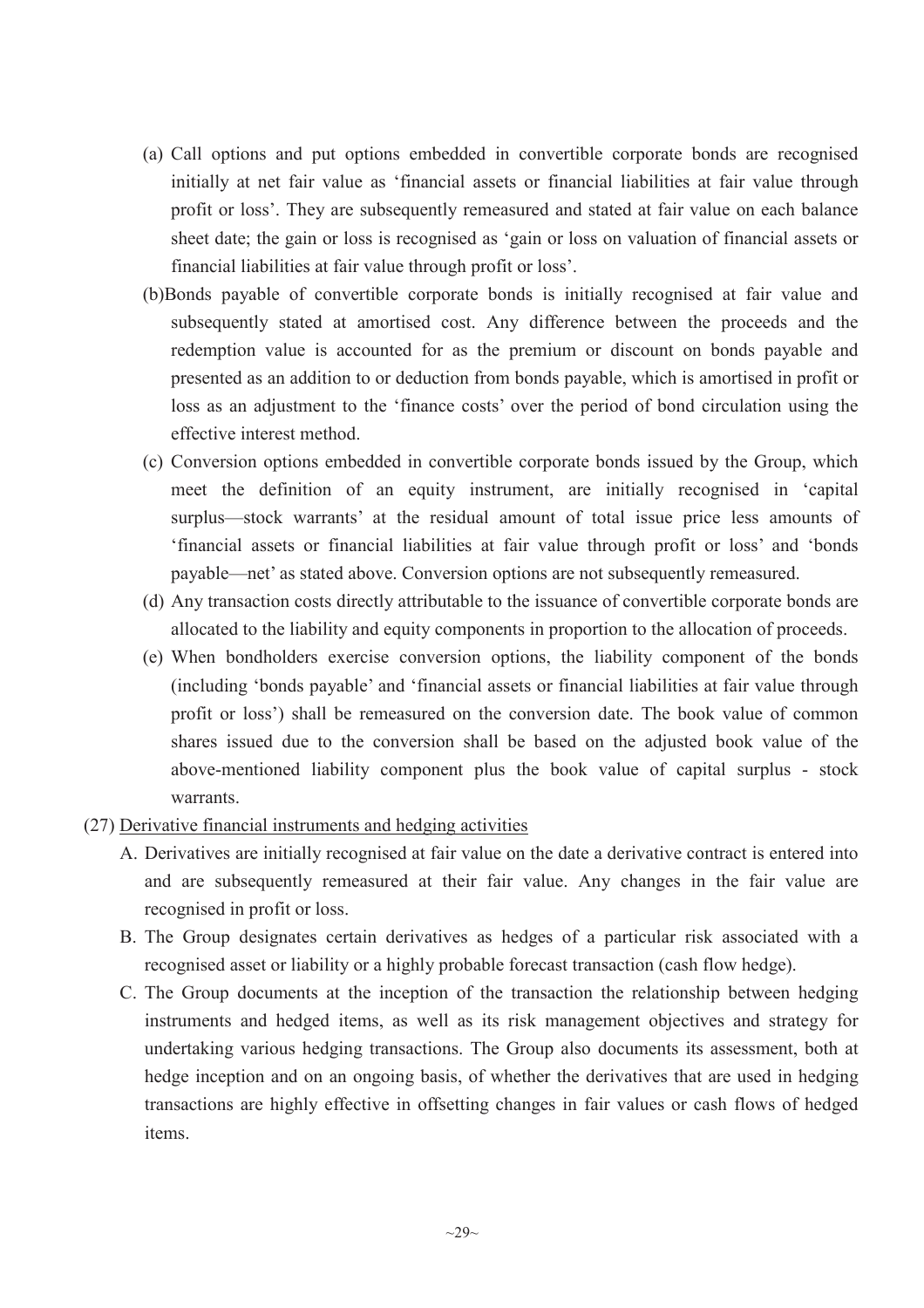- (a) Call options and put options embedded in convertible corporate bonds are recognised initially at net fair value as 'financial assets or financial liabilities at fair value through profit or loss'. They are subsequently remeasured and stated at fair value on each balance sheet date; the gain or loss is recognised as 'gain or loss on valuation of financial assets or financial liabilities at fair value through profit or loss'.
- (b)Bonds payable of convertible corporate bonds is initially recognised at fair value and subsequently stated at amortised cost. Any difference between the proceeds and the redemption value is accounted for as the premium or discount on bonds payable and presented as an addition to or deduction from bonds payable, which is amortised in profit or loss as an adjustment to the 'finance costs' over the period of bond circulation using the effective interest method.
- (c) Conversion options embedded in convertible corporate bonds issued by the Group, which meet the definition of an equity instrument, are initially recognised in 'capital surplus—stock warrants' at the residual amount of total issue price less amounts of 'financial assets or financial liabilities at fair value through profit or loss' and 'bonds payable—net' as stated above. Conversion options are not subsequently remeasured.
- (d) Any transaction costs directly attributable to the issuance of convertible corporate bonds are allocated to the liability and equity components in proportion to the allocation of proceeds.
- (e) When bondholders exercise conversion options, the liability component of the bonds (including 'bonds payable' and 'financial assets or financial liabilities at fair value through profit or loss') shall be remeasured on the conversion date. The book value of common shares issued due to the conversion shall be based on the adjusted book value of the above-mentioned liability component plus the book value of capital surplus - stock warrants.
- (27) Derivative financial instruments and hedging activities
	- A. Derivatives are initially recognised at fair value on the date a derivative contract is entered into and are subsequently remeasured at their fair value. Any changes in the fair value are recognised in profit or loss.
	- B. The Group designates certain derivatives as hedges of a particular risk associated with a recognised asset or liability or a highly probable forecast transaction (cash flow hedge).
	- C. The Group documents at the inception of the transaction the relationship between hedging instruments and hedged items, as well as its risk management objectives and strategy for undertaking various hedging transactions. The Group also documents its assessment, both at hedge inception and on an ongoing basis, of whether the derivatives that are used in hedging transactions are highly effective in offsetting changes in fair values or cash flows of hedged items.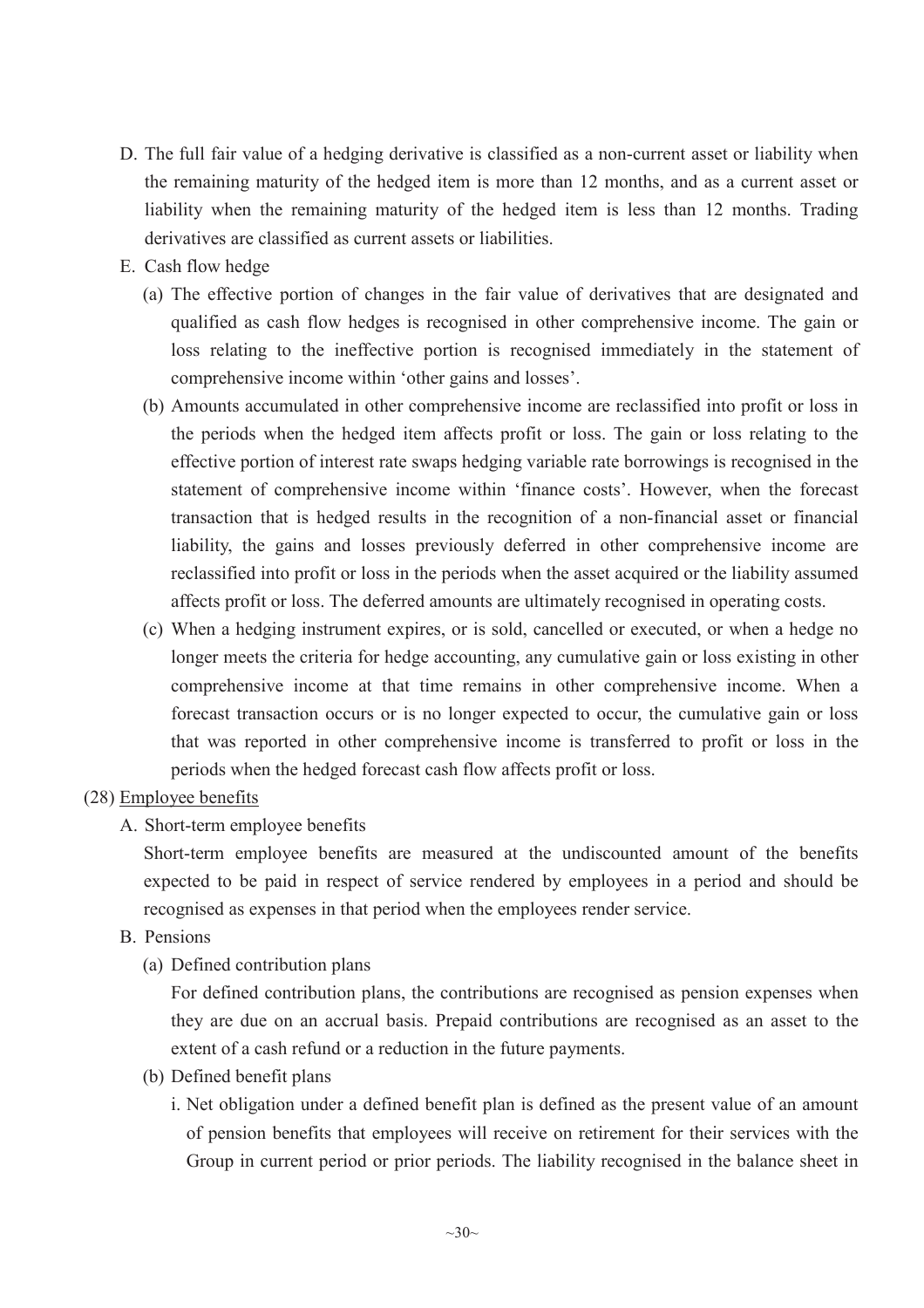- D. The full fair value of a hedging derivative is classified as a non-current asset or liability when the remaining maturity of the hedged item is more than 12 months, and as a current asset or liability when the remaining maturity of the hedged item is less than 12 months. Trading derivatives are classified as current assets or liabilities.
- E. Cash flow hedge
	- (a) The effective portion of changes in the fair value of derivatives that are designated and qualified as cash flow hedges is recognised in other comprehensive income. The gain or loss relating to the ineffective portion is recognised immediately in the statement of comprehensive income within 'other gains and losses'.
	- (b) Amounts accumulated in other comprehensive income are reclassified into profit or loss in the periods when the hedged item affects profit or loss. The gain or loss relating to the effective portion of interest rate swaps hedging variable rate borrowings is recognised in the statement of comprehensive income within 'finance costs'. However, when the forecast transaction that is hedged results in the recognition of a non-financial asset or financial liability, the gains and losses previously deferred in other comprehensive income are reclassified into profit or loss in the periods when the asset acquired or the liability assumed affects profit or loss. The deferred amounts are ultimately recognised in operating costs.
	- (c) When a hedging instrument expires, or is sold, cancelled or executed, or when a hedge no longer meets the criteria for hedge accounting, any cumulative gain or loss existing in other comprehensive income at that time remains in other comprehensive income. When a forecast transaction occurs or is no longer expected to occur, the cumulative gain or loss that was reported in other comprehensive income is transferred to profit or loss in the periods when the hedged forecast cash flow affects profit or loss.

# (28) Employee benefits

A. Short-term employee benefits

Short-term employee benefits are measured at the undiscounted amount of the benefits expected to be paid in respect of service rendered by employees in a period and should be recognised as expenses in that period when the employees render service.

- B. Pensions
	- (a) Defined contribution plans

For defined contribution plans, the contributions are recognised as pension expenses when they are due on an accrual basis. Prepaid contributions are recognised as an asset to the extent of a cash refund or a reduction in the future payments.

- (b) Defined benefit plans
	- i. Net obligation under a defined benefit plan is defined as the present value of an amount of pension benefits that employees will receive on retirement for their services with the Group in current period or prior periods. The liability recognised in the balance sheet in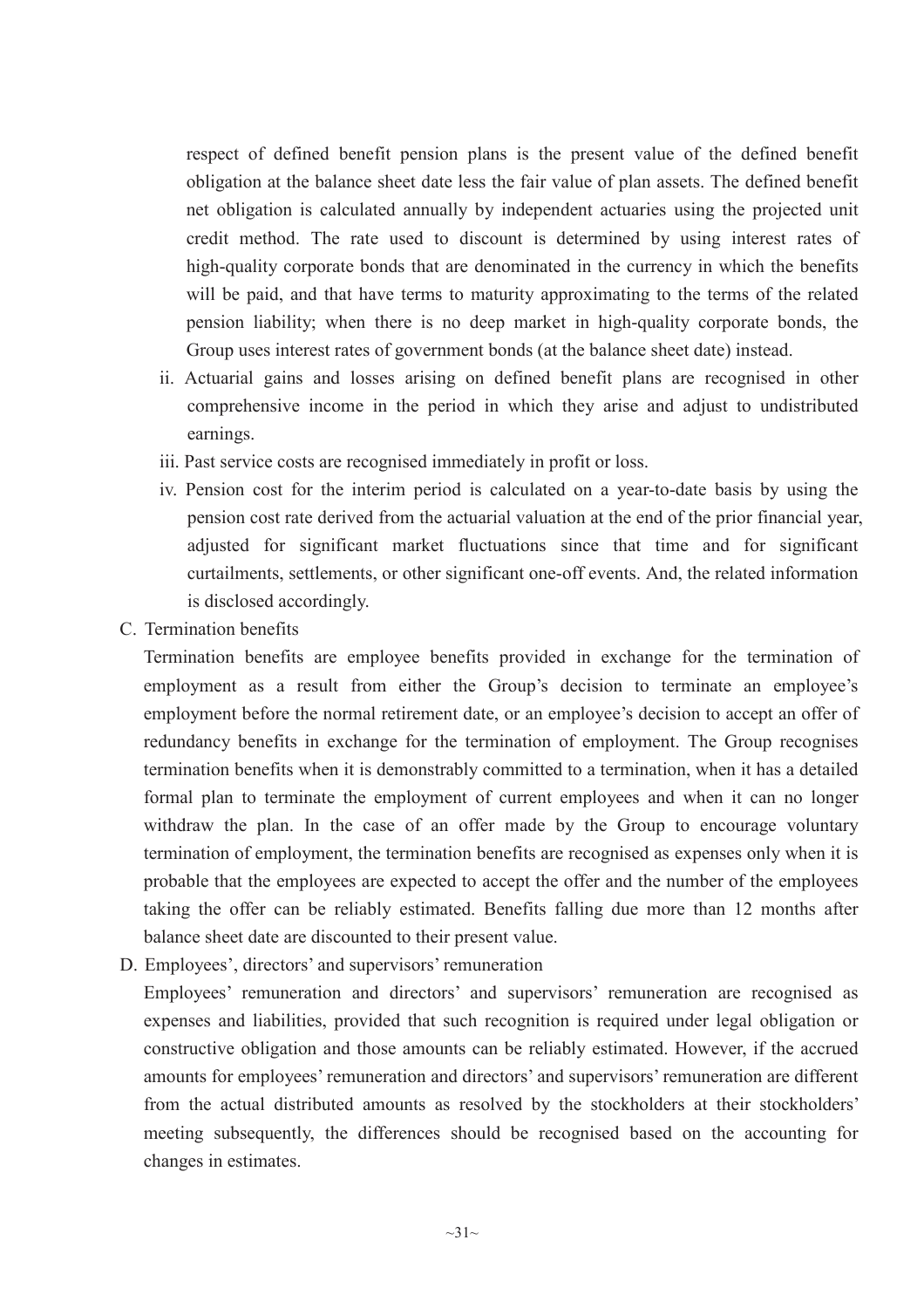respect of defined benefit pension plans is the present value of the defined benefit obligation at the balance sheet date less the fair value of plan assets. The defined benefit net obligation is calculated annually by independent actuaries using the projected unit credit method. The rate used to discount is determined by using interest rates of high-quality corporate bonds that are denominated in the currency in which the benefits will be paid, and that have terms to maturity approximating to the terms of the related pension liability; when there is no deep market in high-quality corporate bonds, the Group uses interest rates of government bonds (at the balance sheet date) instead.

- ii. Actuarial gains and losses arising on defined benefit plans are recognised in other comprehensive income in the period in which they arise and adjust to undistributed earnings.
- iii. Past service costs are recognised immediately in profit or loss.
- iv. Pension cost for the interim period is calculated on a year-to-date basis by using the pension cost rate derived from the actuarial valuation at the end of the prior financial year, adjusted for significant market fluctuations since that time and for significant curtailments, settlements, or other significant one-off events. And, the related information is disclosed accordingly.
- C. Termination benefits

Termination benefits are employee benefits provided in exchange for the termination of employment as a result from either the Group's decision to terminate an employee's employment before the normal retirement date, or an employee's decision to accept an offer of redundancy benefits in exchange for the termination of employment. The Group recognises termination benefits when it is demonstrably committed to a termination, when it has a detailed formal plan to terminate the employment of current employees and when it can no longer withdraw the plan. In the case of an offer made by the Group to encourage voluntary termination of employment, the termination benefits are recognised as expenses only when it is probable that the employees are expected to accept the offer and the number of the employees taking the offer can be reliably estimated. Benefits falling due more than 12 months after balance sheet date are discounted to their present value.

D. Employees', directors' and supervisors' remuneration

Employees' remuneration and directors' and supervisors' remuneration are recognised as expenses and liabilities, provided that such recognition is required under legal obligation or constructive obligation and those amounts can be reliably estimated. However, if the accrued amounts for employees' remuneration and directors' and supervisors' remuneration are different from the actual distributed amounts as resolved by the stockholders at their stockholders' meeting subsequently, the differences should be recognised based on the accounting for changes in estimates.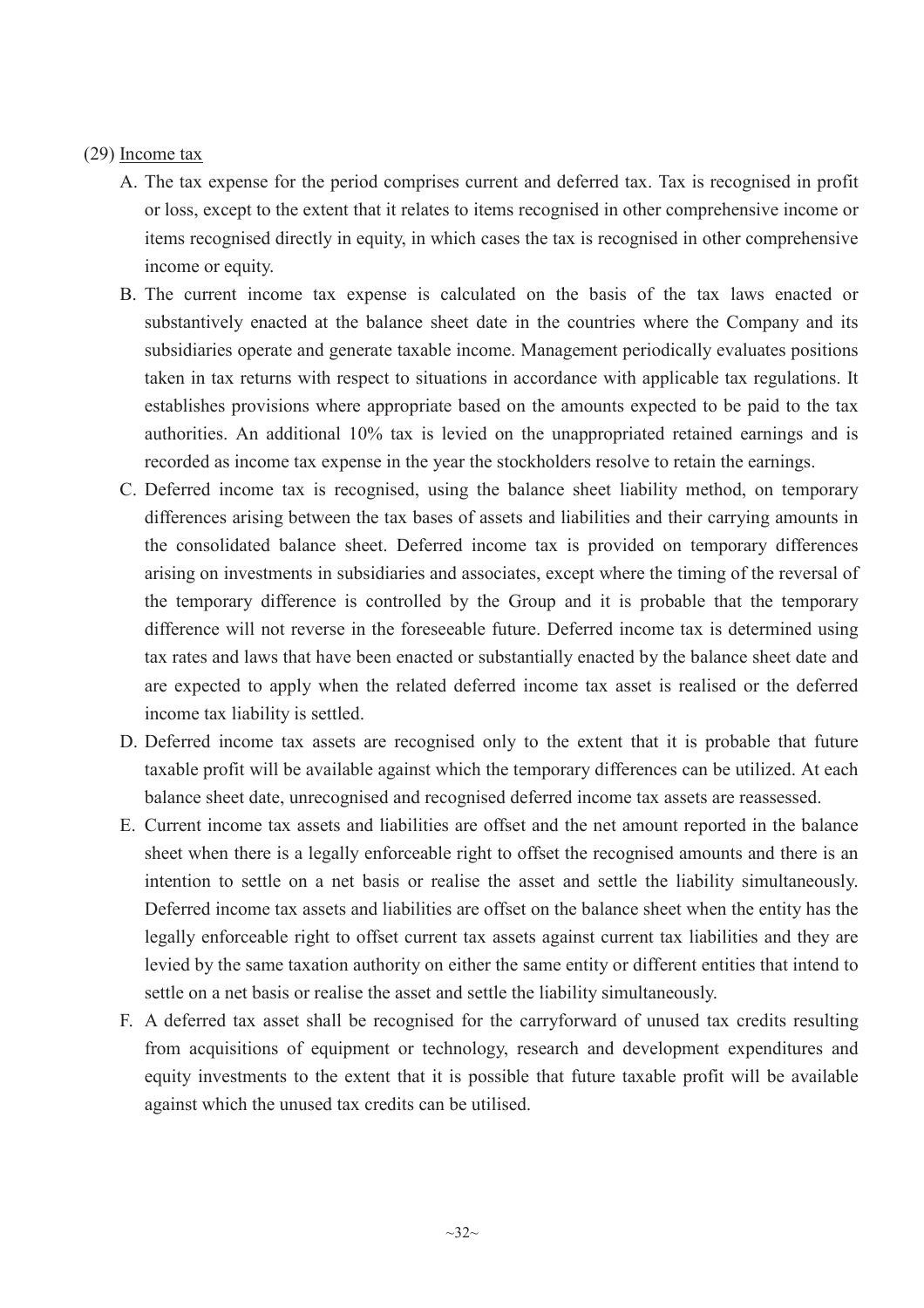## (29) Income tax

- A. The tax expense for the period comprises current and deferred tax. Tax is recognised in profit or loss, except to the extent that it relates to items recognised in other comprehensive income or items recognised directly in equity, in which cases the tax is recognised in other comprehensive income or equity.
- B. The current income tax expense is calculated on the basis of the tax laws enacted or substantively enacted at the balance sheet date in the countries where the Company and its subsidiaries operate and generate taxable income. Management periodically evaluates positions taken in tax returns with respect to situations in accordance with applicable tax regulations. It establishes provisions where appropriate based on the amounts expected to be paid to the tax authorities. An additional 10% tax is levied on the unappropriated retained earnings and is recorded as income tax expense in the year the stockholders resolve to retain the earnings.
- C. Deferred income tax is recognised, using the balance sheet liability method, on temporary differences arising between the tax bases of assets and liabilities and their carrying amounts in the consolidated balance sheet. Deferred income tax is provided on temporary differences arising on investments in subsidiaries and associates, except where the timing of the reversal of the temporary difference is controlled by the Group and it is probable that the temporary difference will not reverse in the foreseeable future. Deferred income tax is determined using tax rates and laws that have been enacted or substantially enacted by the balance sheet date and are expected to apply when the related deferred income tax asset is realised or the deferred income tax liability is settled.
- D. Deferred income tax assets are recognised only to the extent that it is probable that future taxable profit will be available against which the temporary differences can be utilized. At each balance sheet date, unrecognised and recognised deferred income tax assets are reassessed.
- E. Current income tax assets and liabilities are offset and the net amount reported in the balance sheet when there is a legally enforceable right to offset the recognised amounts and there is an intention to settle on a net basis or realise the asset and settle the liability simultaneously. Deferred income tax assets and liabilities are offset on the balance sheet when the entity has the legally enforceable right to offset current tax assets against current tax liabilities and they are levied by the same taxation authority on either the same entity or different entities that intend to settle on a net basis or realise the asset and settle the liability simultaneously.
- F. A deferred tax asset shall be recognised for the carryforward of unused tax credits resulting from acquisitions of equipment or technology, research and development expenditures and equity investments to the extent that it is possible that future taxable profit will be available against which the unused tax credits can be utilised.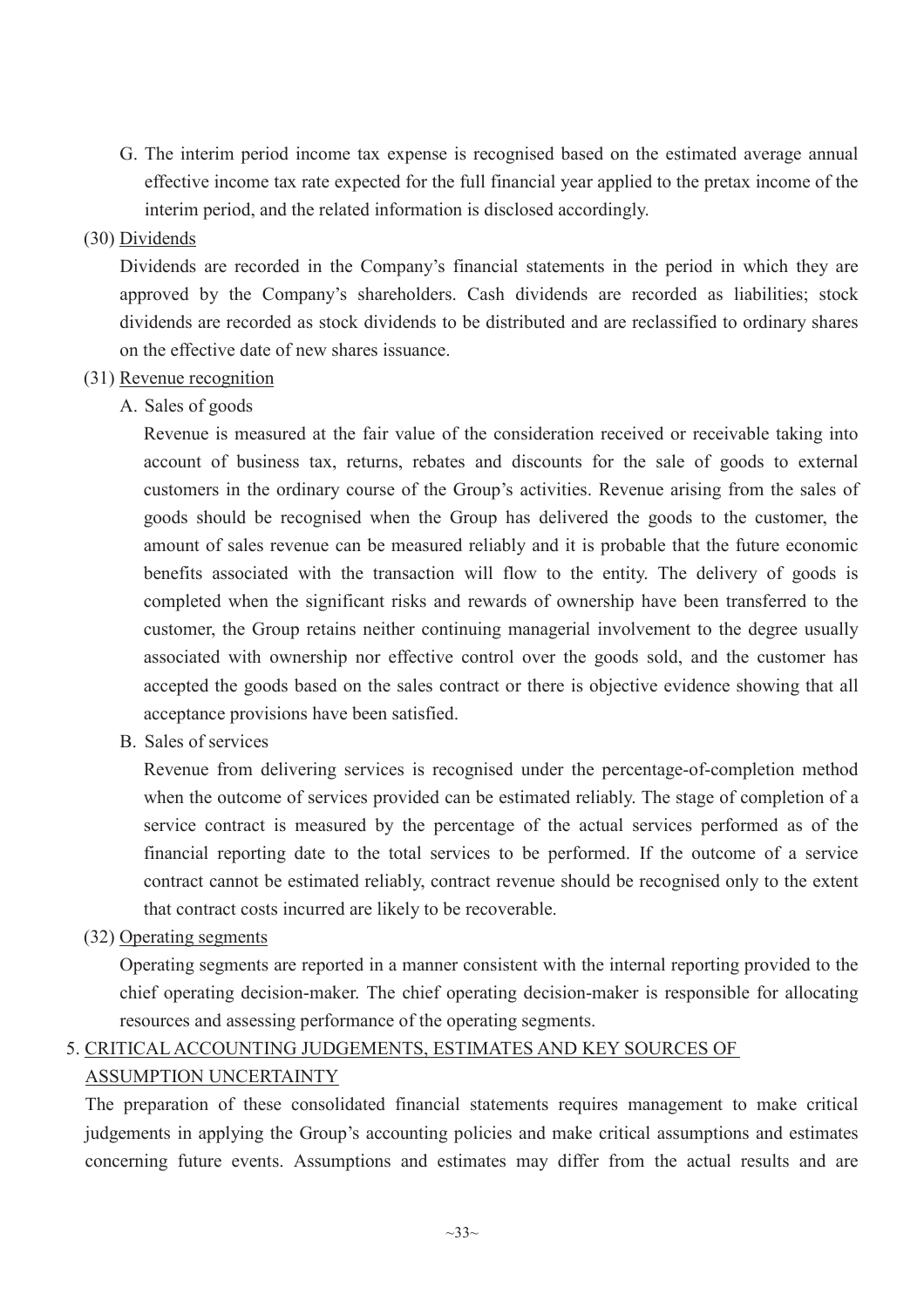G. The interim period income tax expense is recognised based on the estimated average annual effective income tax rate expected for the full financial year applied to the pretax income of the interim period, and the related information is disclosed accordingly.

# (30) Dividends

Dividends are recorded in the Company's financial statements in the period in which they are approved by the Company's shareholders. Cash dividends are recorded as liabilities; stock dividends are recorded as stock dividends to be distributed and are reclassified to ordinary shares on the effective date of new shares issuance.

# (31) Revenue recognition

A. Sales of goods

Revenue is measured at the fair value of the consideration received or receivable taking into account of business tax, returns, rebates and discounts for the sale of goods to external customers in the ordinary course of the Group's activities. Revenue arising from the sales of goods should be recognised when the Group has delivered the goods to the customer, the amount of sales revenue can be measured reliably and it is probable that the future economic benefits associated with the transaction will flow to the entity. The delivery of goods is completed when the significant risks and rewards of ownership have been transferred to the customer, the Group retains neither continuing managerial involvement to the degree usually associated with ownership nor effective control over the goods sold, and the customer has accepted the goods based on the sales contract or there is objective evidence showing that all acceptance provisions have been satisfied.

B. Sales of services

Revenue from delivering services is recognised under the percentage-of-completion method when the outcome of services provided can be estimated reliably. The stage of completion of a service contract is measured by the percentage of the actual services performed as of the financial reporting date to the total services to be performed. If the outcome of a service contract cannot be estimated reliably, contract revenue should be recognised only to the extent that contract costs incurred are likely to be recoverable.

(32) Operating segments

Operating segments are reported in a manner consistent with the internal reporting provided to the chief operating decision-maker. The chief operating decision-maker is responsible for allocating resources and assessing performance of the operating segments.

# 5. CRITICAL ACCOUNTING JUDGEMENTS, ESTIMATES AND KEY SOURCES OF ASSUMPTION UNCERTAINTY

The preparation of these consolidated financial statements requires management to make critical judgements in applying the Group's accounting policies and make critical assumptions and estimates concerning future events. Assumptions and estimates may differ from the actual results and are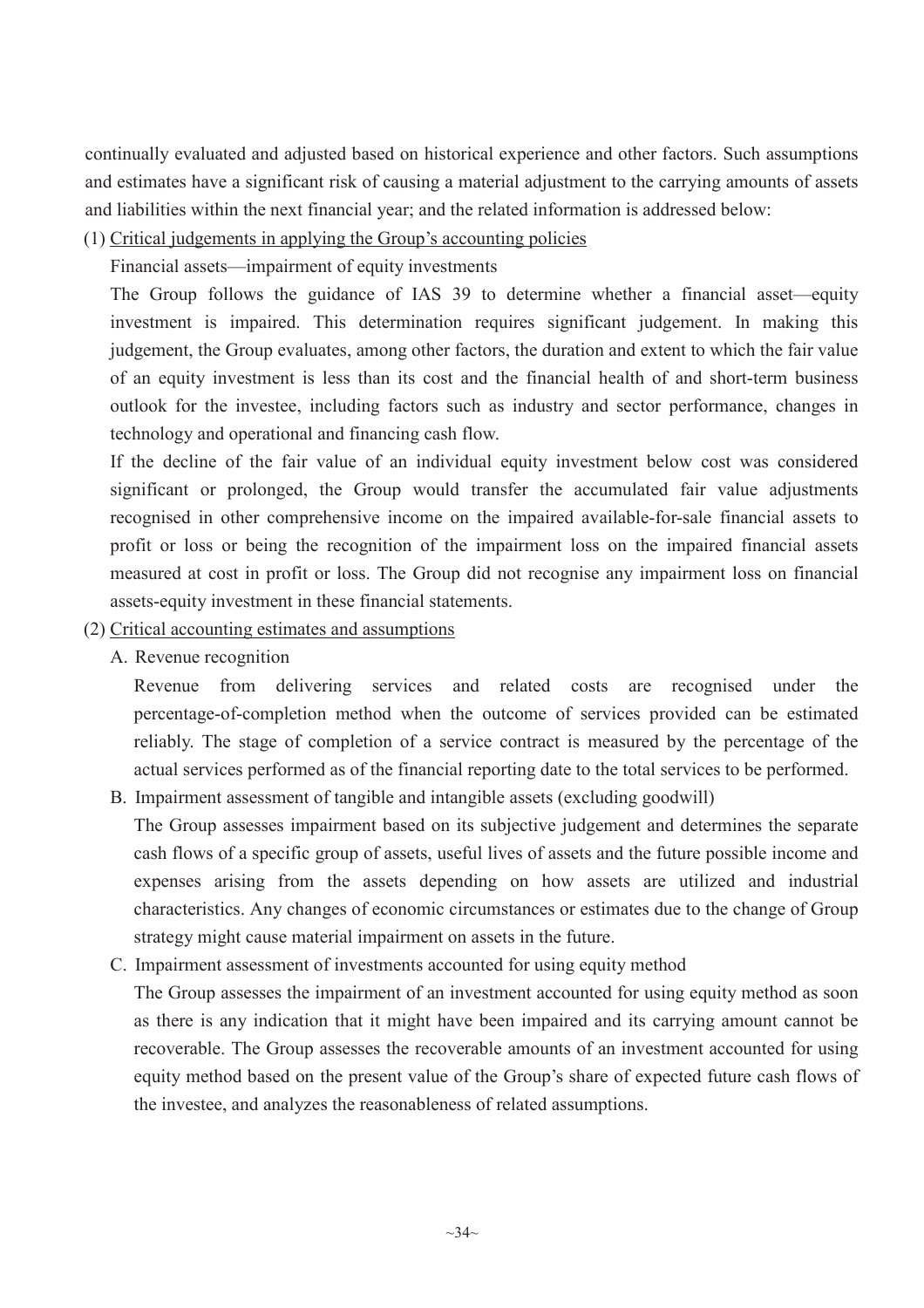continually evaluated and adjusted based on historical experience and other factors. Such assumptions and estimates have a significant risk of causing a material adjustment to the carrying amounts of assets and liabilities within the next financial year; and the related information is addressed below:

(1) Critical judgements in applying the Group's accounting policies

Financial assets—impairment of equity investments

The Group follows the guidance of IAS 39 to determine whether a financial asset—equity investment is impaired. This determination requires significant judgement. In making this judgement, the Group evaluates, among other factors, the duration and extent to which the fair value of an equity investment is less than its cost and the financial health of and short-term business outlook for the investee, including factors such as industry and sector performance, changes in technology and operational and financing cash flow.

If the decline of the fair value of an individual equity investment below cost was considered significant or prolonged, the Group would transfer the accumulated fair value adjustments recognised in other comprehensive income on the impaired available-for-sale financial assets to profit or loss or being the recognition of the impairment loss on the impaired financial assets measured at cost in profit or loss. The Group did not recognise any impairment loss on financial assets-equity investment in these financial statements.

(2) Critical accounting estimates and assumptions

A. Revenue recognition

Revenue from delivering services and related costs are recognised under the percentage-of-completion method when the outcome of services provided can be estimated reliably. The stage of completion of a service contract is measured by the percentage of the actual services performed as of the financial reporting date to the total services to be performed.

B. Impairment assessment of tangible and intangible assets (excluding goodwill)

The Group assesses impairment based on its subjective judgement and determines the separate cash flows of a specific group of assets, useful lives of assets and the future possible income and expenses arising from the assets depending on how assets are utilized and industrial characteristics. Any changes of economic circumstances or estimates due to the change of Group strategy might cause material impairment on assets in the future.

# C. Impairment assessment of investments accounted for using equity method

The Group assesses the impairment of an investment accounted for using equity method as soon as there is any indication that it might have been impaired and its carrying amount cannot be recoverable. The Group assesses the recoverable amounts of an investment accounted for using equity method based on the present value of the Group's share of expected future cash flows of the investee, and analyzes the reasonableness of related assumptions.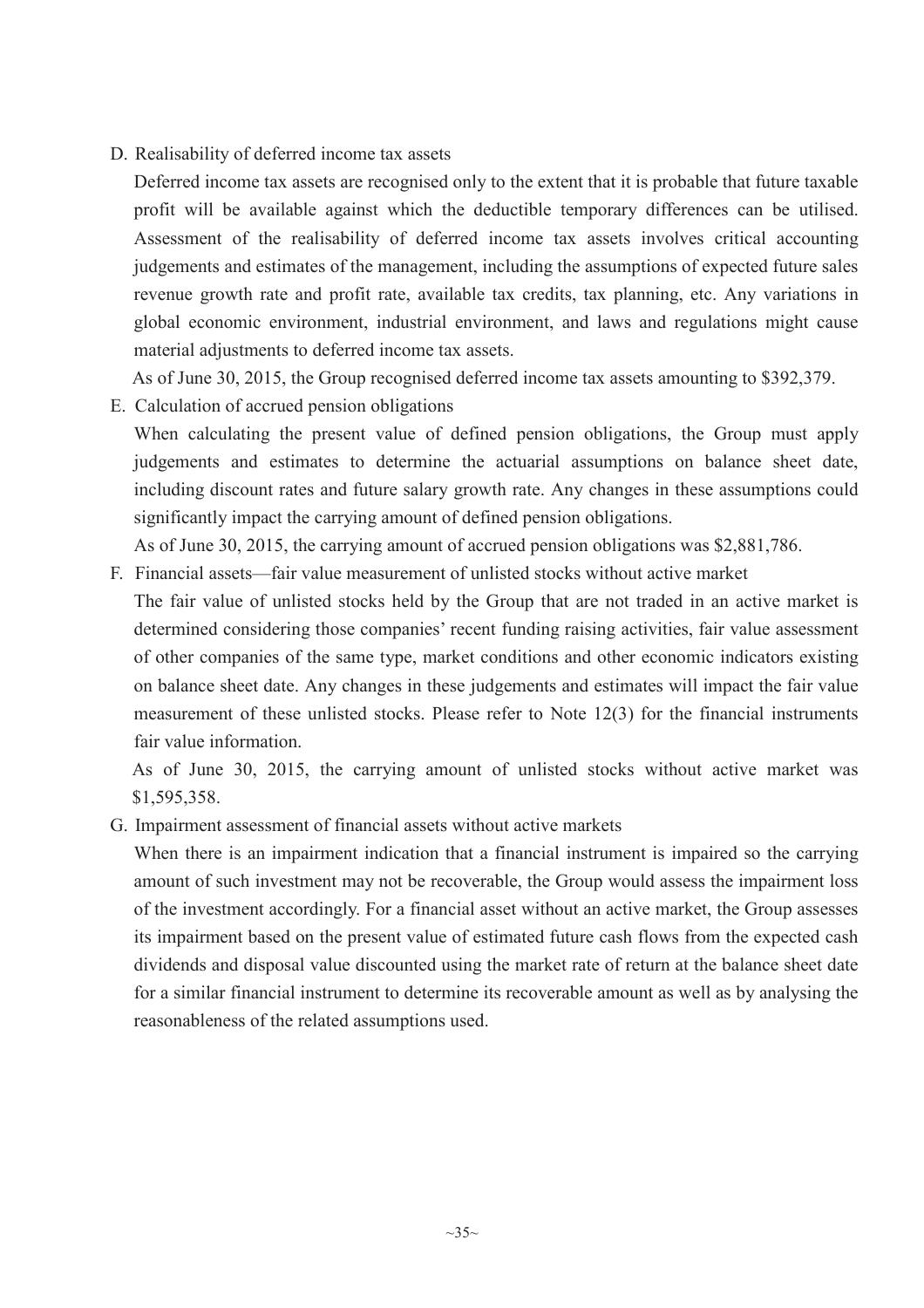D. Realisability of deferred income tax assets

Deferred income tax assets are recognised only to the extent that it is probable that future taxable profit will be available against which the deductible temporary differences can be utilised. Assessment of the realisability of deferred income tax assets involves critical accounting judgements and estimates of the management, including the assumptions of expected future sales revenue growth rate and profit rate, available tax credits, tax planning, etc. Any variations in global economic environment, industrial environment, and laws and regulations might cause material adjustments to deferred income tax assets.

As of June 30, 2015, the Group recognised deferred income tax assets amounting to \$392,379.

E. Calculation of accrued pension obligations

When calculating the present value of defined pension obligations, the Group must apply judgements and estimates to determine the actuarial assumptions on balance sheet date, including discount rates and future salary growth rate. Any changes in these assumptions could significantly impact the carrying amount of defined pension obligations.

As of June 30, 2015, the carrying amount of accrued pension obligations was \$2,881,786.

- F. Financial assets—fair value measurement of unlisted stocks without active market
- The fair value of unlisted stocks held by the Group that are not traded in an active market is determined considering those companies' recent funding raising activities, fair value assessment of other companies of the same type, market conditions and other economic indicators existing on balance sheet date. Any changes in these judgements and estimates will impact the fair value measurement of these unlisted stocks. Please refer to Note 12(3) for the financial instruments fair value information.

As of June 30, 2015, the carrying amount of unlisted stocks without active market was \$1,595,358.

G. Impairment assessment of financial assets without active markets

When there is an impairment indication that a financial instrument is impaired so the carrying amount of such investment may not be recoverable, the Group would assess the impairment loss of the investment accordingly. For a financial asset without an active market, the Group assesses its impairment based on the present value of estimated future cash flows from the expected cash dividends and disposal value discounted using the market rate of return at the balance sheet date for a similar financial instrument to determine its recoverable amount as well as by analysing the reasonableness of the related assumptions used.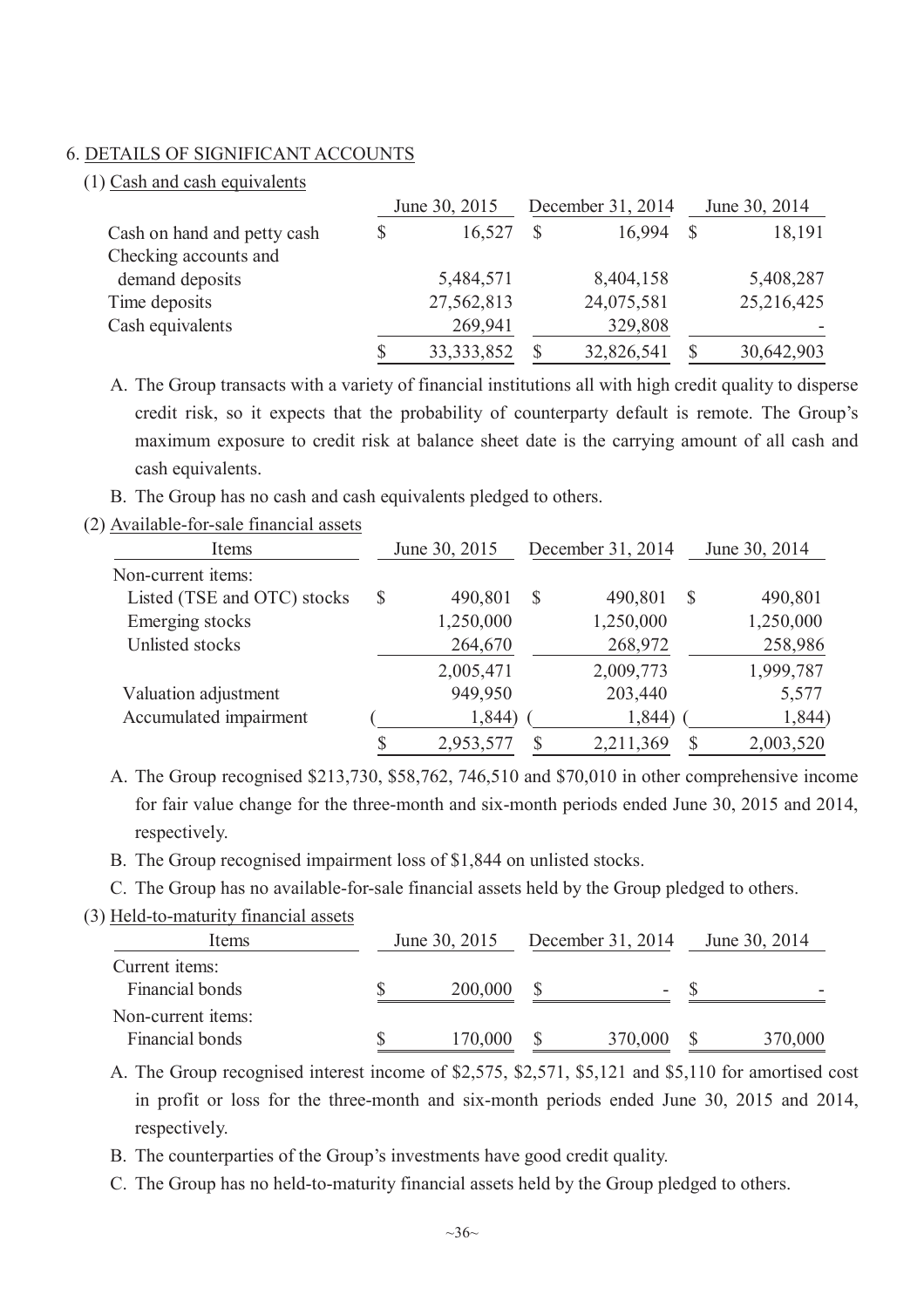#### 6. DETAILS OF SIGNIFICANT ACCOUNTS

(1) Cash and cash equivalents

|                             | June 30, 2015 |  | December 31, 2014 |  | June 30, 2014 |  |
|-----------------------------|---------------|--|-------------------|--|---------------|--|
| Cash on hand and petty cash | 16,527        |  | 16,994            |  | 18,191        |  |
| Checking accounts and       |               |  |                   |  |               |  |
| demand deposits             | 5,484,571     |  | 8,404,158         |  | 5,408,287     |  |
| Time deposits               | 27,562,813    |  | 24,075,581        |  | 25,216,425    |  |
| Cash equivalents            | 269,941       |  | 329,808           |  |               |  |
|                             | 33, 333, 852  |  | 32,826,541        |  | 30,642,903    |  |

A. The Group transacts with a variety of financial institutions all with high credit quality to disperse credit risk, so it expects that the probability of counterparty default is remote. The Group's maximum exposure to credit risk at balance sheet date is the carrying amount of all cash and cash equivalents.

B. The Group has no cash and cash equivalents pledged to others.

| (2) Available-for-sale financial assets |
|-----------------------------------------|
|-----------------------------------------|

| Items                       | June 30, 2015 |           | December 31, 2014 |           |   | June 30, 2014 |  |
|-----------------------------|---------------|-----------|-------------------|-----------|---|---------------|--|
| Non-current items:          |               |           |                   |           |   |               |  |
| Listed (TSE and OTC) stocks | $\mathbb{S}$  | 490,801   | $\mathcal{S}$     | 490,801   | S | 490,801       |  |
| Emerging stocks             |               | 1,250,000 |                   | 1,250,000 |   | 1,250,000     |  |
| Unlisted stocks             |               | 264,670   |                   | 268,972   |   | 258,986       |  |
|                             |               | 2,005,471 |                   | 2,009,773 |   | 1,999,787     |  |
| Valuation adjustment        |               | 949,950   |                   | 203,440   |   | 5,577         |  |
| Accumulated impairment      |               | 1,844)    |                   | 1,844)    |   | 1,844)        |  |
|                             |               | 2,953,577 | \$                | 2,211,369 |   | 2,003,520     |  |

A. The Group recognised \$213,730, \$58,762, 746,510 and \$70,010 in other comprehensive income for fair value change for the three-month and six-month periods ended June 30, 2015 and 2014, respectively.

- B. The Group recognised impairment loss of \$1,844 on unlisted stocks.
- C. The Group has no available-for-sale financial assets held by the Group pledged to others.
- (3) Held-to-maturity financial assets

| Items                                 | June 30, 2015 |         | December 31, 2014 | June 30, 2014 |         |
|---------------------------------------|---------------|---------|-------------------|---------------|---------|
| Current items:<br>Financial bonds     |               | 200,000 | ۰                 |               |         |
| Non-current items:<br>Financial bonds |               | 170,000 | 370,000           |               | 370,000 |

A. The Group recognised interest income of \$2,575, \$2,571, \$5,121 and \$5,110 for amortised cost in profit or loss for the three-month and six-month periods ended June 30, 2015 and 2014, respectively.

B. The counterparties of the Group's investments have good credit quality.

C. The Group has no held-to-maturity financial assets held by the Group pledged to others.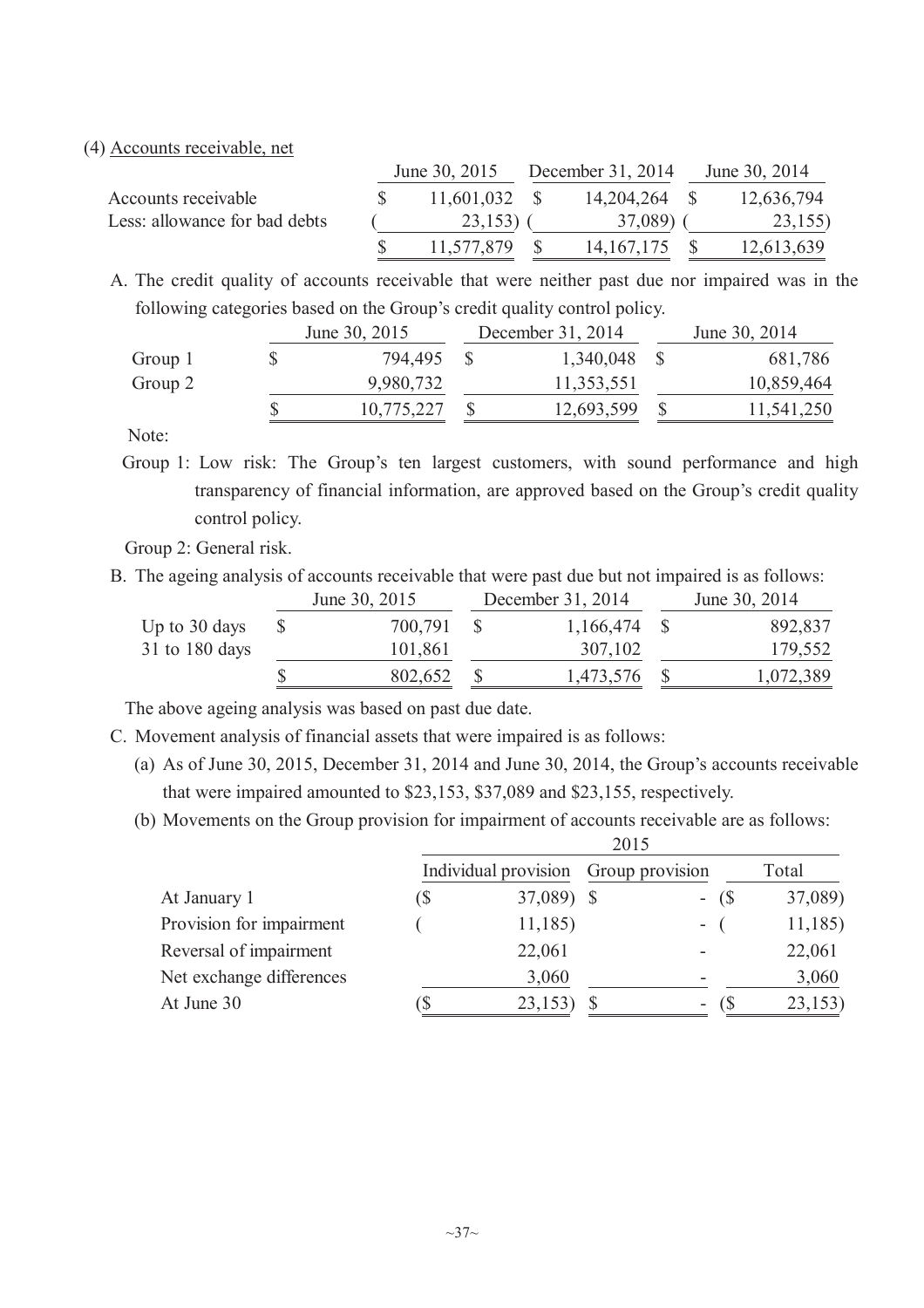#### (4) Accounts receivable, net

|                               | June 30, 2015 |                 | December 31, 2014 |               |  | June 30, 2014 |
|-------------------------------|---------------|-----------------|-------------------|---------------|--|---------------|
| Accounts receivable           |               | $11,601,032$ \$ |                   | 14,204,264 \$ |  | 12,636,794    |
| Less: allowance for bad debts | $23,153$ ) (  |                 | 37,089) (         |               |  | 23,155)       |
|                               |               | 11,577,879      |                   | 14, 167, 175  |  | 12,613,639    |

A. The credit quality of accounts receivable that were neither past due nor impaired was in the following categories based on the Group's credit quality control policy.

|         | June 30, 2015 |            | December 31, 2014 |            |  |            |
|---------|---------------|------------|-------------------|------------|--|------------|
| Group 1 |               | 794,495    |                   | 1,340,048  |  | 681,786    |
| Group 2 |               | 9,980,732  |                   | 11,353,551 |  | 10,859,464 |
|         |               | 10,775,227 |                   | 12,693,599 |  | 11,541,250 |

Note:

Group 1: Low risk: The Group's ten largest customers, with sound performance and high transparency of financial information, are approved based on the Group's credit quality control policy.

Group 2: General risk.

B. The ageing analysis of accounts receivable that were past due but not impaired is as follows:

|                | June 30, 2015 | December 31, 2014 | June 30, 2014 |           |  |
|----------------|---------------|-------------------|---------------|-----------|--|
| Up to 30 days  | 700,791       | $1,166,474$ \$    |               | 892,837   |  |
| 31 to 180 days | 101,861       | 307,102           |               | 179,552   |  |
|                | 802,652       | 1,473,576 \$      |               | 1,072,389 |  |

The above ageing analysis was based on past due date.

- C. Movement analysis of financial assets that were impaired is as follows:
	- (a) As of June 30, 2015, December 31, 2014 and June 30, 2014, the Group's accounts receivable that were impaired amounted to \$23,153, \$37,089 and \$23,155, respectively.

2015

(b) Movements on the Group provision for impairment of accounts receivable are as follows:

|     |        |  |            | Total                                        |          |  |
|-----|--------|--|------------|----------------------------------------------|----------|--|
| (\$ |        |  |            |                                              | 37,089)  |  |
|     | 11,185 |  | $\sim$     |                                              | 11,185   |  |
|     | 22,061 |  |            |                                              | 22,061   |  |
|     | 3,060  |  |            |                                              | 3,060    |  |
|     | 23,153 |  | ۰.         |                                              | 23,153   |  |
|     |        |  | 37,089) \$ | 201J<br>Individual provision Group provision | $-$ (\$) |  |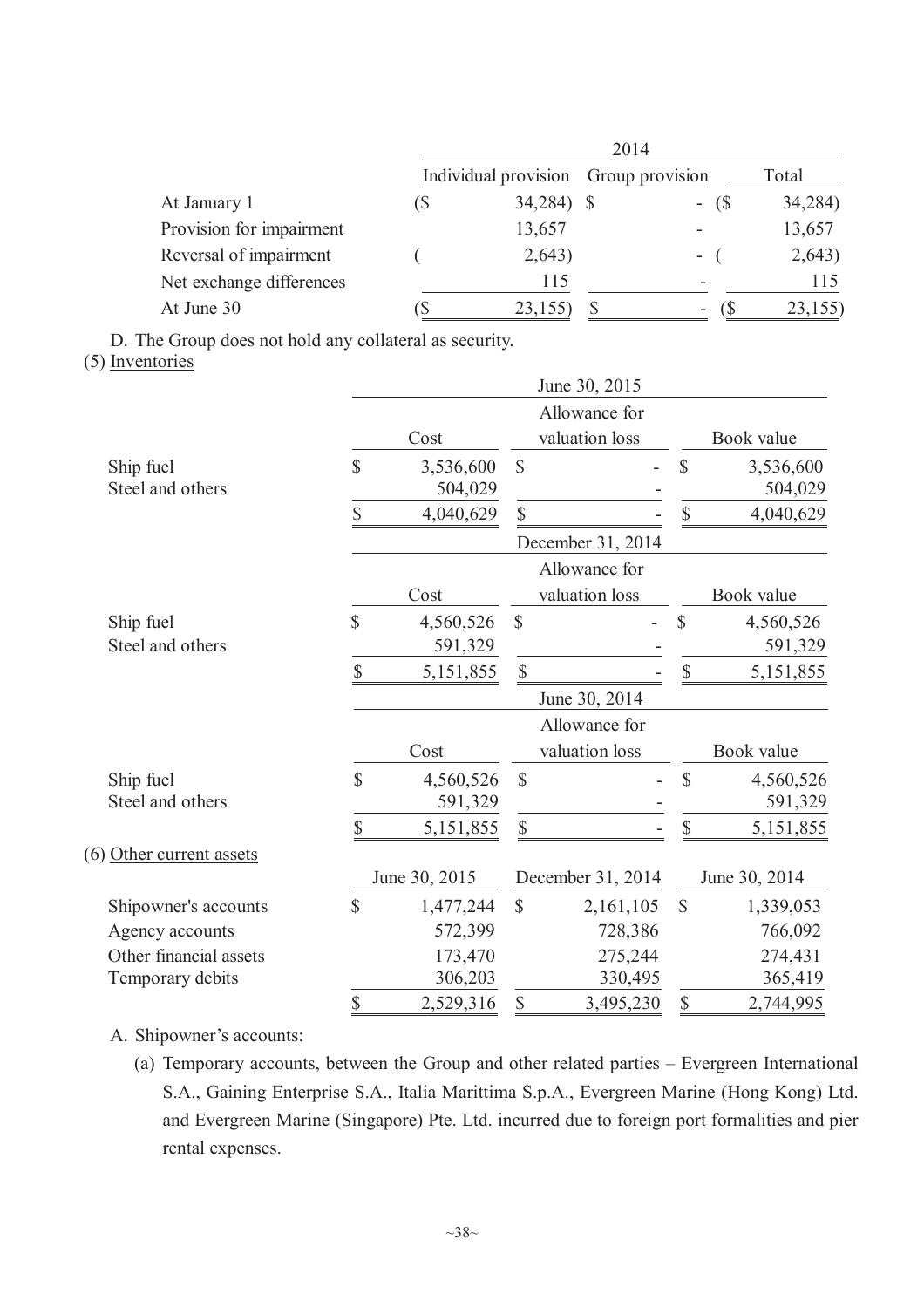|                          | 2014 |                      |  |                          |         |  |  |  |
|--------------------------|------|----------------------|--|--------------------------|---------|--|--|--|
|                          |      | Individual provision |  | Group provision          | Total   |  |  |  |
| At January 1             | (\$  | 34,284) \$           |  | $-$ (\$)                 | 34,284) |  |  |  |
| Provision for impairment |      | 13,657               |  |                          | 13,657  |  |  |  |
| Reversal of impairment   |      | 2,643)               |  | $-$ (                    | 2,643)  |  |  |  |
| Net exchange differences |      | 115                  |  |                          | 115     |  |  |  |
| At June 30               |      | 23,155               |  | $\overline{\phantom{0}}$ | 23,155  |  |  |  |

D. The Group does not hold any collateral as security.

(5) Inventories

|                               |              |                      |               | June 30, 2015     |              |                      |  |
|-------------------------------|--------------|----------------------|---------------|-------------------|--------------|----------------------|--|
|                               |              |                      |               | Allowance for     |              |                      |  |
|                               |              | Cost                 |               | valuation loss    | Book value   |                      |  |
| Ship fuel<br>Steel and others | $\mathbb{S}$ | 3,536,600<br>504,029 | \$            |                   | \$           | 3,536,600<br>504,029 |  |
|                               | \$           | 4,040,629            | \$            |                   | $\mathbb{S}$ | 4,040,629            |  |
|                               |              |                      |               | December 31, 2014 |              |                      |  |
|                               |              |                      |               | Allowance for     |              |                      |  |
|                               |              | Cost                 |               | valuation loss    |              | Book value           |  |
| Ship fuel                     | \$           | 4,560,526            | \$            |                   | \$           | 4,560,526            |  |
| Steel and others              |              | 591,329              |               |                   |              | 591,329              |  |
|                               | $\mathbb{S}$ | 5,151,855            | \$            |                   | $\mathbb{S}$ | 5,151,855            |  |
|                               |              |                      |               | June 30, 2014     |              |                      |  |
|                               |              |                      |               | Allowance for     |              |                      |  |
|                               |              | Cost                 |               | valuation loss    |              | Book value           |  |
| Ship fuel<br>Steel and others | \$           | 4,560,526<br>591,329 | $\mathcal{S}$ |                   | \$           | 4,560,526<br>591,329 |  |
|                               | \$           | 5,151,855            | \$            |                   | \$           | 5, 151, 855          |  |
| (6) Other current assets      |              |                      |               |                   |              |                      |  |
|                               |              | June 30, 2015        |               | December 31, 2014 |              | June 30, 2014        |  |
| Shipowner's accounts          | \$           | 1,477,244            | $\mathsf{\$}$ | 2,161,105         | $\mathbb{S}$ | 1,339,053            |  |
| Agency accounts               |              | 572,399              |               | 728,386           |              | 766,092              |  |
| Other financial assets        |              | 173,470              |               | 275,244           |              | 274,431              |  |
| Temporary debits              |              | 306,203              |               | 330,495           |              | 365,419              |  |
|                               | \$           | 2,529,316            | \$            | 3,495,230         | \$           | 2,744,995            |  |

A. Shipowner's accounts:

(a) Temporary accounts, between the Group and other related parties – Evergreen International S.A., Gaining Enterprise S.A., Italia Marittima S.p.A., Evergreen Marine (Hong Kong) Ltd. and Evergreen Marine (Singapore) Pte. Ltd. incurred due to foreign port formalities and pier rental expenses.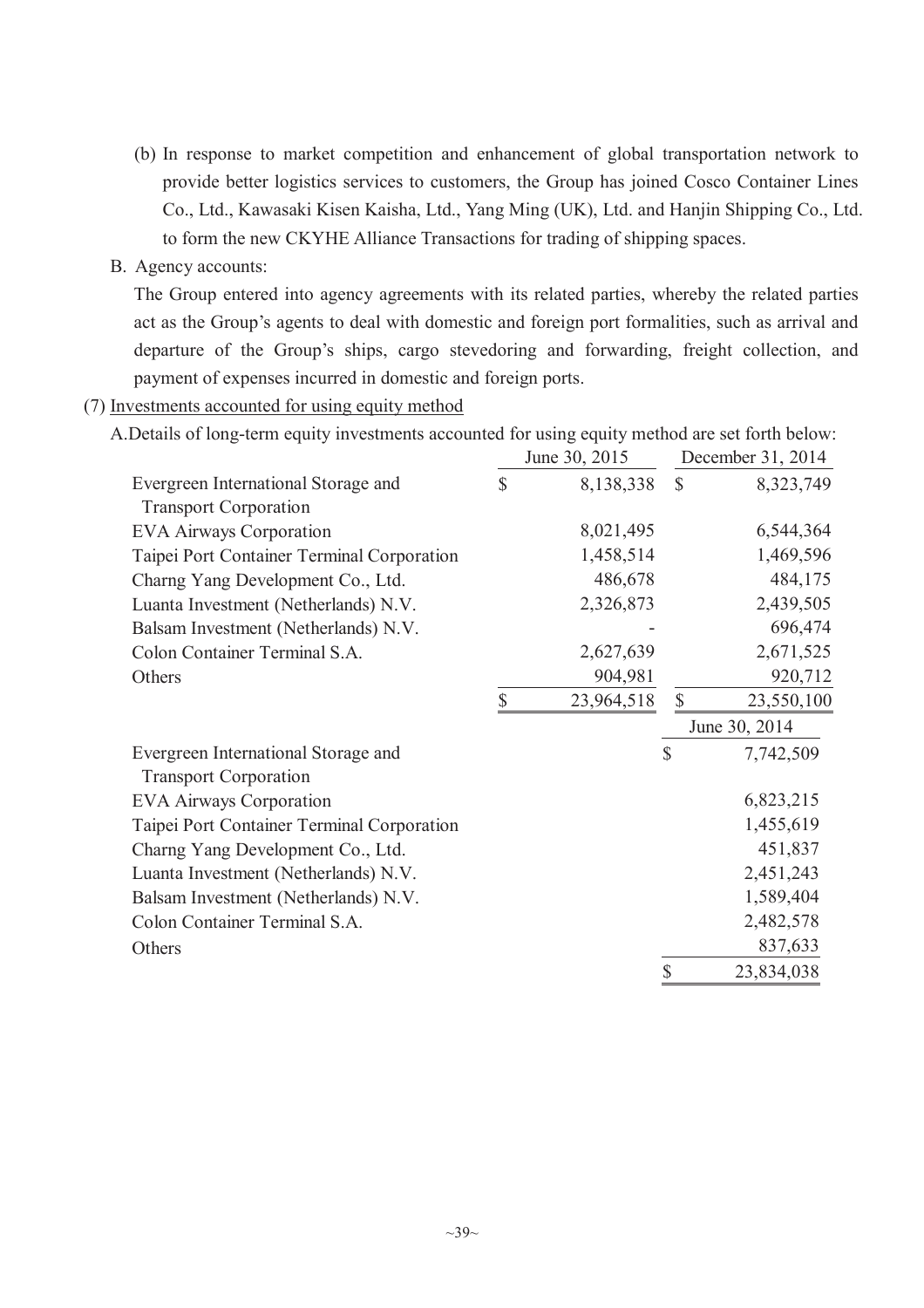- (b) In response to market competition and enhancement of global transportation network to provide better logistics services to customers, the Group has joined Cosco Container Lines Co., Ltd., Kawasaki Kisen Kaisha, Ltd., Yang Ming (UK), Ltd. and Hanjin Shipping Co., Ltd. to form the new CKYHE Alliance Transactions for trading of shipping spaces.
- B. Agency accounts:

The Group entered into agency agreements with its related parties, whereby the related parties act as the Group's agents to deal with domestic and foreign port formalities, such as arrival and departure of the Group's ships, cargo stevedoring and forwarding, freight collection, and payment of expenses incurred in domestic and foreign ports.

(7) Investments accounted for using equity method

|                                                                     |              | June 30, 2015 |               | December 31, 2014 |
|---------------------------------------------------------------------|--------------|---------------|---------------|-------------------|
| Evergreen International Storage and<br><b>Transport Corporation</b> | $\mathbb{S}$ | 8,138,338     | $\mathbb{S}$  | 8,323,749         |
| <b>EVA Airways Corporation</b>                                      |              | 8,021,495     |               | 6,544,364         |
| Taipei Port Container Terminal Corporation                          |              | 1,458,514     |               | 1,469,596         |
| Charng Yang Development Co., Ltd.                                   |              | 486,678       |               | 484,175           |
| Luanta Investment (Netherlands) N.V.                                |              | 2,326,873     |               | 2,439,505         |
| Balsam Investment (Netherlands) N.V.                                |              |               |               | 696,474           |
| Colon Container Terminal S.A.                                       |              | 2,627,639     |               | 2,671,525         |
| Others                                                              |              | 904,981       |               | 920,712           |
|                                                                     | \$           | 23,964,518    | $\mathcal{S}$ | 23,550,100        |
|                                                                     |              |               |               | June 30, 2014     |
| Evergreen International Storage and<br><b>Transport Corporation</b> |              |               | \$            | 7,742,509         |
| <b>EVA Airways Corporation</b>                                      |              |               |               | 6,823,215         |
| Taipei Port Container Terminal Corporation                          |              |               |               | 1,455,619         |
| Charng Yang Development Co., Ltd.                                   |              |               |               | 451,837           |
| Luanta Investment (Netherlands) N.V.                                |              |               |               | 2,451,243         |
| Balsam Investment (Netherlands) N.V.                                |              |               |               | 1,589,404         |
| Colon Container Terminal S.A.                                       |              |               |               | 2,482,578         |
| Others                                                              |              |               |               | 837,633           |
|                                                                     |              |               | \$            | 23,834,038        |

A.Details of long-term equity investments accounted for using equity method are set forth below: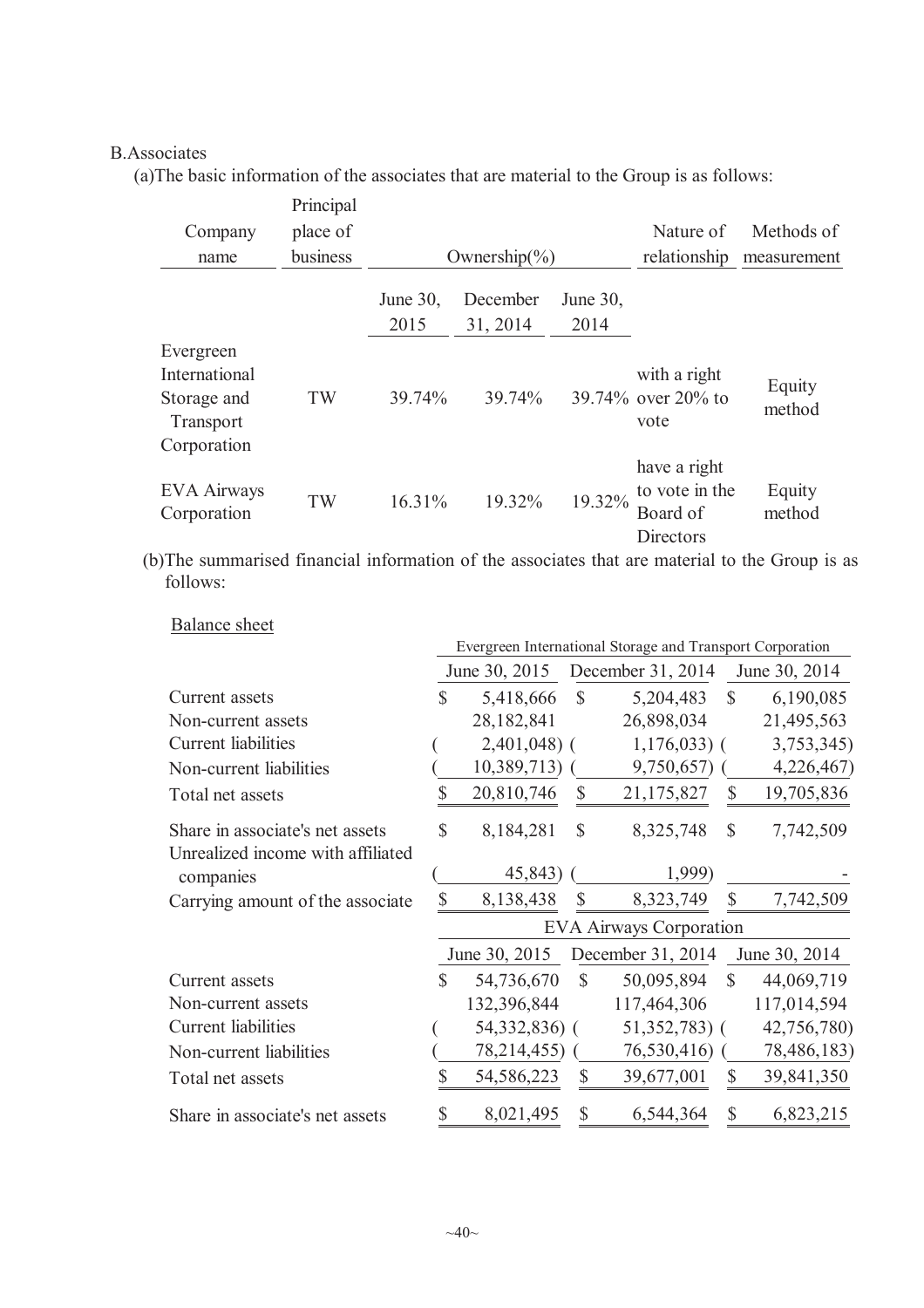### B.Associates

(a)The basic information of the associates that are material to the Group is as follows:

| Company<br>name                                                       | Principal<br>place of<br>business |                     | Ownership $\left(\frac{6}{6}\right)$ |                     | Nature of<br>relationship                               | Methods of<br>measurement |
|-----------------------------------------------------------------------|-----------------------------------|---------------------|--------------------------------------|---------------------|---------------------------------------------------------|---------------------------|
|                                                                       |                                   | June $30$ .<br>2015 | December<br>31, 2014                 | June $30$ ,<br>2014 |                                                         |                           |
| Evergreen<br>International<br>Storage and<br>Transport<br>Corporation | TW                                | 39.74%              | 39.74%                               |                     | with a right<br>39.74% over 20% to<br>vote              | Equity<br>method          |
| <b>EVA Airways</b><br>Corporation                                     | TW                                | 16.31%              | 19.32%                               | 19.32%              | have a right<br>to vote in the<br>Board of<br>Directors | Equity<br>method          |

(b)The summarised financial information of the associates that are material to the Group is as follows:

|                                   |              |               |              | Evergreen International Storage and Transport Corporation |               |               |
|-----------------------------------|--------------|---------------|--------------|-----------------------------------------------------------|---------------|---------------|
|                                   |              | June 30, 2015 |              | December 31, 2014                                         |               | June 30, 2014 |
| Current assets                    | $\mathbb{S}$ | 5,418,666     | $\mathbb{S}$ | 5,204,483                                                 | $\mathcal{S}$ | 6,190,085     |
| Non-current assets                |              | 28,182,841    |              | 26,898,034                                                |               | 21,495,563    |
| <b>Current</b> liabilities        |              | $2,401,048$ ( |              | $1,176,033$ (                                             |               | 3,753,345)    |
| Non-current liabilities           |              | 10,389,713)   |              | 9,750,657)                                                |               | 4,226,467)    |
| Total net assets                  | S            | 20,810,746    | \$           | 21,175,827                                                | $\mathbb{S}$  | 19,705,836    |
| Share in associate's net assets   | $\mathbb{S}$ | 8,184,281     | \$           | 8,325,748                                                 | $\mathbb{S}$  | 7,742,509     |
| Unrealized income with affiliated |              |               |              |                                                           |               |               |
| companies                         |              | 45,843)       |              | 1,999)                                                    |               |               |
| Carrying amount of the associate  | \$           | 8,138,438     | \$           | 8,323,749                                                 | $\mathbb{S}$  | 7,742,509     |
|                                   |              |               |              | <b>EVA Airways Corporation</b>                            |               |               |
|                                   |              | June 30, 2015 |              | December 31, 2014                                         |               | June 30, 2014 |
| Current assets                    | \$           | 54,736,670    | $\mathbb{S}$ | 50,095,894                                                | $\mathcal{S}$ | 44,069,719    |
| Non-current assets                |              | 132,396,844   |              | 117,464,306                                               |               | 117,014,594   |
| <b>Current</b> liabilities        |              | 54,332,836) ( |              | $51,352,783$ (                                            |               | 42,756,780)   |
| Non-current liabilities           |              | 78,214,455) ( |              | 76,530,416)                                               |               | 78,486,183)   |
| Total net assets                  | \$           | 54,586,223    | \$           | 39,677,001                                                | $\mathbb{S}$  | 39,841,350    |
| Share in associate's net assets   | $\mathbb{S}$ | 8,021,495     | $\mathbb{S}$ | 6,544,364                                                 | $\mathbb{S}$  | 6,823,215     |

### Balance sheet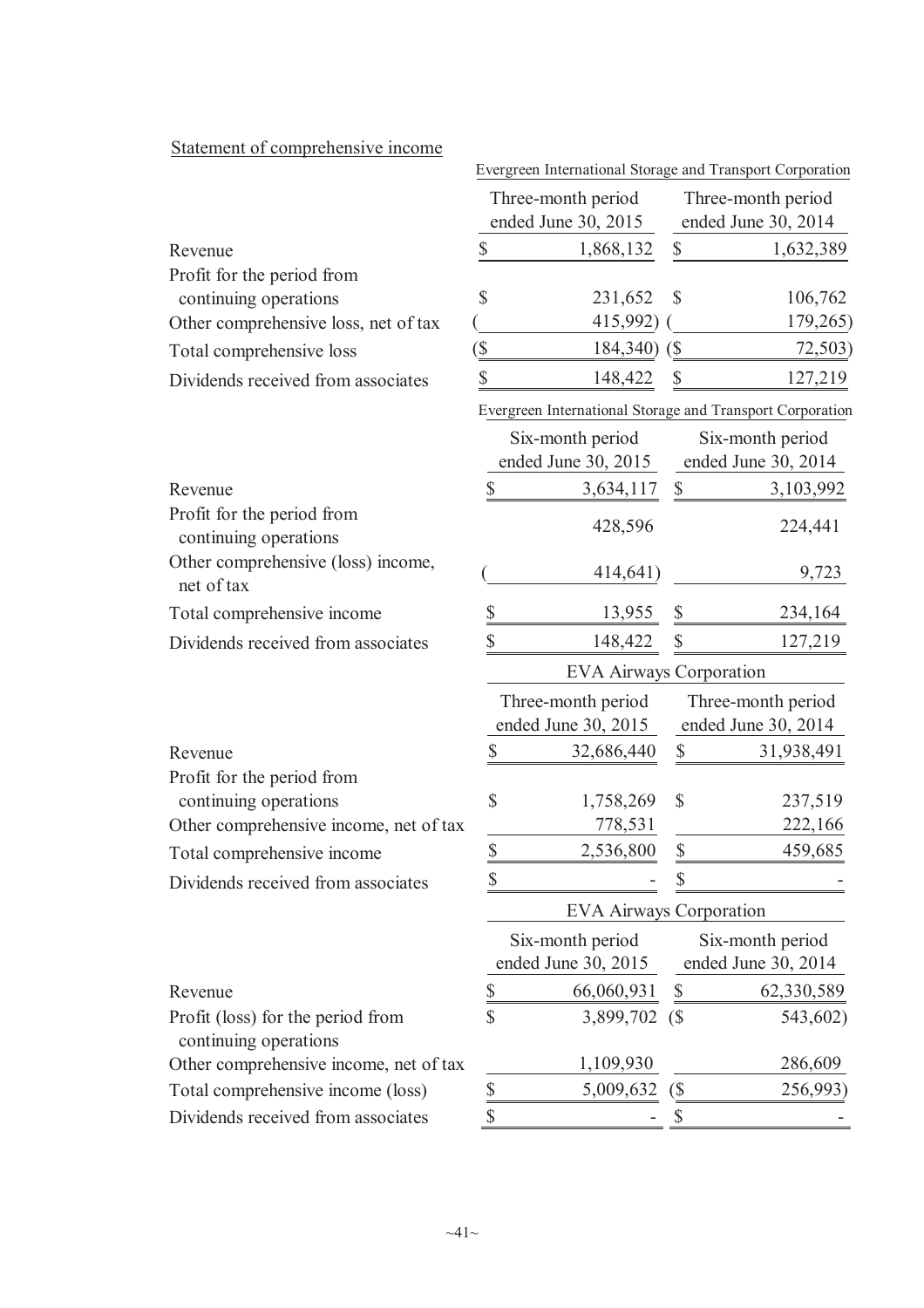| <u>Statement of comprehensive income</u>                   |               | Evergreen International Storage and Transport Corporation |                              |                                         |
|------------------------------------------------------------|---------------|-----------------------------------------------------------|------------------------------|-----------------------------------------|
|                                                            |               | Three-month period                                        |                              | Three-month period                      |
|                                                            |               | ended June 30, 2015                                       |                              | ended June 30, 2014                     |
| Revenue                                                    | \$            | 1,868,132                                                 | \$                           | 1,632,389                               |
| Profit for the period from                                 |               |                                                           |                              |                                         |
| continuing operations                                      | \$            | 231,652                                                   | \$                           | 106,762                                 |
| Other comprehensive loss, net of tax                       |               | 415,992)                                                  |                              | 179,265)                                |
| Total comprehensive loss                                   | $(\$\$        | 184,340)                                                  | $\sqrt{S}$                   | 72,503)                                 |
| Dividends received from associates                         | \$            | 148,422                                                   | \$                           | 127,219                                 |
|                                                            |               | Evergreen International Storage and Transport Corporation |                              |                                         |
|                                                            |               | Six-month period                                          |                              | Six-month period                        |
|                                                            |               | ended June 30, 2015                                       |                              | ended June 30, 2014                     |
| Revenue                                                    | \$            | 3,634,117                                                 | \$                           | 3,103,992                               |
| Profit for the period from<br>continuing operations        |               | 428,596                                                   |                              | 224,441                                 |
| Other comprehensive (loss) income,<br>net of tax           |               | 414,641)                                                  |                              | 9,723                                   |
| Total comprehensive income                                 | \$            | 13,955                                                    | \$                           | 234,164                                 |
| Dividends received from associates                         | \$            | 148,422                                                   | \$                           | 127,219                                 |
|                                                            |               | <b>EVA Airways Corporation</b>                            |                              |                                         |
|                                                            |               | Three-month period                                        |                              | Three-month period                      |
|                                                            |               | ended June 30, 2015                                       |                              | ended June 30, 2014                     |
| Revenue                                                    | \$            | 32,686,440                                                | \$                           | 31,938,491                              |
| Profit for the period from                                 |               |                                                           |                              |                                         |
| continuing operations                                      | \$            | 1,758,269                                                 | \$                           | 237,519                                 |
| Other comprehensive income, net of tax                     |               | 778,531                                                   |                              | 222,166                                 |
| Total comprehensive income                                 | $\frac{1}{2}$ | 2,536,800                                                 | \$                           | 459,685                                 |
| Dividends received from associates                         | \$            |                                                           | \$                           |                                         |
|                                                            |               | <b>EVA Airways Corporation</b>                            |                              |                                         |
|                                                            |               | Six-month period<br>ended June 30, 2015                   |                              | Six-month period<br>ended June 30, 2014 |
| Revenue                                                    | \$            | 66,060,931                                                |                              | 62,330,589                              |
| Profit (loss) for the period from<br>continuing operations | \$            | 3,899,702                                                 | $\sqrt{S}$                   | 543,602)                                |
| Other comprehensive income, net of tax                     |               | 1,109,930                                                 |                              | 286,609                                 |
| Total comprehensive income (loss)                          | \$            | 5,009,632                                                 | $\left( \mathcal{S} \right)$ | 256,993                                 |
| Dividends received from associates                         | $\mathcal{S}$ |                                                           |                              |                                         |

## Statement of comprehensive income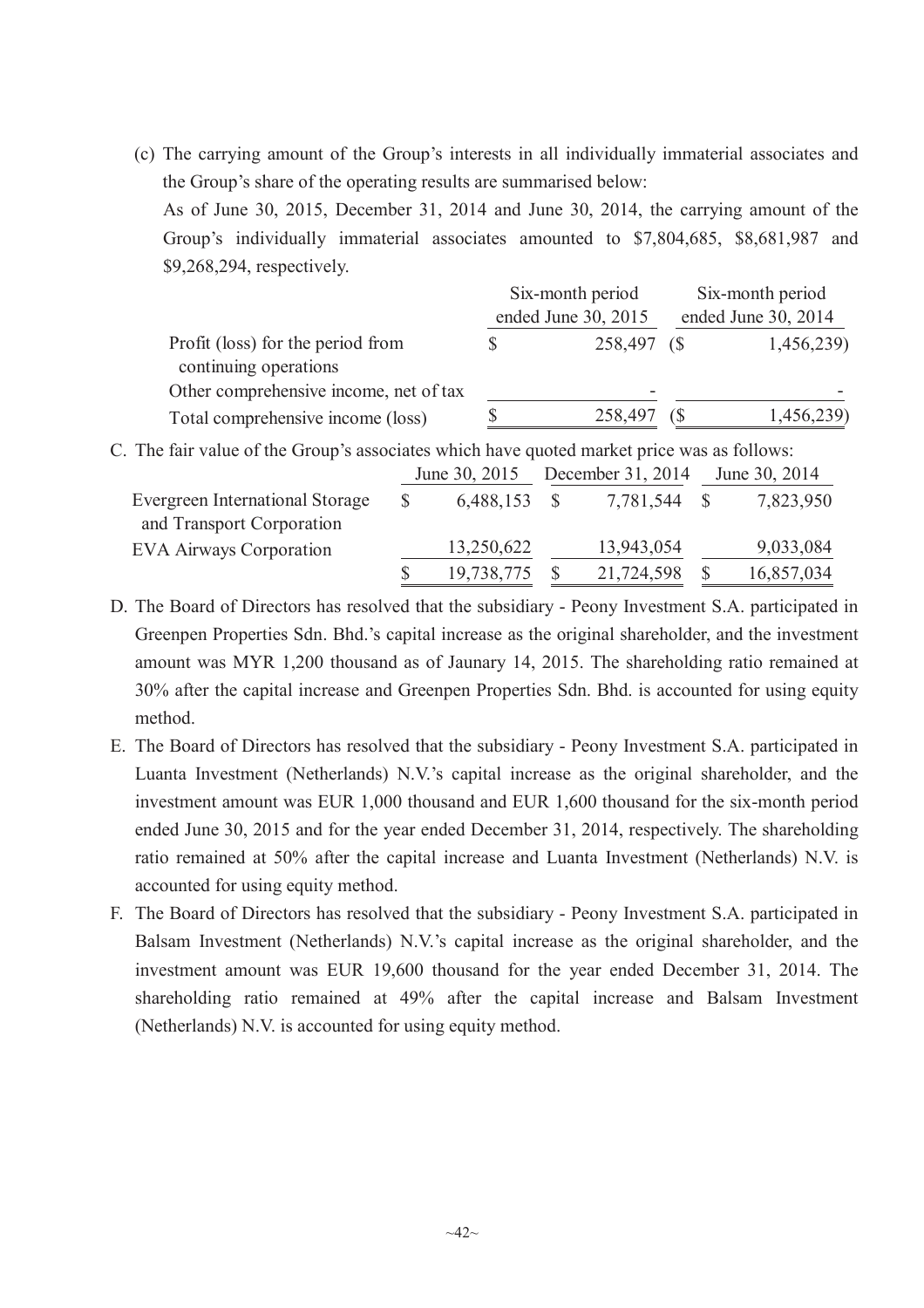(c) The carrying amount of the Group's interests in all individually immaterial associates and the Group's share of the operating results are summarised below: As of June 30, 2015, December 31, 2014 and June 30, 2014, the carrying amount of the

Group's individually immaterial associates amounted to \$7,804,685, \$8,681,987 and \$9,268,294, respectively.

|                                                            | Six-month period    |    | Six-month period    |
|------------------------------------------------------------|---------------------|----|---------------------|
|                                                            | ended June 30, 2015 |    | ended June 30, 2014 |
| Profit (loss) for the period from<br>continuing operations | 258,497 (\$         |    | 1,456,239)          |
| Other comprehensive income, net of tax                     | -                   |    |                     |
| Total comprehensive income (loss)                          | 258,497             | ſБ | 1,456,239)          |

C. The fair value of the Group's associates which have quoted market price was as follows:

|                                 | June 30, 2015 | December 31, 2014 | June 30, 2014 |
|---------------------------------|---------------|-------------------|---------------|
| Evergreen International Storage | 6,488,153     | 7,781,544 \$      | 7,823,950     |
| and Transport Corporation       |               |                   |               |
| <b>EVA Airways Corporation</b>  | 13,250,622    | 13,943,054        | 9,033,084     |
|                                 | 19,738,775    | 21,724,598        | 16,857,034    |

D. The Board of Directors has resolved that the subsidiary - Peony Investment S.A. participated in Greenpen Properties Sdn. Bhd.'s capital increase as the original shareholder, and the investment amount was MYR 1,200 thousand as of Jaunary 14, 2015. The shareholding ratio remained at 30% after the capital increase and Greenpen Properties Sdn. Bhd. is accounted for using equity method.

- E. The Board of Directors has resolved that the subsidiary Peony Investment S.A. participated in Luanta Investment (Netherlands) N.V.'s capital increase as the original shareholder, and the investment amount was EUR 1,000 thousand and EUR 1,600 thousand for the six-month period ended June 30, 2015 and for the year ended December 31, 2014, respectively. The shareholding ratio remained at 50% after the capital increase and Luanta Investment (Netherlands) N.V. is accounted for using equity method.
- F. The Board of Directors has resolved that the subsidiary Peony Investment S.A. participated in Balsam Investment (Netherlands) N.V.'s capital increase as the original shareholder, and the investment amount was EUR 19,600 thousand for the year ended December 31, 2014. The shareholding ratio remained at 49% after the capital increase and Balsam Investment (Netherlands) N.V. is accounted for using equity method.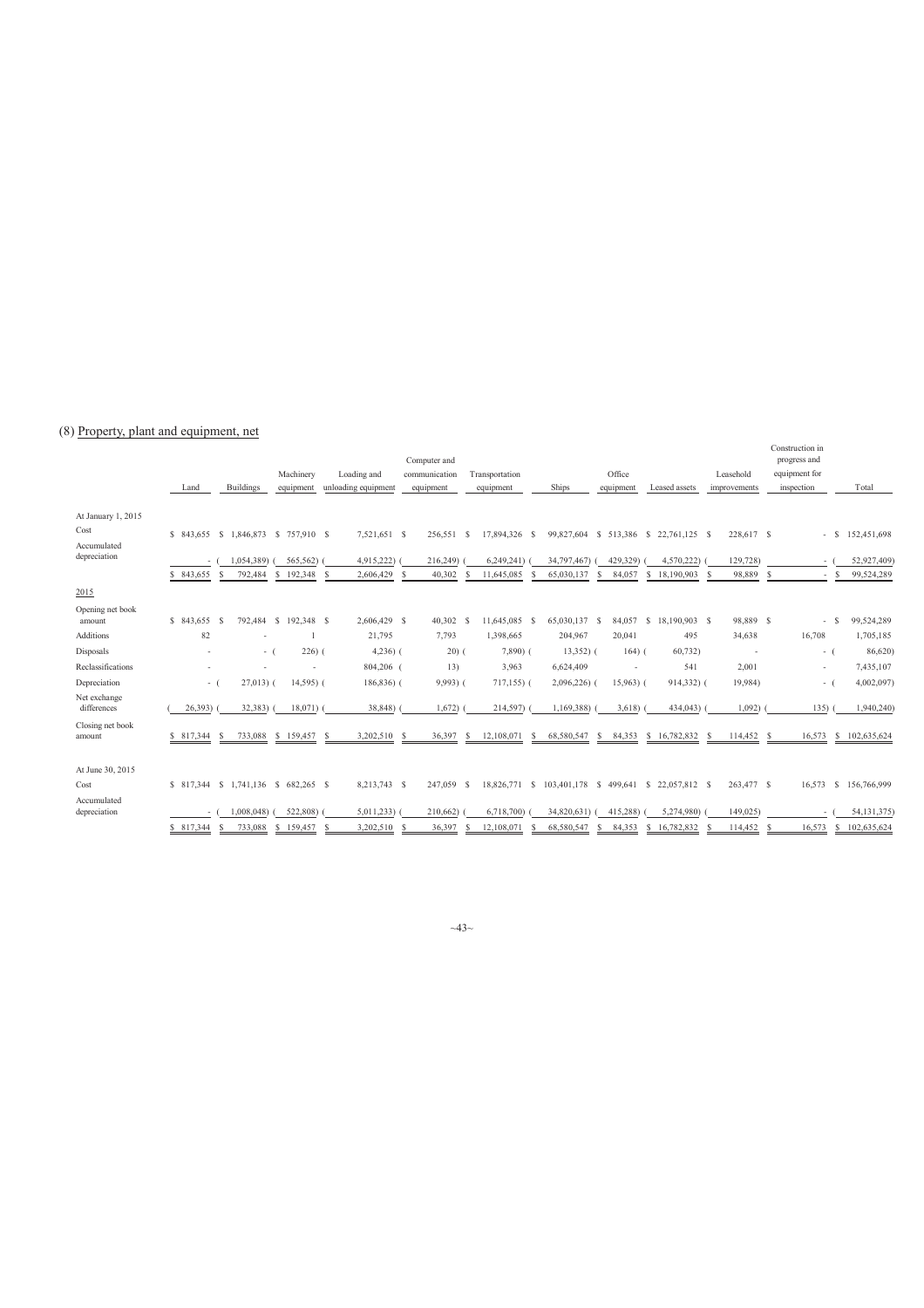#### (8) Property, plant and equipment, net

|                                                           | Land       |        | <b>Buildings</b>                                                  | Machinery<br>equipment    | Loading and<br>unloading equipment            |    | Computer and<br>communication<br>equipment | Transportation<br>equipment              | Ships                     | Office<br>equipment      | Leased assets                                                        | Leasehold<br>improvements        | Construction in<br>progress and<br>equipment for<br>inspection |                                                   | Total                                    |
|-----------------------------------------------------------|------------|--------|-------------------------------------------------------------------|---------------------------|-----------------------------------------------|----|--------------------------------------------|------------------------------------------|---------------------------|--------------------------|----------------------------------------------------------------------|----------------------------------|----------------------------------------------------------------|---------------------------------------------------|------------------------------------------|
| At January 1, 2015<br>Cost<br>Accumulated<br>depreciation | \$843,655  | $\sim$ | \$843,655 \$1,846,873 \$757,910 \$<br>1.054.389)<br>-S<br>792,484 | 565,562)<br>192,348<br>-S | 7,521,651 \$<br>4,915,222)<br>2,606,429<br>-S | -S | 256,551<br>- S<br>216,249)<br>40,302       | 17,894,326 \$<br>6,249,241<br>11,645,085 | 34,797,467)<br>65,030,137 | 429,329)<br>84,057<br>-S | 99,827,604 \$ 513,386 \$ 22,761,125 \$<br>4,570,222)<br>\$18,190,903 | 228,617 \$<br>129,728)<br>98,889 | <sup>S</sup>                                                   | -S<br>$\sim$<br>$\sim$<br><sup>\$</sup><br>$\sim$ | 152,451,698<br>52,927,409)<br>99,524,289 |
| 2015                                                      |            |        |                                                                   |                           |                                               |    |                                            |                                          |                           |                          |                                                                      |                                  |                                                                |                                                   |                                          |
| Opening net book<br>amount                                | \$843.655  |        | 792,484<br>-S                                                     | \$192,348 \$              | 2,606,429 \$                                  |    | 40,302 \$                                  | 11,645,085 \$                            | 65.030.137 \$             | 84.057                   | 18,190,903 \$<br><sup>S</sup>                                        | 98,889 \$                        |                                                                | -S<br>$\sim$                                      | 99,524,289                               |
| <b>Additions</b>                                          |            | 82     |                                                                   |                           | 21,795                                        |    | 7,793                                      | 1,398,665                                | 204,967                   | 20,041                   | 495                                                                  | 34,638                           | 16,708                                                         |                                                   | 1,705,185                                |
| Disposals                                                 |            | $\sim$ | $-1$                                                              | $226)$ (                  | $4,236$ ) (                                   |    | $20)$ (                                    | $7,890$ $($                              | $13,352$ ) (              | $164)$ (                 | 60,732)                                                              | $\overline{\phantom{a}}$         |                                                                | $-1$                                              | 86,620)                                  |
| Reclassifications                                         |            | ٠      |                                                                   |                           | 804,206 (                                     |    | 13)                                        | 3,963                                    | 6,624,409                 | $\overline{\phantom{a}}$ | 541                                                                  | 2,001                            |                                                                | $\sim$                                            | 7,435,107                                |
| Depreciation                                              |            | $-1$   | $27,013$ (                                                        | $14,595$ ) (              | $186,836$ (                                   |    | $9,993$ ) (                                | $717,155$ ) (                            | $2,096,226$ (             | $15,963$ ) (             | 914,332) (                                                           | 19,984)                          |                                                                | $\sim$ 1                                          | 4,002,097)                               |
| Net exchange<br>differences                               | 26,393     |        | 32,383)                                                           | $18,071$ )                | 38,848)                                       |    | 1,672)                                     | 214,597)                                 | 1,169,388)                | 3,618)                   | 434,043)                                                             | $1,092$ )                        | 135)                                                           |                                                   | 1,940,240)                               |
| Closing net book<br>amount                                | \$ 817,344 |        | 733,088<br>-S                                                     | \$159,457 \$              | 3,202,510                                     | -S | 36,397<br>-S                               | 12,108,071<br>S                          | 68,580,547                | 84,353<br>-S             | \$16,782,832                                                         | 114,452 \$                       | 16,573                                                         | -S                                                | 102,635,624                              |
| At June 30, 2015                                          |            |        |                                                                   |                           |                                               |    |                                            |                                          |                           |                          |                                                                      |                                  |                                                                |                                                   |                                          |
| Cost                                                      | \$ 817,344 |        | \$1,741,136 \$682,265 \$                                          |                           | 8,213,743 \$                                  |    | 247,059 \$                                 | 18,826,771 \$                            |                           |                          | 103,401,178 \$ 499,641 \$ 22,057,812 \$                              | 263,477 \$                       | 16,573                                                         | -S                                                | 156,766,999                              |
| Accumulated<br>depreciation                               |            |        | 1,008,048)                                                        | 522,808)                  | 5,011,233                                     |    | 210,662)                                   | 6,718,700)                               | 34,820,631)               | 415,288)                 | 5,274,980)                                                           | 149,025)                         |                                                                |                                                   | 54,131,375)                              |
|                                                           | \$ 817,344 |        | -S<br>733,088                                                     | 159,457<br>S.             | 3,202,510<br><sup>S</sup>                     |    | 36,397                                     | 12.108.071                               | 68.580.547                | 84,353<br>S              | 16,782,832<br>S                                                      | 114,452                          | 16,573<br>- S                                                  | S                                                 | 102,635,624                              |

 $~13~$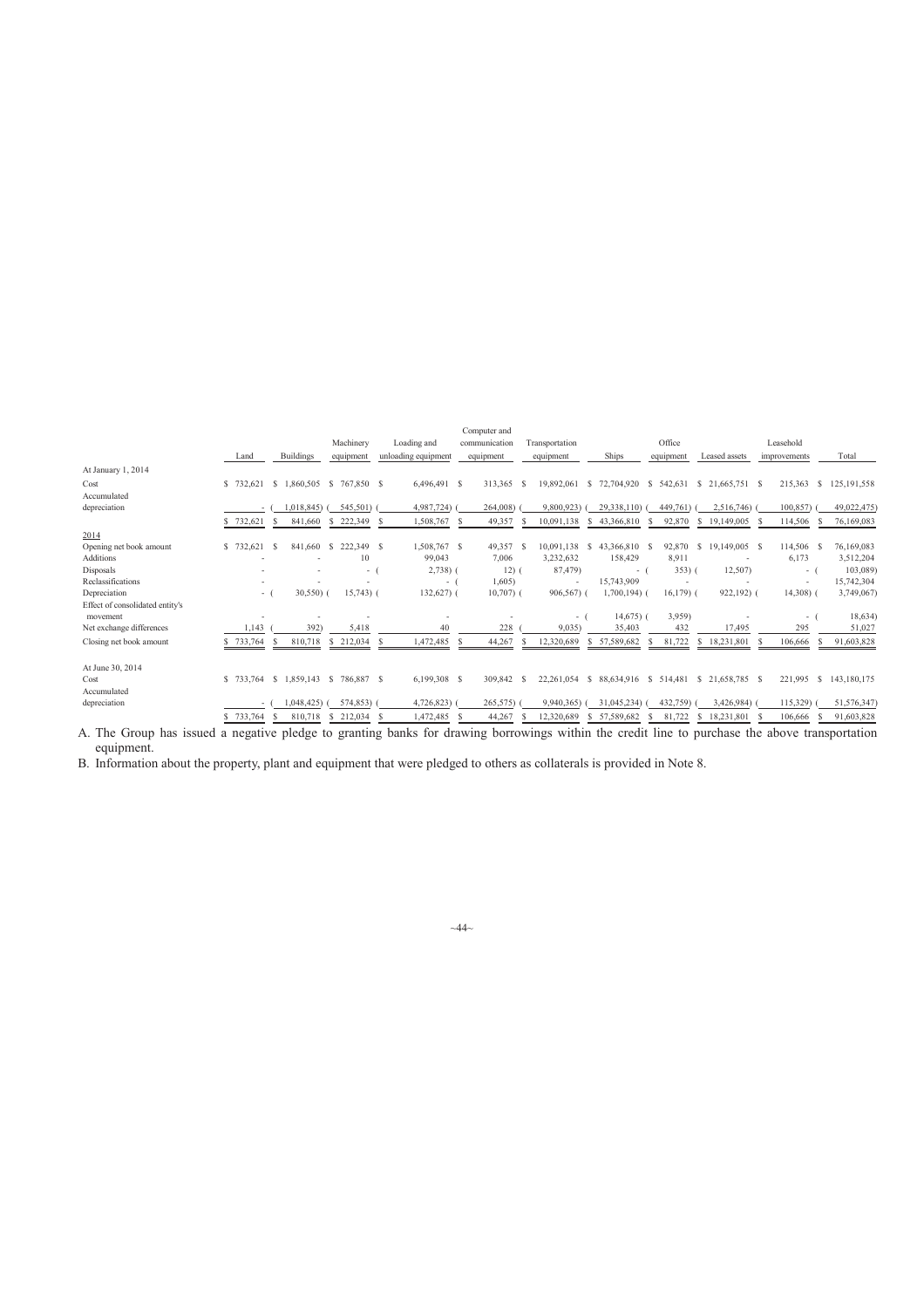|                                             |              |                              |               |                     | Computer and  |                   |                     |               |                     |               |                     |
|---------------------------------------------|--------------|------------------------------|---------------|---------------------|---------------|-------------------|---------------------|---------------|---------------------|---------------|---------------------|
|                                             |              |                              | Machinery     | Loading and         | communication | Transportation    |                     | Office        |                     | Leasehold     |                     |
|                                             | Land         | <b>Buildings</b>             | equipment     | unloading equipment | equipment     | equipment         | Ships               | equipment     | Leased assets       | improvements  | Total               |
| At January 1, 2014                          |              |                              |               |                     |               |                   |                     |               |                     |               |                     |
| Cost                                        | \$732.621    | S.<br>1,860,505              | \$767,850 \$  | 6,496,491 \$        | 313,365       | 19.892.061<br>-S  | s<br>72,704,920     | -S<br>542.631 | $$21,665,751$ \$    | 215,363       | -S<br>125, 191, 558 |
| Accumulated                                 |              |                              |               |                     |               |                   |                     |               |                     |               |                     |
| depreciation                                |              | ,018,845)                    | 545,501)      | 4,987,724)          | 264,008)      | 9,800,923         | 29,338,110)         | 449,761)      | 2,516,746)          | 100,857)      | 49,022,475)         |
|                                             | 732,621      | 841,660                      | 222,349<br>-S | 1,508,767 \$<br>S   | 49,357        | 10,091,138<br>-S  | 43,366,810<br>S     | 92,870        | \$19,149,005        | 114,506<br>-S | 76,169,083          |
| 2014                                        |              |                              |               |                     |               |                   |                     |               |                     |               |                     |
| Opening net book amount                     | \$732,621    | 841,660 \$<br>-S             | 222.349 \$    | 1,508,767 \$        | 49,357        | 10.091.138<br>- S | 43,366,810 \$<br>-S | 92,870        | 19,149,005 \$<br>S. | 114.506 \$    | 76,169,083          |
| <b>Additions</b>                            |              |                              | 10            | 99,043              | 7.006         | 3,232,632         | 158,429             | 8,911         |                     | 6,173         | 3,512,204           |
| Disposals                                   |              |                              | $\sim$        | $2,738$ ) (         | 12)1          | 87,479)           | $-1$                | $353)$ (      | 12,507)             | $-1$          | 103,089)            |
| Reclassifications                           |              |                              |               | $\sim$              | 1,605         | ٠                 | 15,743,909          |               |                     | $\sim$        | 15,742,304          |
| Depreciation                                | $\sim$       | 30,550(                      | $15,743$ ) (  | $132,627$ (         | $10,707$ ) (  | $906,567$ ) (     | $1,700,194$ (       | $16,179$ ) (  | 922,192) (          | $14,308$ ) (  | 3,749,067)          |
| Effect of consolidated entity's<br>movement |              |                              |               |                     |               | - 1               | $14,675$ ) (        | 3,959)        |                     | $\sim$ $-$    | 18,634)             |
| Net exchange differences                    | ,143         | 392                          | 5,418         | 40                  | 228           | 9,035             | 35,403              | 432           | 17,495              | 295           | 51,027              |
|                                             |              |                              |               |                     |               |                   |                     |               |                     |               |                     |
| Closing net book amount                     | 733,764<br>s | 810,718<br>s                 | \$ 212,034    | ,472,485<br>S       | 44,267        | 12,320,689<br>S   | 57,589,682<br>S     | ,722<br>81    | 18,231,801<br>S.    | 106,666       | 91,603,828<br>s     |
| At June 30, 2014                            |              |                              |               |                     |               |                   |                     |               |                     |               |                     |
| Cost                                        | \$733.764    | 1,859,143 \$<br><sup>S</sup> | 786.887 \$    | 6,199,308 \$        | 309,842 \$    | 22,261,054        | 88,634,916 \$<br>-S | 514,481       | $$21,658,785$ \$    | 221,995<br>-S | 143,180,175         |
| Accumulated                                 |              |                              |               |                     |               |                   |                     |               |                     |               |                     |
| depreciation                                |              | .048.425                     | 574,853)      | 4,726,823)          | 265,575)      | 9.940.365)        | 31.045.234)         | 432,759)      | 3,426,984)          | 115,329)      | 51,576,347)         |
|                                             | \$733,764    | 810,718                      | 212,034<br>S. | 1,472,485<br>S      | 44,267<br>-8  | 12,320,689<br>-S  | 57,589,682<br>S     | 81,722        | \$18,231,801        | 106,666       | 91,603,828<br>S     |

A. The Group has issued a negative pledge to granting banks for drawing borrowings within the credit line to purchase the above transportation equipment.

B. Information about the property, plant and equipment that were pledged to others as collaterals is provided in Note 8.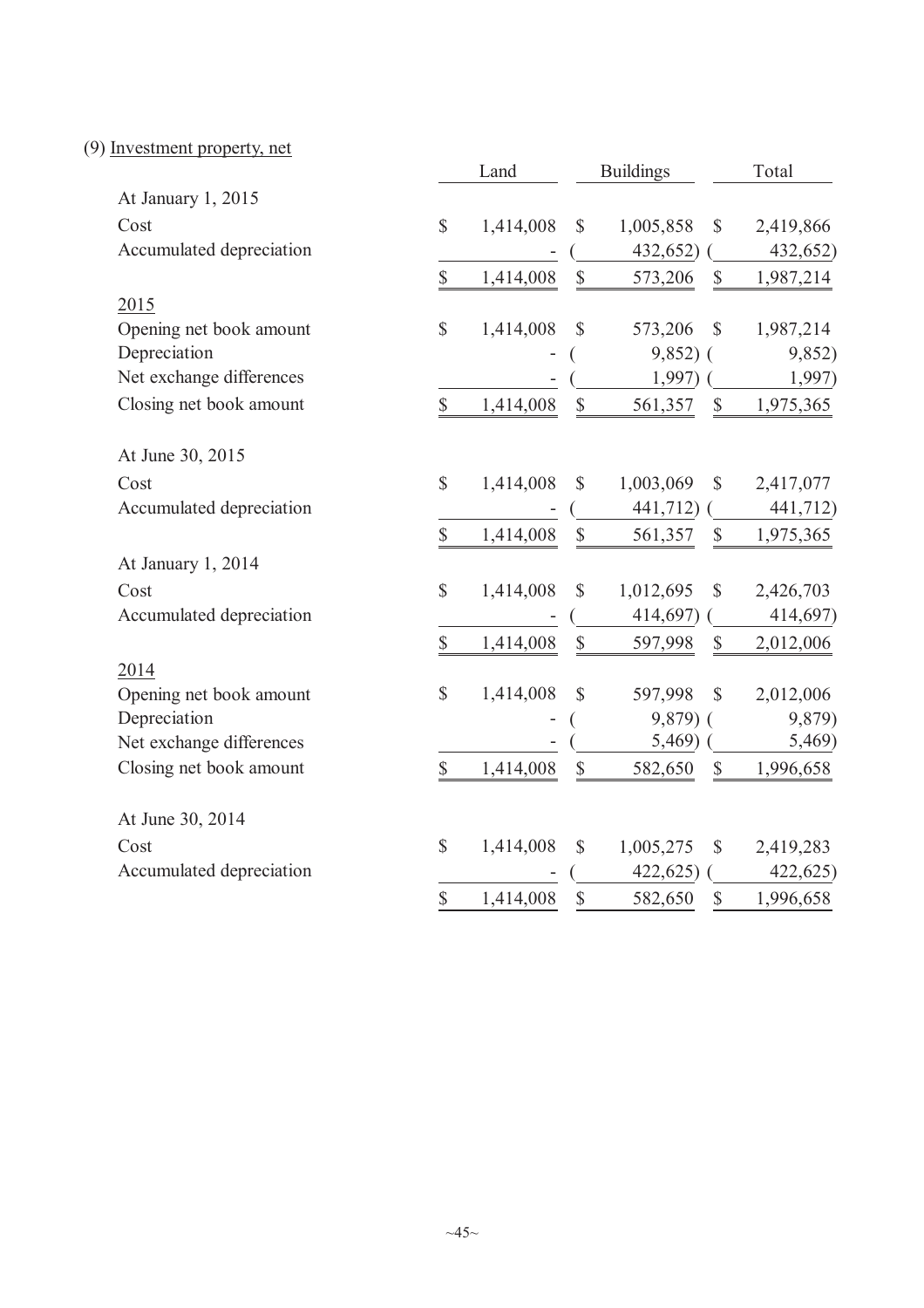# (9) Investment property, net

|                          |                           | Land      |                           | <b>Buildings</b> |                           | Total     |
|--------------------------|---------------------------|-----------|---------------------------|------------------|---------------------------|-----------|
| At January 1, 2015       |                           |           |                           |                  |                           |           |
| Cost                     | $\mathbb{S}$              | 1,414,008 | \$                        | 1,005,858        | \$                        | 2,419,866 |
| Accumulated depreciation |                           |           |                           | 432,652)         |                           | 432,652)  |
|                          | \$                        | 1,414,008 | $\boldsymbol{\mathsf{S}}$ | 573,206          | $\mathbb{S}$              | 1,987,214 |
| 2015                     |                           |           |                           |                  |                           |           |
| Opening net book amount  | \$                        | 1,414,008 | \$                        | 573,206          | $\mathbb{S}$              | 1,987,214 |
| Depreciation             |                           |           |                           | $9,852$ ) (      |                           | 9,852)    |
| Net exchange differences |                           |           |                           | 1,997)           |                           | 1,997)    |
| Closing net book amount  | $\mathbb{S}$              | 1,414,008 | $\boldsymbol{\mathsf{S}}$ | 561,357          | $\mathbb{S}$              | 1,975,365 |
| At June 30, 2015         |                           |           |                           |                  |                           |           |
| Cost                     | \$                        | 1,414,008 | $\mathbb{S}$              | 1,003,069        | $\mathbb{S}$              | 2,417,077 |
| Accumulated depreciation |                           |           |                           | 441,712)         |                           | 441,712)  |
|                          | \$                        | 1,414,008 | $\mathbb{S}$              | 561,357          | $\mathbb{S}$              | 1,975,365 |
| At January 1, 2014       |                           |           |                           |                  |                           |           |
| Cost                     | \$                        | 1,414,008 | \$                        | 1,012,695        | \$                        | 2,426,703 |
| Accumulated depreciation |                           |           |                           | 414,697)         |                           | 414,697)  |
|                          | $\mathbb{S}$              | 1,414,008 | $\mathbb{S}$              | 597,998          | $\mathbb{S}$              | 2,012,006 |
| 2014                     |                           |           |                           |                  |                           |           |
| Opening net book amount  | \$                        | 1,414,008 | \$                        | 597,998          | $\mathcal{S}$             | 2,012,006 |
| Depreciation             |                           |           |                           | $9,879$ (        |                           | 9,879)    |
| Net exchange differences |                           |           |                           | 5,469)           |                           | 5,469)    |
| Closing net book amount  | $\boldsymbol{\mathsf{S}}$ | 1,414,008 | $\boldsymbol{\mathsf{S}}$ | 582,650          | $\boldsymbol{\mathsf{S}}$ | 1,996,658 |
| At June 30, 2014         |                           |           |                           |                  |                           |           |
| Cost                     | $\mathbb{S}$              | 1,414,008 | $\mathbb{S}$              | 1,005,275        | \$                        | 2,419,283 |
| Accumulated depreciation |                           |           |                           | 422,625)         |                           | 422,625   |
|                          | $\mathbb{S}$              | 1,414,008 | \$                        | 582,650          | $\mathbb{S}$              | 1,996,658 |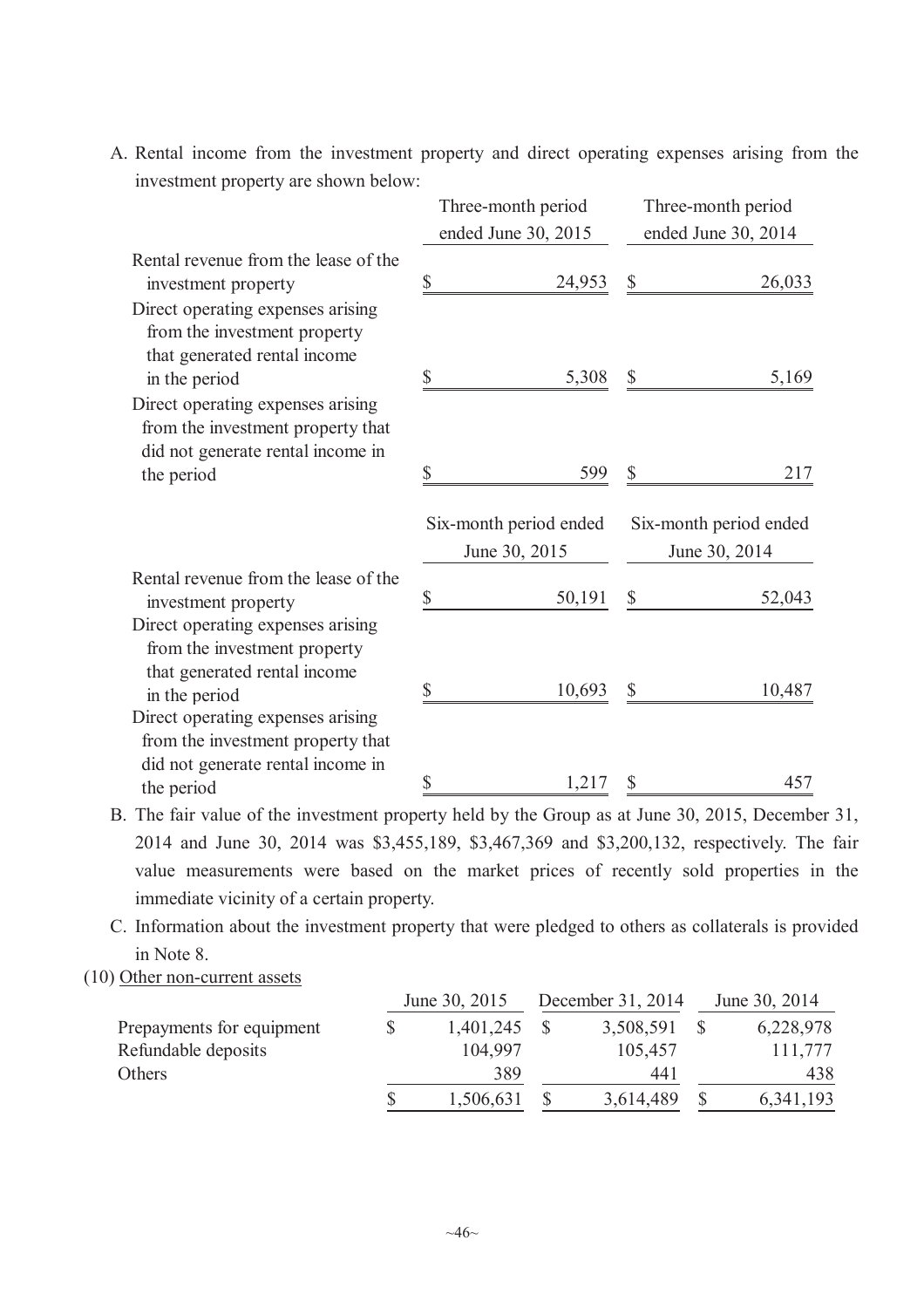A. Rental income from the investment property and direct operating expenses arising from the investment property are shown below:

|                                                                                                                    | Three-month period                      |              | Three-month period                      |
|--------------------------------------------------------------------------------------------------------------------|-----------------------------------------|--------------|-----------------------------------------|
|                                                                                                                    | ended June 30, 2015                     |              | ended June 30, 2014                     |
| Rental revenue from the lease of the<br>investment property                                                        | \$<br>24,953                            | \$           | 26,033                                  |
| Direct operating expenses arising<br>from the investment property<br>that generated rental income<br>in the period | \$<br>5,308                             | $\mathbb{S}$ | 5,169                                   |
| Direct operating expenses arising<br>from the investment property that<br>did not generate rental income in        |                                         |              |                                         |
| the period                                                                                                         | \$<br>599                               | $\mathbb{S}$ | 217                                     |
|                                                                                                                    | Six-month period ended<br>June 30, 2015 |              | Six-month period ended<br>June 30, 2014 |
| Rental revenue from the lease of the<br>investment property                                                        | \$<br>50,191                            | \$           | 52,043                                  |
| Direct operating expenses arising<br>from the investment property<br>that generated rental income<br>in the period | \$<br>10,693                            |              | 10,487                                  |
| Direct operating expenses arising<br>from the investment property that                                             |                                         |              |                                         |
| did not generate rental income in<br>the period                                                                    | \$<br>1,217                             |              | 457                                     |

B. The fair value of the investment property held by the Group as at June 30, 2015, December 31, 2014 and June 30, 2014 was \$3,455,189, \$3,467,369 and \$3,200,132, respectively. The fair value measurements were based on the market prices of recently sold properties in the immediate vicinity of a certain property.

C. Information about the investment property that were pledged to others as collaterals is provided in Note 8.

(10) Other non-current assets

|                           | June 30, 2015 | December 31, 2014 | June 30, 2014 |
|---------------------------|---------------|-------------------|---------------|
| Prepayments for equipment | 1,401,245     | 3,508,591         | 6,228,978     |
| Refundable deposits       | 104,997       | 105,457           | 111,777       |
| Others                    | 389           | 441               | 438           |
|                           | 1,506,631     | 3,614,489         | 6, 341, 193   |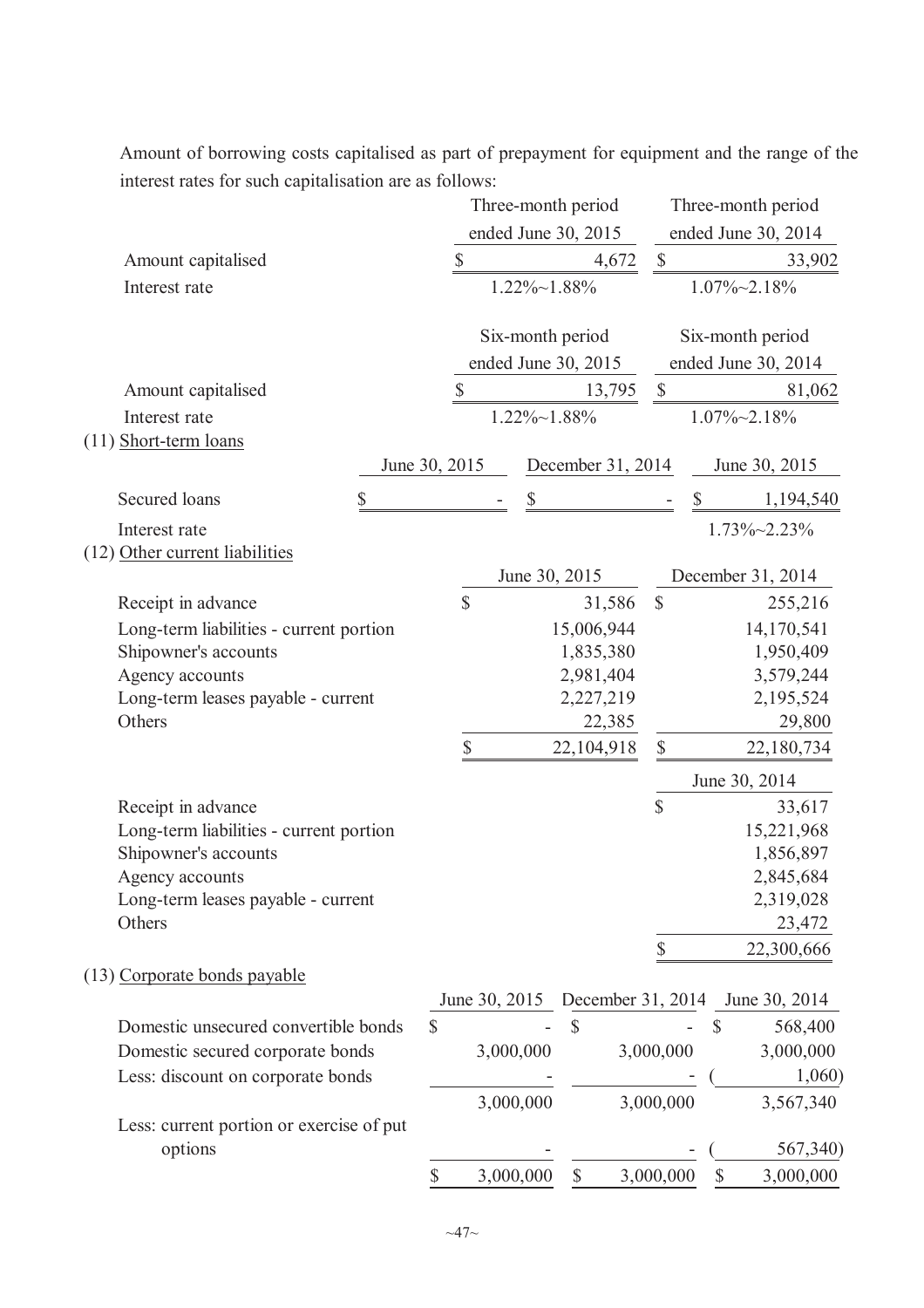Amount of borrowing costs capitalised as part of prepayment for equipment and the range of the interest rates for such capitalisation are as follows:

|                                              |                           | Three-month period  |                      |                  |                   |               |               | Three-month period                            |
|----------------------------------------------|---------------------------|---------------------|----------------------|------------------|-------------------|---------------|---------------|-----------------------------------------------|
|                                              |                           | ended June 30, 2015 |                      |                  |                   |               |               | ended June 30, 2014                           |
| Amount capitalised                           | $\mathcal{S}$             |                     |                      |                  | 4,672             | $\mathcal{S}$ |               | 33,902                                        |
| Interest rate                                |                           |                     | $1.22\% \sim 1.88\%$ |                  |                   |               |               | $1.07\% \sim 2.18\%$                          |
|                                              |                           |                     |                      | Six-month period |                   |               |               | Six-month period                              |
|                                              |                           | ended June 30, 2015 |                      |                  |                   |               |               | ended June 30, 2014                           |
| Amount capitalised                           | $\boldsymbol{\mathsf{S}}$ |                     |                      |                  | 13,795            | $\mathcal{S}$ |               | 81,062                                        |
| Interest rate                                |                           |                     | $1.22\% \sim 1.88\%$ |                  |                   |               |               | $1.07\% \sim 2.18\%$                          |
| $(11)$ Short-term loans                      |                           |                     |                      |                  |                   |               |               |                                               |
|                                              | June 30, 2015             |                     |                      |                  | December 31, 2014 |               |               | June 30, 2015                                 |
| Secured loans                                | \$                        |                     | \$                   |                  |                   | \$            |               | 1,194,540                                     |
| Interest rate                                |                           |                     |                      |                  |                   |               |               | 1.73%~2.23%                                   |
| (12) Other current liabilities               |                           |                     |                      |                  |                   |               |               |                                               |
|                                              |                           |                     |                      | June 30, 2015    |                   |               |               | December 31, 2014                             |
| Receipt in advance                           | \$                        |                     |                      |                  | 31,586            | $\mathcal{S}$ |               | 255,216                                       |
| Long-term liabilities - current portion      |                           |                     |                      | 15,006,944       |                   |               |               | 14,170,541                                    |
| Shipowner's accounts                         |                           |                     |                      | 1,835,380        |                   |               |               | 1,950,409                                     |
| Agency accounts                              |                           |                     |                      | 2,981,404        |                   |               |               | 3,579,244                                     |
| Long-term leases payable - current           |                           |                     |                      | 2,227,219        |                   |               |               | 2,195,524                                     |
| Others                                       |                           |                     |                      |                  | 22,385            |               |               | 29,800                                        |
|                                              | \$                        |                     |                      | 22,104,918       |                   | \$            |               | 22,180,734                                    |
|                                              |                           |                     |                      |                  |                   |               |               | June 30, 2014                                 |
| Receipt in advance                           |                           |                     |                      |                  |                   | $\mathsf{\$}$ |               | 33,617                                        |
| Long-term liabilities - current portion      |                           |                     |                      |                  |                   |               |               | 15,221,968                                    |
| Shipowner's accounts                         |                           |                     |                      |                  |                   |               |               | 1,856,897                                     |
| Agency accounts                              |                           |                     |                      |                  |                   |               |               | 2,845,684                                     |
| Long-term leases payable - current<br>Others |                           |                     |                      |                  |                   |               |               | 2,319,028                                     |
|                                              |                           |                     |                      |                  |                   |               |               | 23,472<br>22,300,666                          |
| (13) Corporate bonds payable                 |                           |                     |                      |                  |                   |               |               |                                               |
|                                              |                           |                     |                      |                  |                   |               |               | June 30, 2015 December 31, 2014 June 30, 2014 |
| Domestic unsecured convertible bonds         | \$                        |                     |                      | \$               |                   |               | $\mathcal{S}$ | 568,400                                       |
| Domestic secured corporate bonds             |                           | 3,000,000           |                      |                  |                   | 3,000,000     |               | 3,000,000                                     |
| Less: discount on corporate bonds            |                           |                     |                      |                  |                   |               |               | 1,060)                                        |
|                                              |                           | 3,000,000           |                      |                  |                   | 3,000,000     |               | 3,567,340                                     |
| Less: current portion or exercise of put     |                           |                     |                      |                  |                   |               |               |                                               |
| options                                      |                           |                     |                      |                  |                   |               |               | 567,340)                                      |
|                                              | \$                        | 3,000,000           |                      | \$               |                   | 3,000,000     | \$            | 3,000,000                                     |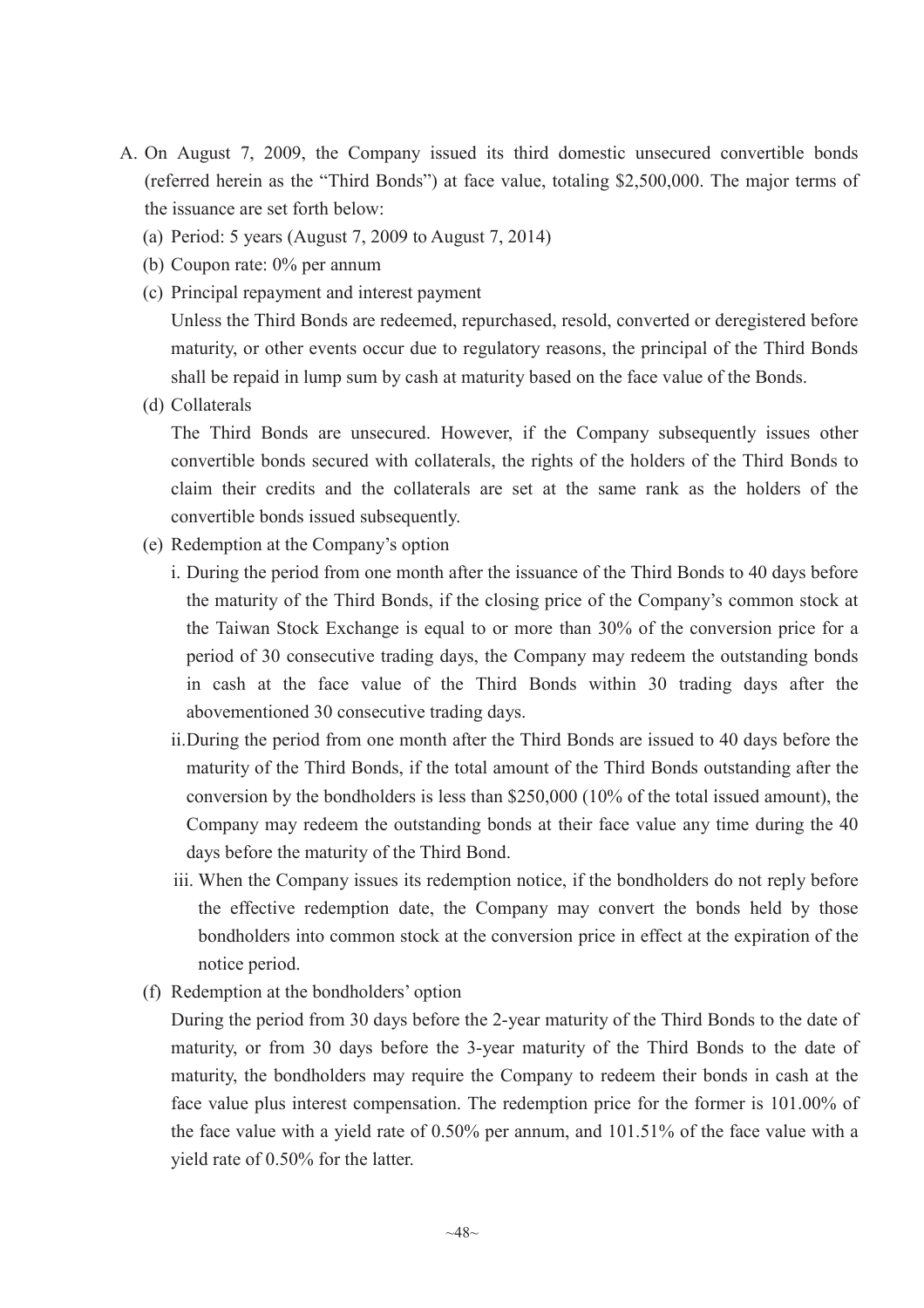- A. On August 7, 2009, the Company issued its third domestic unsecured convertible bonds (referred herein as the "Third Bonds") at face value, totaling \$2,500,000. The major terms of the issuance are set forth below:
	- (a) Period: 5 years (August 7, 2009 to August 7, 2014)
	- (b) Coupon rate: 0% per annum
	- (c) Principal repayment and interest payment

Unless the Third Bonds are redeemed, repurchased, resold, converted or deregistered before maturity, or other events occur due to regulatory reasons, the principal of the Third Bonds shall be repaid in lump sum by cash at maturity based on the face value of the Bonds.

(d) Collaterals

The Third Bonds are unsecured. However, if the Company subsequently issues other convertible bonds secured with collaterals, the rights of the holders of the Third Bonds to claim their credits and the collaterals are set at the same rank as the holders of the convertible bonds issued subsequently.

- (e) Redemption at the Company's option
	- i. During the period from one month after the issuance of the Third Bonds to 40 days before the maturity of the Third Bonds, if the closing price of the Company's common stock at the Taiwan Stock Exchange is equal to or more than 30% of the conversion price for a period of 30 consecutive trading days, the Company may redeem the outstanding bonds in cash at the face value of the Third Bonds within 30 trading days after the abovementioned 30 consecutive trading days.
	- ii.During the period from one month after the Third Bonds are issued to 40 days before the maturity of the Third Bonds, if the total amount of the Third Bonds outstanding after the conversion by the bondholders is less than \$250,000 (10% of the total issued amount), the Company may redeem the outstanding bonds at their face value any time during the 40 days before the maturity of the Third Bond.
	- iii. When the Company issues its redemption notice, if the bondholders do not reply before the effective redemption date, the Company may convert the bonds held by those bondholders into common stock at the conversion price in effect at the expiration of the notice period.
- (f) Redemption at the bondholders' option

During the period from 30 days before the 2-year maturity of the Third Bonds to the date of maturity, or from 30 days before the 3-year maturity of the Third Bonds to the date of maturity, the bondholders may require the Company to redeem their bonds in cash at the face value plus interest compensation. The redemption price for the former is 101.00% of the face value with a yield rate of 0.50% per annum, and 101.51% of the face value with a yield rate of 0.50% for the latter.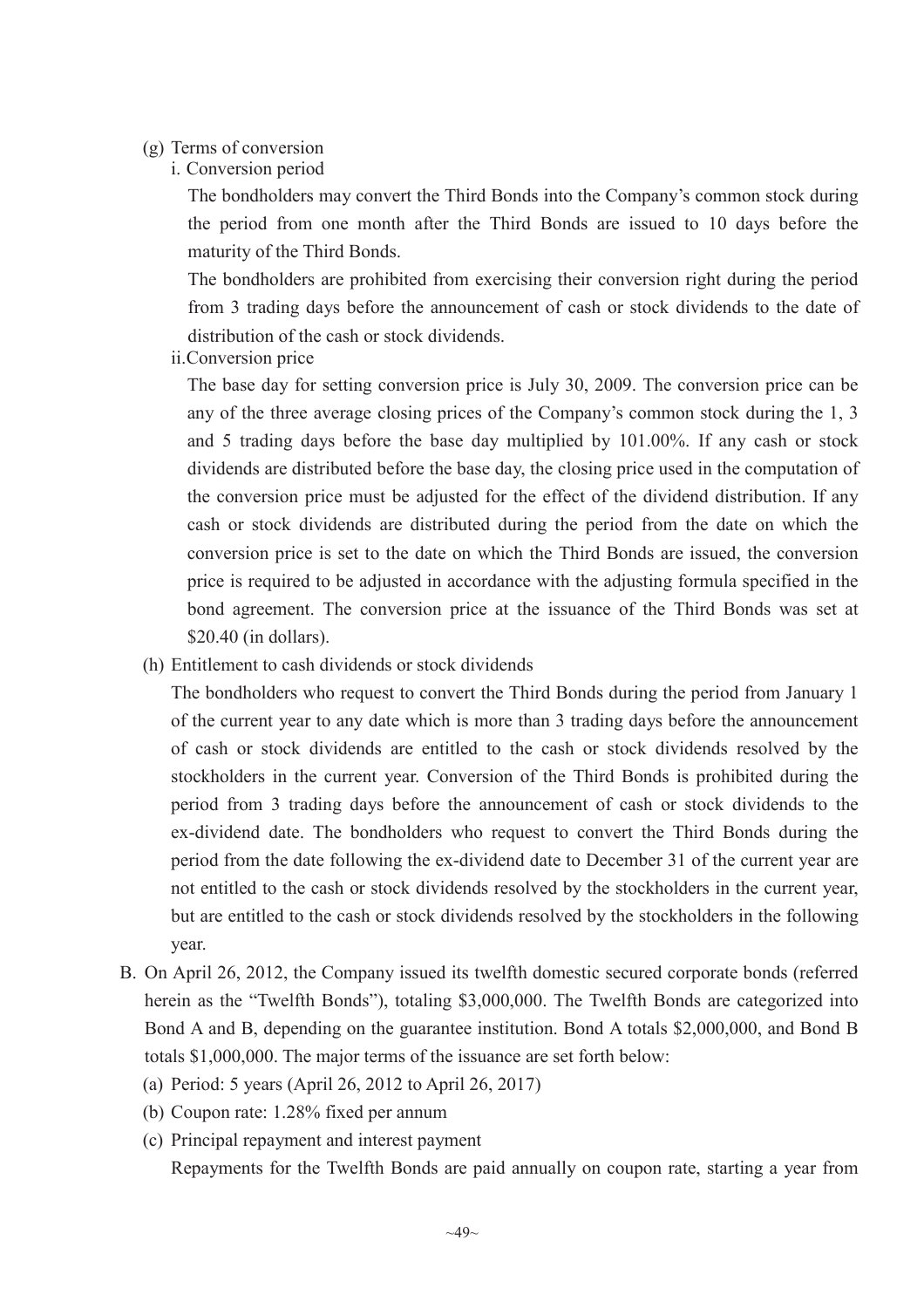#### (g) Terms of conversion

i. Conversion period

The bondholders may convert the Third Bonds into the Company's common stock during the period from one month after the Third Bonds are issued to 10 days before the maturity of the Third Bonds.

The bondholders are prohibited from exercising their conversion right during the period from 3 trading days before the announcement of cash or stock dividends to the date of distribution of the cash or stock dividends.

ii.Conversion price

The base day for setting conversion price is July 30, 2009. The conversion price can be any of the three average closing prices of the Company's common stock during the 1, 3 and 5 trading days before the base day multiplied by 101.00%. If any cash or stock dividends are distributed before the base day, the closing price used in the computation of the conversion price must be adjusted for the effect of the dividend distribution. If any cash or stock dividends are distributed during the period from the date on which the conversion price is set to the date on which the Third Bonds are issued, the conversion price is required to be adjusted in accordance with the adjusting formula specified in the bond agreement. The conversion price at the issuance of the Third Bonds was set at \$20.40 (in dollars).

(h) Entitlement to cash dividends or stock dividends

The bondholders who request to convert the Third Bonds during the period from January 1 of the current year to any date which is more than 3 trading days before the announcement of cash or stock dividends are entitled to the cash or stock dividends resolved by the stockholders in the current year. Conversion of the Third Bonds is prohibited during the period from 3 trading days before the announcement of cash or stock dividends to the ex-dividend date. The bondholders who request to convert the Third Bonds during the period from the date following the ex-dividend date to December 31 of the current year are not entitled to the cash or stock dividends resolved by the stockholders in the current year, but are entitled to the cash or stock dividends resolved by the stockholders in the following year.

- B. On April 26, 2012, the Company issued its twelfth domestic secured corporate bonds (referred herein as the "Twelfth Bonds"), totaling \$3,000,000. The Twelfth Bonds are categorized into Bond A and B, depending on the guarantee institution. Bond A totals \$2,000,000, and Bond B totals \$1,000,000. The major terms of the issuance are set forth below:
	- (a) Period: 5 years (April 26, 2012 to April 26, 2017)
	- (b) Coupon rate: 1.28% fixed per annum
	- (c) Principal repayment and interest payment

Repayments for the Twelfth Bonds are paid annually on coupon rate, starting a year from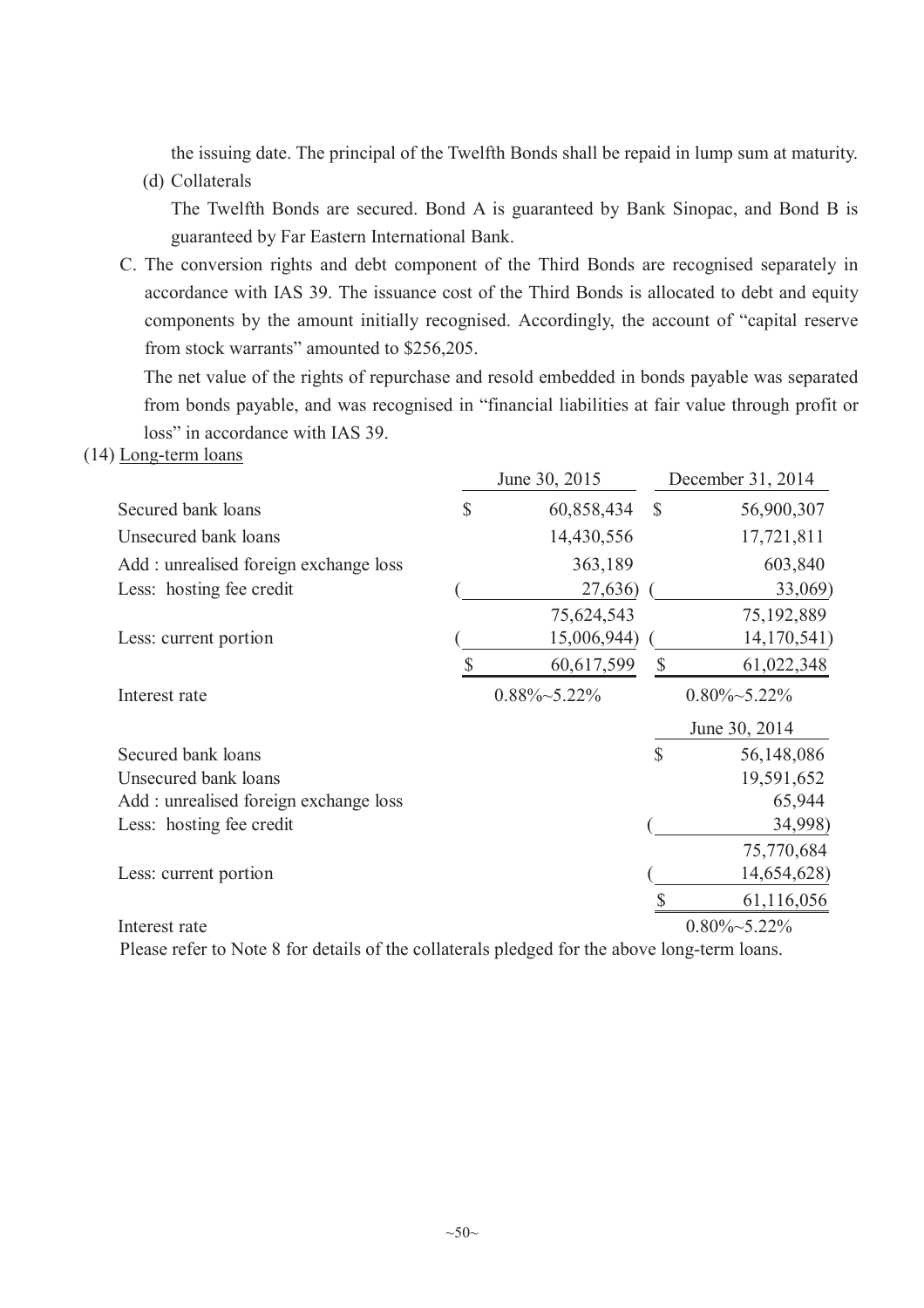the issuing date. The principal of the Twelfth Bonds shall be repaid in lump sum at maturity.

(d) Collaterals

The Twelfth Bonds are secured. Bond A is guaranteed by Bank Sinopac, and Bond B is guaranteed by Far Eastern International Bank.

C. The conversion rights and debt component of the Third Bonds are recognised separately in accordance with IAS 39. The issuance cost of the Third Bonds is allocated to debt and equity components by the amount initially recognised. Accordingly, the account of "capital reserve from stock warrants" amounted to \$256,205.

The net value of the rights of repurchase and resold embedded in bonds payable was separated from bonds payable, and was recognised in "financial liabilities at fair value through profit or loss" in accordance with IAS 39.

#### (14) Long-term loans

|                                       | June 30, 2015        |               | December 31, 2014    |
|---------------------------------------|----------------------|---------------|----------------------|
| Secured bank loans                    | \$<br>60,858,434     | $\mathcal{S}$ | 56,900,307           |
| Unsecured bank loans                  | 14,430,556           |               | 17,721,811           |
| Add: unrealised foreign exchange loss | 363,189              |               | 603,840              |
| Less: hosting fee credit              | 27,636)              |               | 33,069)              |
|                                       | 75,624,543           |               | 75,192,889           |
| Less: current portion                 | 15,006,944)          |               | 14,170,541)          |
|                                       | 60,617,599           | $\mathcal{S}$ | 61,022,348           |
| Interest rate                         | $0.88\% \sim 5.22\%$ |               | $0.80\% \sim 5.22\%$ |
|                                       |                      |               | June 30, 2014        |
| Secured bank loans                    |                      | \$            | 56,148,086           |
| Unsecured bank loans                  |                      |               | 19,591,652           |
| Add: unrealised foreign exchange loss |                      |               | 65,944               |
| Less: hosting fee credit              |                      |               | 34,998)              |
|                                       |                      |               | 75,770,684           |
| Less: current portion                 |                      |               | 14,654,628)          |
|                                       |                      |               | 61,116,056           |
| Interest rate                         |                      |               | $0.80\% \sim 5.22\%$ |

Please refer to Note 8 for details of the collaterals pledged for the above long-term loans.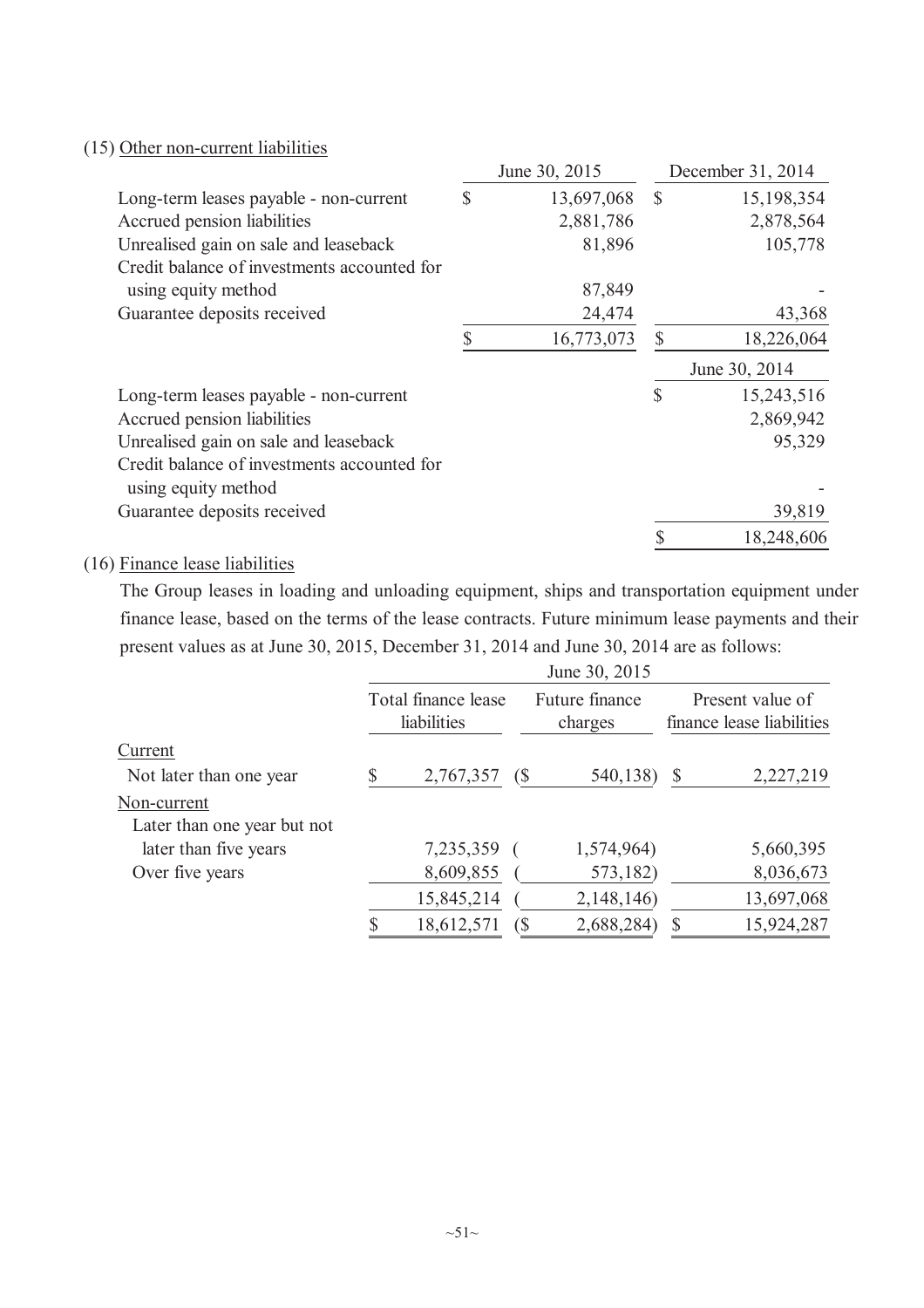### (15) Other non-current liabilities

|                                             |              | June 30, 2015 |              | December 31, 2014    |
|---------------------------------------------|--------------|---------------|--------------|----------------------|
| Long-term leases payable - non-current      | <sup>S</sup> | 13,697,068    | $\mathbb{S}$ | 15,198,354           |
| Accrued pension liabilities                 |              | 2,881,786     |              | 2,878,564            |
| Unrealised gain on sale and leaseback       |              | 81,896        |              | 105,778              |
| Credit balance of investments accounted for |              |               |              |                      |
| using equity method                         |              | 87,849        |              |                      |
| Guarantee deposits received                 |              | 24,474        |              | 43,368               |
|                                             |              | 16,773,073    | $\mathbb{S}$ | 18,226,064           |
|                                             |              |               |              |                      |
|                                             |              |               |              | June 30, 2014        |
| Long-term leases payable - non-current      |              |               | \$           | 15,243,516           |
| Accrued pension liabilities                 |              |               |              | 2,869,942            |
| Unrealised gain on sale and leaseback       |              |               |              | 95,329               |
| Credit balance of investments accounted for |              |               |              |                      |
| using equity method                         |              |               |              |                      |
| Guarantee deposits received                 |              |               |              | 39,819<br>18,248,606 |

## (16) Finance lease liabilities

The Group leases in loading and unloading equipment, ships and transportation equipment under finance lease, based on the terms of the lease contracts. Future minimum lease payments and their present values as at June 30, 2015, December 31, 2014 and June 30, 2014 are as follows:

|                             | Total finance lease<br>liabilities |            | Future finance<br>charges |   | Present value of<br>finance lease liabilities |
|-----------------------------|------------------------------------|------------|---------------------------|---|-----------------------------------------------|
| Current                     |                                    |            |                           |   |                                               |
| Not later than one year     | 2,767,357                          | $\sqrt{S}$ | 540,138)                  |   | 2,227,219                                     |
| Non-current                 |                                    |            |                           |   |                                               |
| Later than one year but not |                                    |            |                           |   |                                               |
| later than five years       | 7,235,359                          |            | 1,574,964)                |   | 5,660,395                                     |
| Over five years             | 8,609,855                          |            | 573,182)                  |   | 8,036,673                                     |
|                             | 15,845,214                         |            | 2,148,146)                |   | 13,697,068                                    |
|                             | 18,612,571                         | $\sqrt{S}$ | 2,688,284)                | S | 15,924,287                                    |

June 30, 2015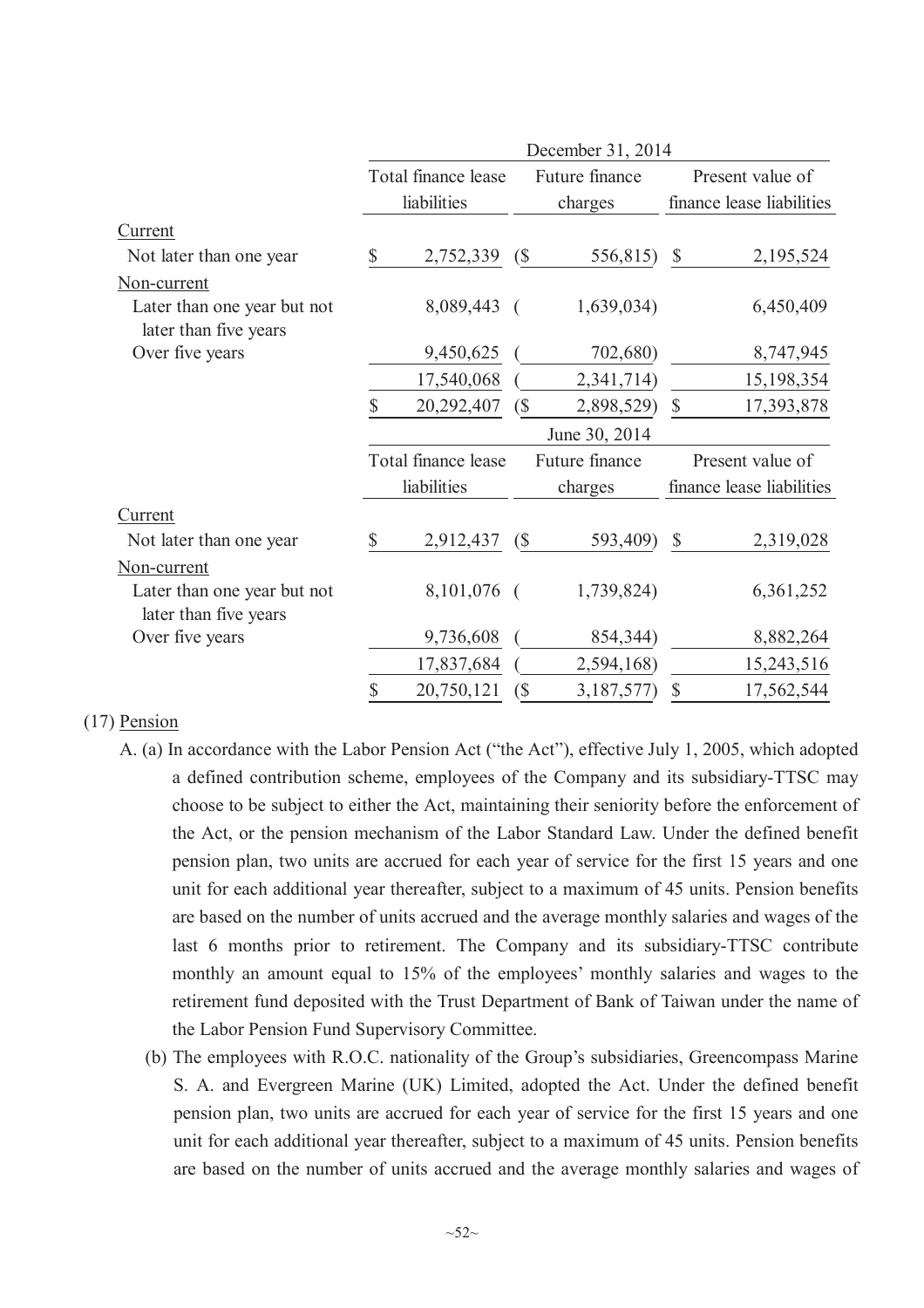|                                                      | December 31, 2014 |                     |                            |                |                           |                           |  |
|------------------------------------------------------|-------------------|---------------------|----------------------------|----------------|---------------------------|---------------------------|--|
|                                                      |                   | Total finance lease |                            | Future finance |                           | Present value of          |  |
|                                                      |                   | liabilities         |                            | charges        | finance lease liabilities |                           |  |
| Current                                              |                   |                     |                            |                |                           |                           |  |
| Not later than one year                              | $\mathbb{S}$      | 2,752,339           | $\left( \text{\$} \right)$ | 556,815)       | $\mathcal{S}$             | 2,195,524                 |  |
| Non-current                                          |                   |                     |                            |                |                           |                           |  |
| Later than one year but not<br>later than five years |                   | 8,089,443           | $\sqrt{ }$                 | 1,639,034)     |                           | 6,450,409                 |  |
| Over five years                                      |                   | 9,450,625           |                            | 702,680)       |                           | 8,747,945                 |  |
|                                                      |                   | 17,540,068          |                            | 2,341,714)     |                           | 15,198,354                |  |
|                                                      | \$                | 20,292,407          | $\left( \text{\$} \right)$ | 2,898,529)     | $\boldsymbol{\mathsf{S}}$ | 17,393,878                |  |
|                                                      |                   |                     |                            | June 30, 2014  |                           |                           |  |
|                                                      |                   | Total finance lease |                            | Future finance |                           | Present value of          |  |
|                                                      |                   |                     |                            |                |                           |                           |  |
|                                                      |                   | liabilities         |                            | charges        |                           | finance lease liabilities |  |
| <b>Current</b>                                       |                   |                     |                            |                |                           |                           |  |
| Not later than one year                              | $\mathbb{S}$      | 2,912,437           | (S)                        | 593,409)       | $\mathcal{S}$             | 2,319,028                 |  |
| Non-current                                          |                   |                     |                            |                |                           |                           |  |
| Later than one year but not<br>later than five years |                   | 8,101,076 (         |                            | 1,739,824)     |                           | 6,361,252                 |  |
| Over five years                                      |                   | 9,736,608           |                            | 854,344)       |                           | 8,882,264                 |  |
|                                                      |                   | 17,837,684          |                            | 2,594,168)     |                           | 15,243,516                |  |

### (17) Pension

- A. (a) In accordance with the Labor Pension Act ("the Act"), effective July 1, 2005, which adopted a defined contribution scheme, employees of the Company and its subsidiary-TTSC may choose to be subject to either the Act, maintaining their seniority before the enforcement of the Act, or the pension mechanism of the Labor Standard Law. Under the defined benefit pension plan, two units are accrued for each year of service for the first 15 years and one unit for each additional year thereafter, subject to a maximum of 45 units. Pension benefits are based on the number of units accrued and the average monthly salaries and wages of the last 6 months prior to retirement. The Company and its subsidiary-TTSC contribute monthly an amount equal to 15% of the employees' monthly salaries and wages to the retirement fund deposited with the Trust Department of Bank of Taiwan under the name of the Labor Pension Fund Supervisory Committee.
	- (b) The employees with R.O.C. nationality of the Group's subsidiaries, Greencompass Marine S. A. and Evergreen Marine (UK) Limited, adopted the Act. Under the defined benefit pension plan, two units are accrued for each year of service for the first 15 years and one unit for each additional year thereafter, subject to a maximum of 45 units. Pension benefits are based on the number of units accrued and the average monthly salaries and wages of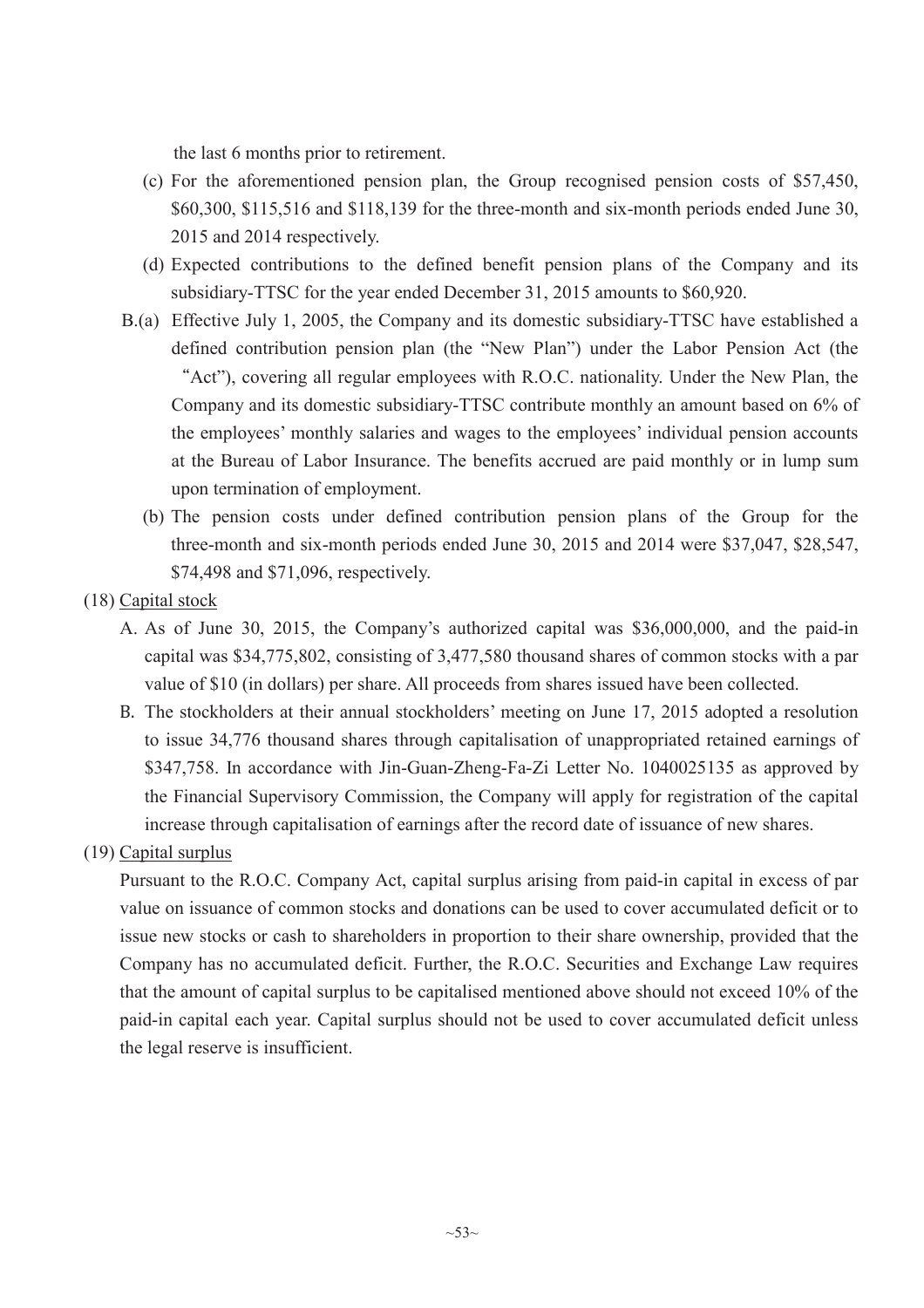the last 6 months prior to retirement.

- (c) For the aforementioned pension plan, the Group recognised pension costs of \$57,450, \$60,300, \$115,516 and \$118,139 for the three-month and six-month periods ended June 30, 2015 and 2014 respectively.
- (d) Expected contributions to the defined benefit pension plans of the Company and its subsidiary-TTSC for the year ended December 31, 2015 amounts to \$60,920.
- B.(a) Effective July 1, 2005, the Company and its domestic subsidiary-TTSC have established a defined contribution pension plan (the "New Plan") under the Labor Pension Act (the "Act"), covering all regular employees with R.O.C. nationality. Under the New Plan, the Company and its domestic subsidiary-TTSC contribute monthly an amount based on 6% of the employees' monthly salaries and wages to the employees' individual pension accounts at the Bureau of Labor Insurance. The benefits accrued are paid monthly or in lump sum upon termination of employment.
	- (b) The pension costs under defined contribution pension plans of the Group for the three-month and six-month periods ended June 30, 2015 and 2014 were \$37,047, \$28,547, \$74,498 and \$71,096, respectively.
- (18) Capital stock
	- A. As of June 30, 2015, the Company's authorized capital was \$36,000,000, and the paid-in capital was \$34,775,802, consisting of 3,477,580 thousand shares of common stocks with a par value of \$10 (in dollars) per share. All proceeds from shares issued have been collected.
	- B. The stockholders at their annual stockholders' meeting on June 17, 2015 adopted a resolution to issue 34,776 thousand shares through capitalisation of unappropriated retained earnings of \$347,758. In accordance with Jin-Guan-Zheng-Fa-Zi Letter No. 1040025135 as approved by the Financial Supervisory Commission, the Company will apply for registration of the capital increase through capitalisation of earnings after the record date of issuance of new shares.

### (19) Capital surplus

Pursuant to the R.O.C. Company Act, capital surplus arising from paid-in capital in excess of par value on issuance of common stocks and donations can be used to cover accumulated deficit or to issue new stocks or cash to shareholders in proportion to their share ownership, provided that the Company has no accumulated deficit. Further, the R.O.C. Securities and Exchange Law requires that the amount of capital surplus to be capitalised mentioned above should not exceed 10% of the paid-in capital each year. Capital surplus should not be used to cover accumulated deficit unless the legal reserve is insufficient.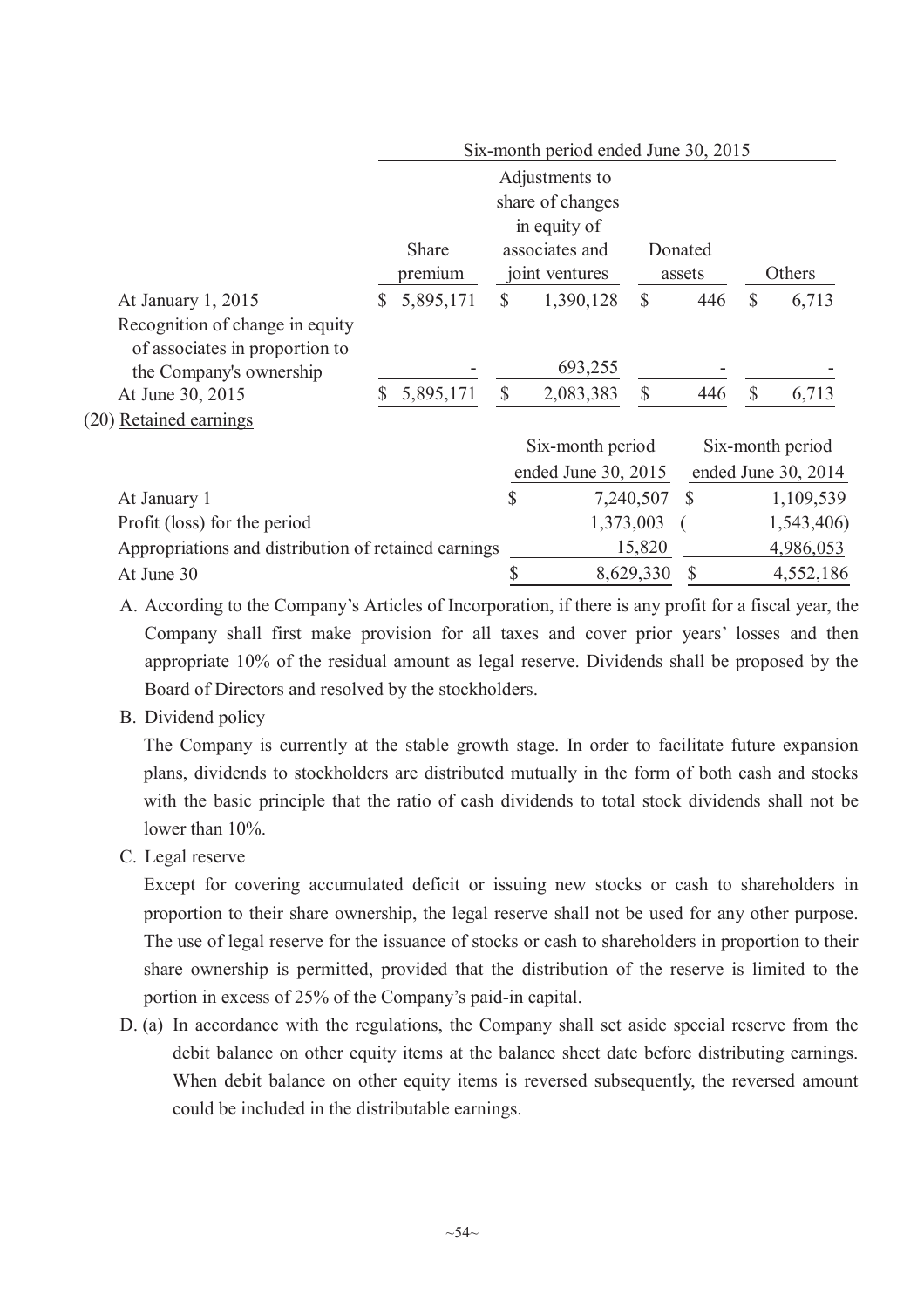|                                                      |    |           |               | Six-month period ended June 30, 2015 |               |               |               |                       |
|------------------------------------------------------|----|-----------|---------------|--------------------------------------|---------------|---------------|---------------|-----------------------|
|                                                      |    |           |               | Adjustments to                       |               |               |               |                       |
|                                                      |    |           |               | share of changes                     |               |               |               |                       |
|                                                      |    |           |               | in equity of                         |               |               |               |                       |
|                                                      |    | Share     |               | associates and                       |               | Donated       |               |                       |
|                                                      |    | premium   |               | joint ventures                       |               | assets        |               | Others                |
| At January 1, 2015                                   | S. | 5,895,171 | $\mathbb{S}$  | 1,390,128                            | $\mathcal{S}$ | 446           | $\mathcal{S}$ | 6,713                 |
| Recognition of change in equity                      |    |           |               |                                      |               |               |               |                       |
| of associates in proportion to                       |    |           |               |                                      |               |               |               |                       |
| the Company's ownership                              |    |           |               | 693,255                              |               |               |               |                       |
| At June 30, 2015                                     |    | 5,895,171 | $\mathcal{S}$ | 2,083,383                            | \$            | 446           | $\mathcal{S}$ | 6,713                 |
| (20) Retained earnings                               |    |           |               |                                      |               |               |               |                       |
|                                                      |    |           |               | Six-month period                     |               |               |               | Six-month period      |
|                                                      |    |           |               | ended June 30, 2015                  |               |               |               | ended June $30, 2014$ |
| At January 1                                         |    |           | $\mathbb{S}$  |                                      | 7,240,507 \$  |               |               | 1,109,539             |
| Profit (loss) for the period                         |    |           |               |                                      | 1,373,003     |               |               | 1,543,406)            |
| Appropriations and distribution of retained earnings |    |           |               |                                      | 15,820        |               |               | 4,986,053             |
| At June 30                                           |    |           | \$            |                                      | 8,629,330     | $\mathcal{S}$ |               | 4,552,186             |

A. According to the Company's Articles of Incorporation, if there is any profit for a fiscal year, the Company shall first make provision for all taxes and cover prior years' losses and then appropriate 10% of the residual amount as legal reserve. Dividends shall be proposed by the Board of Directors and resolved by the stockholders.

B. Dividend policy

The Company is currently at the stable growth stage. In order to facilitate future expansion plans, dividends to stockholders are distributed mutually in the form of both cash and stocks with the basic principle that the ratio of cash dividends to total stock dividends shall not be lower than 10%.

C. Legal reserve

Except for covering accumulated deficit or issuing new stocks or cash to shareholders in proportion to their share ownership, the legal reserve shall not be used for any other purpose. The use of legal reserve for the issuance of stocks or cash to shareholders in proportion to their share ownership is permitted, provided that the distribution of the reserve is limited to the portion in excess of 25% of the Company's paid-in capital.

D. (a) In accordance with the regulations, the Company shall set aside special reserve from the debit balance on other equity items at the balance sheet date before distributing earnings. When debit balance on other equity items is reversed subsequently, the reversed amount could be included in the distributable earnings.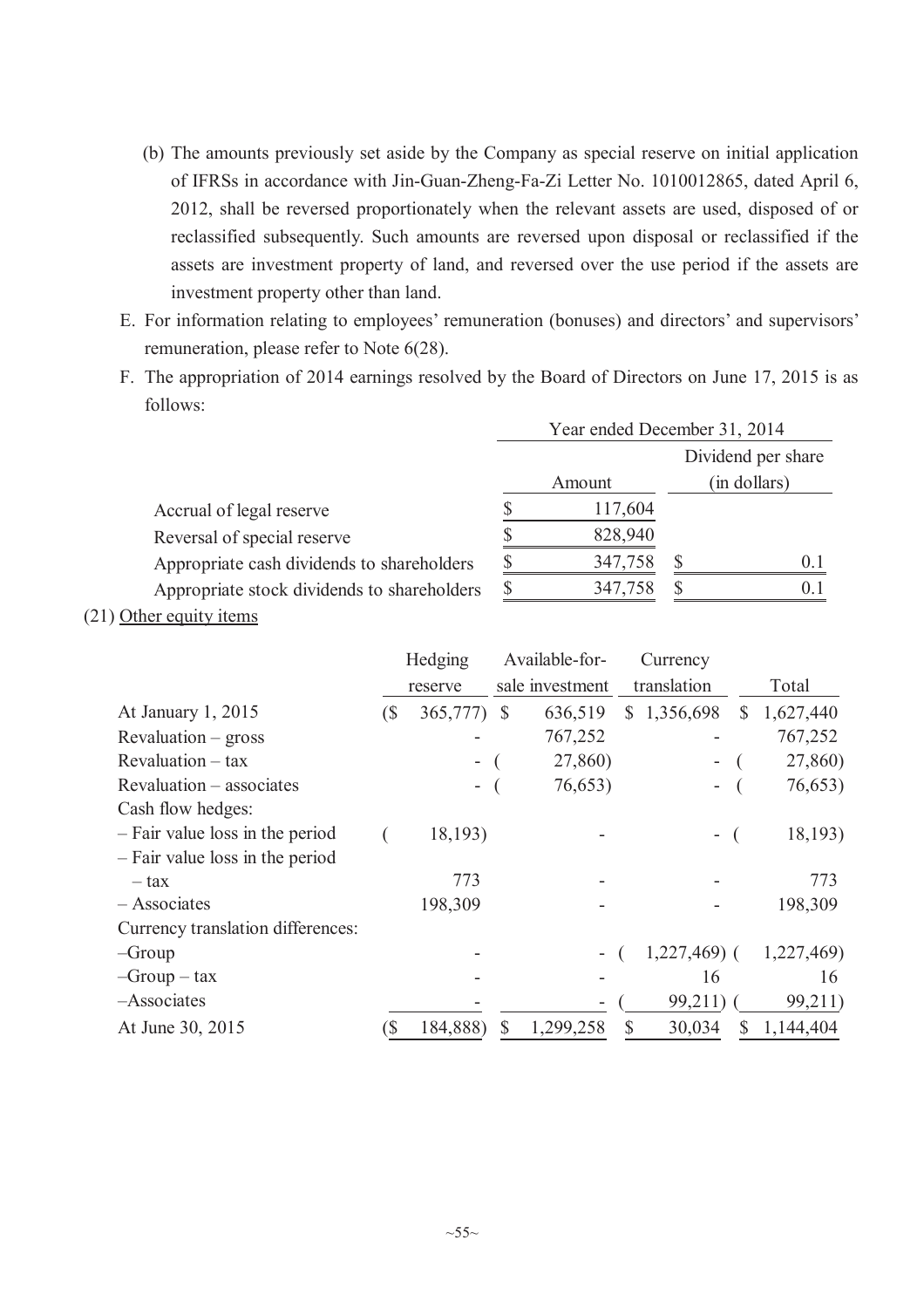- (b) The amounts previously set aside by the Company as special reserve on initial application of IFRSs in accordance with Jin-Guan-Zheng-Fa-Zi Letter No. 1010012865, dated April 6, 2012, shall be reversed proportionately when the relevant assets are used, disposed of or reclassified subsequently. Such amounts are reversed upon disposal or reclassified if the assets are investment property of land, and reversed over the use period if the assets are investment property other than land.
- E. For information relating to employees' remuneration (bonuses) and directors' and supervisors' remuneration, please refer to Note 6(28).
- F. The appropriation of 2014 earnings resolved by the Board of Directors on June 17, 2015 is as follows:

|                                             |         | Year ended December 31, 2014 |
|---------------------------------------------|---------|------------------------------|
|                                             |         | Dividend per share           |
|                                             | Amount  | (in dollars)                 |
| Accrual of legal reserve                    | 117,604 |                              |
| Reversal of special reserve                 | 828,940 |                              |
| Appropriate cash dividends to shareholders  | 347,758 | 0.1                          |
| Appropriate stock dividends to shareholders | 347,758 | () I                         |

(21) Other equity items

|                                   |     | Hedging                  |     | Available-for-  |    | Currency      |                 |
|-----------------------------------|-----|--------------------------|-----|-----------------|----|---------------|-----------------|
|                                   |     | reserve                  |     | sale investment |    | translation   | Total           |
| At January 1, 2015                | (\$ | 365,777)                 | - S | 636,519         | S. | 1,356,698     | \$<br>1,627,440 |
| $Revaluation - gross$             |     |                          |     | 767,252         |    |               | 767,252         |
| $Revaluation - tax$               |     |                          |     | 27,860)         |    |               | 27,860)         |
| Revaluation – associates          |     | $\overline{\phantom{0}}$ |     | 76,653)         |    |               | 76,653)         |
| Cash flow hedges:                 |     |                          |     |                 |    |               |                 |
| - Fair value loss in the period   |     | 18,193)                  |     |                 |    | -             | 18,193)         |
| - Fair value loss in the period   |     |                          |     |                 |    |               |                 |
| $-$ tax                           |     | 773                      |     |                 |    |               | 773             |
| - Associates                      |     | 198,309                  |     |                 |    |               | 198,309         |
| Currency translation differences: |     |                          |     |                 |    |               |                 |
| $-Group$                          |     |                          |     |                 |    | $1,227,469$ ( | 1,227,469)      |
| $-Group - tax$                    |     |                          |     |                 |    | 16            | 16              |
| -Associates                       |     |                          |     |                 |    | 99,211)       | 99,211)         |
| At June 30, 2015                  | S   | 184,888)                 | \$  | 1,299,258       | \$ | 30,034        | \$<br>1,144,404 |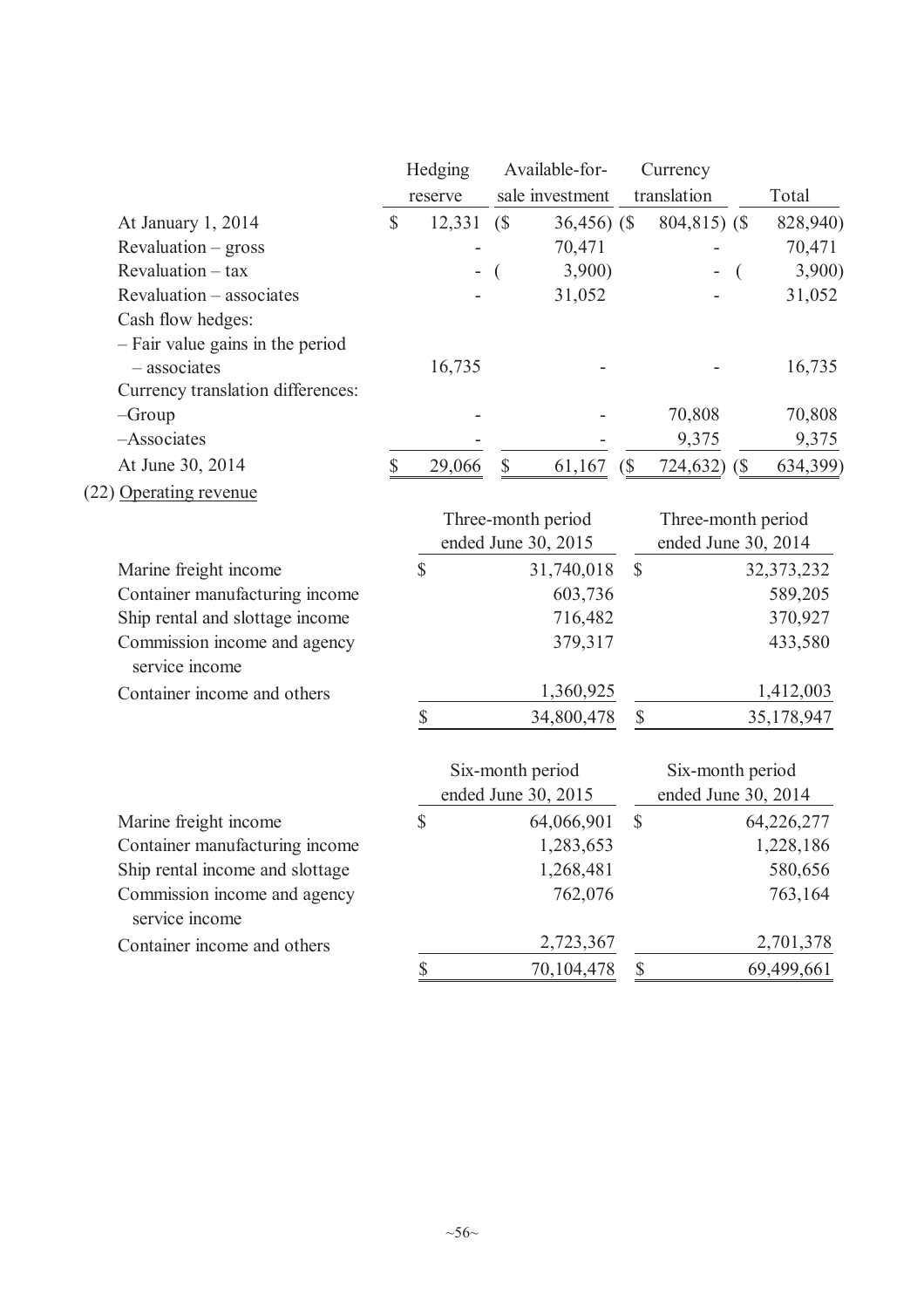|                                                | Hedging      |                           | Available-for-         |                           | Currency                |                      |
|------------------------------------------------|--------------|---------------------------|------------------------|---------------------------|-------------------------|----------------------|
|                                                | reserve      |                           | sale investment        |                           | translation             | Total                |
| At January 1, 2014                             | \$<br>12,331 | (S)                       | $36,456$ (\$)          |                           | $804,815$ (\$)          | 828,940)             |
| Revaluation - gross                            |              |                           | 70,471                 |                           |                         | 70,471               |
| Revaluation - tax                              |              |                           | 3,900                  |                           |                         | 3,900)               |
| Revaluation - associates                       |              |                           | 31,052                 |                           |                         | 31,052               |
| Cash flow hedges:                              |              |                           |                        |                           |                         |                      |
| - Fair value gains in the period               |              |                           |                        |                           |                         |                      |
| - associates                                   | 16,735       |                           |                        |                           |                         | 16,735               |
| Currency translation differences:              |              |                           |                        |                           |                         |                      |
| $-Group$                                       |              |                           |                        |                           | 70,808                  | 70,808               |
| -Associates                                    |              |                           |                        |                           | 9,375                   | 9,375                |
| At June 30, 2014                               | \$<br>29,066 | $\boldsymbol{\mathsf{S}}$ | 61,167                 | $\sqrt{S}$                | 724,632)<br>$\sqrt{\$}$ | 634,399)             |
| (22) Operating revenue                         |              |                           |                        |                           |                         |                      |
|                                                |              | Three-month period        |                        |                           | Three-month period      |                      |
|                                                |              | ended June 30, 2015       |                        |                           | ended June 30, 2014     |                      |
| Marine freight income                          | \$           |                           | 31,740,018             | $\mathcal{S}$             |                         | 32, 373, 232         |
| Container manufacturing income                 |              |                           | 603,736                |                           |                         | 589,205              |
| Ship rental and slottage income                |              |                           | 716,482                |                           |                         | 370,927              |
| Commission income and agency<br>service income |              |                           | 379,317                |                           |                         | 433,580              |
| Container income and others                    |              |                           | 1,360,925              |                           |                         | 1,412,003            |
|                                                | \$           |                           | 34,800,478             | \$                        |                         | 35,178,947           |
|                                                |              | Six-month period          |                        |                           | Six-month period        |                      |
|                                                |              | ended June 30, 2015       |                        |                           | ended June 30, 2014     |                      |
|                                                | \$           |                           |                        | $\mathcal{S}$             |                         |                      |
| Marine freight income                          |              |                           | 64,066,901             |                           |                         | 64,226,277           |
| Container manufacturing income                 |              |                           | 1,283,653<br>1,268,481 |                           |                         | 1,228,186<br>580,656 |
| Ship rental income and slottage                |              |                           | 762,076                |                           |                         | 763,164              |
| Commission income and agency<br>service income |              |                           |                        |                           |                         |                      |
| Container income and others                    |              |                           | 2,723,367              |                           |                         | 2,701,378            |
|                                                | \$           |                           | 70,104,478             | $\boldsymbol{\mathsf{S}}$ |                         | 69,499,661           |
|                                                |              |                           |                        |                           |                         |                      |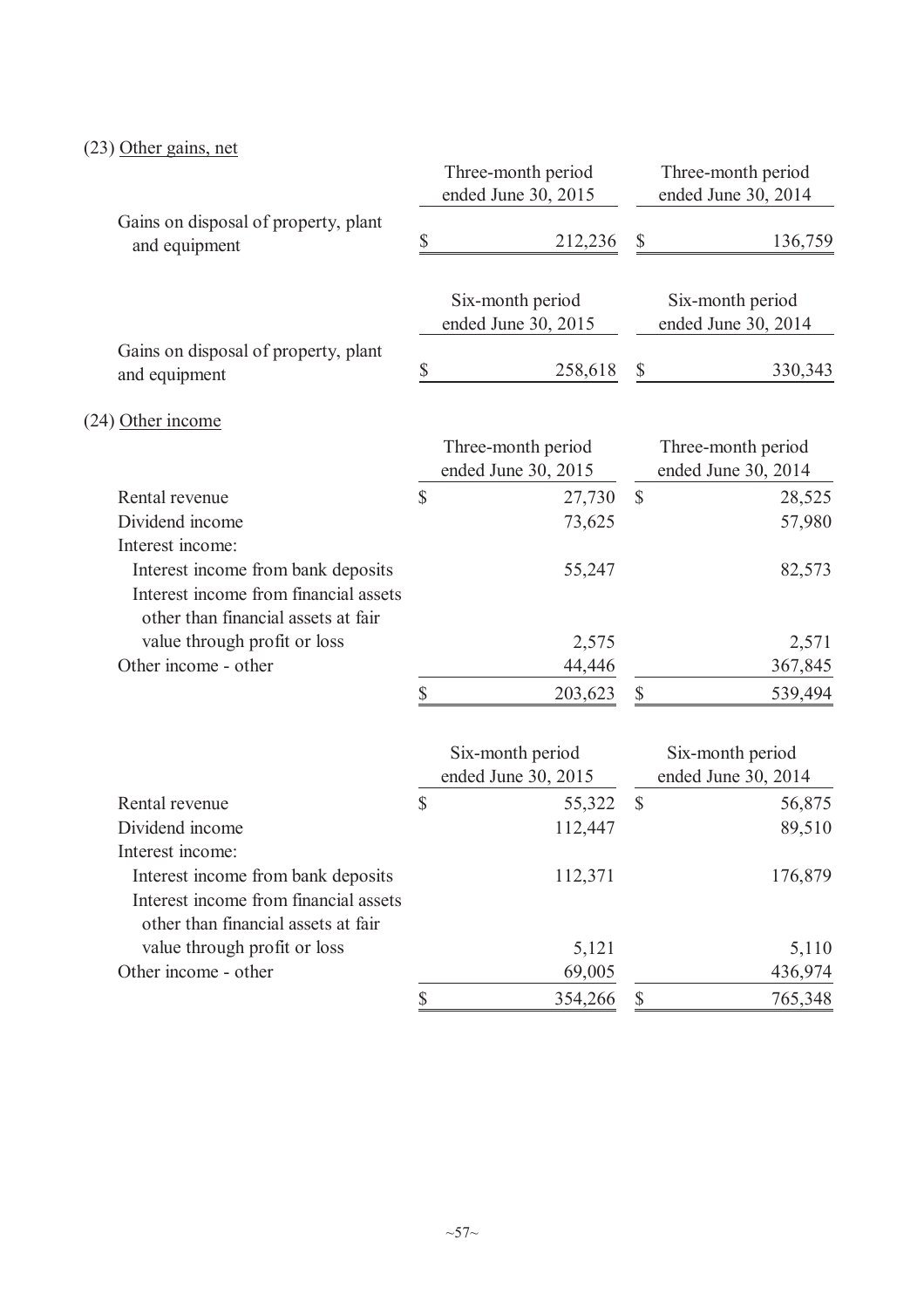# (23) Other gains, net

|                                                                                                                    |              | Three-month period<br>ended June 30, 2015 |                           | Three-month period<br>ended June 30, 2014 |
|--------------------------------------------------------------------------------------------------------------------|--------------|-------------------------------------------|---------------------------|-------------------------------------------|
| Gains on disposal of property, plant<br>and equipment                                                              | $\mathbb{S}$ | 212,236                                   | \$                        | 136,759                                   |
|                                                                                                                    |              | Six-month period<br>ended June 30, 2015   |                           | Six-month period<br>ended June 30, 2014   |
| Gains on disposal of property, plant<br>and equipment                                                              | \$           | 258,618                                   | \$                        | 330,343                                   |
| (24) Other income                                                                                                  |              |                                           |                           |                                           |
|                                                                                                                    |              | Three-month period<br>ended June 30, 2015 |                           | Three-month period<br>ended June 30, 2014 |
| Rental revenue                                                                                                     | \$           | 27,730                                    | $\mathbb{S}$              | 28,525                                    |
| Dividend income                                                                                                    |              | 73,625                                    |                           | 57,980                                    |
| Interest income:                                                                                                   |              |                                           |                           |                                           |
| Interest income from bank deposits<br>Interest income from financial assets<br>other than financial assets at fair |              | 55,247                                    |                           | 82,573                                    |
| value through profit or loss                                                                                       |              | 2,575                                     |                           | 2,571                                     |
| Other income - other                                                                                               |              | 44,446                                    |                           | 367,845                                   |
|                                                                                                                    | \$           | 203,623                                   | \$                        | 539,494                                   |
|                                                                                                                    |              | Six-month period<br>ended June 30, 2015   |                           | Six-month period<br>ended June 30, 2014   |
| Rental revenue                                                                                                     | \$           | 55,322                                    | $\boldsymbol{\mathsf{S}}$ | 56,875                                    |
| Dividend income                                                                                                    |              | 112,447                                   |                           | 89,510                                    |
| Interest income:<br>Interest income from bank deposits<br>Interest income from financial assets                    |              | 112,371                                   |                           | 176,879                                   |
| other than financial assets at fair<br>value through profit or loss                                                |              | 5,121                                     |                           | 5,110                                     |
| Other income - other                                                                                               |              | 69,005                                    |                           | 436,974                                   |
|                                                                                                                    | \$           | 354,266                                   | $\boldsymbol{\mathsf{S}}$ | 765,348                                   |
|                                                                                                                    |              |                                           |                           |                                           |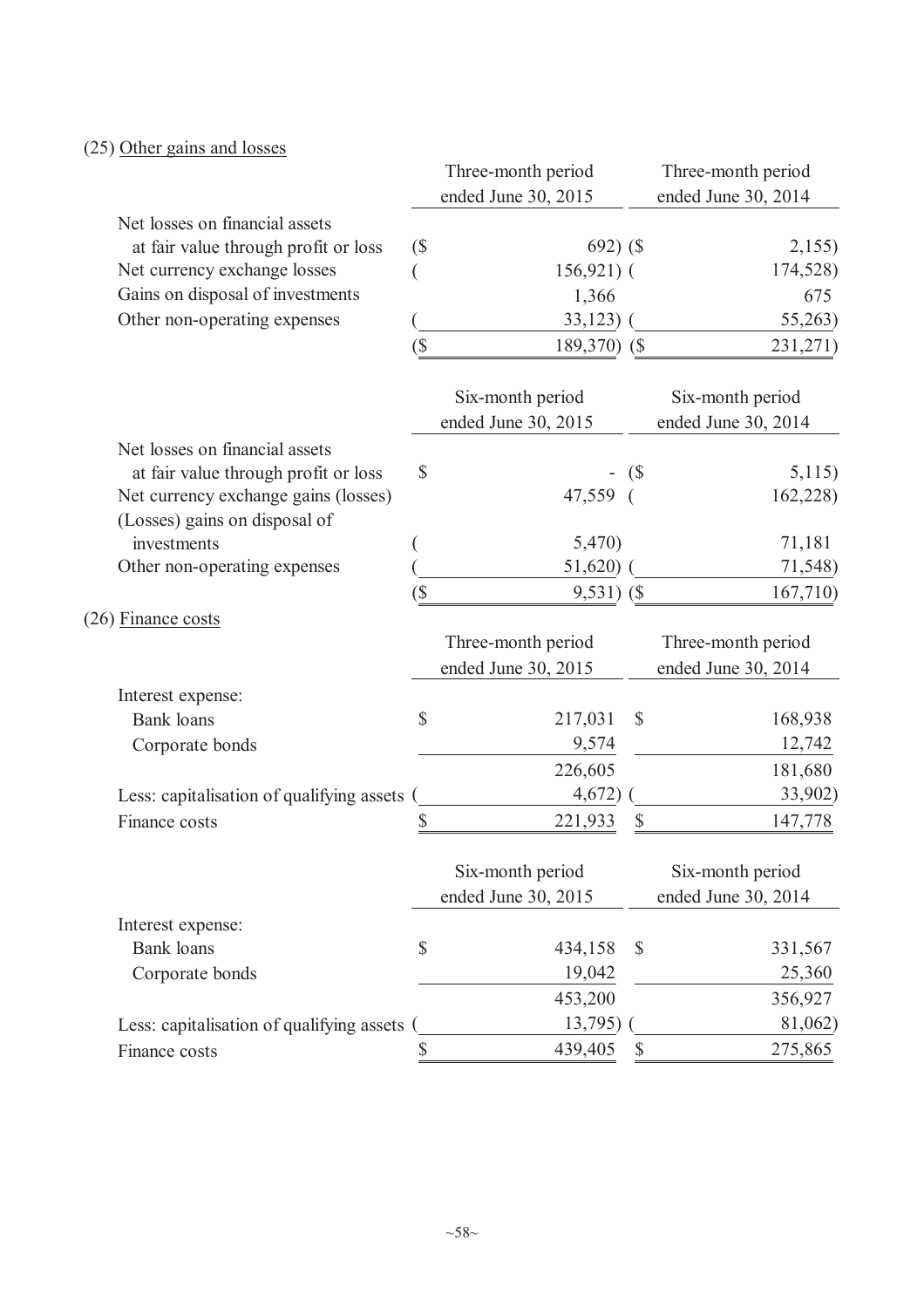# (25) Other gains and losses

|                                           |                          | Three-month period  |                    | Three-month period  |
|-------------------------------------------|--------------------------|---------------------|--------------------|---------------------|
|                                           |                          | ended June 30, 2015 |                    | ended June 30, 2014 |
| Net losses on financial assets            |                          |                     |                    |                     |
| at fair value through profit or loss      | (                        | $692)$ (\$          |                    | 2,155               |
| Net currency exchange losses              |                          | $156,921$ ) (       |                    | 174,528)            |
| Gains on disposal of investments          |                          | 1,366               |                    | 675                 |
| Other non-operating expenses              |                          | 33,123              |                    | 55,263)             |
|                                           | $\overline{\mathcal{S}}$ | 189,370) (\$        |                    | 231,271)            |
|                                           |                          | Six-month period    |                    | Six-month period    |
|                                           |                          | ended June 30, 2015 |                    | ended June 30, 2014 |
| Net losses on financial assets            |                          |                     |                    |                     |
| at fair value through profit or loss      | \$                       |                     | $\left( \text{\$}$ | 5,115)              |
| Net currency exchange gains (losses)      |                          | 47,559              |                    | 162,228)            |
| (Losses) gains on disposal of             |                          |                     |                    |                     |
| investments                               |                          | 5,470)              |                    | 71,181              |
| Other non-operating expenses              |                          | 51,620)             |                    | 71,548)             |
|                                           | (\$                      | $9,531)$ (\$        |                    | 167,710             |
| (26) Finance costs                        |                          |                     |                    |                     |
|                                           |                          | Three-month period  |                    | Three-month period  |
|                                           |                          | ended June 30, 2015 |                    | ended June 30, 2014 |
| Interest expense:                         |                          |                     |                    |                     |
| <b>Bank</b> loans                         | \$                       | 217,031             | $\mathcal{S}$      | 168,938             |
| Corporate bonds                           |                          | 9,574               |                    | 12,742              |
|                                           |                          | 226,605             |                    | 181,680             |
| Less: capitalisation of qualifying assets |                          | 4,672)              |                    | 33,902)             |
| Finance costs                             | \$                       | 221,933             | \$                 | 147,778             |
|                                           |                          | Six-month period    |                    | Six-month period    |
|                                           |                          | ended June 30, 2015 |                    | ended June 30, 2014 |
| Interest expense:                         |                          |                     |                    |                     |
| <b>Bank</b> loans                         | \$                       | 434,158             | $\mathcal{S}$      | 331,567             |
| Corporate bonds                           |                          | 19,042              |                    | 25,360              |
|                                           |                          | 453,200             |                    | 356,927             |
| Less: capitalisation of qualifying assets |                          | 13,795)             |                    | 81,062)             |
| Finance costs                             | \$                       | 439,405             | $\mathbb{S}$       | 275,865             |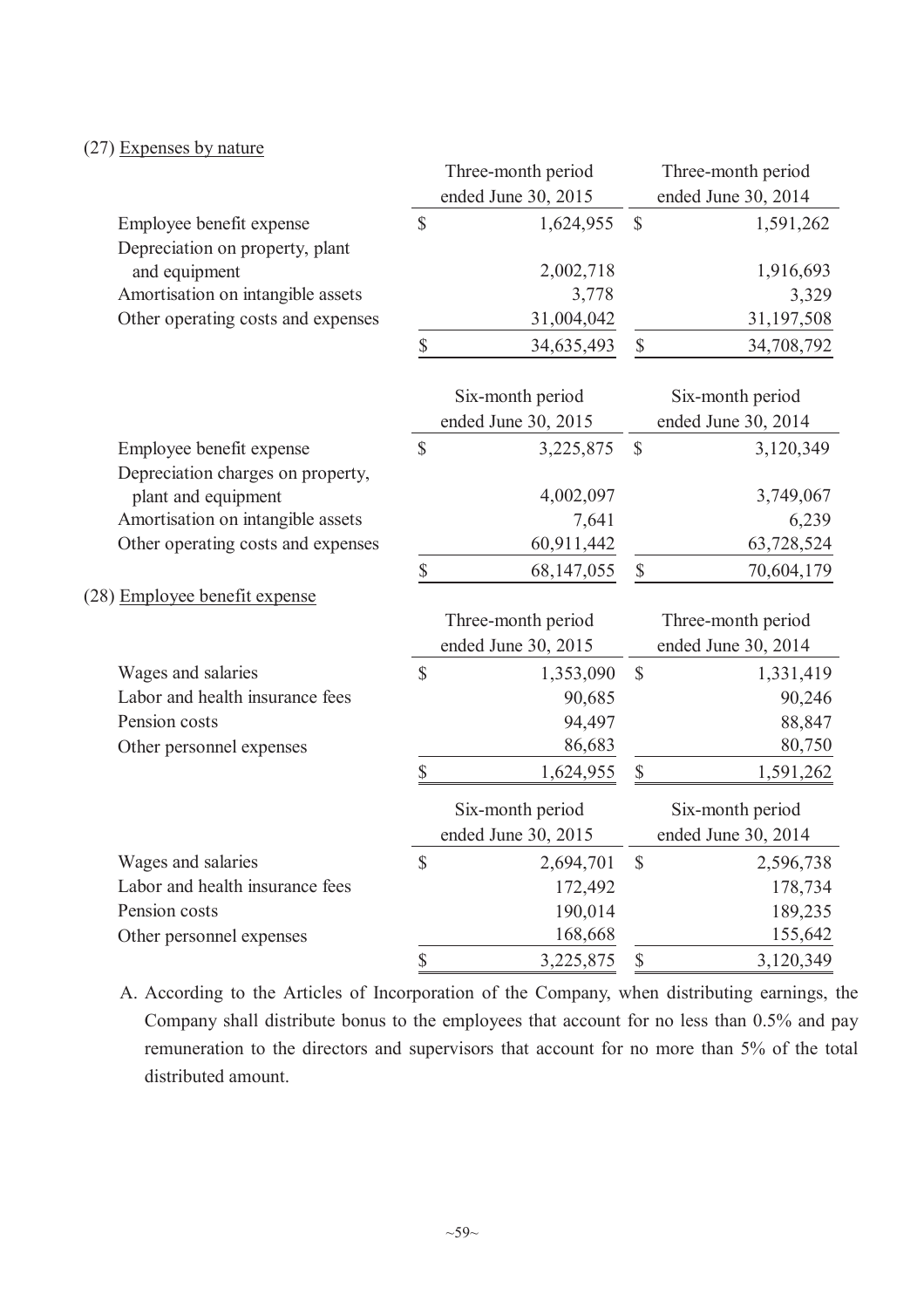## (27) Expenses by nature

|                                    |                           | Three-month period  |               | Three-month period  |
|------------------------------------|---------------------------|---------------------|---------------|---------------------|
|                                    |                           | ended June 30, 2015 |               | ended June 30, 2014 |
| Employee benefit expense           | $\mathsf{\$}$             | 1,624,955           | $\mathsf{\$}$ | 1,591,262           |
| Depreciation on property, plant    |                           |                     |               |                     |
| and equipment                      |                           | 2,002,718           |               | 1,916,693           |
| Amortisation on intangible assets  |                           | 3,778               |               | 3,329               |
| Other operating costs and expenses |                           | 31,004,042          |               | 31,197,508          |
|                                    | \$                        | 34,635,493          | $\mathbb{S}$  | 34,708,792          |
|                                    |                           | Six-month period    |               | Six-month period    |
|                                    |                           | ended June 30, 2015 |               | ended June 30, 2014 |
| Employee benefit expense           | $\mathsf{\$}$             | 3,225,875           | $\mathsf{\$}$ | 3,120,349           |
| Depreciation charges on property,  |                           |                     |               |                     |
| plant and equipment                |                           | 4,002,097           |               | 3,749,067           |
| Amortisation on intangible assets  |                           | 7,641               |               | 6,239               |
| Other operating costs and expenses |                           | 60,911,442          |               | 63,728,524          |
|                                    | \$                        | 68,147,055          | $\mathbb S$   | 70,604,179          |
| (28) Employee benefit expense      |                           |                     |               |                     |
|                                    |                           | Three-month period  |               | Three-month period  |
|                                    |                           | ended June 30, 2015 |               | ended June 30, 2014 |
| Wages and salaries                 | $\mathcal{S}$             | 1,353,090           | $\mathbb{S}$  | 1,331,419           |
| Labor and health insurance fees    |                           | 90,685              |               | 90,246              |
| Pension costs                      |                           | 94,497              |               | 88,847              |
| Other personnel expenses           |                           | 86,683              |               | 80,750              |
|                                    | \$                        | 1,624,955           | $\mathbb{S}$  | 1,591,262           |
|                                    |                           | Six-month period    |               | Six-month period    |
|                                    |                           | ended June 30, 2015 |               | ended June 30, 2014 |
| Wages and salaries                 | $\mathcal{S}$             | 2,694,701           | $\mathbb{S}$  | 2,596,738           |
| Labor and health insurance fees    |                           | 172,492             |               | 178,734             |
| Pension costs                      |                           | 190,014             |               | 189,235             |
| Other personnel expenses           |                           | 168,668             |               | 155,642             |
|                                    | $\boldsymbol{\mathsf{S}}$ | 3,225,875           | \$            | 3,120,349           |

A. According to the Articles of Incorporation of the Company, when distributing earnings, the Company shall distribute bonus to the employees that account for no less than 0.5% and pay remuneration to the directors and supervisors that account for no more than 5% of the total distributed amount.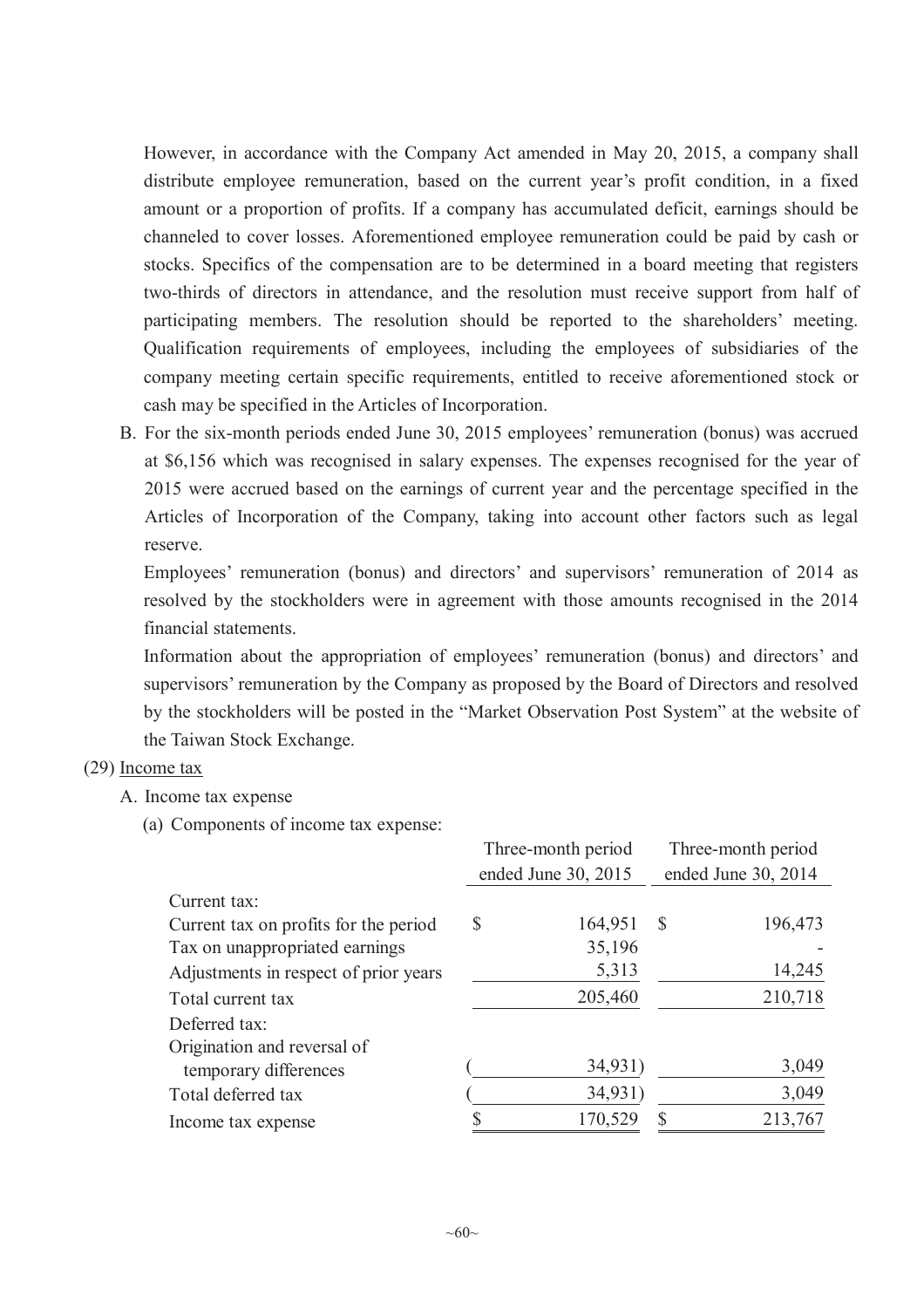However, in accordance with the Company Act amended in May 20, 2015, a company shall distribute employee remuneration, based on the current year's profit condition, in a fixed amount or a proportion of profits. If a company has accumulated deficit, earnings should be channeled to cover losses. Aforementioned employee remuneration could be paid by cash or stocks. Specifics of the compensation are to be determined in a board meeting that registers two-thirds of directors in attendance, and the resolution must receive support from half of participating members. The resolution should be reported to the shareholders' meeting. Qualification requirements of employees, including the employees of subsidiaries of the company meeting certain specific requirements, entitled to receive aforementioned stock or cash may be specified in the Articles of Incorporation.

B. For the six-month periods ended June 30, 2015 employees' remuneration (bonus) was accrued at \$6,156 which was recognised in salary expenses. The expenses recognised for the year of 2015 were accrued based on the earnings of current year and the percentage specified in the Articles of Incorporation of the Company, taking into account other factors such as legal reserve.

Employees' remuneration (bonus) and directors' and supervisors' remuneration of 2014 as resolved by the stockholders were in agreement with those amounts recognised in the 2014 financial statements.

Information about the appropriation of employees' remuneration (bonus) and directors' and supervisors' remuneration by the Company as proposed by the Board of Directors and resolved by the stockholders will be posted in the "Market Observation Post System" at the website of the Taiwan Stock Exchange.

### (29) Income tax

- A. Income tax expense
	- (a) Components of income tax expense:

|                                       |   | Three-month period  |                     | Three-month period |  |
|---------------------------------------|---|---------------------|---------------------|--------------------|--|
|                                       |   | ended June 30, 2015 | ended June 30, 2014 |                    |  |
| Current tax:                          |   |                     |                     |                    |  |
| Current tax on profits for the period | S | 164,951             | S                   | 196,473            |  |
| Tax on unappropriated earnings        |   | 35,196              |                     |                    |  |
| Adjustments in respect of prior years |   | 5,313               |                     | 14,245             |  |
| Total current tax                     |   | 205,460             |                     | 210,718            |  |
| Deferred tax:                         |   |                     |                     |                    |  |
| Origination and reversal of           |   |                     |                     |                    |  |
| temporary differences                 |   | 34,931)             |                     | 3,049              |  |
| Total deferred tax                    |   | 34,931)             |                     | 3,049              |  |
| Income tax expense                    |   | 170,529             |                     | 213,767            |  |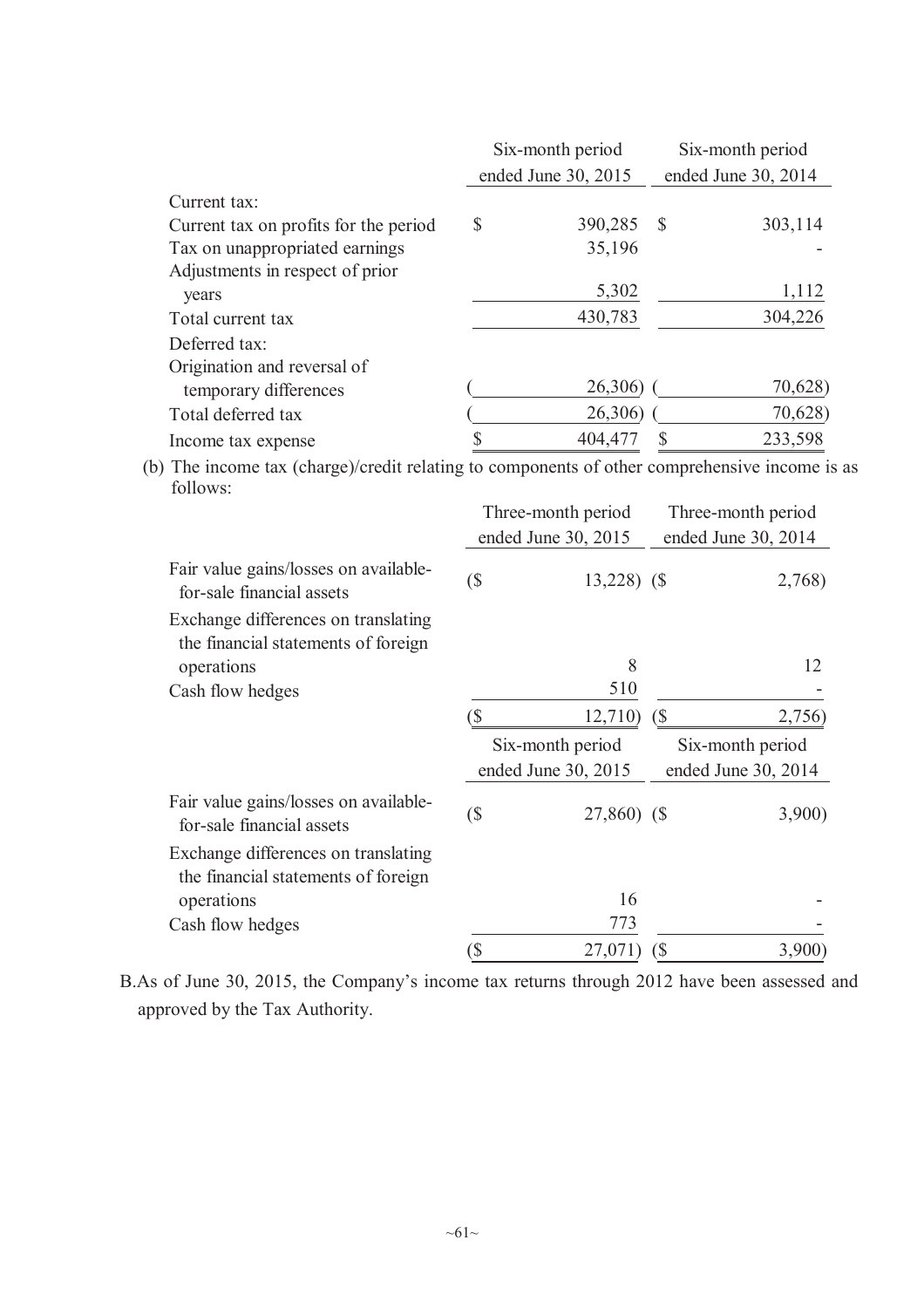|                                       |                     | Six-month period |              | Six-month period    |
|---------------------------------------|---------------------|------------------|--------------|---------------------|
|                                       | ended June 30, 2015 |                  |              | ended June 30, 2014 |
| Current tax:                          |                     |                  |              |                     |
| Current tax on profits for the period | \$                  | 390,285          | <sup>S</sup> | 303,114             |
| Tax on unappropriated earnings        |                     | 35,196           |              |                     |
| Adjustments in respect of prior       |                     |                  |              |                     |
| years                                 |                     | 5,302            |              | 1,112               |
| Total current tax                     |                     | 430,783          |              | 304,226             |
| Deferred tax:                         |                     |                  |              |                     |
| Origination and reversal of           |                     |                  |              |                     |
| temporary differences                 |                     | 26,306)          |              | 70,628)             |
| Total deferred tax                    |                     | 26,306)          |              | 70,628)             |
| Income tax expense                    |                     | 404,477          |              | 233,598             |

(b) The income tax (charge)/credit relating to components of other comprehensive income is as follows:

|                                                                            |                          | Three-month period  |     | Three-month period  |
|----------------------------------------------------------------------------|--------------------------|---------------------|-----|---------------------|
|                                                                            |                          | ended June 30, 2015 |     | ended June 30, 2014 |
| Fair value gains/losses on available-<br>for-sale financial assets         | $\overline{\mathcal{S}}$ | $13,228$ (\$)       |     | 2,768)              |
| Exchange differences on translating<br>the financial statements of foreign |                          |                     |     |                     |
| operations                                                                 |                          | 8                   |     | 12                  |
| Cash flow hedges                                                           |                          | 510                 |     |                     |
|                                                                            | (\$                      | 12,710)             | (\$ | 2,756)              |
|                                                                            |                          | Six-month period    |     | Six-month period    |
|                                                                            |                          | ended June 30, 2015 |     | ended June 30, 2014 |
| Fair value gains/losses on available-<br>for-sale financial assets         | (\$                      | 27,860) (\$         |     | 3,900               |
| Exchange differences on translating<br>the financial statements of foreign |                          |                     |     |                     |
| operations                                                                 |                          | 16                  |     |                     |
| Cash flow hedges                                                           |                          | 773                 |     |                     |
|                                                                            | `\$                      | 27,071              |     | 3,900               |

B.As of June 30, 2015, the Company's income tax returns through 2012 have been assessed and approved by the Tax Authority.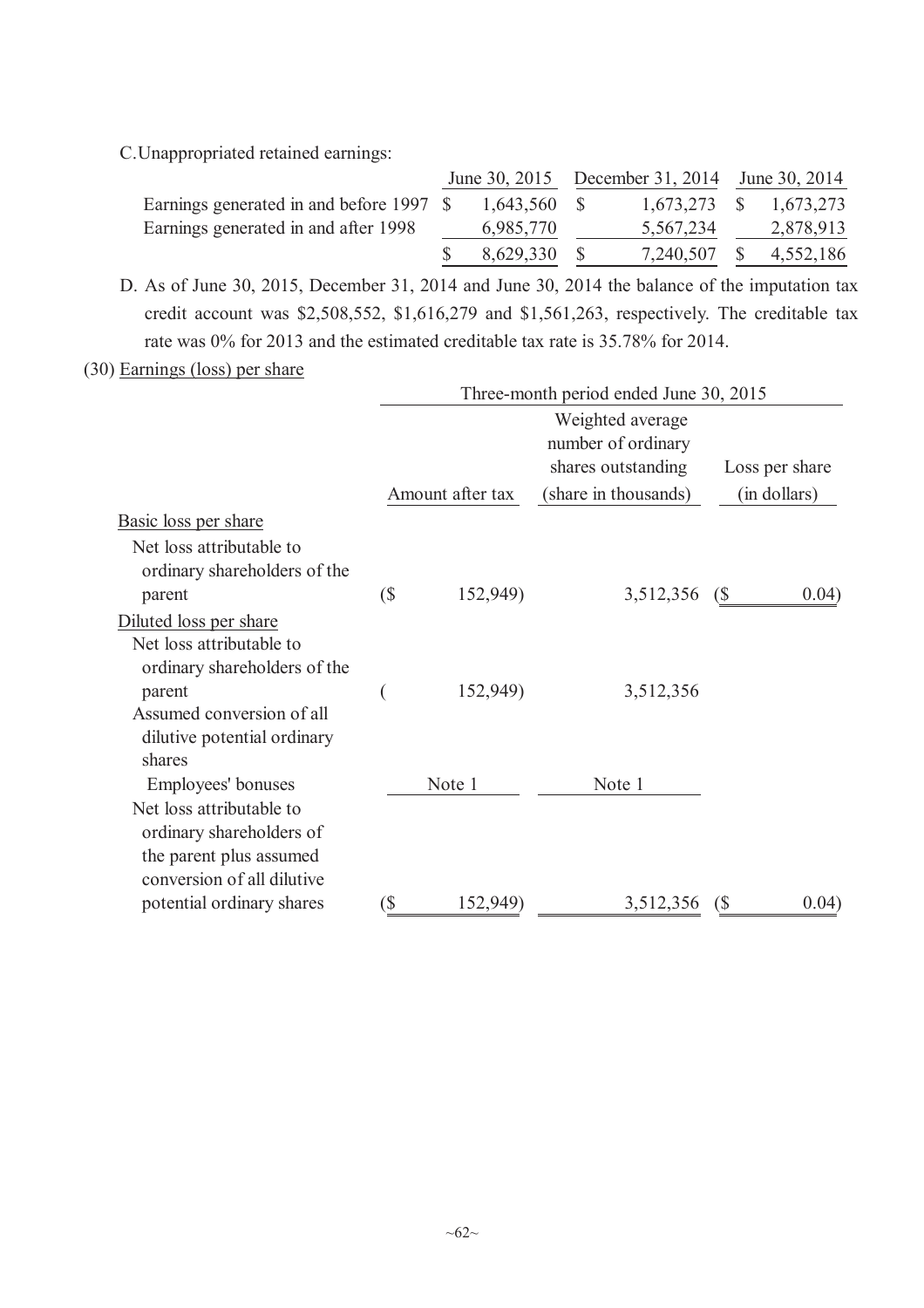C.Unappropriated retained earnings:

|                                          |                | June 30, 2015 December 31, 2014 June 30, 2014 |           |
|------------------------------------------|----------------|-----------------------------------------------|-----------|
| Earnings generated in and before 1997 \$ | $1,643,560$ \$ | 1,673,273 \$ 1,673,273                        |           |
| Earnings generated in and after 1998     | 6,985,770      | 5,567,234                                     | 2,878,913 |
|                                          | 8,629,330      | 7,240,507                                     | 4,552,186 |

D. As of June 30, 2015, December 31, 2014 and June 30, 2014 the balance of the imputation tax credit account was \$2,508,552, \$1,616,279 and \$1,561,263, respectively. The creditable tax rate was 0% for 2013 and the estimated creditable tax rate is 35.78% for 2014.

(30) Earnings (loss) per share

|                              | Three-month period ended June 30, 2015 |                  |                      |                         |  |  |
|------------------------------|----------------------------------------|------------------|----------------------|-------------------------|--|--|
|                              |                                        |                  | Weighted average     |                         |  |  |
|                              |                                        |                  | number of ordinary   |                         |  |  |
|                              |                                        |                  | shares outstanding   | Loss per share          |  |  |
|                              |                                        | Amount after tax | (share in thousands) | (in dollars)            |  |  |
| Basic loss per share         |                                        |                  |                      |                         |  |  |
| Net loss attributable to     |                                        |                  |                      |                         |  |  |
| ordinary shareholders of the |                                        |                  |                      |                         |  |  |
| parent                       | (                                      | 152,949)         | 3,512,356            | 0.04)<br>$\binom{S}{ }$ |  |  |
| Diluted loss per share       |                                        |                  |                      |                         |  |  |
| Net loss attributable to     |                                        |                  |                      |                         |  |  |
| ordinary shareholders of the |                                        |                  |                      |                         |  |  |
| parent                       |                                        | 152,949)         | 3,512,356            |                         |  |  |
| Assumed conversion of all    |                                        |                  |                      |                         |  |  |
| dilutive potential ordinary  |                                        |                  |                      |                         |  |  |
| shares                       |                                        |                  |                      |                         |  |  |
| Employees' bonuses           |                                        | Note 1           | Note 1               |                         |  |  |
| Net loss attributable to     |                                        |                  |                      |                         |  |  |
| ordinary shareholders of     |                                        |                  |                      |                         |  |  |
| the parent plus assumed      |                                        |                  |                      |                         |  |  |
| conversion of all dilutive   |                                        |                  |                      |                         |  |  |
| potential ordinary shares    | `\$                                    | 152,949)         | 3,512,356            | 0.04)<br>$\sqrt{S}$     |  |  |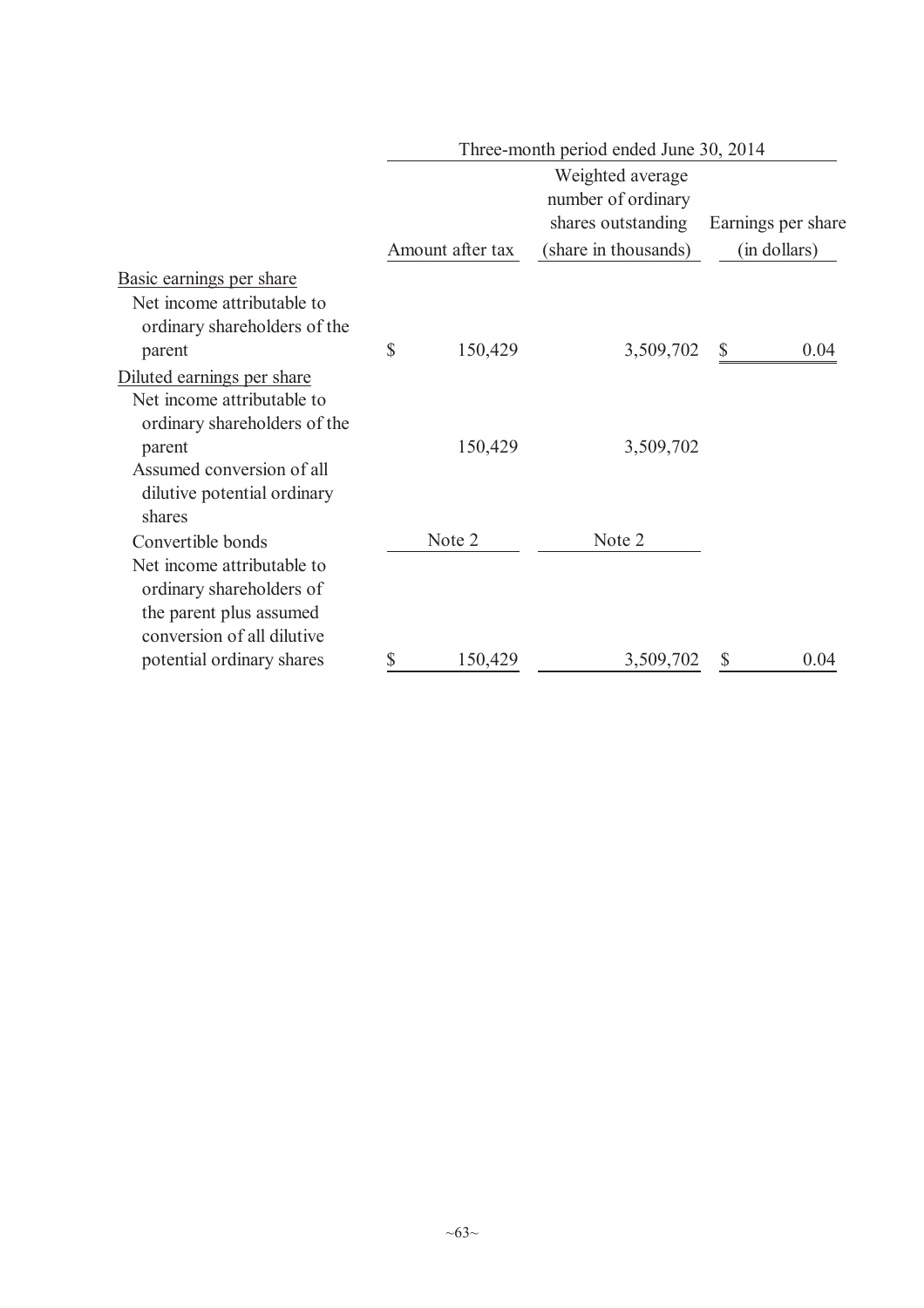|                                                                                                                 | Three-month period ended June 30, 2014 |                  |                      |              |  |  |  |
|-----------------------------------------------------------------------------------------------------------------|----------------------------------------|------------------|----------------------|--------------|--|--|--|
|                                                                                                                 |                                        |                  | Earnings per share   |              |  |  |  |
|                                                                                                                 |                                        | Amount after tax | (share in thousands) | (in dollars) |  |  |  |
| <u>Basic earnings per share</u>                                                                                 |                                        |                  |                      |              |  |  |  |
| Net income attributable to<br>ordinary shareholders of the                                                      |                                        |                  |                      |              |  |  |  |
| parent                                                                                                          | $\mathbb{S}$                           | 150,429          | 3,509,702            | 0.04<br>\$   |  |  |  |
| Diluted earnings per share<br>Net income attributable to<br>ordinary shareholders of the                        |                                        |                  |                      |              |  |  |  |
| parent                                                                                                          |                                        | 150,429          | 3,509,702            |              |  |  |  |
| Assumed conversion of all<br>dilutive potential ordinary<br>shares                                              |                                        |                  |                      |              |  |  |  |
| Convertible bonds                                                                                               |                                        | Note 2           | Note 2               |              |  |  |  |
| Net income attributable to<br>ordinary shareholders of<br>the parent plus assumed<br>conversion of all dilutive |                                        |                  |                      |              |  |  |  |
| potential ordinary shares                                                                                       | \$                                     | 150,429          | 3,509,702            | 0.04<br>\$   |  |  |  |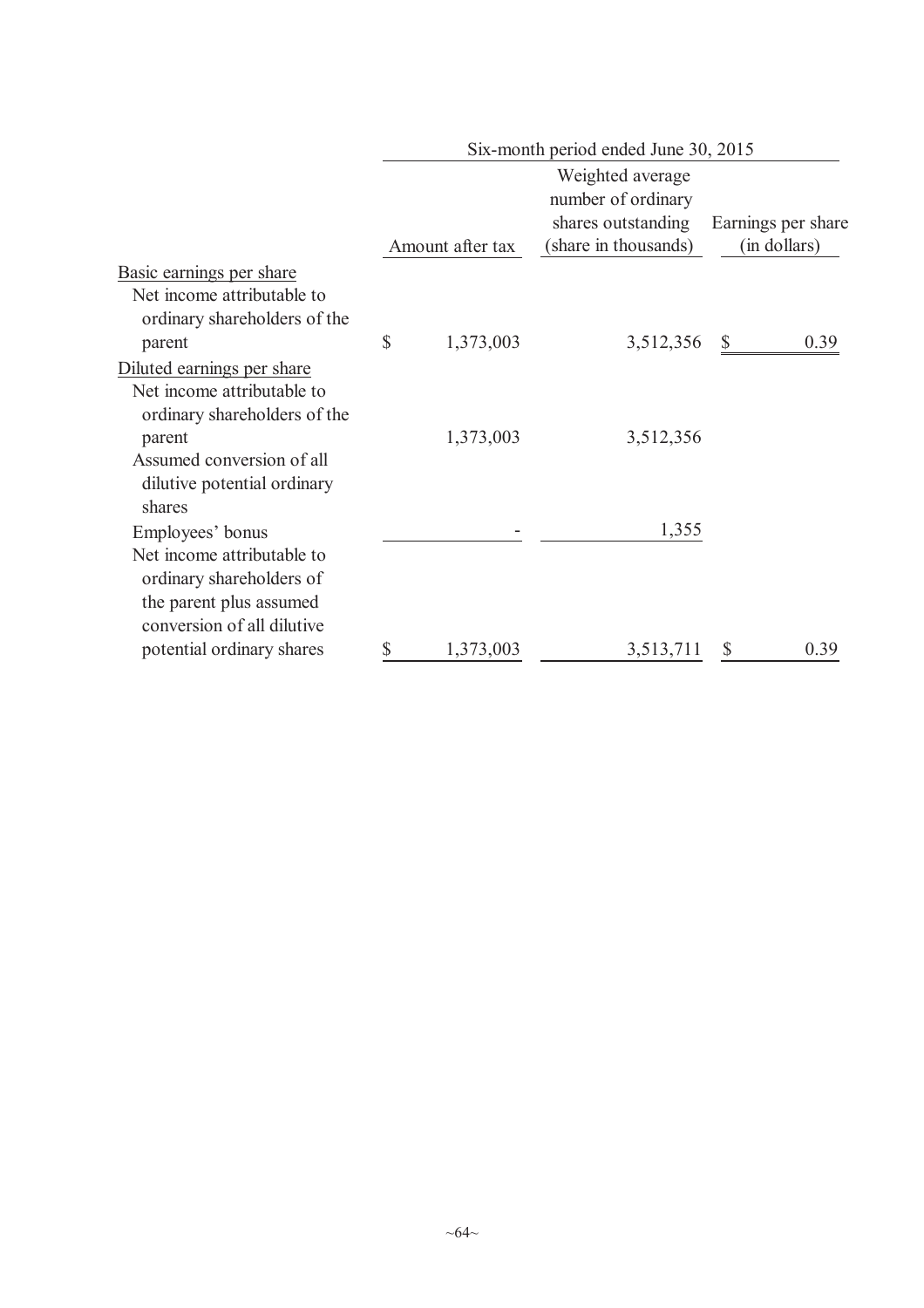|                                                                                                                 |                  | Six-month period ended June 30, 2015                                                 |                                    |
|-----------------------------------------------------------------------------------------------------------------|------------------|--------------------------------------------------------------------------------------|------------------------------------|
|                                                                                                                 | Amount after tax | Weighted average<br>number of ordinary<br>shares outstanding<br>(share in thousands) | Earnings per share<br>(in dollars) |
| Basic earnings per share                                                                                        |                  |                                                                                      |                                    |
| Net income attributable to<br>ordinary shareholders of the                                                      |                  |                                                                                      |                                    |
| parent                                                                                                          | \$<br>1,373,003  | 3,512,356                                                                            | $\mathbb{S}$<br>0.39               |
| Diluted earnings per share<br>Net income attributable to<br>ordinary shareholders of the                        |                  |                                                                                      |                                    |
| parent<br>Assumed conversion of all<br>dilutive potential ordinary<br>shares                                    | 1,373,003        | 3,512,356                                                                            |                                    |
| Employees' bonus                                                                                                |                  | 1,355                                                                                |                                    |
| Net income attributable to<br>ordinary shareholders of<br>the parent plus assumed<br>conversion of all dilutive |                  |                                                                                      |                                    |
| potential ordinary shares                                                                                       | \$<br>1,373,003  | 3,513,711                                                                            | 0.39<br>S                          |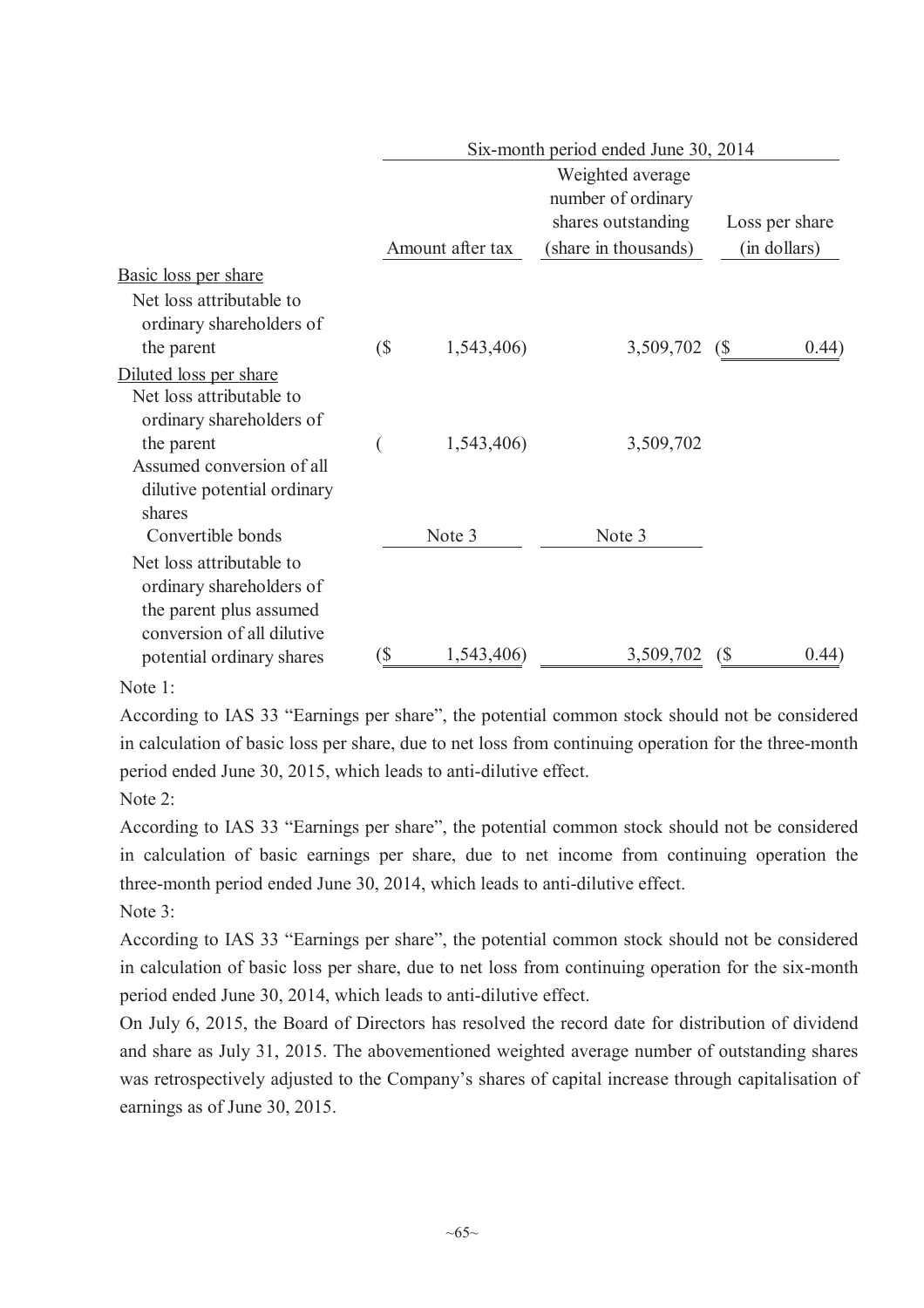|                                                                                 |    |                  |                                        | Six-month period ended June 30, 2014 |                |  |  |  |  |
|---------------------------------------------------------------------------------|----|------------------|----------------------------------------|--------------------------------------|----------------|--|--|--|--|
|                                                                                 |    |                  | Weighted average<br>number of ordinary |                                      |                |  |  |  |  |
|                                                                                 |    |                  | shares outstanding                     |                                      | Loss per share |  |  |  |  |
|                                                                                 |    | Amount after tax | (share in thousands)                   |                                      | (in dollars)   |  |  |  |  |
| <b>Basic loss per share</b>                                                     |    |                  |                                        |                                      |                |  |  |  |  |
| Net loss attributable to<br>ordinary shareholders of                            |    |                  |                                        |                                      |                |  |  |  |  |
| the parent                                                                      | (  | 1,543,406)       | 3,509,702                              | (\$                                  | 0.44)          |  |  |  |  |
| Diluted loss per share                                                          |    |                  |                                        |                                      |                |  |  |  |  |
| Net loss attributable to                                                        |    |                  |                                        |                                      |                |  |  |  |  |
| ordinary shareholders of                                                        |    |                  |                                        |                                      |                |  |  |  |  |
| the parent                                                                      |    | 1,543,406)       | 3,509,702                              |                                      |                |  |  |  |  |
| Assumed conversion of all                                                       |    |                  |                                        |                                      |                |  |  |  |  |
| dilutive potential ordinary                                                     |    |                  |                                        |                                      |                |  |  |  |  |
| shares                                                                          |    |                  |                                        |                                      |                |  |  |  |  |
| Convertible bonds                                                               |    | Note 3           | Note 3                                 |                                      |                |  |  |  |  |
| Net loss attributable to<br>ordinary shareholders of<br>the parent plus assumed |    |                  |                                        |                                      |                |  |  |  |  |
| conversion of all dilutive                                                      |    |                  |                                        |                                      |                |  |  |  |  |
| potential ordinary shares                                                       | `S | 1,543,406)       | 3,509,702                              | (\$                                  | (0.44)         |  |  |  |  |

Note 1:

According to IAS 33 "Earnings per share", the potential common stock should not be considered in calculation of basic loss per share, due to net loss from continuing operation for the three-month period ended June 30, 2015, which leads to anti-dilutive effect.

Note 2:

According to IAS 33 "Earnings per share", the potential common stock should not be considered in calculation of basic earnings per share, due to net income from continuing operation the three-month period ended June 30, 2014, which leads to anti-dilutive effect. Note  $3$ <sup>-</sup>

According to IAS 33 "Earnings per share", the potential common stock should not be considered in calculation of basic loss per share, due to net loss from continuing operation for the six-month period ended June 30, 2014, which leads to anti-dilutive effect.

On July 6, 2015, the Board of Directors has resolved the record date for distribution of dividend and share as July 31, 2015. The abovementioned weighted average number of outstanding shares was retrospectively adjusted to the Company's shares of capital increase through capitalisation of earnings as of June 30, 2015.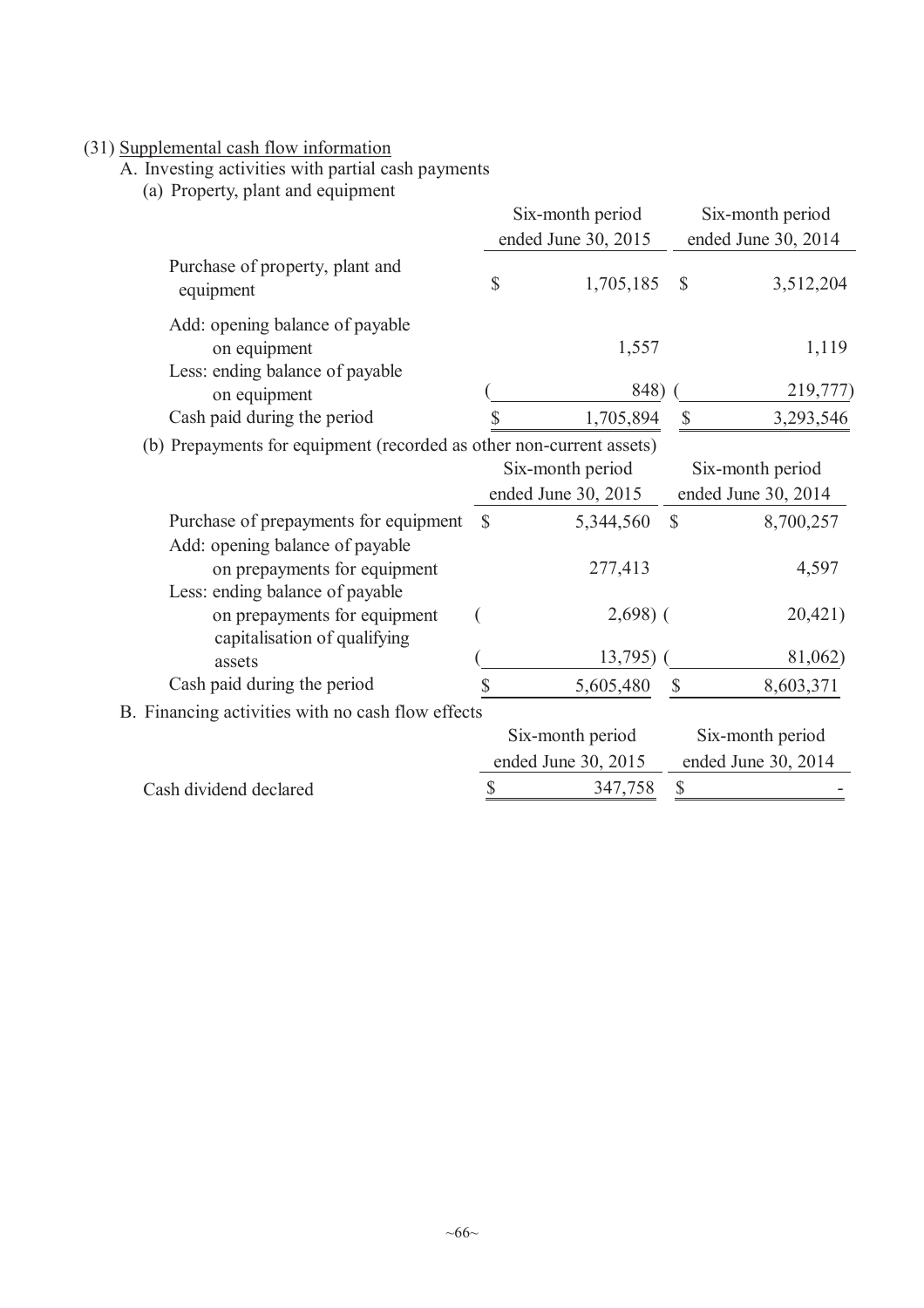### (31) Supplemental cash flow information

A. Investing activities with partial cash payments

(a) Property, plant and equipment

|                                                                          |               | Six-month period                        |                           | Six-month period                        |
|--------------------------------------------------------------------------|---------------|-----------------------------------------|---------------------------|-----------------------------------------|
|                                                                          |               | ended June 30, 2015                     |                           | ended June 30, 2014                     |
| Purchase of property, plant and<br>equipment                             | \$            | 1,705,185                               | $\mathcal{S}$             | 3,512,204                               |
| Add: opening balance of payable<br>on equipment                          |               | 1,557                                   |                           | 1,119                                   |
| Less: ending balance of payable<br>on equipment                          |               | 848)                                    |                           | 219,777)                                |
| Cash paid during the period                                              |               | 1,705,894                               |                           | \$<br>3,293,546                         |
| (b) Prepayments for equipment (recorded as other non-current assets)     |               | Six-month period<br>ended June 30, 2015 |                           | Six-month period<br>ended June 30, 2014 |
| Purchase of prepayments for equipment<br>Add: opening balance of payable | $\mathcal{S}$ | 5,344,560                               | $\mathcal{S}$             | 8,700,257                               |
| on prepayments for equipment<br>Less: ending balance of payable          |               | 277,413                                 |                           | 4,597                                   |
| on prepayments for equipment<br>capitalisation of qualifying             |               | $2,698$ ) (                             |                           | 20,421)                                 |
| assets                                                                   |               | 13,795)                                 |                           | 81,062)                                 |
| Cash paid during the period                                              |               | 5,605,480                               | $\boldsymbol{\mathsf{S}}$ | 8,603,371                               |
| B. Financing activities with no cash flow effects                        |               |                                         |                           |                                         |
|                                                                          |               | Six-month period                        |                           | Six-month period                        |
|                                                                          |               | ended June 30, 2015                     |                           | ended June 30, 2014                     |
| Cash dividend declared                                                   | \$            | 347,758                                 | \$                        |                                         |
|                                                                          |               |                                         |                           |                                         |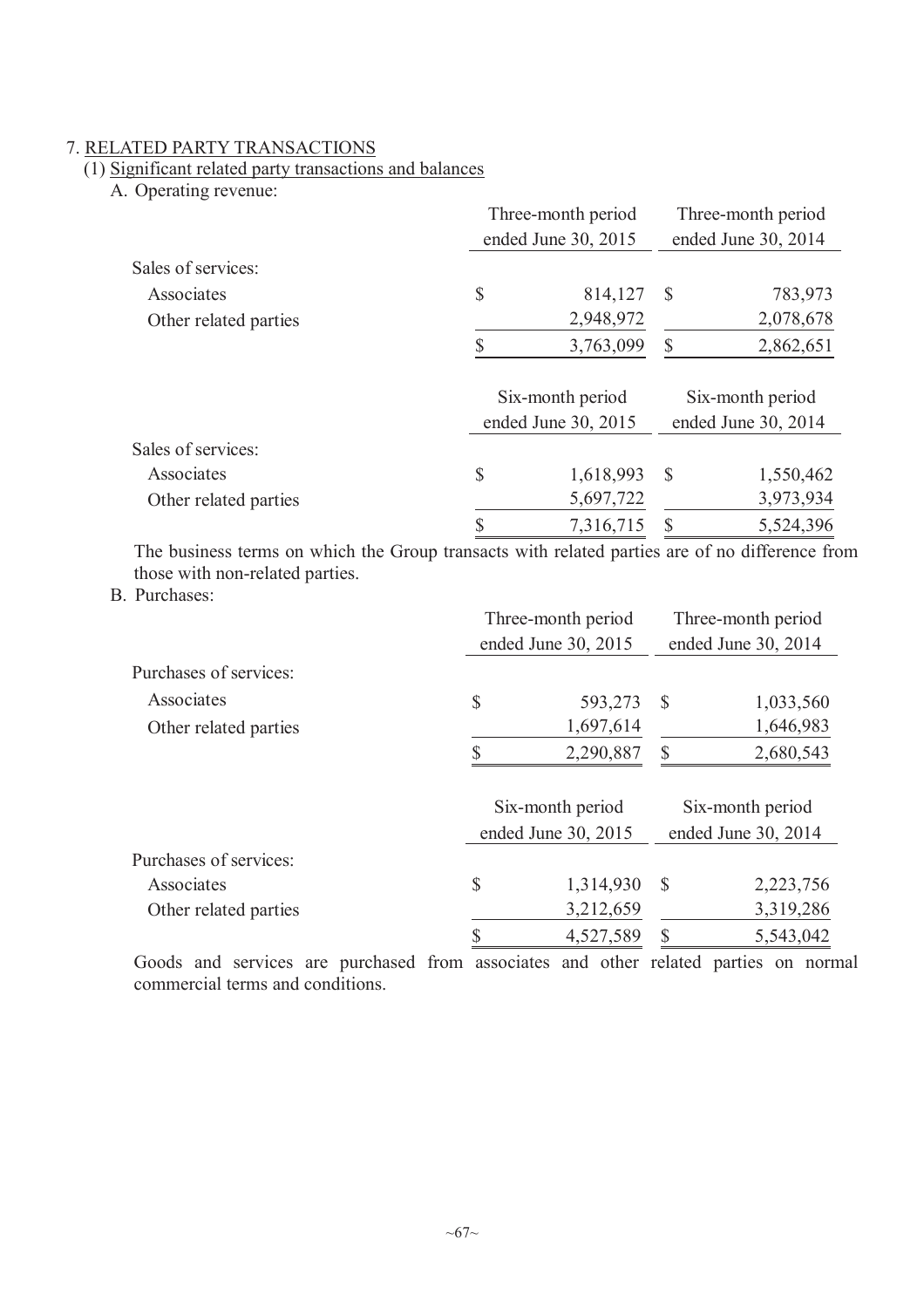## 7. RELATED PARTY TRANSACTIONS

## (1) Significant related party transactions and balances

A. Operating revenue:

|                       | Three-month period  |                     | Three-month period  |  |
|-----------------------|---------------------|---------------------|---------------------|--|
|                       | ended June 30, 2015 | ended June 30, 2014 |                     |  |
| Sales of services:    |                     |                     |                     |  |
| Associates            | \$<br>814,127       | $\mathcal{S}$       | 783,973             |  |
| Other related parties | 2,948,972           |                     | 2,078,678           |  |
|                       | \$<br>3,763,099     | \$                  | 2,862,651           |  |
|                       | Six-month period    |                     | Six-month period    |  |
|                       | ended June 30, 2015 |                     | ended June 30, 2014 |  |
| Sales of services:    |                     |                     |                     |  |
| Associates            | \$<br>1,618,993     | $\mathcal{S}$       | 1,550,462           |  |
| Other related parties | 5,697,722           |                     | 3,973,934           |  |
|                       | \$<br>7,316,715     | S                   | 5,524,396           |  |

The business terms on which the Group transacts with related parties are of no difference from those with non-related parties.

B. Purchases:

|                        | Three-month period  |                     | Three-month period  |                     |
|------------------------|---------------------|---------------------|---------------------|---------------------|
|                        | ended June 30, 2015 |                     | ended June 30, 2014 |                     |
| Purchases of services: |                     |                     |                     |                     |
| Associates             | \$                  | 593,273             | -S                  | 1,033,560           |
| Other related parties  |                     | 1,697,614           |                     | 1,646,983           |
|                        |                     | 2,290,887           | \$                  | 2,680,543           |
|                        |                     |                     |                     |                     |
|                        |                     | Six-month period    | Six-month period    |                     |
|                        |                     | ended June 30, 2015 |                     | ended June 30, 2014 |
| Purchases of services: |                     |                     |                     |                     |
| Associates             | \$                  | 1,314,930           | <sup>S</sup>        | 2,223,756           |
| Other related parties  |                     | 3,212,659           |                     | 3,319,286           |
|                        |                     | 4,527,589           |                     | 5,543,042           |

Goods and services are purchased from associates and other related parties on normal commercial terms and conditions.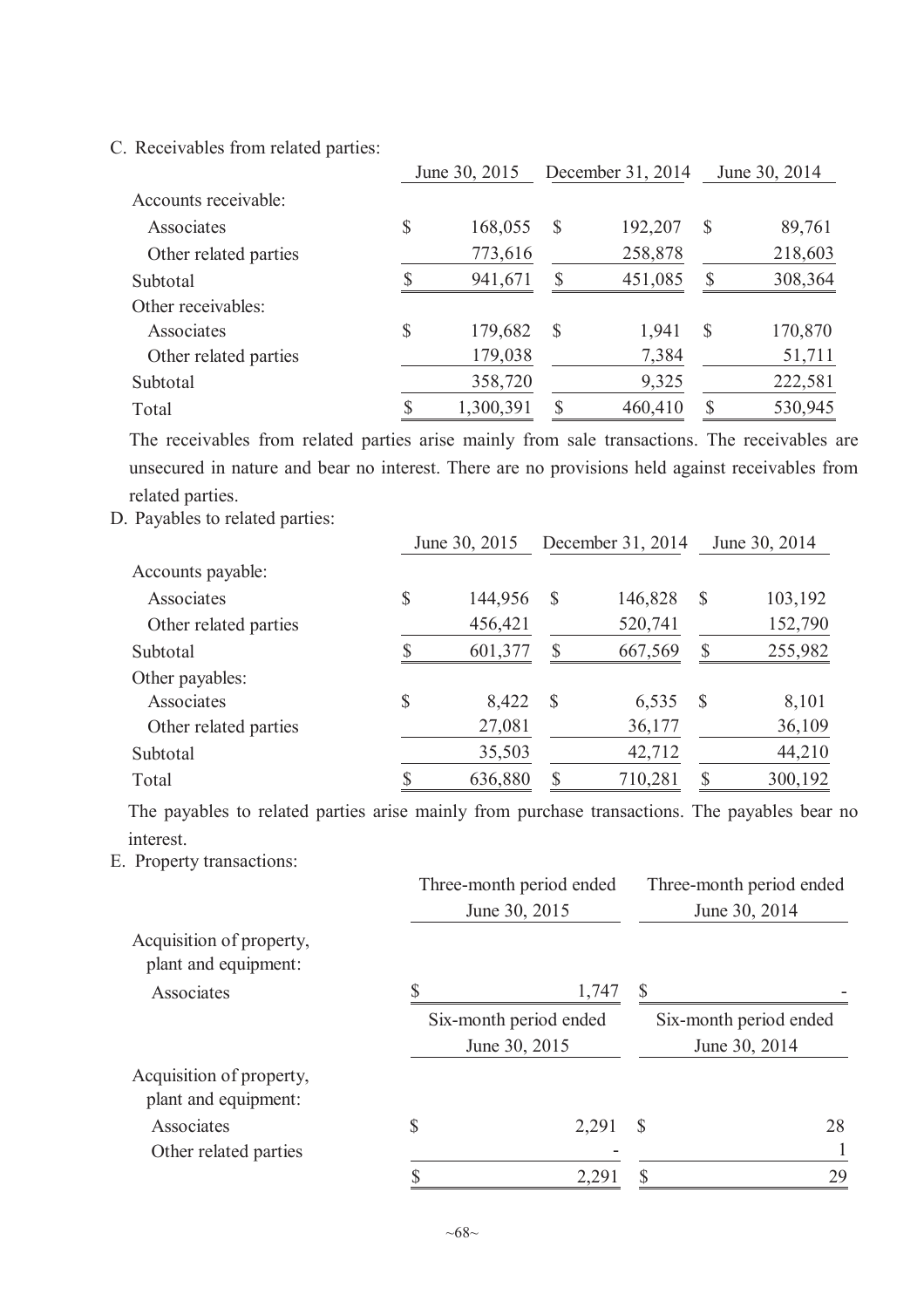C. Receivables from related parties:

|                       | June 30, 2015 |           | December 31, 2014 |         | June 30, 2014 |         |
|-----------------------|---------------|-----------|-------------------|---------|---------------|---------|
| Accounts receivable:  |               |           |                   |         |               |         |
| Associates            | \$            | 168,055   | S                 | 192,207 | $\mathcal{S}$ | 89,761  |
| Other related parties |               | 773,616   |                   | 258,878 |               | 218,603 |
| Subtotal              |               | 941,671   | <b>S</b>          | 451,085 |               | 308,364 |
| Other receivables:    |               |           |                   |         |               |         |
| Associates            | \$            | 179,682   | S                 | 1,941   | S             | 170,870 |
| Other related parties |               | 179,038   |                   | 7,384   |               | 51,711  |
| Subtotal              |               | 358,720   |                   | 9,325   |               | 222,581 |
| Total                 |               | 1,300,391 |                   | 460,410 |               | 530,945 |

The receivables from related parties arise mainly from sale transactions. The receivables are unsecured in nature and bear no interest. There are no provisions held against receivables from related parties.

D. Payables to related parties:

|                       |    | June 30, 2015 |              | December 31, 2014 |               | June 30, 2014 |
|-----------------------|----|---------------|--------------|-------------------|---------------|---------------|
| Accounts payable:     |    |               |              |                   |               |               |
| Associates            | \$ | 144,956       | S            | 146,828           | $\mathcal{S}$ | 103,192       |
| Other related parties |    | 456,421       |              | 520,741           |               | 152,790       |
| Subtotal              | S  | 601,377       |              | 667,569           |               | 255,982       |
| Other payables:       |    |               |              |                   |               |               |
| Associates            | \$ | 8,422         | <sup>S</sup> | 6,535             | <sup>S</sup>  | 8,101         |
| Other related parties |    | 27,081        |              | 36,177            |               | 36,109        |
| Subtotal              |    | 35,503        |              | 42,712            |               | 44,210        |
| Total                 |    | 636,880       |              | 710,281           |               | 300,192       |

The payables to related parties arise mainly from purchase transactions. The payables bear no interest.

E. Property transactions:

|                                                  | Three-month period ended<br>June 30, 2015 | Three-month period ended<br>June 30, 2014 |    |  |
|--------------------------------------------------|-------------------------------------------|-------------------------------------------|----|--|
| Acquisition of property,<br>plant and equipment: |                                           |                                           |    |  |
| Associates                                       | 1,747                                     |                                           |    |  |
|                                                  | Six-month period ended                    | Six-month period ended                    |    |  |
|                                                  | June 30, 2015                             | June 30, 2014                             |    |  |
| Acquisition of property,<br>plant and equipment: |                                           |                                           |    |  |
| Associates                                       | \$<br>2,291                               | S                                         | 28 |  |
| Other related parties                            |                                           |                                           |    |  |
|                                                  | 2,29                                      |                                           | 29 |  |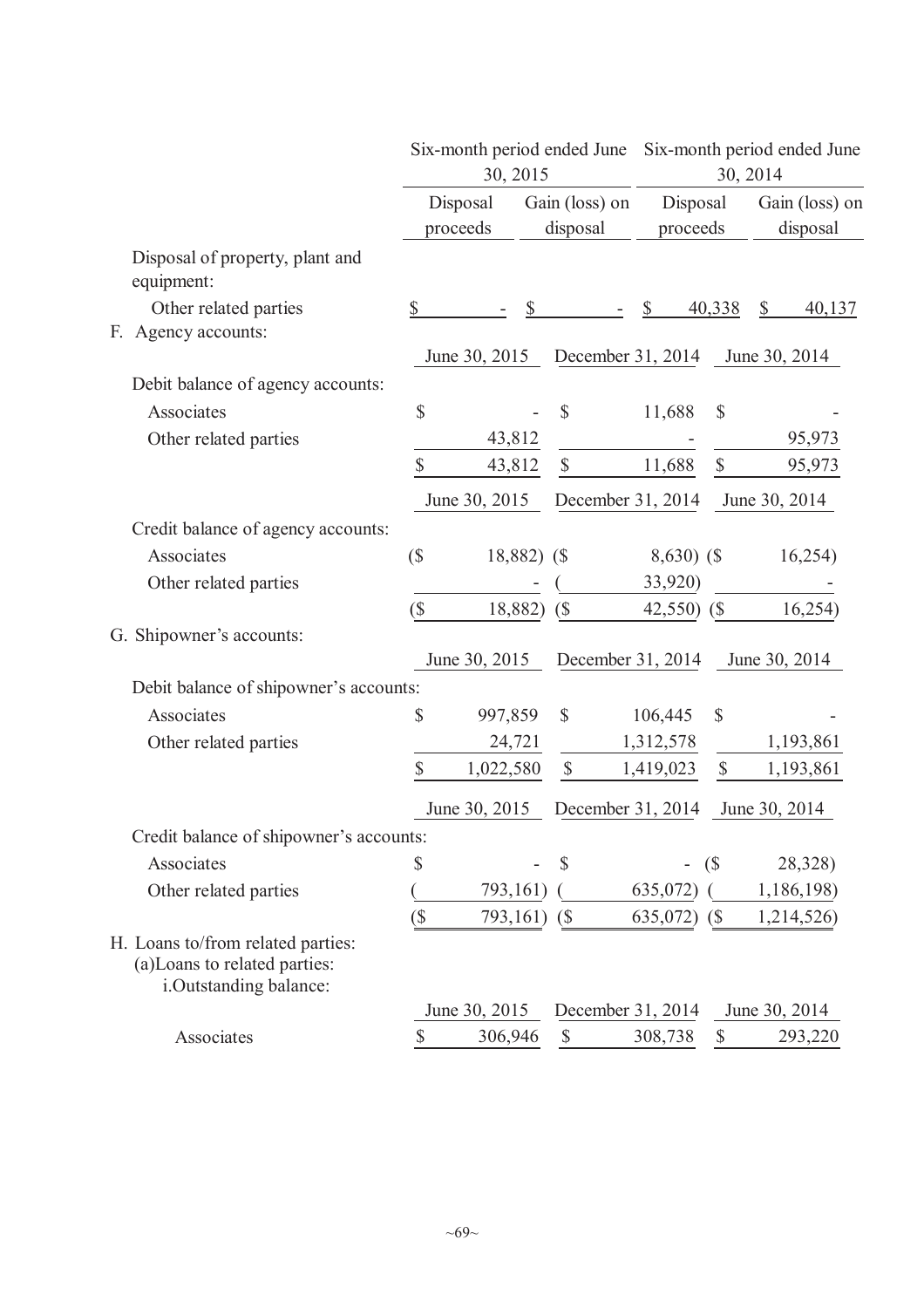|                                                                                              |                          |                      | 30, 2015                  | Six-month period ended June |                      | Six-month period ended June<br>30, 2014 |                                     |  |
|----------------------------------------------------------------------------------------------|--------------------------|----------------------|---------------------------|-----------------------------|----------------------|-----------------------------------------|-------------------------------------|--|
|                                                                                              |                          | Disposal<br>proceeds |                           | Gain (loss) on<br>disposal  | Disposal<br>proceeds |                                         | Gain (loss) on<br>disposal          |  |
| Disposal of property, plant and<br>equipment:                                                |                          |                      |                           |                             |                      |                                         |                                     |  |
| Other related parties<br>Agency accounts:<br>F.                                              | \$                       |                      | $\boldsymbol{\mathsf{S}}$ |                             |                      | 40,338                                  | $\boldsymbol{\mathsf{S}}$<br>40,137 |  |
|                                                                                              |                          | June 30, 2015        |                           |                             |                      |                                         | December 31, 2014 June 30, 2014     |  |
| Debit balance of agency accounts:                                                            |                          |                      |                           |                             |                      |                                         |                                     |  |
| Associates                                                                                   | $\mathbb{S}$             |                      |                           | $\mathcal{S}$               | 11,688               | \$                                      |                                     |  |
| Other related parties                                                                        |                          | 43,812               |                           |                             |                      |                                         | 95,973                              |  |
|                                                                                              | \$                       | 43,812               |                           | $\mathbb{S}$                | 11,688               | $\mathbb{S}$                            | 95,973                              |  |
|                                                                                              |                          | June 30, 2015        |                           | December 31, 2014           |                      |                                         | June 30, 2014                       |  |
| Credit balance of agency accounts:                                                           |                          |                      |                           |                             |                      |                                         |                                     |  |
| Associates                                                                                   | (                        |                      | 18,882) (\$               |                             | $8,630)$ (\$         |                                         | 16,254)                             |  |
| Other related parties                                                                        |                          |                      |                           |                             | 33,920)              |                                         |                                     |  |
|                                                                                              | (                        |                      | 18,882)                   | $\sqrt{\$}$                 | $42,550$ (\$)        |                                         | 16,254)                             |  |
| G. Shipowner's accounts:                                                                     |                          |                      |                           |                             |                      |                                         |                                     |  |
|                                                                                              |                          | June 30, 2015        |                           | December 31, 2014           |                      |                                         | June 30, 2014                       |  |
| Debit balance of shipowner's accounts:                                                       |                          |                      |                           |                             |                      |                                         |                                     |  |
| Associates                                                                                   | \$                       | 997,859              |                           | $\mathbb{S}$                | 106,445              | \$                                      |                                     |  |
| Other related parties                                                                        |                          | 24,721               |                           |                             | 1,312,578            |                                         | 1,193,861                           |  |
|                                                                                              | \$                       | 1,022,580            |                           | $\mathbb{S}$                | 1,419,023            | $\mathbb{S}$                            | 1,193,861                           |  |
|                                                                                              |                          | June 30, 2015        |                           | December 31, 2014           |                      |                                         | June 30, 2014                       |  |
| Credit balance of shipowner's accounts:                                                      |                          |                      |                           |                             |                      |                                         |                                     |  |
| Associates                                                                                   | \$                       |                      |                           | S                           |                      | (                                       | 28,328)                             |  |
| Other related parties                                                                        |                          | 793,161)             |                           |                             | 635,072)             |                                         | 1,186,198)                          |  |
|                                                                                              | $\overline{\mathcal{S}}$ | 793,161)             |                           | $\left( \text{\$} \right)$  | $635,072$ (\$)       |                                         | 1,214,526)                          |  |
| H. Loans to/from related parties:<br>(a) Loans to related parties:<br>i.Outstanding balance: |                          |                      |                           |                             |                      |                                         |                                     |  |
|                                                                                              |                          | June 30, 2015        |                           | December 31, 2014           |                      |                                         | June 30, 2014                       |  |
| Associates                                                                                   | \$                       | 306,946              |                           | $\boldsymbol{\mathsf{S}}$   | 308,738              | $\mathcal{S}$                           | 293,220                             |  |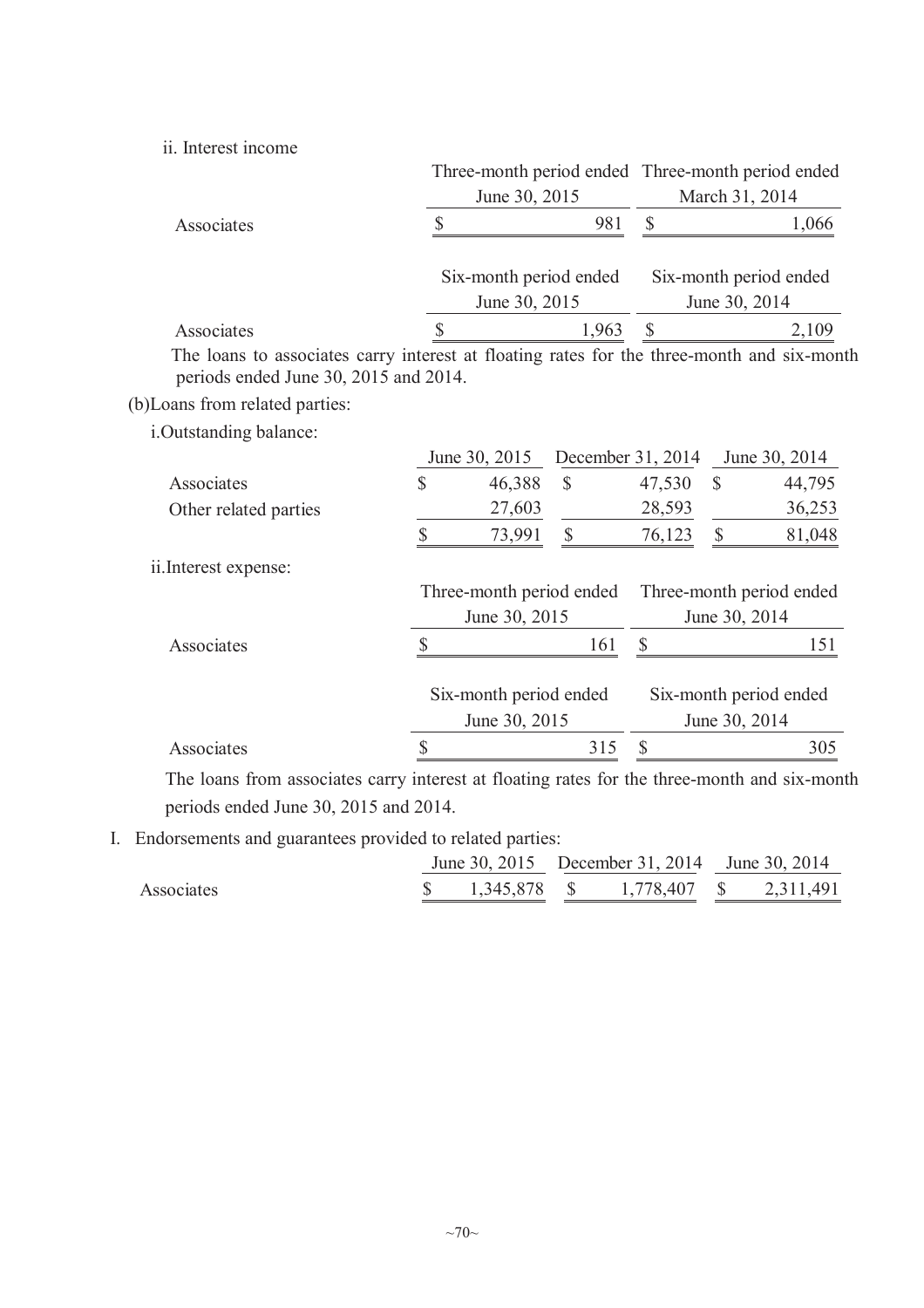ii. Interest income

|                                                                                                                                     |                                    |                        |                          | Three-month period ended Three-month period ended |                        |        |  |
|-------------------------------------------------------------------------------------------------------------------------------------|------------------------------------|------------------------|--------------------------|---------------------------------------------------|------------------------|--------|--|
|                                                                                                                                     |                                    | June 30, 2015          |                          | March 31, 2014                                    |                        |        |  |
| Associates                                                                                                                          | \$<br>981                          |                        | $\mathbb{S}$             |                                                   | 1,066                  |        |  |
|                                                                                                                                     |                                    | Six-month period ended |                          |                                                   | Six-month period ended |        |  |
|                                                                                                                                     | June 30, 2015                      |                        |                          |                                                   | June 30, 2014          |        |  |
| Associates                                                                                                                          | $\mathbb{S}$                       |                        | 1,963                    | $\mathbb{S}$                                      |                        | 2,109  |  |
| The loans to associates carry interest at floating rates for the three-month and six-month<br>periods ended June 30, 2015 and 2014. |                                    |                        |                          |                                                   |                        |        |  |
| (b) Loans from related parties:                                                                                                     |                                    |                        |                          |                                                   |                        |        |  |
| i.Outstanding balance:                                                                                                              |                                    |                        |                          |                                                   |                        |        |  |
|                                                                                                                                     | December 31, 2014<br>June 30, 2015 |                        |                          | June 30, 2014                                     |                        |        |  |
| Associates                                                                                                                          | \$                                 | 46,388                 | $\mathbb{S}$             | 47,530                                            | $\mathbb{S}$           | 44,795 |  |
| Other related parties                                                                                                               |                                    | 27,603                 |                          | 28,593                                            |                        | 36,253 |  |
|                                                                                                                                     | \$                                 | 73,991                 | $\mathbb{S}$             | 76,123                                            | $\mathbb{S}$           | 81,048 |  |
| ii. Interest expense:                                                                                                               |                                    |                        |                          |                                                   |                        |        |  |
|                                                                                                                                     | Three-month period ended           |                        | Three-month period ended |                                                   |                        |        |  |
|                                                                                                                                     | June 30, 2015                      |                        |                          | June 30, 2014                                     |                        |        |  |
| Associates                                                                                                                          | $\mathsf{\$}$                      |                        | 161                      | $\mathbb{S}$                                      |                        | 151    |  |
|                                                                                                                                     |                                    | Six-month period ended |                          | Six-month period ended                            |                        |        |  |
|                                                                                                                                     | June 30, 2015                      |                        |                          |                                                   | June 30, 2014          |        |  |
| Associates                                                                                                                          | \$                                 |                        | 315                      | $\boldsymbol{\mathsf{S}}$                         |                        | 305    |  |

The loans from associates carry interest at floating rates for the three-month and six-month periods ended June 30, 2015 and 2014.

I. Endorsements and guarantees provided to related parties:

|            |  |  |                                                    | June 30, 2015 December 31, 2014 June 30, 2014 |  |
|------------|--|--|----------------------------------------------------|-----------------------------------------------|--|
| Associates |  |  | $\$\,$ 1,345,878 $\$\,$ 1,778,407 $\$\,$ 2,311,491 |                                               |  |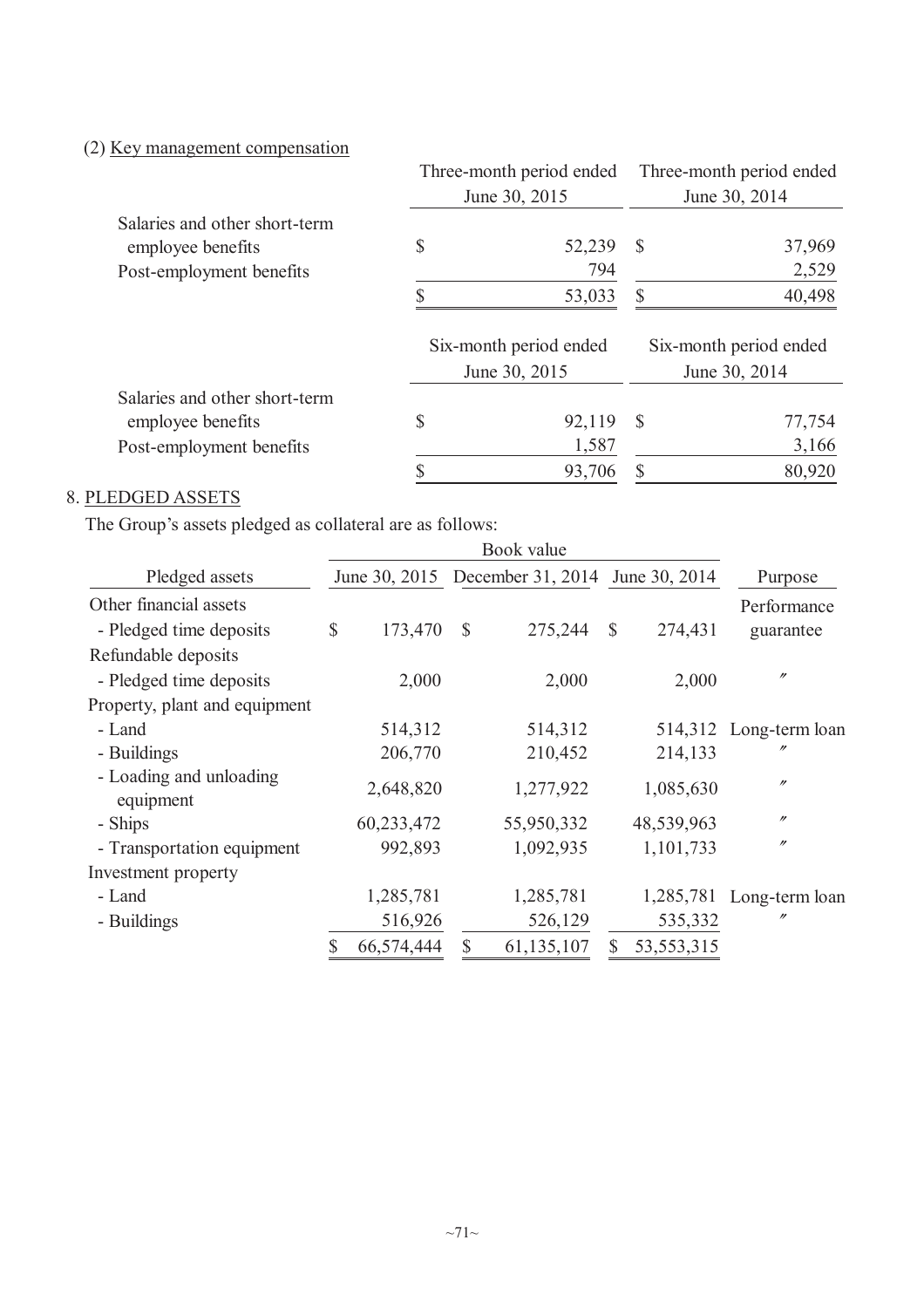# (2) Key management compensation

|                               | Three-month period ended |        | Three-month period ended |        |  |
|-------------------------------|--------------------------|--------|--------------------------|--------|--|
|                               | June 30, 2015            |        | June 30, 2014            |        |  |
| Salaries and other short-term |                          |        |                          |        |  |
| employee benefits             | \$                       | 52,239 | <sup>S</sup>             | 37,969 |  |
| Post-employment benefits      |                          | 794    |                          | 2,529  |  |
|                               |                          | 53,033 | \$                       | 40,498 |  |
|                               | Six-month period ended   |        | Six-month period ended   |        |  |
|                               | June 30, 2015            |        | June 30, 2014            |        |  |
| Salaries and other short-term |                          |        |                          |        |  |
| employee benefits             | \$                       | 92,119 | $\mathcal{S}$            | 77,754 |  |
| Post-employment benefits      |                          | 1,587  |                          | 3,166  |  |
|                               |                          | 93,706 | S                        | 80,920 |  |

# 8. PLEDGED ASSETS

The Group's assets pledged as collateral are as follows:

|                                                   | Book value |            |               |                                               |               |              |                          |  |
|---------------------------------------------------|------------|------------|---------------|-----------------------------------------------|---------------|--------------|--------------------------|--|
| Pledged assets                                    |            |            |               | June 30, 2015 December 31, 2014 June 30, 2014 |               |              | Purpose                  |  |
| Other financial assets<br>- Pledged time deposits | \$         | 173,470    | $\mathcal{S}$ | 275,244                                       | $\mathcal{S}$ | 274,431      | Performance<br>guarantee |  |
| Refundable deposits                               |            |            |               |                                               |               |              |                          |  |
| - Pledged time deposits                           |            | 2,000      |               | 2,000                                         |               | 2,000        | $^{\prime\prime}$        |  |
| Property, plant and equipment                     |            |            |               |                                               |               |              |                          |  |
| - Land                                            |            | 514,312    |               | 514,312                                       |               |              | 514,312 Long-term loan   |  |
| - Buildings                                       |            | 206,770    |               | 210,452                                       |               | 214,133      |                          |  |
| - Loading and unloading<br>equipment              |            | 2,648,820  |               | 1,277,922                                     |               | 1,085,630    | $^{\prime\prime}$        |  |
| - Ships                                           |            | 60,233,472 |               | 55,950,332                                    |               | 48,539,963   | $^{\prime\prime}$        |  |
| - Transportation equipment                        |            | 992,893    |               | 1,092,935                                     |               | 1,101,733    | $^{\prime\prime}$        |  |
| Investment property                               |            |            |               |                                               |               |              |                          |  |
| - Land                                            |            | 1,285,781  |               | 1,285,781                                     |               | 1,285,781    | Long-term loan           |  |
| - Buildings                                       |            | 516,926    |               | 526,129                                       |               | 535,332      | n                        |  |
|                                                   | \$         | 66,574,444 | \$            | 61,135,107                                    | \$            | 53, 553, 315 |                          |  |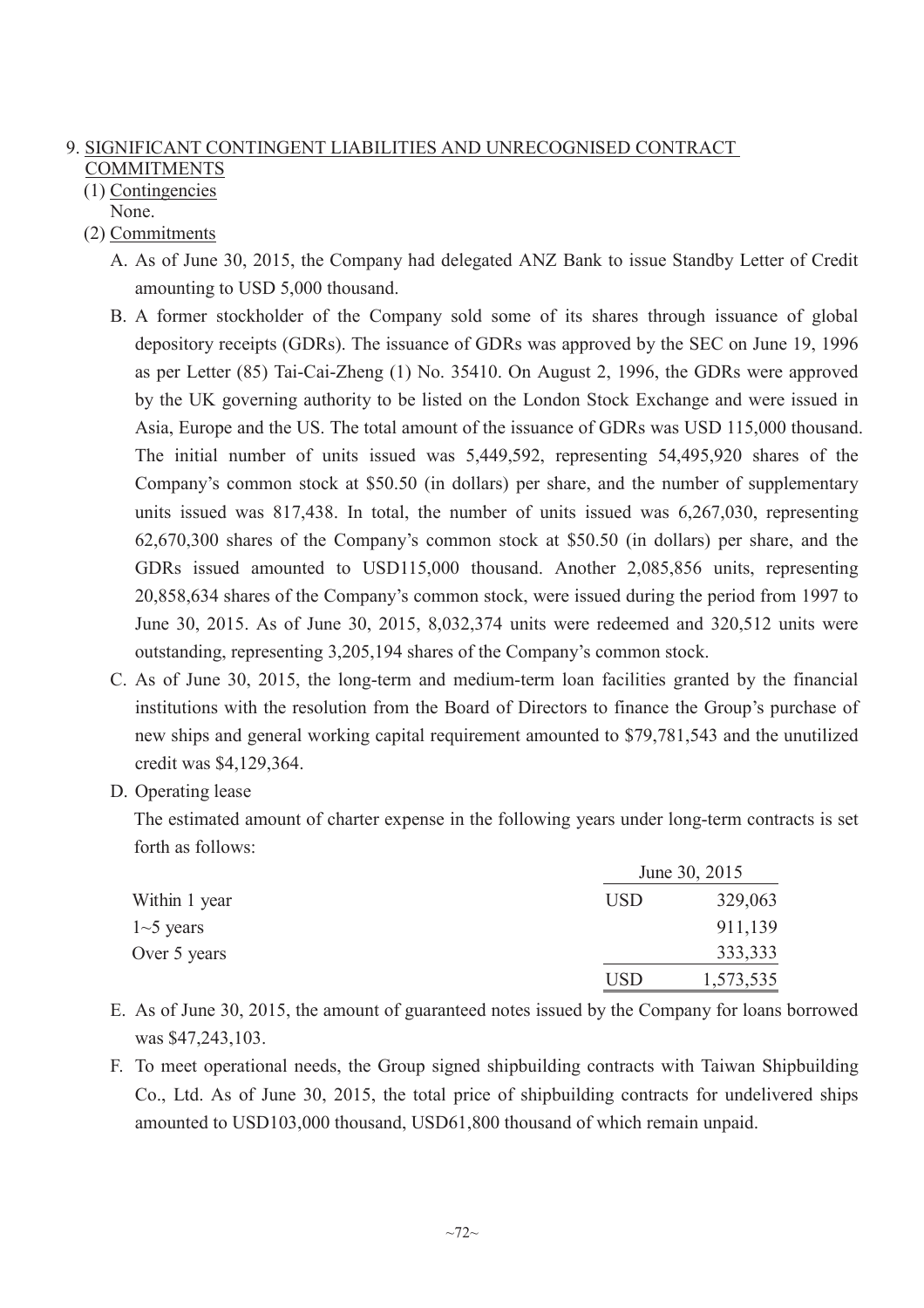# 9. SIGNIFICANT CONTINGENT LIABILITIES AND UNRECOGNISED CONTRACT **COMMITMENTS**

- (1) Contingencies None.
- (2) Commitments
	- A. As of June 30, 2015, the Company had delegated ANZ Bank to issue Standby Letter of Credit amounting to USD 5,000 thousand.
	- B. A former stockholder of the Company sold some of its shares through issuance of global depository receipts (GDRs). The issuance of GDRs was approved by the SEC on June 19, 1996 as per Letter (85) Tai-Cai-Zheng (1) No. 35410. On August 2, 1996, the GDRs were approved by the UK governing authority to be listed on the London Stock Exchange and were issued in Asia, Europe and the US. The total amount of the issuance of GDRs was USD 115,000 thousand. The initial number of units issued was 5,449,592, representing 54,495,920 shares of the Company's common stock at \$50.50 (in dollars) per share, and the number of supplementary units issued was 817,438. In total, the number of units issued was 6,267,030, representing 62,670,300 shares of the Company's common stock at \$50.50 (in dollars) per share, and the GDRs issued amounted to USD115,000 thousand. Another 2,085,856 units, representing 20,858,634 shares of the Company's common stock, were issued during the period from 1997 to June 30, 2015. As of June 30, 2015, 8,032,374 units were redeemed and 320,512 units were outstanding, representing 3,205,194 shares of the Company's common stock.
	- C. As of June 30, 2015, the long-term and medium-term loan facilities granted by the financial institutions with the resolution from the Board of Directors to finance the Group's purchase of new ships and general working capital requirement amounted to \$79,781,543 and the unutilized credit was \$4,129,364.
	- D. Operating lease

The estimated amount of charter expense in the following years under long-term contracts is set forth as follows:

|               |            | June 30, 2015 |
|---------------|------------|---------------|
| Within 1 year | <b>USD</b> | 329,063       |
| $1-5$ years   |            | 911,139       |
| Over 5 years  |            | 333,333       |
|               | <b>USD</b> | 1,573,535     |

- E. As of June 30, 2015, the amount of guaranteed notes issued by the Company for loans borrowed was \$47,243,103.
- F. To meet operational needs, the Group signed shipbuilding contracts with Taiwan Shipbuilding Co., Ltd. As of June 30, 2015, the total price of shipbuilding contracts for undelivered ships amounted to USD103,000 thousand, USD61,800 thousand of which remain unpaid.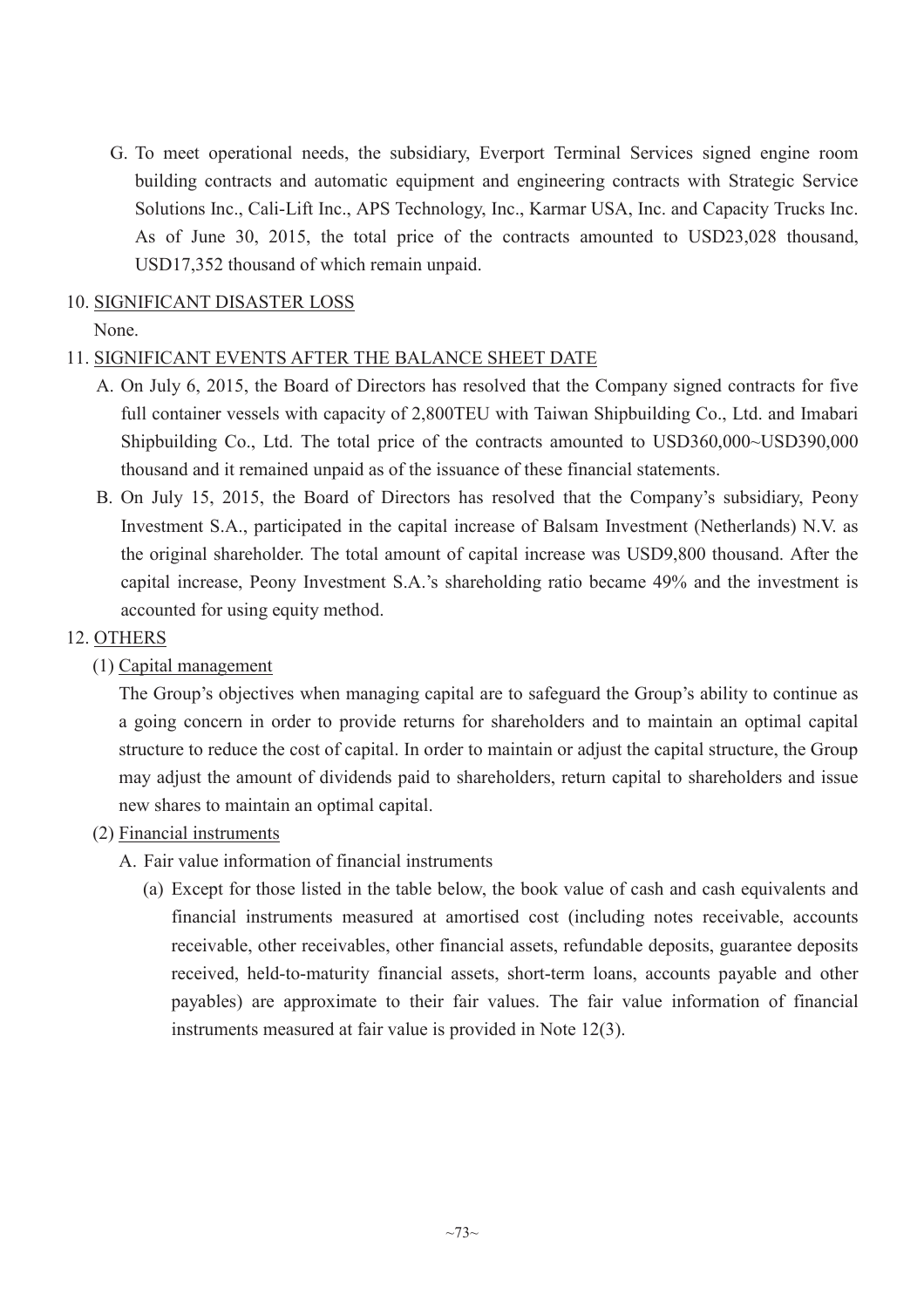G. To meet operational needs, the subsidiary, Everport Terminal Services signed engine room building contracts and automatic equipment and engineering contracts with Strategic Service Solutions Inc., Cali-Lift Inc., APS Technology, Inc., Karmar USA, Inc. and Capacity Trucks Inc. As of June 30, 2015, the total price of the contracts amounted to USD23,028 thousand, USD17,352 thousand of which remain unpaid.

## 10. SIGNIFICANT DISASTER LOSS

# None.

# 11. SIGNIFICANT EVENTS AFTER THE BALANCE SHEET DATE

- A. On July 6, 2015, the Board of Directors has resolved that the Company signed contracts for five full container vessels with capacity of 2,800TEU with Taiwan Shipbuilding Co., Ltd. and Imabari Shipbuilding Co., Ltd. The total price of the contracts amounted to USD360,000~USD390,000 thousand and it remained unpaid as of the issuance of these financial statements.
- B. On July 15, 2015, the Board of Directors has resolved that the Company's subsidiary, Peony Investment S.A., participated in the capital increase of Balsam Investment (Netherlands) N.V. as the original shareholder. The total amount of capital increase was USD9,800 thousand. After the capital increase, Peony Investment S.A.'s shareholding ratio became 49% and the investment is accounted for using equity method.

# 12. OTHERS

(1) Capital management

The Group's objectives when managing capital are to safeguard the Group's ability to continue as a going concern in order to provide returns for shareholders and to maintain an optimal capital structure to reduce the cost of capital. In order to maintain or adjust the capital structure, the Group may adjust the amount of dividends paid to shareholders, return capital to shareholders and issue new shares to maintain an optimal capital.

### (2) Financial instruments

- A. Fair value information of financial instruments
	- (a) Except for those listed in the table below, the book value of cash and cash equivalents and financial instruments measured at amortised cost (including notes receivable, accounts receivable, other receivables, other financial assets, refundable deposits, guarantee deposits received, held-to-maturity financial assets, short-term loans, accounts payable and other payables) are approximate to their fair values. The fair value information of financial instruments measured at fair value is provided in Note 12(3).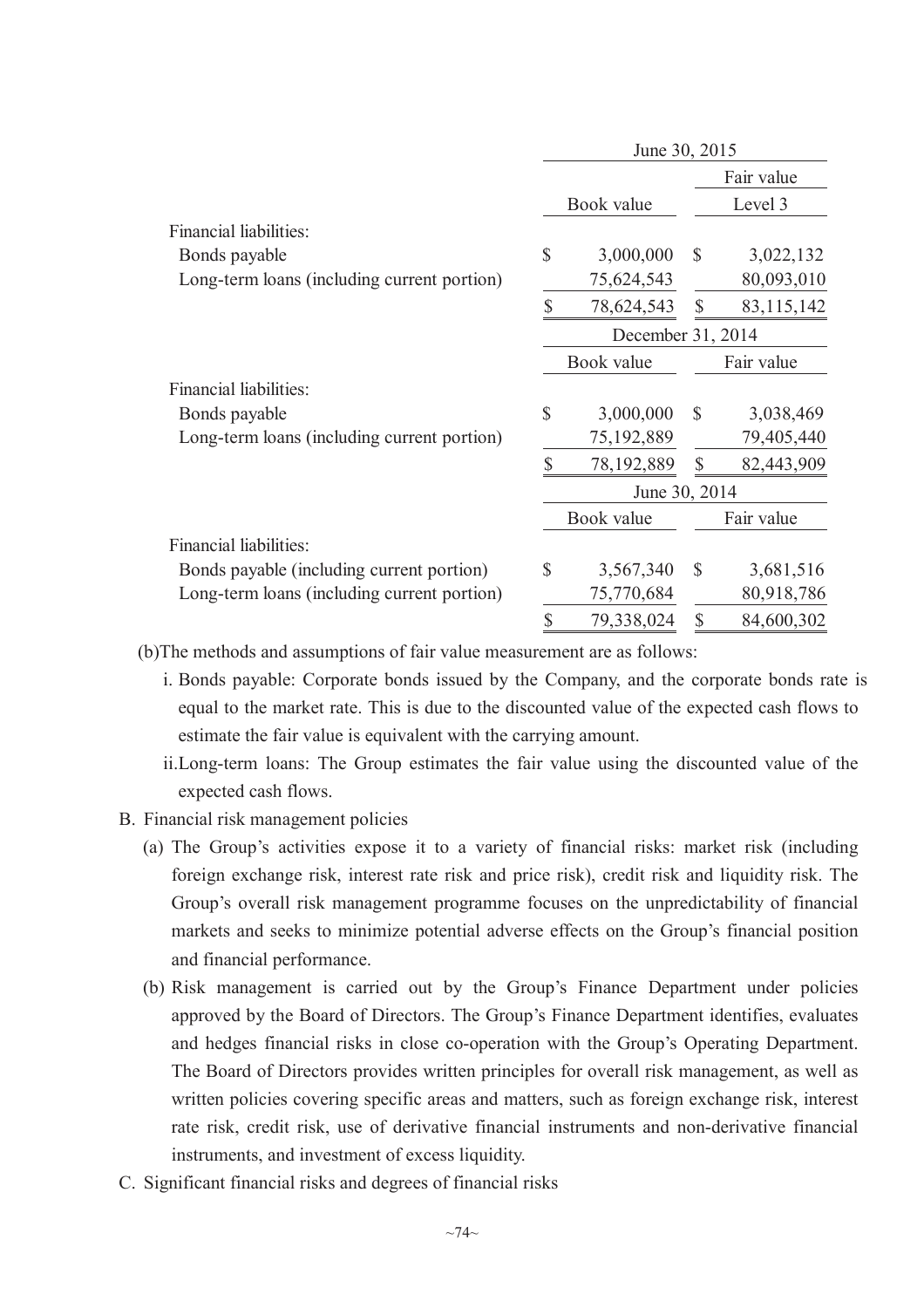|                                             |               | June 30, 2015     |               |              |
|---------------------------------------------|---------------|-------------------|---------------|--------------|
|                                             |               |                   |               | Fair value   |
|                                             |               | Book value        |               | Level 3      |
| Financial liabilities:                      |               |                   |               |              |
| Bonds payable                               | \$            | 3,000,000         | $\mathbb{S}$  | 3,022,132    |
| Long-term loans (including current portion) |               | 75,624,543        |               | 80,093,010   |
|                                             | \$            | 78,624,543        | $\mathbb{S}$  | 83, 115, 142 |
|                                             |               | December 31, 2014 |               |              |
|                                             |               | Book value        |               | Fair value   |
| Financial liabilities:                      |               |                   |               |              |
| Bonds payable                               | $\mathsf{\$}$ | 3,000,000         | $\mathbb{S}$  | 3,038,469    |
| Long-term loans (including current portion) |               | 75,192,889        |               | 79,405,440   |
|                                             | \$            | 78,192,889        | \$            | 82,443,909   |
|                                             |               | June 30, 2014     |               |              |
|                                             |               | Book value        |               | Fair value   |
| Financial liabilities:                      |               |                   |               |              |
| Bonds payable (including current portion)   | \$            | 3,567,340         | $\mathcal{S}$ | 3,681,516    |
| Long-term loans (including current portion) |               | 75,770,684        |               | 80,918,786   |
|                                             | \$            | 79,338,024        | \$            | 84,600,302   |
|                                             |               |                   |               |              |

(b)The methods and assumptions of fair value measurement are as follows:

- i. Bonds payable: Corporate bonds issued by the Company, and the corporate bonds rate is equal to the market rate. This is due to the discounted value of the expected cash flows to estimate the fair value is equivalent with the carrying amount.
- ii.Long-term loans: The Group estimates the fair value using the discounted value of the expected cash flows.
- B. Financial risk management policies
	- (a) The Group's activities expose it to a variety of financial risks: market risk (including foreign exchange risk, interest rate risk and price risk), credit risk and liquidity risk. The Group's overall risk management programme focuses on the unpredictability of financial markets and seeks to minimize potential adverse effects on the Group's financial position and financial performance.
	- (b) Risk management is carried out by the Group's Finance Department under policies approved by the Board of Directors. The Group's Finance Department identifies, evaluates and hedges financial risks in close co-operation with the Group's Operating Department. The Board of Directors provides written principles for overall risk management, as well as written policies covering specific areas and matters, such as foreign exchange risk, interest rate risk, credit risk, use of derivative financial instruments and non-derivative financial instruments, and investment of excess liquidity.
- C. Significant financial risks and degrees of financial risks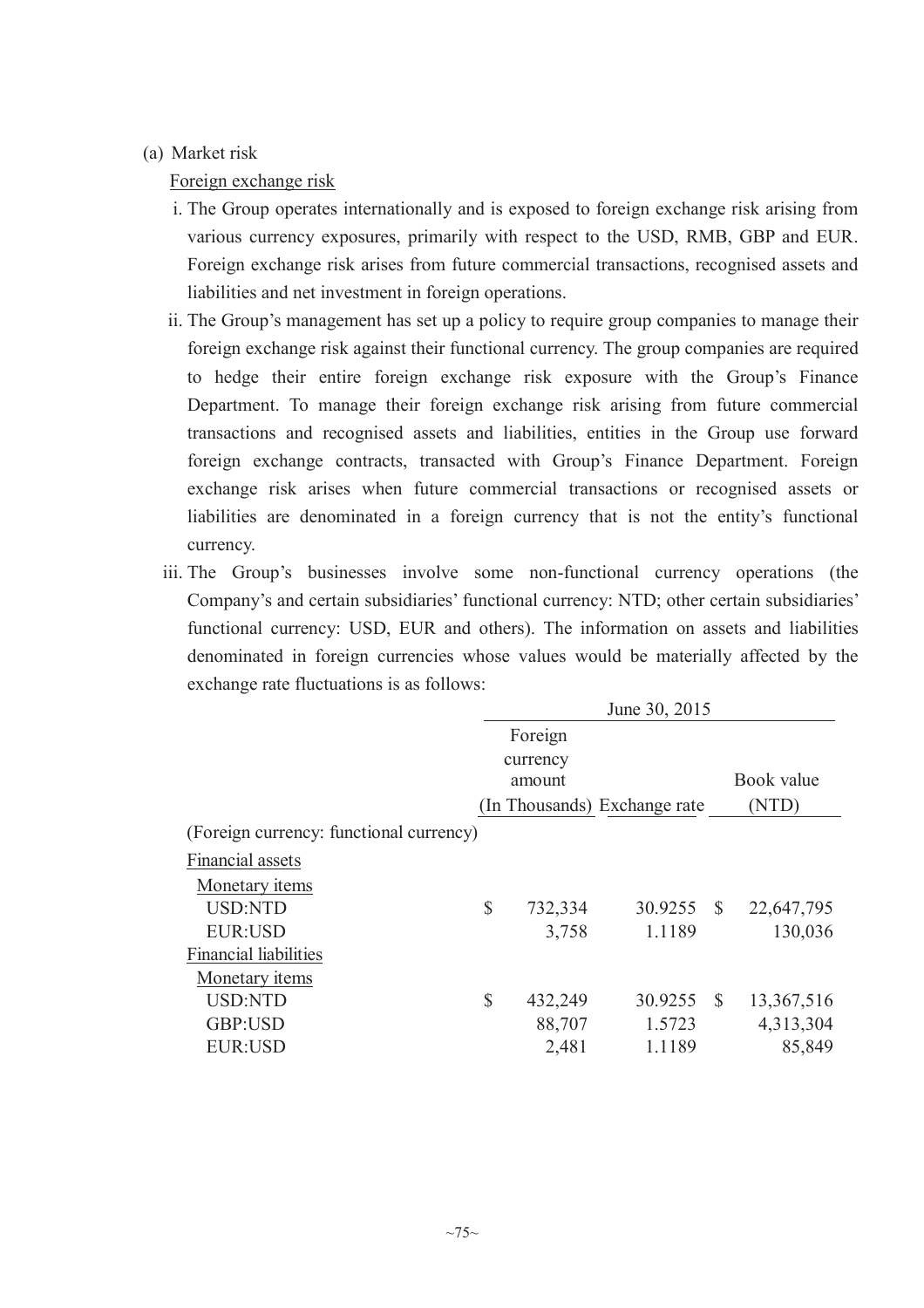## (a) Market risk

Foreign exchange risk

- i. The Group operates internationally and is exposed to foreign exchange risk arising from various currency exposures, primarily with respect to the USD, RMB, GBP and EUR. Foreign exchange risk arises from future commercial transactions, recognised assets and liabilities and net investment in foreign operations.
- ii. The Group's management has set up a policy to require group companies to manage their foreign exchange risk against their functional currency. The group companies are required to hedge their entire foreign exchange risk exposure with the Group's Finance Department. To manage their foreign exchange risk arising from future commercial transactions and recognised assets and liabilities, entities in the Group use forward foreign exchange contracts, transacted with Group's Finance Department. Foreign exchange risk arises when future commercial transactions or recognised assets or liabilities are denominated in a foreign currency that is not the entity's functional currency.
- iii. The Group's businesses involve some non-functional currency operations (the Company's and certain subsidiaries' functional currency: NTD; other certain subsidiaries' functional currency: USD, EUR and others). The information on assets and liabilities denominated in foreign currencies whose values would be materially affected by the exchange rate fluctuations is as follows:

|                                         |               |          | June 30, 2015                |              |            |
|-----------------------------------------|---------------|----------|------------------------------|--------------|------------|
|                                         |               | Foreign  |                              |              |            |
|                                         |               | currency |                              |              |            |
|                                         |               | amount   |                              |              | Book value |
|                                         |               |          | (In Thousands) Exchange rate |              | (NTD)      |
| (Foreign currency: functional currency) |               |          |                              |              |            |
| Financial assets                        |               |          |                              |              |            |
| Monetary <i>items</i>                   |               |          |                              |              |            |
| <b>USD:NTD</b>                          | $\mathcal{S}$ | 732,334  | 30.9255                      | <sup>S</sup> | 22,647,795 |
| <b>EUR:USD</b>                          |               | 3,758    | 1.1189                       |              | 130,036    |
| <b>Financial liabilities</b>            |               |          |                              |              |            |
| Monetary items                          |               |          |                              |              |            |
| <b>USD:NTD</b>                          | $\mathcal{S}$ | 432,249  | 30.9255                      | <sup>S</sup> | 13,367,516 |
| GBP:USD                                 |               | 88,707   | 1.5723                       |              | 4,313,304  |
| <b>EUR:USD</b>                          |               | 2,481    | 1.1189                       |              | 85,849     |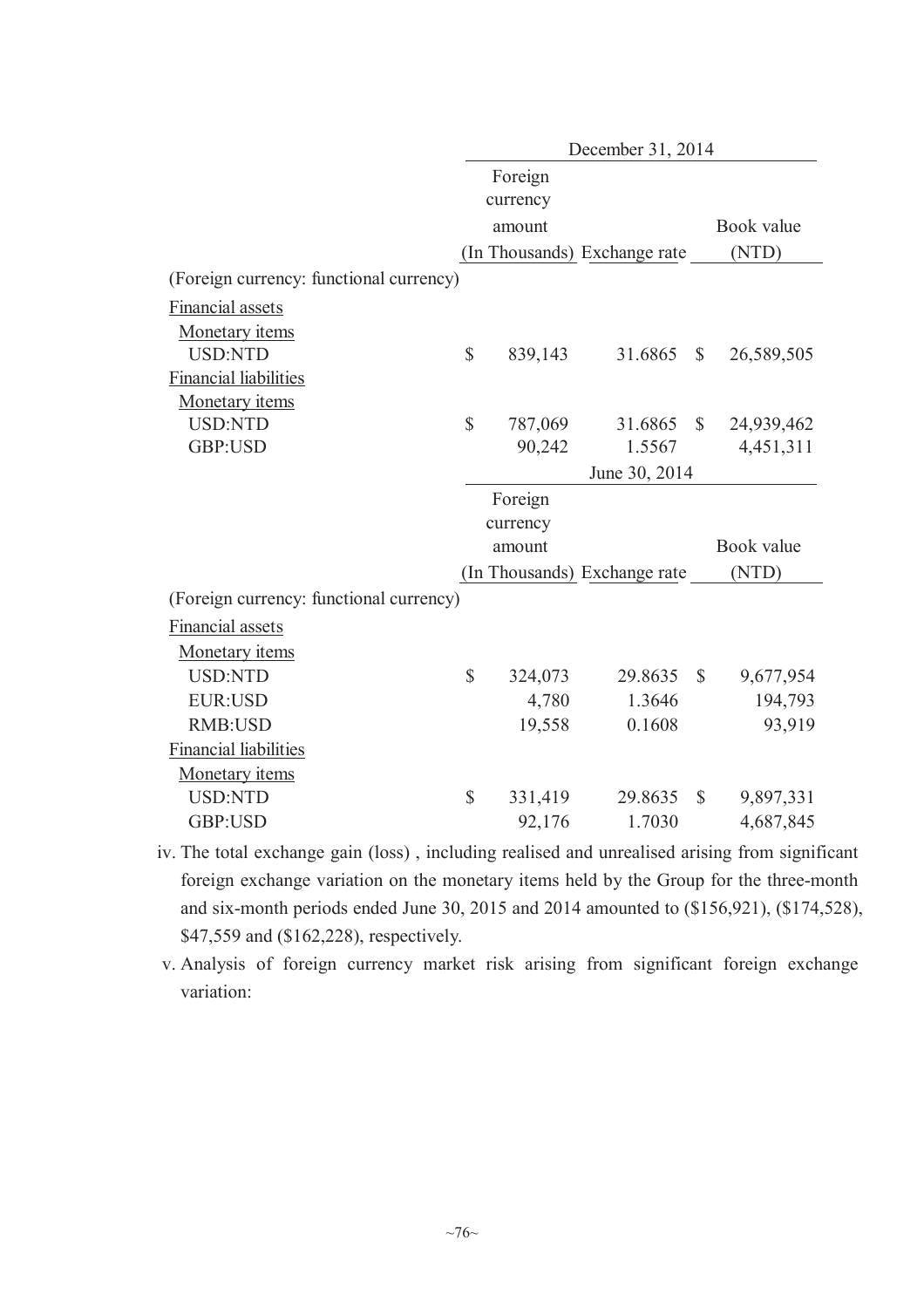|                                         | December 31, 2014         |          |                              |               |            |  |  |  |
|-----------------------------------------|---------------------------|----------|------------------------------|---------------|------------|--|--|--|
|                                         |                           | Foreign  |                              |               |            |  |  |  |
|                                         |                           | currency |                              |               |            |  |  |  |
|                                         |                           | amount   |                              |               | Book value |  |  |  |
|                                         |                           |          | (In Thousands) Exchange rate |               | (NTD)      |  |  |  |
| (Foreign currency: functional currency) |                           |          |                              |               |            |  |  |  |
| Financial assets                        |                           |          |                              |               |            |  |  |  |
| Monetary items                          |                           |          |                              |               |            |  |  |  |
| <b>USD:NTD</b>                          | $\overline{\mathbb{S}}$   | 839,143  | 31.6865                      | $\mathbb{S}$  | 26,589,505 |  |  |  |
| <b>Financial liabilities</b>            |                           |          |                              |               |            |  |  |  |
| Monetary items                          |                           |          |                              |               |            |  |  |  |
| <b>USD:NTD</b>                          | \$                        | 787,069  | 31.6865                      | $\mathbb{S}$  | 24,939,462 |  |  |  |
| GBP:USD                                 |                           | 90,242   | 1.5567                       |               | 4,451,311  |  |  |  |
|                                         |                           |          | June 30, 2014                |               |            |  |  |  |
|                                         |                           | Foreign  |                              |               |            |  |  |  |
|                                         |                           | currency |                              |               |            |  |  |  |
|                                         |                           |          |                              |               | Book value |  |  |  |
|                                         |                           | amount   |                              |               |            |  |  |  |
|                                         |                           |          | (In Thousands) Exchange rate |               | (NTD)      |  |  |  |
| (Foreign currency: functional currency) |                           |          |                              |               |            |  |  |  |
| Financial assets                        |                           |          |                              |               |            |  |  |  |
| Monetary items                          |                           |          |                              |               |            |  |  |  |
| <b>USD:NTD</b>                          | $\mathbb{S}$              | 324,073  | 29.8635                      | $\mathcal{S}$ | 9,677,954  |  |  |  |
| <b>EUR:USD</b>                          |                           | 4,780    | 1.3646                       |               | 194,793    |  |  |  |
| <b>RMB:USD</b>                          |                           | 19,558   | 0.1608                       |               | 93,919     |  |  |  |
| <b>Financial liabilities</b>            |                           |          |                              |               |            |  |  |  |
| Monetary items                          |                           |          |                              |               |            |  |  |  |
| <b>USD:NTD</b>                          | $\boldsymbol{\mathsf{S}}$ | 331,419  | 29.8635                      | $\mathbb{S}$  | 9,897,331  |  |  |  |

iv. The total exchange gain (loss) , including realised and unrealised arising from significant foreign exchange variation on the monetary items held by the Group for the three-month and six-month periods ended June 30, 2015 and 2014 amounted to (\$156,921), (\$174,528), \$47,559 and (\$162,228), respectively.

v. Analysis of foreign currency market risk arising from significant foreign exchange variation: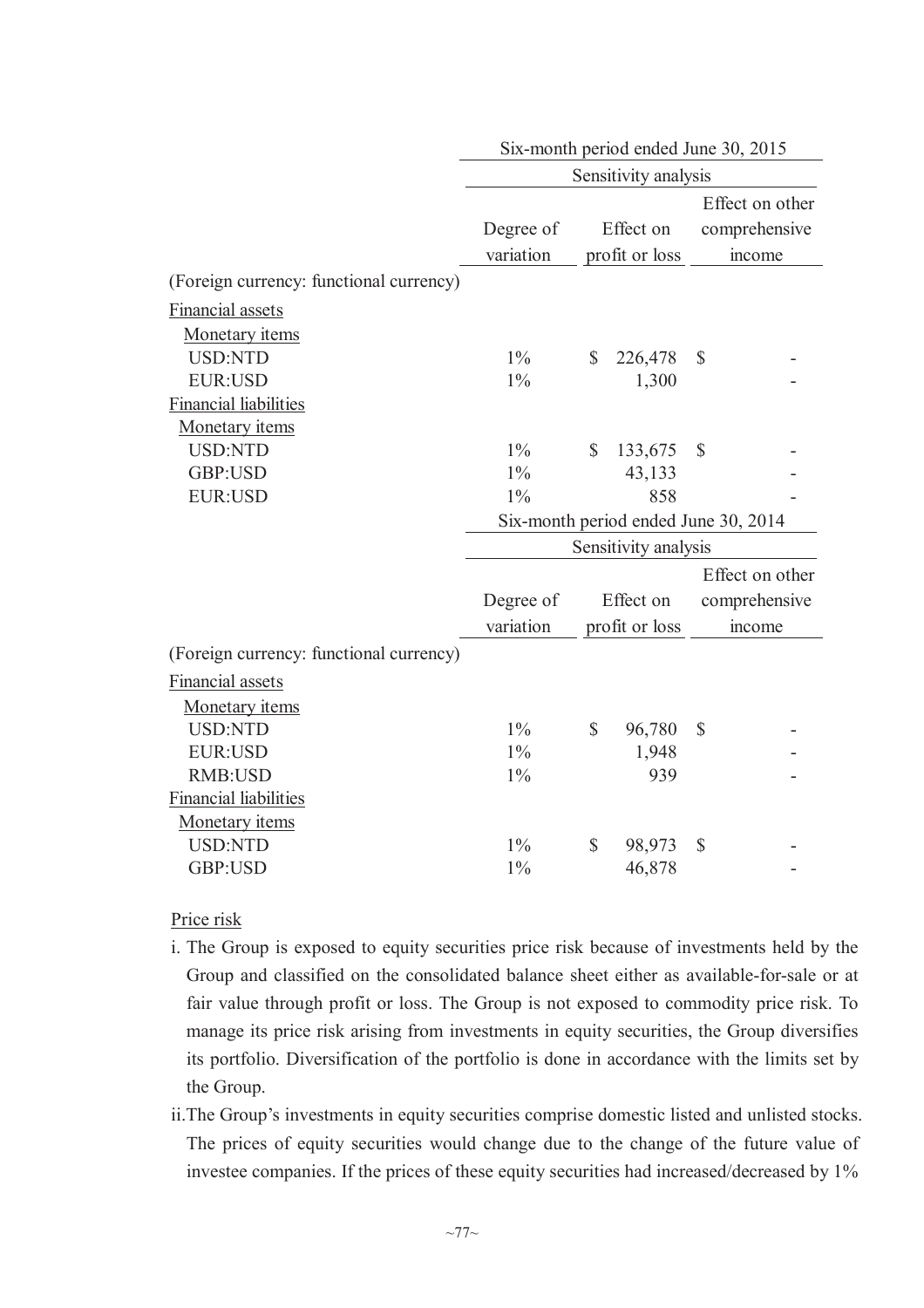|                                         |           |              | Six-month period ended June 30, 2015 |               |                 |
|-----------------------------------------|-----------|--------------|--------------------------------------|---------------|-----------------|
|                                         |           |              | Sensitivity analysis                 |               |                 |
|                                         |           |              |                                      |               | Effect on other |
|                                         | Degree of |              | Effect on                            |               | comprehensive   |
|                                         | variation |              | profit or loss                       |               | income          |
| (Foreign currency: functional currency) |           |              |                                      |               |                 |
| Financial assets                        |           |              |                                      |               |                 |
| Monetary items                          |           |              |                                      |               |                 |
| <b>USD:NTD</b>                          | $1\%$     | $\mathbb{S}$ | 226,478                              | $\mathbb{S}$  |                 |
| <b>EUR:USD</b>                          | $1\%$     |              | 1,300                                |               |                 |
| <b>Financial liabilities</b>            |           |              |                                      |               |                 |
| Monetary items                          |           |              |                                      |               |                 |
| <b>USD:NTD</b>                          | $1\%$     | \$           | 133,675                              | $\mathcal{S}$ |                 |
| GBP:USD                                 | $1\%$     |              | 43,133                               |               |                 |
| <b>EUR:USD</b>                          | $1\%$     |              | 858                                  |               |                 |
|                                         |           |              | Six-month period ended June 30, 2014 |               |                 |
|                                         |           |              | Sensitivity analysis                 |               |                 |
|                                         |           |              |                                      |               | Effect on other |
|                                         |           |              | Effect on                            |               |                 |
|                                         | Degree of |              |                                      |               | comprehensive   |
|                                         | variation |              | profit or loss                       |               | income          |
| (Foreign currency: functional currency) |           |              |                                      |               |                 |
| Financial assets                        |           |              |                                      |               |                 |
| Monetary items                          |           |              |                                      |               |                 |
| <b>USD:NTD</b>                          | $1\%$     | \$           | 96,780                               | $\mathcal{S}$ |                 |
| <b>EUR:USD</b>                          | $1\%$     |              | 1,948                                |               |                 |
| <b>RMB:USD</b>                          | $1\%$     |              | 939                                  |               |                 |
| <b>Financial liabilities</b>            |           |              |                                      |               |                 |
| Monetary items                          |           |              |                                      |               |                 |
| <b>USD:NTD</b>                          | $1\%$     | \$           | 98,973                               | \$            |                 |
| GBP:USD                                 | $1\%$     |              | 46,878                               |               |                 |

### Price risk

- i. The Group is exposed to equity securities price risk because of investments held by the Group and classified on the consolidated balance sheet either as available-for-sale or at fair value through profit or loss. The Group is not exposed to commodity price risk. To manage its price risk arising from investments in equity securities, the Group diversifies its portfolio. Diversification of the portfolio is done in accordance with the limits set by the Group.
- ii.The Group's investments in equity securities comprise domestic listed and unlisted stocks. The prices of equity securities would change due to the change of the future value of investee companies. If the prices of these equity securities had increased/decreased by 1%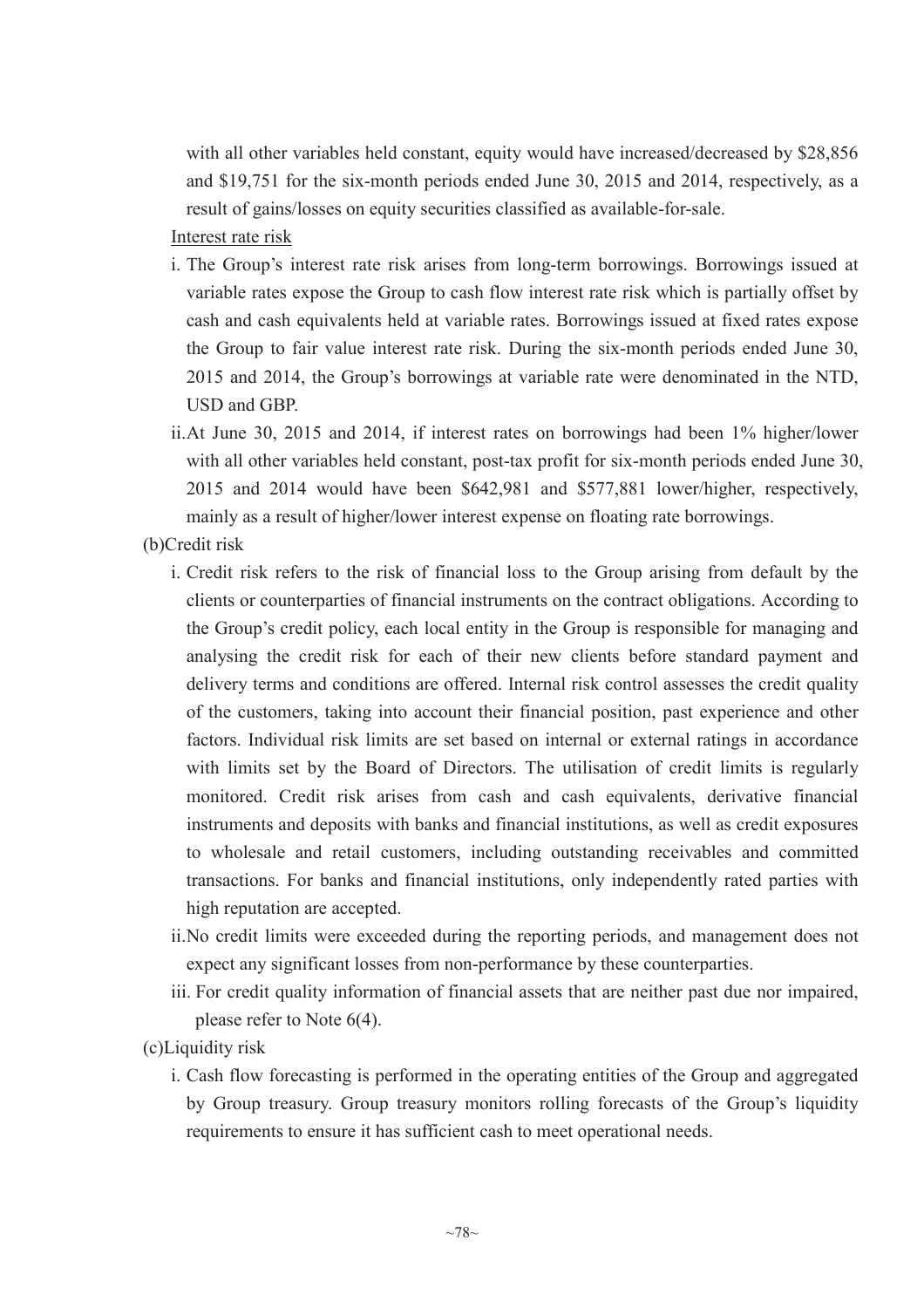with all other variables held constant, equity would have increased/decreased by \$28,856 and \$19,751 for the six-month periods ended June 30, 2015 and 2014, respectively, as a result of gains/losses on equity securities classified as available-for-sale.

# Interest rate risk

- i. The Group's interest rate risk arises from long-term borrowings. Borrowings issued at variable rates expose the Group to cash flow interest rate risk which is partially offset by cash and cash equivalents held at variable rates. Borrowings issued at fixed rates expose the Group to fair value interest rate risk. During the six-month periods ended June 30, 2015 and 2014, the Group's borrowings at variable rate were denominated in the NTD, USD and GBP.
- ii.At June 30, 2015 and 2014, if interest rates on borrowings had been 1% higher/lower with all other variables held constant, post-tax profit for six-month periods ended June 30, 2015 and 2014 would have been \$642,981 and \$577,881 lower/higher, respectively, mainly as a result of higher/lower interest expense on floating rate borrowings.
- (b)Credit risk
	- i. Credit risk refers to the risk of financial loss to the Group arising from default by the clients or counterparties of financial instruments on the contract obligations. According to the Group's credit policy, each local entity in the Group is responsible for managing and analysing the credit risk for each of their new clients before standard payment and delivery terms and conditions are offered. Internal risk control assesses the credit quality of the customers, taking into account their financial position, past experience and other factors. Individual risk limits are set based on internal or external ratings in accordance with limits set by the Board of Directors. The utilisation of credit limits is regularly monitored. Credit risk arises from cash and cash equivalents, derivative financial instruments and deposits with banks and financial institutions, as well as credit exposures to wholesale and retail customers, including outstanding receivables and committed transactions. For banks and financial institutions, only independently rated parties with high reputation are accepted.
	- ii.No credit limits were exceeded during the reporting periods, and management does not expect any significant losses from non-performance by these counterparties.
	- iii. For credit quality information of financial assets that are neither past due nor impaired, please refer to Note 6(4).

(c)Liquidity risk

i. Cash flow forecasting is performed in the operating entities of the Group and aggregated by Group treasury. Group treasury monitors rolling forecasts of the Group's liquidity requirements to ensure it has sufficient cash to meet operational needs.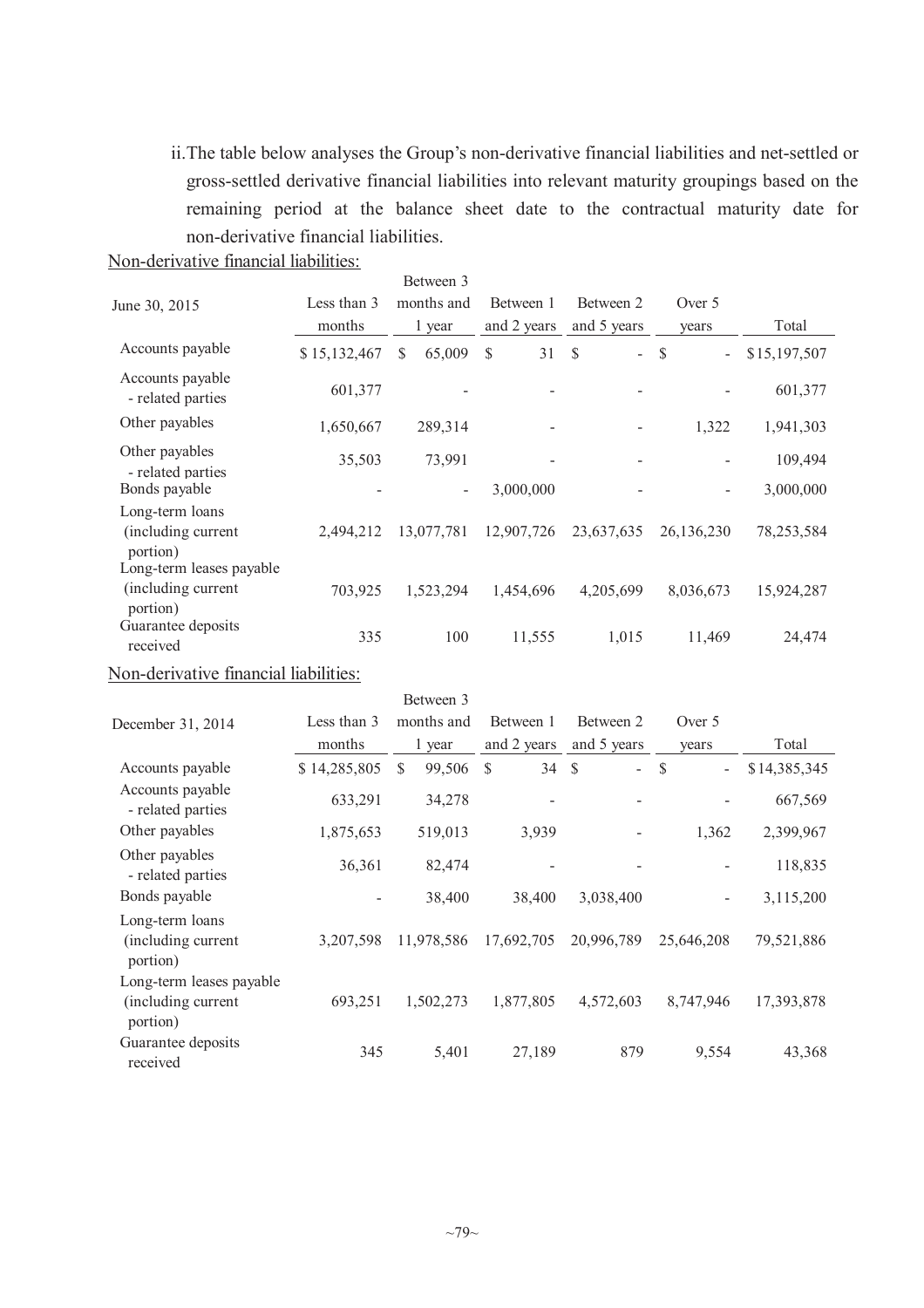ii.The table below analyses the Group's non-derivative financial liabilities and net-settled or gross-settled derivative financial liabilities into relevant maturity groupings based on the remaining period at the balance sheet date to the contractual maturity date for non-derivative financial liabilities.

|  | Non-derivative financial liabilities: |  |  |  |
|--|---------------------------------------|--|--|--|
|--|---------------------------------------|--|--|--|

| June 30, 2015                                              | Less than 3<br>months | Between 3<br>months and<br>1 year | Between 1<br>and 2 years | Between 2<br>and 5 years             | Over 5<br>years                          | Total        |
|------------------------------------------------------------|-----------------------|-----------------------------------|--------------------------|--------------------------------------|------------------------------------------|--------------|
| Accounts payable                                           | \$15,132,467          | \$.<br>65,009                     | \$<br>31                 | $\mathcal{S}$<br>$\mathcal{L}^{\pm}$ | <sup>S</sup><br>$\overline{\phantom{a}}$ | \$15,197,507 |
| Accounts payable<br>- related parties                      | 601,377               |                                   |                          |                                      |                                          | 601,377      |
| Other payables                                             | 1,650,667             | 289,314                           |                          |                                      | 1,322                                    | 1,941,303    |
| Other payables<br>- related parties                        | 35,503                | 73,991                            |                          |                                      |                                          | 109,494      |
| Bonds payable                                              |                       | $\overline{\phantom{a}}$          | 3,000,000                |                                      |                                          | 3,000,000    |
| Long-term loans<br>(including current<br>portion)          | 2,494,212             | 13,077,781                        | 12,907,726               | 23,637,635                           | 26,136,230                               | 78,253,584   |
| Long-term leases payable<br>(including current<br>portion) | 703,925               | 1,523,294                         | 1,454,696                | 4,205,699                            | 8,036,673                                | 15,924,287   |
| Guarantee deposits<br>received                             | 335                   | 100                               | 11,555                   | 1,015                                | 11,469                                   | 24,474       |

Non-derivative financial liabilities:

|                                                            |              | Between 3    |             |                                |                                           |              |
|------------------------------------------------------------|--------------|--------------|-------------|--------------------------------|-------------------------------------------|--------------|
| December 31, 2014                                          | Less than 3  | months and   | Between 1   | Between 2                      | Over 5                                    |              |
|                                                            | months       | 1 year       | and 2 years | and 5 years                    | vears                                     | Total        |
| Accounts payable                                           | \$14,285,805 | \$<br>99,506 | \$<br>34    | -S<br>$\overline{\phantom{0}}$ | <sup>\$</sup><br>$\overline{\phantom{0}}$ | \$14,385,345 |
| Accounts payable<br>- related parties                      | 633,291      | 34,278       |             |                                |                                           | 667,569      |
| Other payables                                             | 1,875,653    | 519,013      | 3,939       |                                | 1,362                                     | 2,399,967    |
| Other payables<br>- related parties                        | 36,361       | 82,474       |             |                                |                                           | 118,835      |
| Bonds payable                                              |              | 38,400       | 38,400      | 3,038,400                      | -                                         | 3,115,200    |
| Long-term loans<br>(including current<br>portion)          | 3,207,598    | 11,978,586   | 17,692,705  | 20,996,789                     | 25,646,208                                | 79,521,886   |
| Long-term leases payable<br>(including current<br>portion) | 693,251      | 1,502,273    | 1,877,805   | 4,572,603                      | 8,747,946                                 | 17,393,878   |
| Guarantee deposits<br>received                             | 345          | 5,401        | 27,189      | 879                            | 9,554                                     | 43,368       |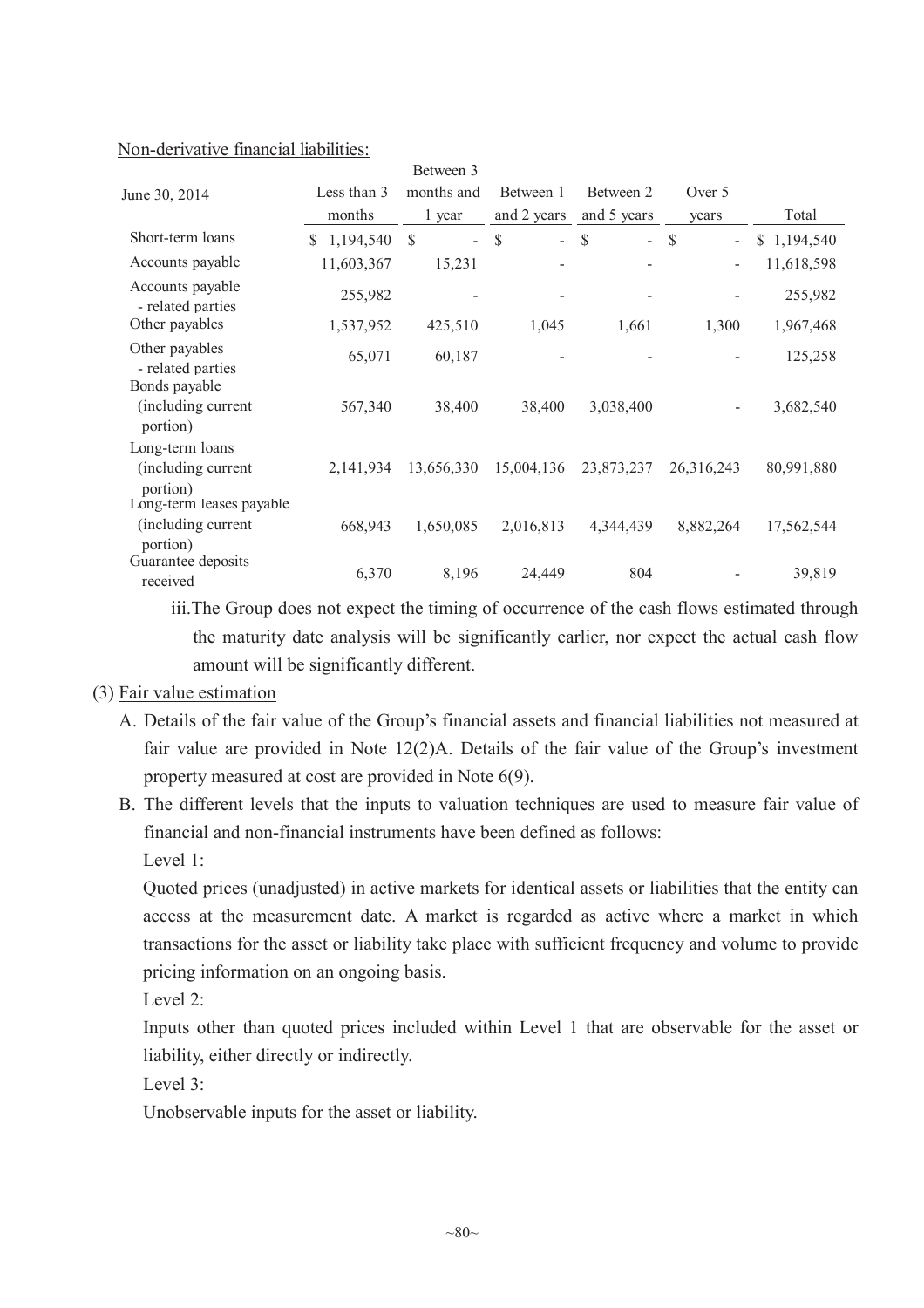|--|

|                                                            |                 | Between 3            |                                           |                                          |                         |             |
|------------------------------------------------------------|-----------------|----------------------|-------------------------------------------|------------------------------------------|-------------------------|-------------|
| June 30, 2014                                              | Less than 3     | months and           | Between 1                                 | Between 2                                | Over 5                  |             |
|                                                            | months          | 1 year               | and 2 years                               | and 5 years                              | years                   | Total       |
| Short-term loans                                           | 1,194,540<br>S. | \$<br>$\overline{a}$ | $\mathcal{S}$<br>$\overline{\phantom{0}}$ | $\mathbb{S}$<br>$\overline{\phantom{0}}$ | $\mathcal{S}$<br>$\sim$ | \$1,194,540 |
| Accounts payable                                           | 11,603,367      | 15,231               |                                           |                                          |                         | 11,618,598  |
| Accounts payable<br>- related parties                      | 255,982         |                      |                                           |                                          |                         | 255,982     |
| Other payables                                             | 1,537,952       | 425,510              | 1,045                                     | 1,661                                    | 1,300                   | 1,967,468   |
| Other payables<br>- related parties                        | 65,071          | 60,187               |                                           |                                          |                         | 125,258     |
| Bonds payable<br>(including current<br>portion)            | 567,340         | 38,400               | 38,400                                    | 3,038,400                                |                         | 3,682,540   |
| Long-term loans<br>(including current<br>portion)          | 2,141,934       | 13,656,330           | 15,004,136                                | 23,873,237                               | 26,316,243              | 80,991,880  |
| Long-term leases payable<br>(including current<br>portion) | 668,943         | 1,650,085            | 2,016,813                                 | 4,344,439                                | 8,882,264               | 17,562,544  |
| Guarantee deposits<br>received                             | 6,370           | 8,196                | 24,449                                    | 804                                      |                         | 39,819      |

iii.The Group does not expect the timing of occurrence of the cash flows estimated through the maturity date analysis will be significantly earlier, nor expect the actual cash flow amount will be significantly different.

### (3) Fair value estimation

- A. Details of the fair value of the Group's financial assets and financial liabilities not measured at fair value are provided in Note 12(2)A. Details of the fair value of the Group's investment property measured at cost are provided in Note 6(9).
- B. The different levels that the inputs to valuation techniques are used to measure fair value of financial and non-financial instruments have been defined as follows: Level 1:

Quoted prices (unadjusted) in active markets for identical assets or liabilities that the entity can access at the measurement date. A market is regarded as active where a market in which transactions for the asset or liability take place with sufficient frequency and volume to provide pricing information on an ongoing basis.

Level 2:

Inputs other than quoted prices included within Level 1 that are observable for the asset or liability, either directly or indirectly.

Level 3:

Unobservable inputs for the asset or liability.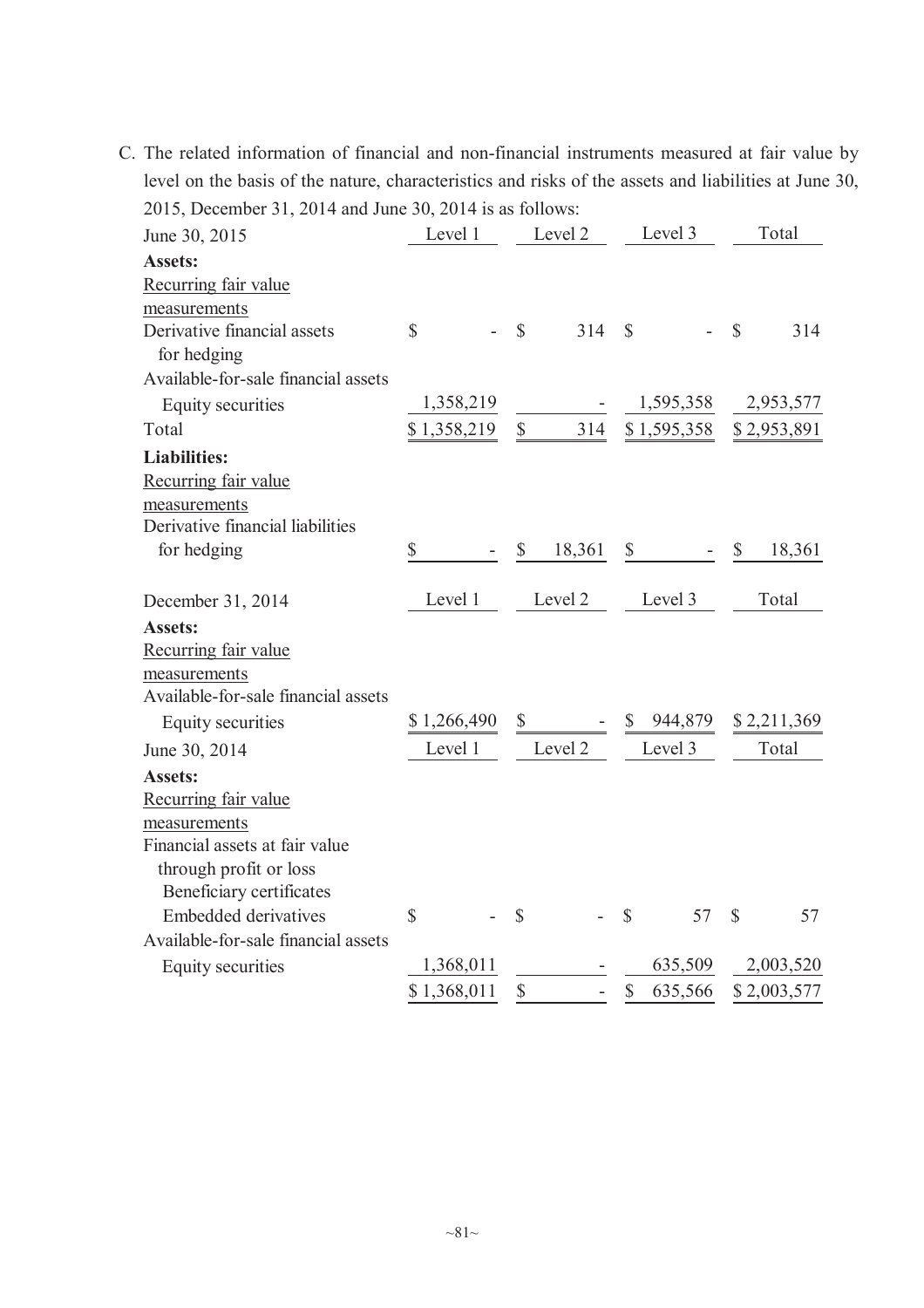C. The related information of financial and non-financial instruments measured at fair value by level on the basis of the nature, characteristics and risks of the assets and liabilities at June 30, 2015, December 31, 2014 and June 30, 2014 is as follows:

| June 30, 2015                       | Level 1      | Level 2                | Level 3                              | Total                   |
|-------------------------------------|--------------|------------------------|--------------------------------------|-------------------------|
| <b>Assets:</b>                      |              |                        |                                      |                         |
| Recurring fair value                |              |                        |                                      |                         |
| measurements                        |              |                        |                                      |                         |
| Derivative financial assets         | $\mathbb{S}$ | $\mathcal{S}$<br>314   | $\mathbb{S}$                         | $\mathbb{S}$<br>314     |
| for hedging                         |              |                        |                                      |                         |
| Available-for-sale financial assets |              |                        |                                      |                         |
| Equity securities                   | 1,358,219    |                        | 1,595,358                            | 2,953,577               |
| Total                               | \$1,358,219  | $\mathbb{S}$<br>314    | \$1,595,358                          | \$2,953,891             |
| <b>Liabilities:</b>                 |              |                        |                                      |                         |
| Recurring fair value                |              |                        |                                      |                         |
| measurements                        |              |                        |                                      |                         |
| Derivative financial liabilities    |              |                        |                                      |                         |
| for hedging                         | \$           | $\mathbb{S}$<br>18,361 | $\mathbb{S}$                         | <sup>\$</sup><br>18,361 |
|                                     |              |                        |                                      |                         |
| December 31, 2014                   | Level 1      | Level 2                | Level 3                              | Total                   |
| <b>Assets:</b>                      |              |                        |                                      |                         |
| Recurring fair value                |              |                        |                                      |                         |
| measurements                        |              |                        |                                      |                         |
| Available-for-sale financial assets |              |                        |                                      |                         |
| Equity securities                   | \$1,266,490  | $\mathbb{S}$           | \$ 944,879                           | \$2,211,369             |
| June 30, 2014                       | Level 1      | Level 2                | Level 3                              | Total                   |
| <b>Assets:</b>                      |              |                        |                                      |                         |
| Recurring fair value                |              |                        |                                      |                         |
| measurements                        |              |                        |                                      |                         |
| Financial assets at fair value      |              |                        |                                      |                         |
| through profit or loss              |              |                        |                                      |                         |
| Beneficiary certificates            |              |                        |                                      |                         |
| <b>Embedded derivatives</b>         | $\mathbb{S}$ | $\mathcal{S}$          | $\mathcal{S}$<br>57                  | $\mathbb{S}$<br>57      |
| Available-for-sale financial assets |              |                        |                                      |                         |
| Equity securities                   | 1,368,011    |                        | 635,509                              | 2,003,520               |
|                                     | \$1,368,011  | \$                     | $\boldsymbol{\mathsf{S}}$<br>635,566 | \$2,003,577             |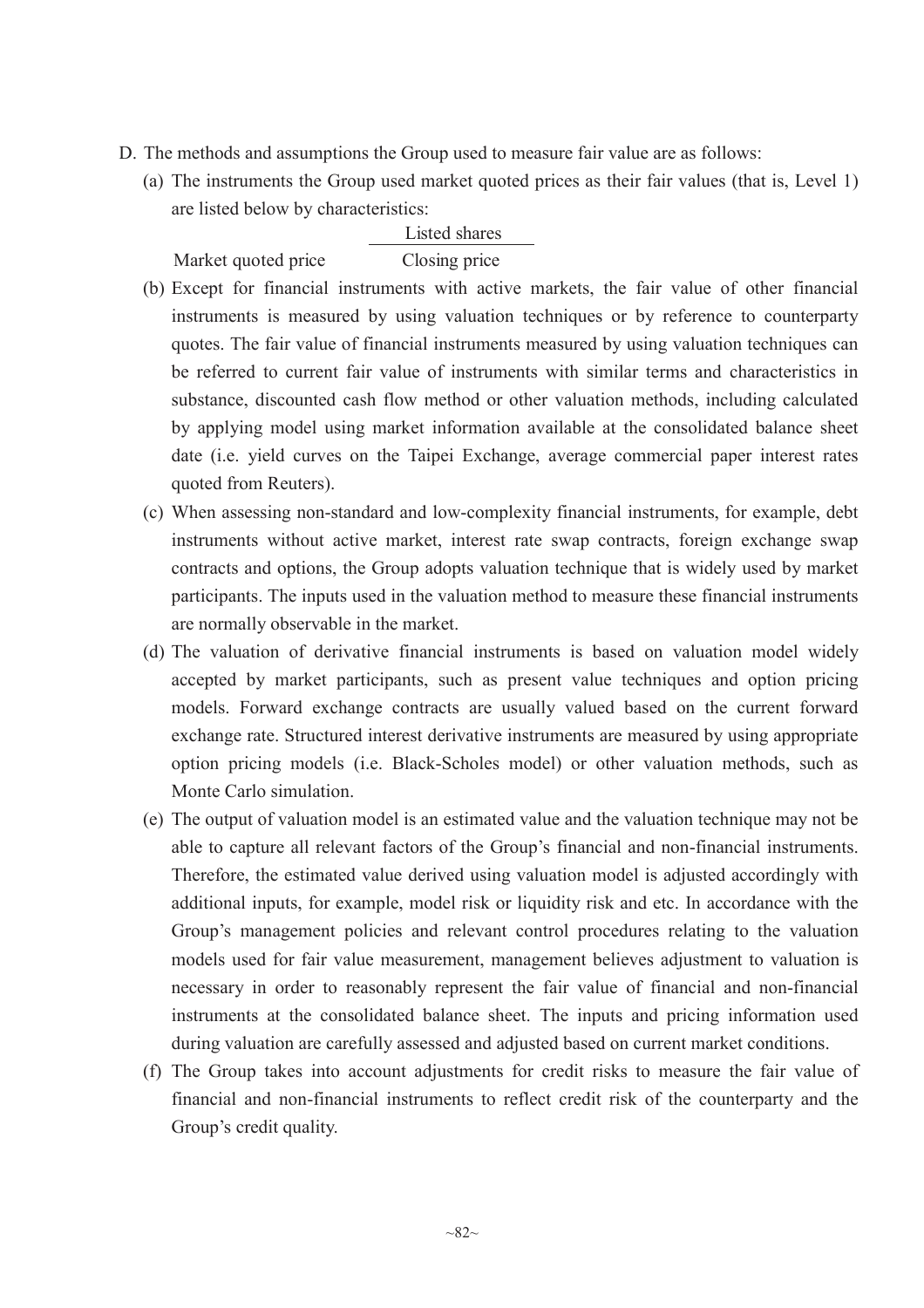- D. The methods and assumptions the Group used to measure fair value are as follows:
	- (a) The instruments the Group used market quoted prices as their fair values (that is, Level 1) are listed below by characteristics:

## Listed shares

Market quoted price Closing price

- (b) Except for financial instruments with active markets, the fair value of other financial instruments is measured by using valuation techniques or by reference to counterparty quotes. The fair value of financial instruments measured by using valuation techniques can be referred to current fair value of instruments with similar terms and characteristics in substance, discounted cash flow method or other valuation methods, including calculated by applying model using market information available at the consolidated balance sheet date (i.e. yield curves on the Taipei Exchange, average commercial paper interest rates quoted from Reuters).
- (c) When assessing non-standard and low-complexity financial instruments, for example, debt instruments without active market, interest rate swap contracts, foreign exchange swap contracts and options, the Group adopts valuation technique that is widely used by market participants. The inputs used in the valuation method to measure these financial instruments are normally observable in the market.
- (d) The valuation of derivative financial instruments is based on valuation model widely accepted by market participants, such as present value techniques and option pricing models. Forward exchange contracts are usually valued based on the current forward exchange rate. Structured interest derivative instruments are measured by using appropriate option pricing models (i.e. Black-Scholes model) or other valuation methods, such as Monte Carlo simulation.
- (e) The output of valuation model is an estimated value and the valuation technique may not be able to capture all relevant factors of the Group's financial and non-financial instruments. Therefore, the estimated value derived using valuation model is adjusted accordingly with additional inputs, for example, model risk or liquidity risk and etc. In accordance with the Group's management policies and relevant control procedures relating to the valuation models used for fair value measurement, management believes adjustment to valuation is necessary in order to reasonably represent the fair value of financial and non-financial instruments at the consolidated balance sheet. The inputs and pricing information used during valuation are carefully assessed and adjusted based on current market conditions.
- (f) The Group takes into account adjustments for credit risks to measure the fair value of financial and non-financial instruments to reflect credit risk of the counterparty and the Group's credit quality.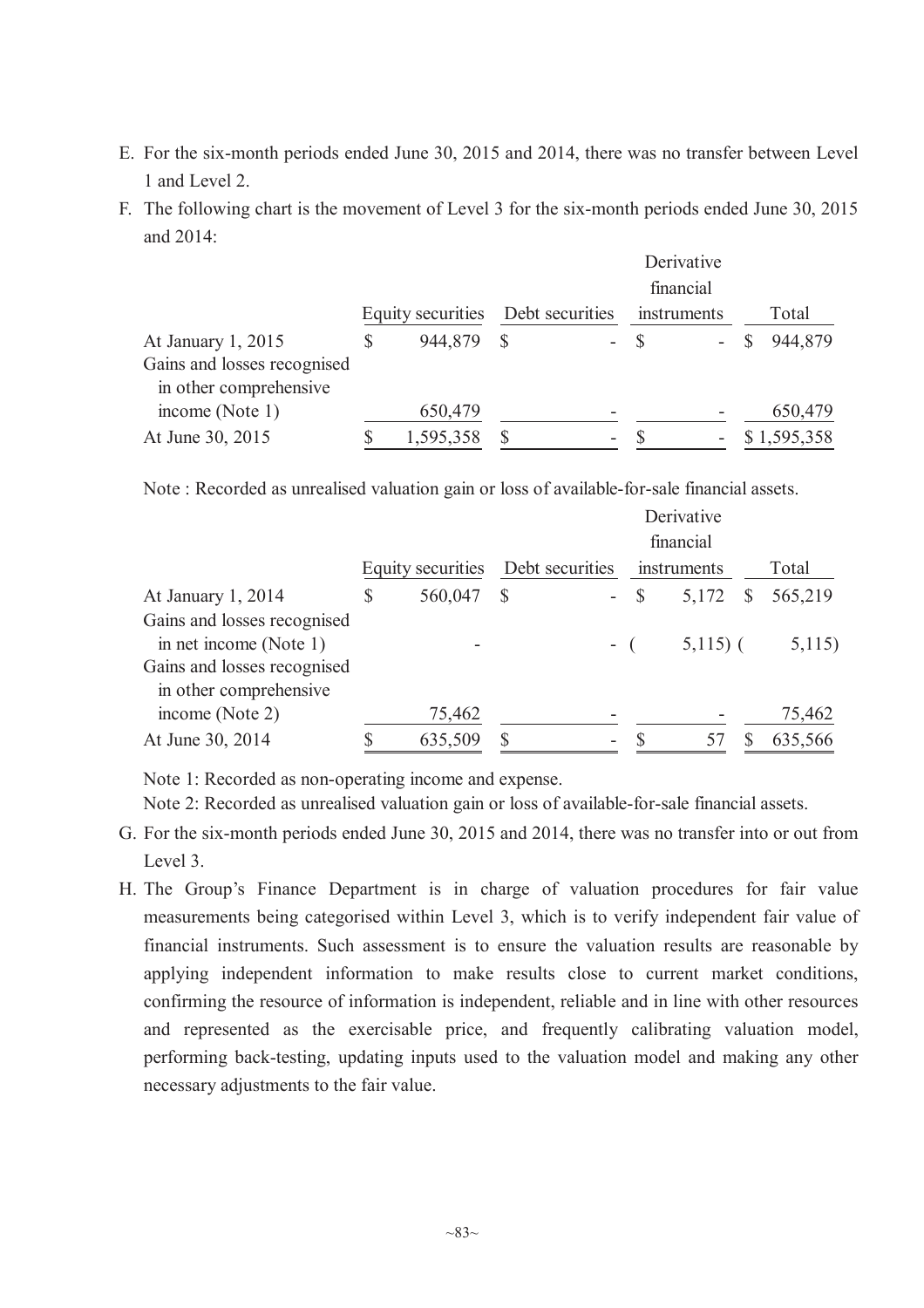- E. For the six-month periods ended June 30, 2015 and 2014, there was no transfer between Level 1 and Level 2.
- F. The following chart is the movement of Level 3 for the six-month periods ended June 30, 2015 and  $2014$

|                             |                   |              |                 |             | Derivative<br>financial |             |
|-----------------------------|-------------------|--------------|-----------------|-------------|-------------------------|-------------|
|                             | Equity securities |              | Debt securities | instruments |                         | Total       |
| At January 1, 2015          | \$<br>944,879     | <sup>S</sup> |                 | $-$ \$      |                         | 944,879     |
| Gains and losses recognised |                   |              |                 |             |                         |             |
| in other comprehensive      |                   |              |                 |             |                         |             |
| income (Note 1)             | 650,479           |              |                 |             |                         | 650,479     |
| At June 30, 2015            | 1,595,358         |              | -               |             |                         | \$1,595,358 |

Note : Recorded as unrealised valuation gain or loss of available-for-sale financial assets.

|                                                       |                          |               |                 |        | Derivative<br>financial |              |         |
|-------------------------------------------------------|--------------------------|---------------|-----------------|--------|-------------------------|--------------|---------|
|                                                       | <b>Equity securities</b> |               | Debt securities |        | instruments             |              | Total   |
| At January 1, 2014                                    | \$<br>560,047            | $\mathcal{S}$ |                 | $-$ \$ | 5,172                   | <sup>S</sup> | 565,219 |
| Gains and losses recognised<br>in net income (Note 1) |                          |               | $-$ (           |        | $5,115$ (               |              | 5,115)  |
| Gains and losses recognised<br>in other comprehensive |                          |               |                 |        |                         |              |         |
| income (Note 2)                                       | 75,462                   |               |                 |        |                         |              | 75,462  |
| At June 30, 2014                                      | 635,509                  |               |                 |        |                         |              | 635,566 |

Note 1: Recorded as non-operating income and expense.

Note 2: Recorded as unrealised valuation gain or loss of available-for-sale financial assets.

- G. For the six-month periods ended June 30, 2015 and 2014, there was no transfer into or out from Level 3.
- H. The Group's Finance Department is in charge of valuation procedures for fair value measurements being categorised within Level 3, which is to verify independent fair value of financial instruments. Such assessment is to ensure the valuation results are reasonable by applying independent information to make results close to current market conditions, confirming the resource of information is independent, reliable and in line with other resources and represented as the exercisable price, and frequently calibrating valuation model, performing back-testing, updating inputs used to the valuation model and making any other necessary adjustments to the fair value.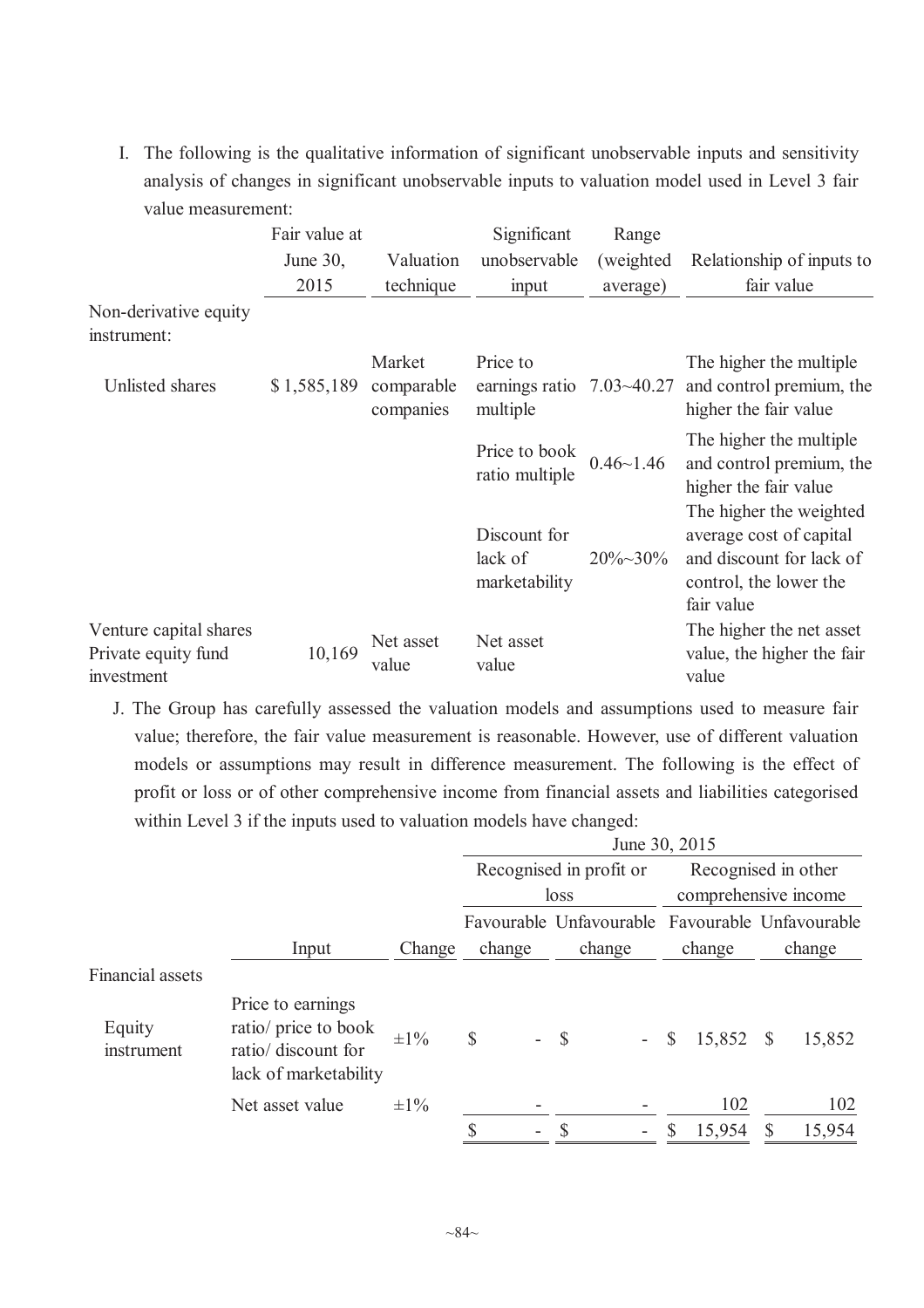I. The following is the qualitative information of significant unobservable inputs and sensitivity analysis of changes in significant unobservable inputs to valuation model used in Level 3 fair value measurement:

|                                                             | Fair value at |                         | Significant                                  | Range            |                                                                                                                        |
|-------------------------------------------------------------|---------------|-------------------------|----------------------------------------------|------------------|------------------------------------------------------------------------------------------------------------------------|
|                                                             | June 30,      | Valuation               | unobservable                                 | (weighted)       | Relationship of inputs to                                                                                              |
|                                                             | 2015          | technique               | input                                        | average)         | fair value                                                                                                             |
| Non-derivative equity<br>instrument:                        |               |                         |                                              |                  |                                                                                                                        |
|                                                             |               | Market                  | Price to                                     |                  | The higher the multiple                                                                                                |
| Unlisted shares                                             | \$1,585,189   | comparable<br>companies | earnings ratio $7.03 \sim 40.27$<br>multiple |                  | and control premium, the<br>higher the fair value                                                                      |
|                                                             |               |                         | Price to book<br>ratio multiple              | $0.46 - 1.46$    | The higher the multiple<br>and control premium, the<br>higher the fair value                                           |
|                                                             |               |                         | Discount for<br>lack of<br>marketability     | $20\% \sim 30\%$ | The higher the weighted<br>average cost of capital<br>and discount for lack of<br>control, the lower the<br>fair value |
| Venture capital shares<br>Private equity fund<br>investment | 10,169        | Net asset<br>value      | Net asset<br>value                           |                  | The higher the net asset<br>value, the higher the fair<br>value                                                        |

J. The Group has carefully assessed the valuation models and assumptions used to measure fair value; therefore, the fair value measurement is reasonable. However, use of different valuation models or assumptions may result in difference measurement. The following is the effect of profit or loss or of other comprehensive income from financial assets and liabilities categorised within Level 3 if the inputs used to valuation models have changed:

|                      |                                                                                           |           |                                          |                                                 | June 30, 2015          |                        |
|----------------------|-------------------------------------------------------------------------------------------|-----------|------------------------------------------|-------------------------------------------------|------------------------|------------------------|
|                      |                                                                                           |           |                                          | Recognised in profit or                         |                        | Recognised in other    |
|                      |                                                                                           |           |                                          | loss                                            |                        | comprehensive income   |
|                      |                                                                                           |           |                                          | Favourable Unfavourable Favourable Unfavourable |                        |                        |
|                      | Input                                                                                     | Change    | change                                   | change                                          | change                 | change                 |
| Financial assets     |                                                                                           |           |                                          |                                                 |                        |                        |
| Equity<br>instrument | Price to earnings<br>ratio/ price to book<br>ratio/ discount for<br>lack of marketability | $\pm 1\%$ | $\mathbb{S}$<br>$\overline{\phantom{a}}$ | $\mathcal{S}$<br>$\mathcal{L}^{\text{max}}$     | 15,852<br>$\mathbb{S}$ | 15,852<br><b>S</b>     |
|                      | Net asset value                                                                           | $\pm 1\%$ |                                          |                                                 | 102                    | 102                    |
|                      |                                                                                           |           | \$<br>۰                                  |                                                 | 15,954                 | 15,954<br><sup>S</sup> |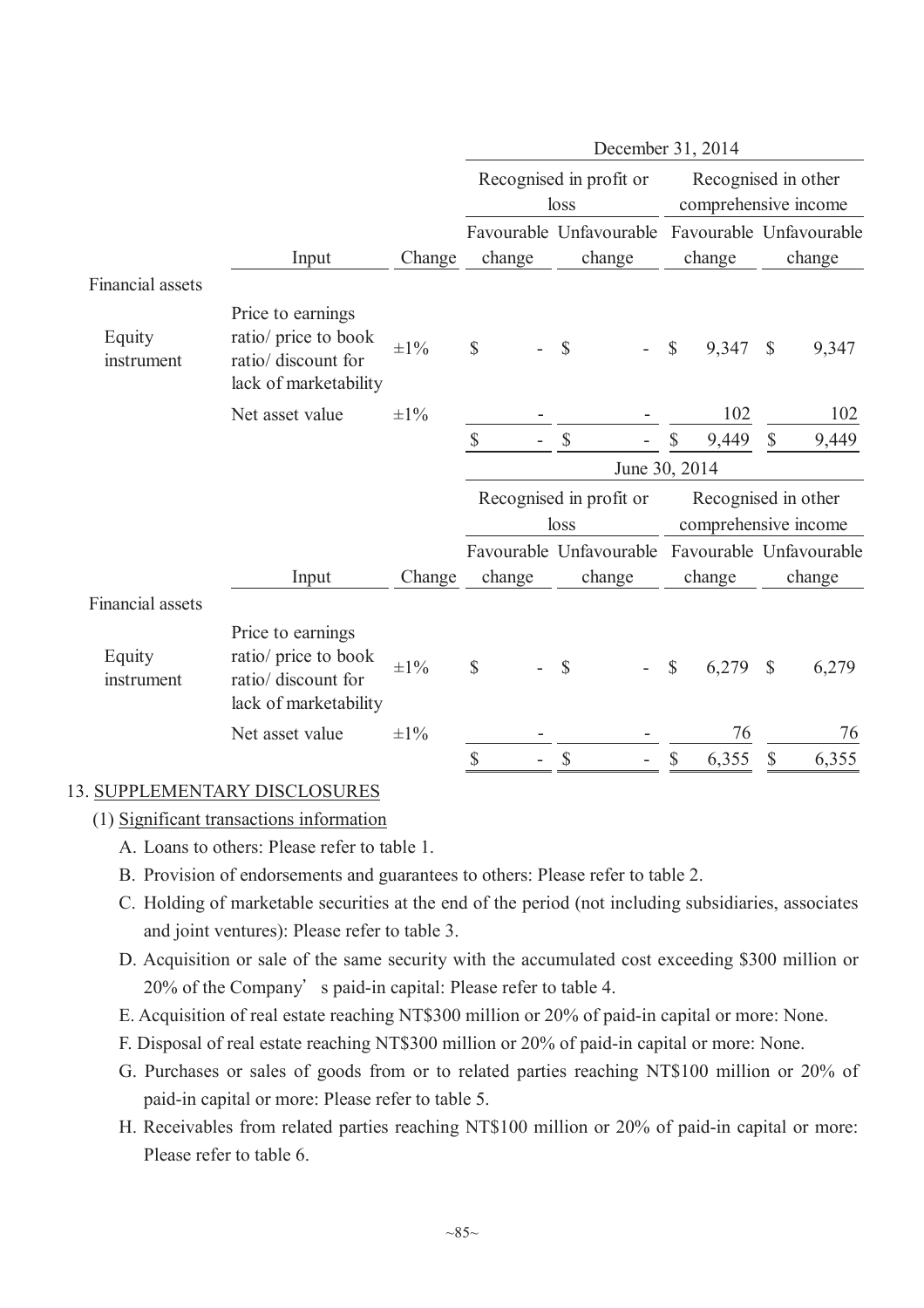|                         |                                                                                           |           |                           |                                 | December 31, 2014     |                                             |
|-------------------------|-------------------------------------------------------------------------------------------|-----------|---------------------------|---------------------------------|-----------------------|---------------------------------------------|
|                         |                                                                                           |           |                           | Recognised in profit or<br>loss |                       | Recognised in other<br>comprehensive income |
|                         |                                                                                           |           |                           | Favourable Unfavourable         |                       | Favourable Unfavourable                     |
|                         | Input                                                                                     | Change    | change                    | change                          | change                | change                                      |
| <b>Financial assets</b> |                                                                                           |           |                           |                                 |                       |                                             |
| Equity<br>instrument    | Price to earnings<br>ratio/ price to book<br>ratio/ discount for<br>lack of marketability | $\pm 1\%$ | \$                        | \$                              | $\mathbb{S}$<br>9,347 | $\mathcal{S}$<br>9,347                      |
|                         | Net asset value                                                                           | $\pm 1\%$ |                           |                                 | 102                   | 102                                         |
|                         |                                                                                           |           | \$                        | $\boldsymbol{\mathsf{S}}$       | 9,449                 | 9,449<br>\$                                 |
|                         |                                                                                           |           |                           |                                 | June 30, 2014         |                                             |
|                         |                                                                                           |           |                           | Recognised in profit or         |                       | Recognised in other                         |
|                         |                                                                                           |           |                           | loss                            |                       | comprehensive income                        |
|                         |                                                                                           |           |                           | Favourable Unfavourable         |                       | Favourable Unfavourable                     |
|                         | Input                                                                                     | Change    | change                    | change                          | change                | change                                      |
| Financial assets        |                                                                                           |           |                           |                                 |                       |                                             |
| Equity<br>instrument    | Price to earnings<br>ratio/ price to book<br>ratio/ discount for<br>lack of marketability | $\pm 1\%$ | \$                        | \$                              | $\mathbb{S}$<br>6,279 | $\mathcal{S}$<br>6,279                      |
|                         | Net asset value                                                                           | $\pm 1\%$ |                           |                                 | 76                    | 76                                          |
|                         |                                                                                           |           | $\boldsymbol{\mathsf{S}}$ | $\boldsymbol{\mathsf{S}}$       | \$<br>6,355           | $\mathbb{S}$<br>6,355                       |

### 13. SUPPLEMENTARY DISCLOSURES

- (1) Significant transactions information
	- A. Loans to others: Please refer to table 1.
	- B. Provision of endorsements and guarantees to others: Please refer to table 2.
	- C. Holding of marketable securities at the end of the period (not including subsidiaries, associates and joint ventures): Please refer to table 3.
	- D. Acquisition or sale of the same security with the accumulated cost exceeding \$300 million or 20% of the Company's paid-in capital: Please refer to table 4.
	- E. Acquisition of real estate reaching NT\$300 million or 20% of paid-in capital or more: None.
	- F. Disposal of real estate reaching NT\$300 million or 20% of paid-in capital or more: None.
	- G. Purchases or sales of goods from or to related parties reaching NT\$100 million or 20% of paid-in capital or more: Please refer to table 5.
	- H. Receivables from related parties reaching NT\$100 million or 20% of paid-in capital or more: Please refer to table 6.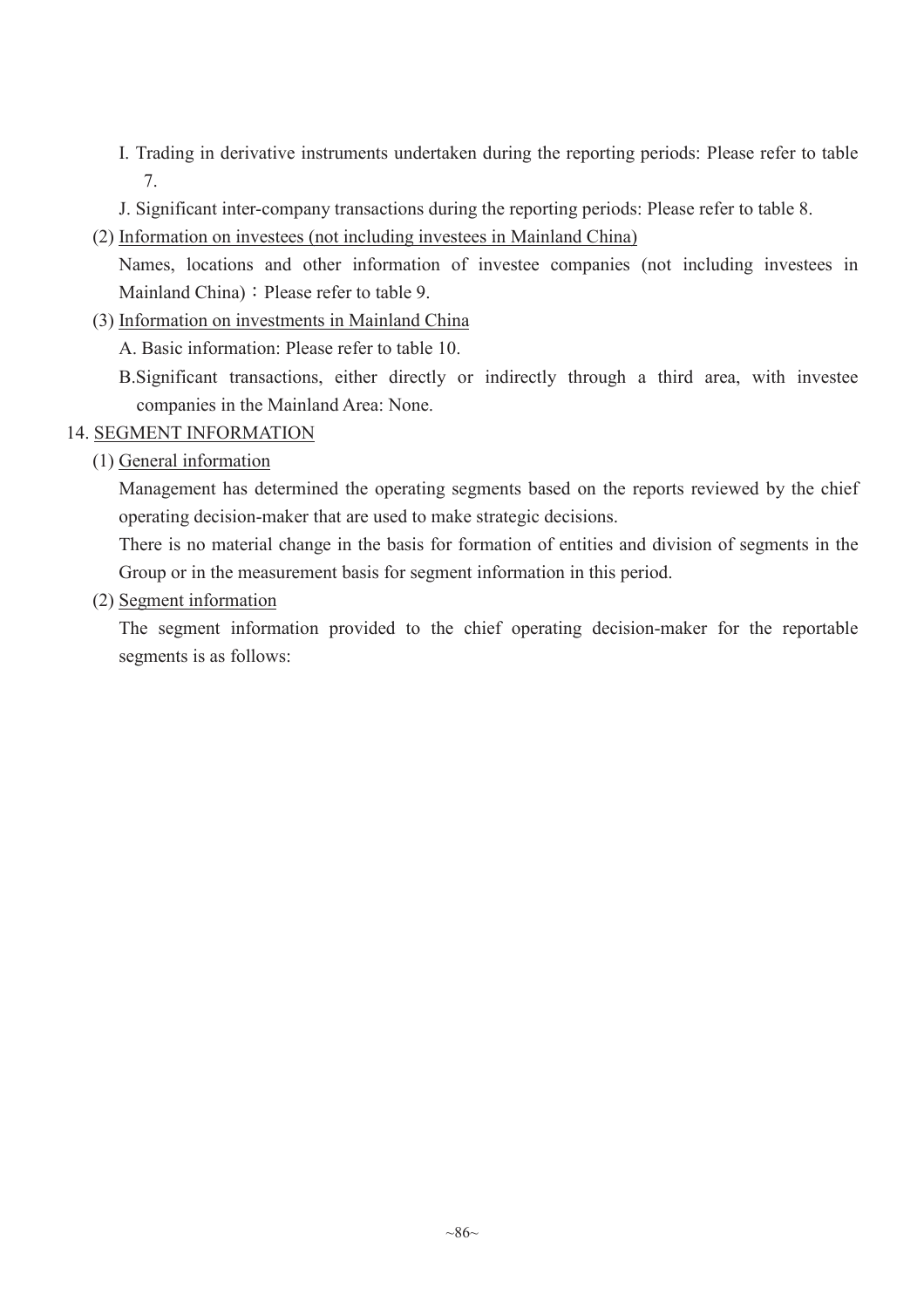- I. Trading in derivative instruments undertaken during the reporting periods: Please refer to table 7.
- J. Significant inter-company transactions during the reporting periods: Please refer to table 8.
- (2) Information on investees (not including investees in Mainland China)

Names, locations and other information of investee companies (not including investees in Mainland China) : Please refer to table 9.

(3) Information on investments in Mainland China

A. Basic information: Please refer to table 10.

B.Significant transactions, either directly or indirectly through a third area, with investee companies in the Mainland Area: None.

### 14. SEGMENT INFORMATION

### (1) General information

Management has determined the operating segments based on the reports reviewed by the chief operating decision-maker that are used to make strategic decisions.

There is no material change in the basis for formation of entities and division of segments in the Group or in the measurement basis for segment information in this period.

(2) Segment information

The segment information provided to the chief operating decision-maker for the reportable segments is as follows: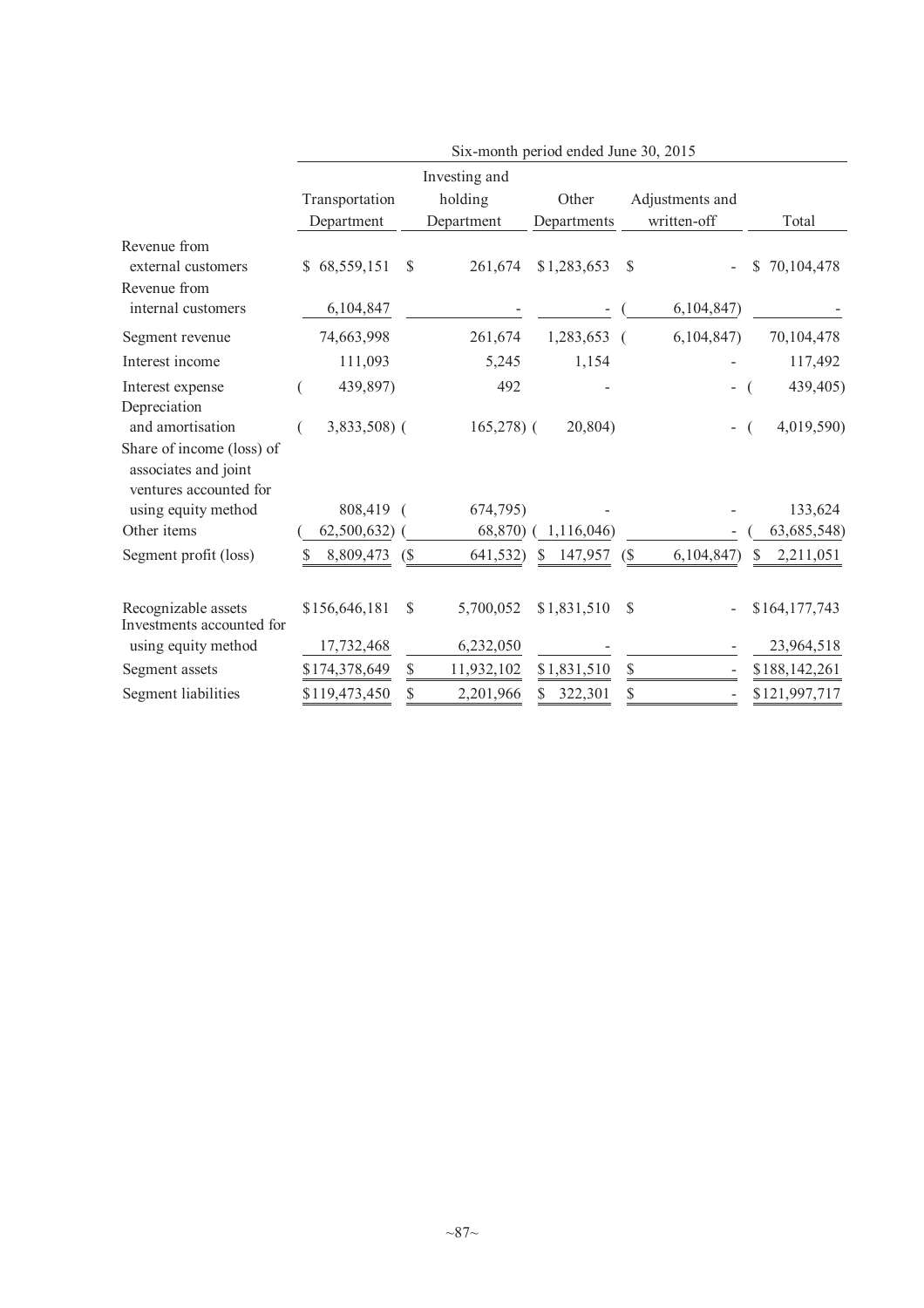|                                                                                                 |                  |        |               | Six-month period ended June 30, 2015 |                            |                          |    |               |
|-------------------------------------------------------------------------------------------------|------------------|--------|---------------|--------------------------------------|----------------------------|--------------------------|----|---------------|
|                                                                                                 |                  |        | Investing and |                                      |                            |                          |    |               |
|                                                                                                 | Transportation   |        | holding       | Other                                |                            | Adjustments and          |    |               |
|                                                                                                 | Department       |        | Department    | Departments                          |                            | written-off              |    | Total         |
| Revenue from<br>external customers<br>Revenue from                                              | 68,559,151<br>\$ | \$     | 261,674       | \$1,283,653                          | \$                         |                          | \$ | 70,104,478    |
| internal customers                                                                              | 6,104,847        |        |               |                                      |                            | 6,104,847                |    |               |
| Segment revenue                                                                                 | 74,663,998       |        | 261,674       | 1,283,653 (                          |                            | 6,104,847                |    | 70,104,478    |
| Interest income                                                                                 | 111,093          |        | 5,245         | 1,154                                |                            |                          |    | 117,492       |
| Interest expense<br>Depreciation                                                                | 439,897)         |        | 492           |                                      |                            |                          |    | 439,405)      |
| and amortisation<br>Share of income (loss) of<br>associates and joint<br>ventures accounted for | $3,833,508$ (    |        | $165,278$ ) ( | 20,804)                              |                            | $\overline{\phantom{0}}$ |    | 4,019,590)    |
| using equity method                                                                             | 808,419          |        | 674,795)      |                                      |                            |                          |    | 133,624       |
| Other items                                                                                     | 62,500,632)      |        | 68,870)       | 1,116,046)                           |                            |                          |    | 63,685,548)   |
| Segment profit (loss)                                                                           | 8,809,473<br>S   | $($ \$ | 641,532)      | 147,957<br>\$                        | $\left(\frac{1}{2}\right)$ | 6,104,847                | S. | 2,211,051     |
| Recognizable assets<br>Investments accounted for                                                | \$156,646,181    | \$     | 5,700,052     | \$1,831,510                          | $\mathbb{S}$               |                          |    | \$164,177,743 |
| using equity method                                                                             | 17,732,468       |        | 6,232,050     |                                      |                            |                          |    | 23,964,518    |
| Segment assets                                                                                  | \$174,378,649    | \$     | 11,932,102    | \$1,831,510                          | \$                         |                          |    | \$188,142,261 |
| Segment liabilities                                                                             | \$119,473,450    | \$     | 2,201,966     | S<br>322,301                         | \$                         |                          |    | \$121,997,717 |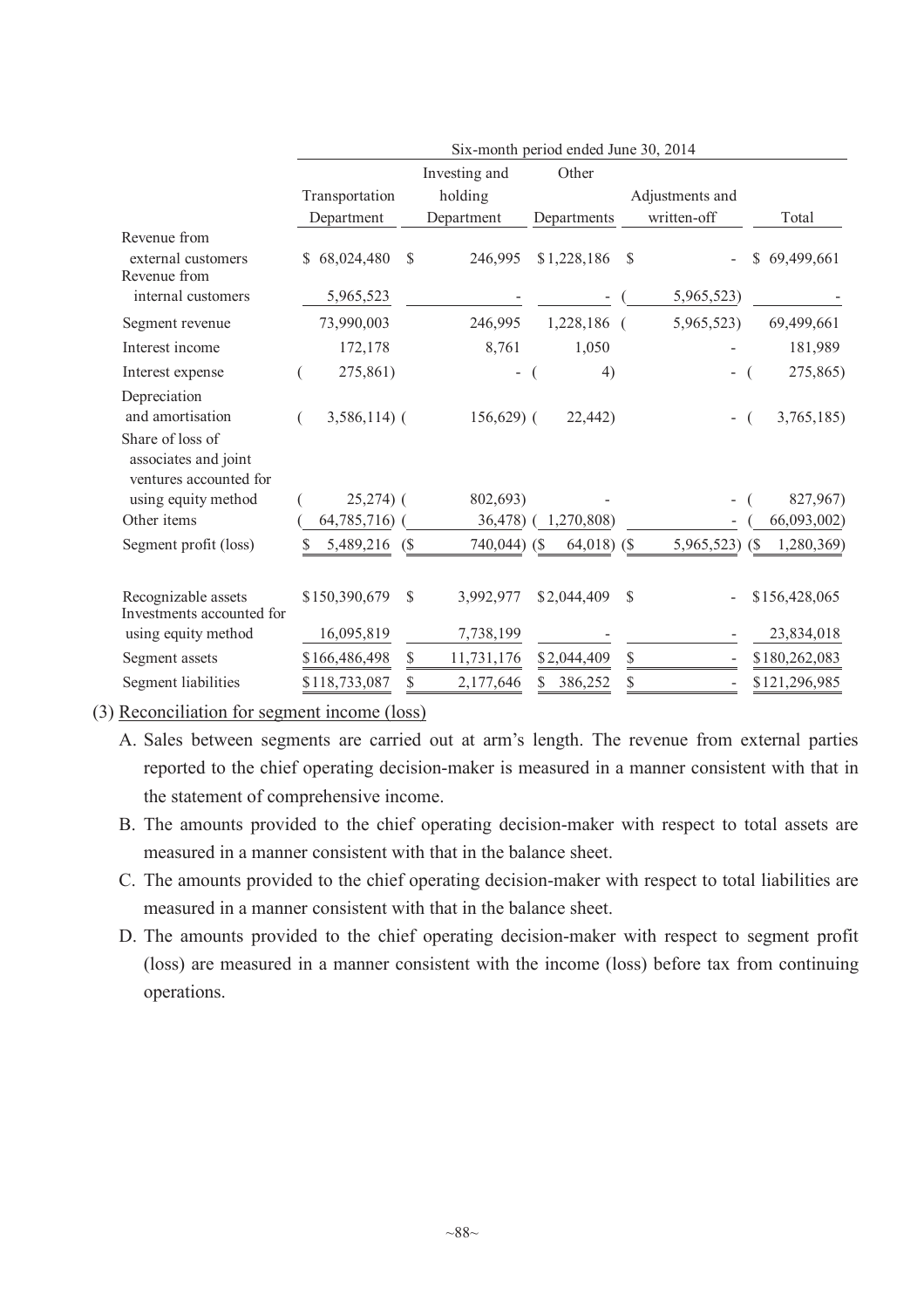|                                                                         |                             |              |                        | Six-month period ended June 30, 2014 |               |                 |                             |
|-------------------------------------------------------------------------|-----------------------------|--------------|------------------------|--------------------------------------|---------------|-----------------|-----------------------------|
|                                                                         |                             |              | Investing and          | Other                                |               |                 |                             |
|                                                                         | Transportation              |              | holding                |                                      |               | Adjustments and |                             |
|                                                                         | Department                  |              | Department             | Departments                          |               | written-off     | Total                       |
| Revenue from<br>external customers<br>Revenue from                      | \$68,024,480                | $\mathbb{S}$ | 246,995                | \$1,228,186                          | $\mathcal{S}$ |                 | \$69,499,661                |
| internal customers                                                      | 5,965,523                   |              |                        |                                      |               | 5,965,523)      |                             |
| Segment revenue                                                         | 73,990,003                  |              | 246,995                | 1,228,186 (                          |               | 5,965,523)      | 69,499,661                  |
| Interest income                                                         | 172,178                     |              | 8,761                  | 1,050                                |               |                 | 181,989                     |
| Interest expense                                                        | 275,861)                    |              |                        | 4)                                   |               |                 | 275,865)                    |
| Depreciation                                                            |                             |              |                        |                                      |               |                 |                             |
| and amortisation                                                        | $3,586,114$ (               |              | $156,629$ (            | 22,442)                              |               |                 | 3,765,185)                  |
| Share of loss of<br>associates and joint<br>ventures accounted for      |                             |              |                        |                                      |               |                 |                             |
| using equity method                                                     | $25,274$ ) (                |              | 802,693)               |                                      |               |                 | 827,967)                    |
| Other items                                                             | 64,785,716)                 |              | 36,478)                | 1,270,808)                           |               |                 | 66,093,002)                 |
| Segment profit (loss)                                                   | 5,489,216                   | (S)          | 740,044) (\$           | 64,018) $($ \$                       |               | 5,965,523) (\$  | 1,280,369)                  |
| Recognizable assets<br>Investments accounted for<br>using equity method | \$150,390,679<br>16,095,819 | $\mathbb{S}$ | 3,992,977<br>7,738,199 | \$2,044,409                          | \$            |                 | \$156,428,065<br>23,834,018 |
| Segment assets                                                          | \$166,486,498               | \$           | 11,731,176             | \$2,044,409                          | \$            |                 | \$180,262,083               |
| Segment liabilities                                                     | \$118,733,087               | \$           | 2,177,646              | \$<br>386,252                        | \$            |                 | \$121,296,985               |

(3) Reconciliation for segment income (loss)

- A. Sales between segments are carried out at arm's length. The revenue from external parties reported to the chief operating decision-maker is measured in a manner consistent with that in the statement of comprehensive income.
- B. The amounts provided to the chief operating decision-maker with respect to total assets are measured in a manner consistent with that in the balance sheet.
- C. The amounts provided to the chief operating decision-maker with respect to total liabilities are measured in a manner consistent with that in the balance sheet.
- D. The amounts provided to the chief operating decision-maker with respect to segment profit (loss) are measured in a manner consistent with the income (loss) before tax from continuing operations.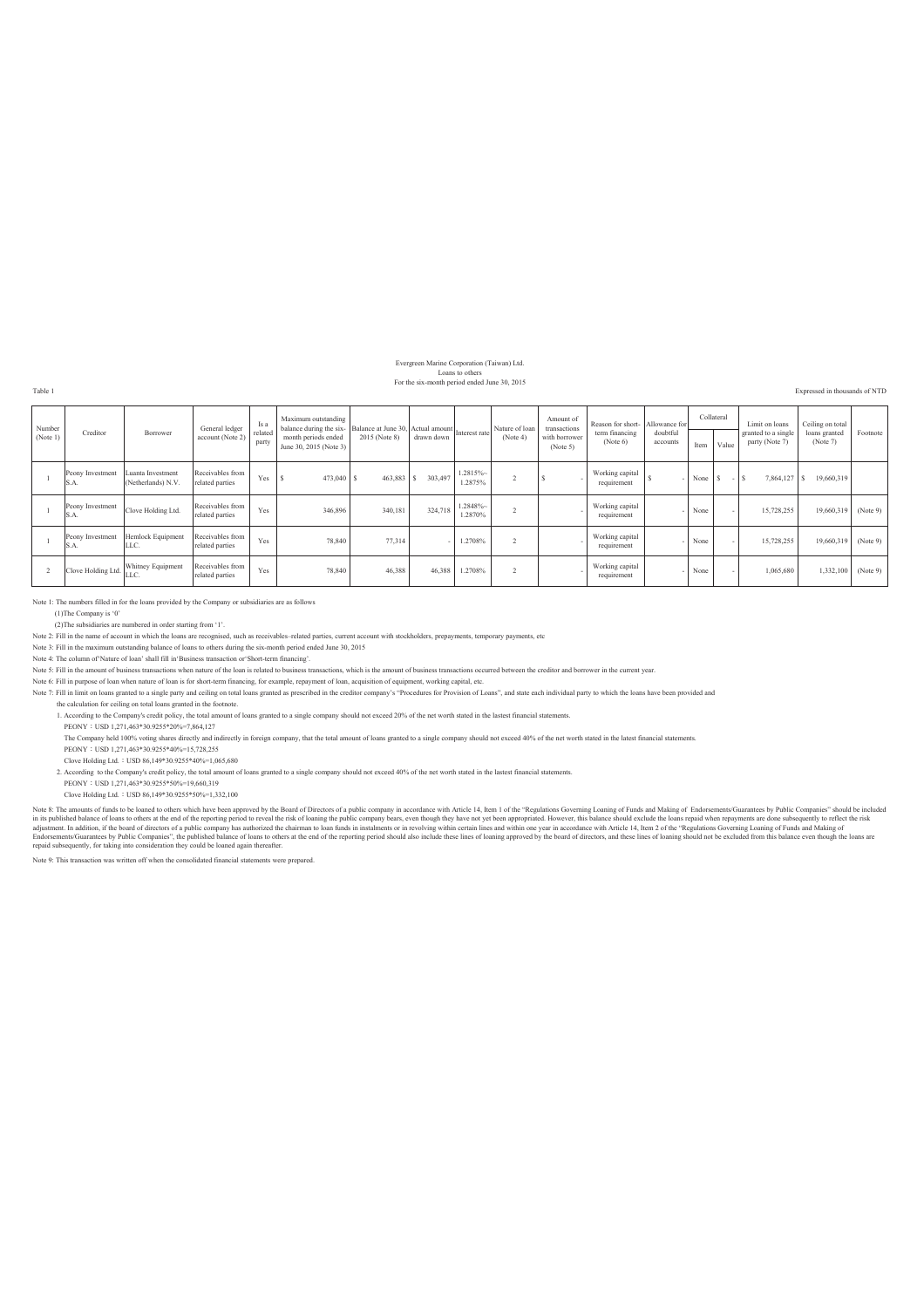### Evergreen Marine Corporation (Taiwan) Ltd. Loans to others For the six-month period ended June 30, 2015

Table 1 Expressed in thousands of NTD

| Number<br>(Note 1) | Creditor                 | Borrower                                | General ledger<br>account (Note 2)  | Is a<br>related<br>party | Maximum outstanding<br>balance during the six-<br>Balance at June 30, Actual amount<br>Interest rate<br>month periods ended<br>June 30, 2015 (Note 3) | 2015 (Note 8) | drawn down |                       | Nature of loan<br>(Note 4) | Amount of<br>transactions<br>with borrower<br>(Note 5) | Reason for short- Allowance for<br>term financing<br>(Note 6) | doubtful<br>accounts | Collateral<br>Item | Value | Limit on loans<br>granted to a single<br>party (Note 7) | Ceiling on total<br>loans granted<br>(Note 7) | Footnote |
|--------------------|--------------------------|-----------------------------------------|-------------------------------------|--------------------------|-------------------------------------------------------------------------------------------------------------------------------------------------------|---------------|------------|-----------------------|----------------------------|--------------------------------------------------------|---------------------------------------------------------------|----------------------|--------------------|-------|---------------------------------------------------------|-----------------------------------------------|----------|
|                    | Peony Investment<br>S.A. | Luanta Investment<br>(Netherlands) N.V. | Receivables from<br>related parties | Yes                      | 473,040                                                                                                                                               | 463,883 \$    | 303,497    | 1.2815%<br>1.2875%    |                            |                                                        | Working capital<br>requirement                                |                      | None \$            | $-1s$ | 7,864,127 \$                                            | 19,660,319                                    |          |
|                    | Peony Investment<br>S.A. | Clove Holding Ltd.                      | Receivables from<br>related parties | Yes                      | 346,896                                                                                                                                               | 340,181       | 324.718    | $.2848% -$<br>1.2870% |                            |                                                        | Working capital<br>requirement                                |                      | None               |       | 15,728,255                                              | 19,660,319                                    | (Note 9) |
|                    | Peony Investment<br>S.A. | Hemlock Equipment<br>LLC.               | Receivables from<br>related parties | Yes                      | 78,840                                                                                                                                                | 77,314        |            | 1.2708%               |                            |                                                        | Working capital<br>requirement                                |                      | None               |       | 15,728,255                                              | 19,660,319                                    | (Note 9) |
|                    |                          | Clove Holding Ltd. Whitney Equipment    | Receivables from<br>related parties | Yes                      | 78,840                                                                                                                                                | 46,388        | 46,388     | 1.2708%               |                            |                                                        | Working capital<br>requirement                                |                      | None               |       | 1,065,680                                               | 1,332,100                                     | (Note 9) |

Note 1: The numbers filled in for the loans provided by the Company or subsidiaries are as follows

(1)The Company is '0'

(2)The subsidiaries are numbered in order starting from '1'.

Note 2: Fill in the name of account in which the loans are recognised, such as receivables-related parties, current account with stockholders, prepayments, temporary payments, etc.

Note 3: Fill in the maximum outstanding balance of loans to others during the six-month period ended June 30, 2015

Note 4: The column of'Nature of loan' shall fill in'Business transaction or'Short-term financing'.

Note 5: Fill in the amount of business transactions when nature of the loan is related to business transactions, which is the amount of business transactions occurred between the creditor and borrower in the current year.<br>

Note 7: Fill in limit on loans granted to a single party and ceiling on total loans granted as prescribed in the creditor company's "Procedures for Provision of Loans", and state each individual party to which the loans ha

the calculation for ceiling on total loans granted in the footnote.

1. According to the Company's credit policy, the total amount of loans granted to a single company should not exceed 20% of the net worth stated in the lastest financial statements.

PEONY : USD 1,271,463\*30.9255\*20%=7,864,127

The Company held 100% voting shares directly and indirectly in foreign company, that the total amount of loans granted to a single company should not exceed 40% of the net worth stated in the latest financial statements.

PEONY : USD 1,271,463\*30.9255\*40%=15,728,255

Clove Holding Ltd.∶USD 86,149\*30.9255\*40%=1,065,680<br>2. According to the Company's credit policy, the total amount of loans granted to a single company should not exceed 40% of the net worth stated in the lastest financial

PEONY : USD 1,271,463\*30.9255\*50%=19,660,319

Clove Holding Ltd.ǺUSD 86,149\*30.9255\*50%=1,332,100

Note 8: The amounts of funds to be loand to others which have been approved by the Board of Directors of a public company in accordance with Arrier l 4. Iten 1 of the "Regulations Grandwham ger Funds and Making of Endots e

Note 9: This transaction was written off when the consolidated financial statements were prepared.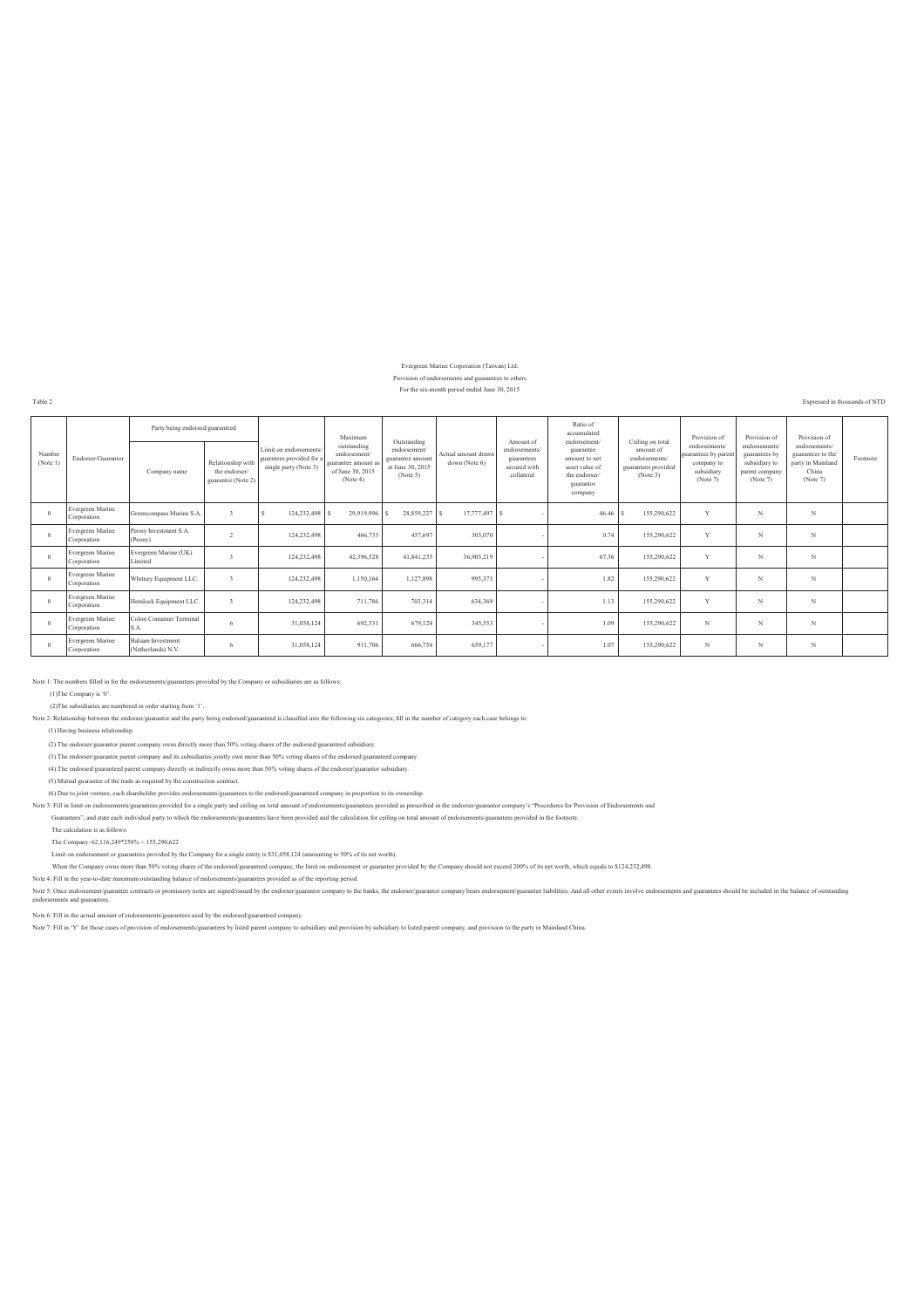#### Evergreen Marine Corporation (Taiwan) Ltd. Provision of endorsements and guarantees to others

#### For the six-month period ended June 30, 2015

Table 2 Expressed in thousands of NTD

|                    |                                 | Party being endorsed/guaranteed                |                                                          |                                                                             | Maximum                                                                            | Outstanding                                                     |                                      | Amount of                                                | Ratio of<br>accumulated<br>endorsement/                                               | Ceiling on total                                              | Provision of                                                                 | Provision of                                                                  | Provision of                                                                 |          |
|--------------------|---------------------------------|------------------------------------------------|----------------------------------------------------------|-----------------------------------------------------------------------------|------------------------------------------------------------------------------------|-----------------------------------------------------------------|--------------------------------------|----------------------------------------------------------|---------------------------------------------------------------------------------------|---------------------------------------------------------------|------------------------------------------------------------------------------|-------------------------------------------------------------------------------|------------------------------------------------------------------------------|----------|
| Number<br>(Note 1) | Endorser/Guarantor              | Company name                                   | Relationship with<br>the endorser/<br>guarantor (Note 2) | Limit on endorsements/<br>guarntees provided for a<br>single party (Note 3) | outstanding<br>endorsement/<br>guarantee amount as<br>of June 30, 2015<br>(Note 4) | endorsement<br>guarantee amount<br>at June 30, 2015<br>(Note 5) | Actual amount drawn<br>down (Note 6) | endorsements<br>guarantees<br>secured with<br>collateral | guarantee<br>amount to net<br>asset value of<br>the endorser/<br>guarantor<br>company | amount of<br>endorsements/<br>guarantees provided<br>(Note 3) | endorsements/<br>guarantees by paren<br>company to<br>subsidiary<br>(Note 7) | endorsements/<br>guarantees by<br>subsidiary to<br>parent company<br>(Note 7) | endorsements/<br>guarantees to the<br>party in Mainland<br>China<br>(Note 7) | Footnote |
| $\Omega$           | Evergreen Marine<br>Corporation | Greencompass Marine S.A                        | $\ddot{\mathbf{3}}$                                      | 124,232,498 \$                                                              | 29,919,996 \$                                                                      | 28,859,227                                                      | 17,777,497 \$                        |                                                          | 46.46                                                                                 | 155,290,622                                                   | $\overline{v}$                                                               | N                                                                             | N                                                                            |          |
| $\Omega$           | Evergreen Marine<br>Corporation | Peony Investment S.A.<br>(Peony)               | $\overline{2}$                                           | 124,232,498                                                                 | 466,733                                                                            | 457,697                                                         | 303,070                              |                                                          | 0.74                                                                                  | 155,290,622                                                   | V                                                                            | N                                                                             | N                                                                            |          |
| $\Omega$           | Evergreen Marine<br>Corporation | Evergreen Marine (UK)<br>Limited               |                                                          | 124,232,498                                                                 | 42,396,528                                                                         | 41,841,235                                                      | 36,903,219                           |                                                          | 67.36                                                                                 | 155,290,622                                                   | $\sqrt{ }$                                                                   | N                                                                             | N                                                                            |          |
| $\Omega$           | Evergreen Marine<br>Corporation | Whitney Equipment LLC.                         | $\ddot{ }$                                               | 124,232,498                                                                 | 1,150,164                                                                          | 1,127,898                                                       | 995,373                              |                                                          | 1.82                                                                                  | 155,290,622                                                   | $\mathbf{v}$                                                                 | N                                                                             | N                                                                            |          |
| $\Omega$           | Evergreen Marine<br>Corporation | Hemlock Equipment LLC                          |                                                          | 124,232,498                                                                 | 711,786                                                                            | 703,314                                                         | 634,369                              |                                                          | 1.13                                                                                  | 155,290,622                                                   | $\sqrt{ }$                                                                   | N                                                                             | N                                                                            |          |
| $\Omega$           | Evergreen Marine<br>Corporation | Colon Container Terminal<br>S.A.               | 6                                                        | 31,058,124                                                                  | 692,531                                                                            | 679,124                                                         | 345,553                              |                                                          | 1.09                                                                                  | 155,290,622                                                   | N                                                                            | N                                                                             | N                                                                            |          |
|                    | Evergreen Marine<br>Corporation | <b>Balsam Investment</b><br>(Netherlands) N.V. | 6                                                        | 31,058,124                                                                  | 911,706                                                                            | 666,754                                                         | 659,177                              |                                                          | 1.07                                                                                  | 155,290,622                                                   | N                                                                            | N                                                                             | N                                                                            |          |

Note 1: The numbers filled in for the endorsements/guarantees provided by the Company or subsidiaries are as follows:

(1)The Company is '0'.

(2)The subsidiaries are numbered in order starting from '1'.

Note 2: Relationship between the endorser/guarantor and the party being endorsed/guaranteed is classified into the following six categories; fill in the number of category each case belongs to:

(1) Having business relationship.

(2) The endorser/guarantor parent company owns directly more than 50% voting shares of the endorsed/guaranteed subsidiary.

(3) The endorser/guarantor parent company and its subsidiaries jointly own more than 50% voting shares of the endorsed/guaranteed company.

(4) The endorsed/guaranteed parent company directly or indirectly owns more than 50% voting shares of the endorser/guarantor subsidiary.

(5) Mutual guarantee of the trade as required by the construction contract.

(6) Due to joint venture, each shareholder provides endorsements/guarantees to the endorsed/guaranteed company in proportion to its ownership.

Note 3: Fill in limit on endorsements/guarantees provided for a single party and ceiling on total amount of endorsements/guarantees provided as prescribed in the endorser/guarantor company's "Procedures for Provision of En

Guarantees", and state each individual party to which the endorsements/guarantees have been provided and the calculation for ceiling on total amount of endorsements/guarantees provided in the footnote.

The calculation is as follows:

The Company: 62,116,249\*250% = 155,290,622

Limit on endorsement or guarantees provided by the Company for a single entity is \$31,058,124 (amounting to 50% of its net worth).

When the Company owns more than 50% voting shares of the endorsed/guaranteed company, the limit on endorsement or guarantee provided by the Company should not exceed 200% of its net worth, which equals to \$124,232,498.<br>Not

Note 6: Fill in the actual amount of endorsements/guarantees used by the endorsed/guaranteed company.

Note 7: Fill in 'Y' for those cases of provision of endorsements/guarantees by listed parent company to subsidiary and provision by subsidiary to listed parent company, and provision to the party in Mainland China.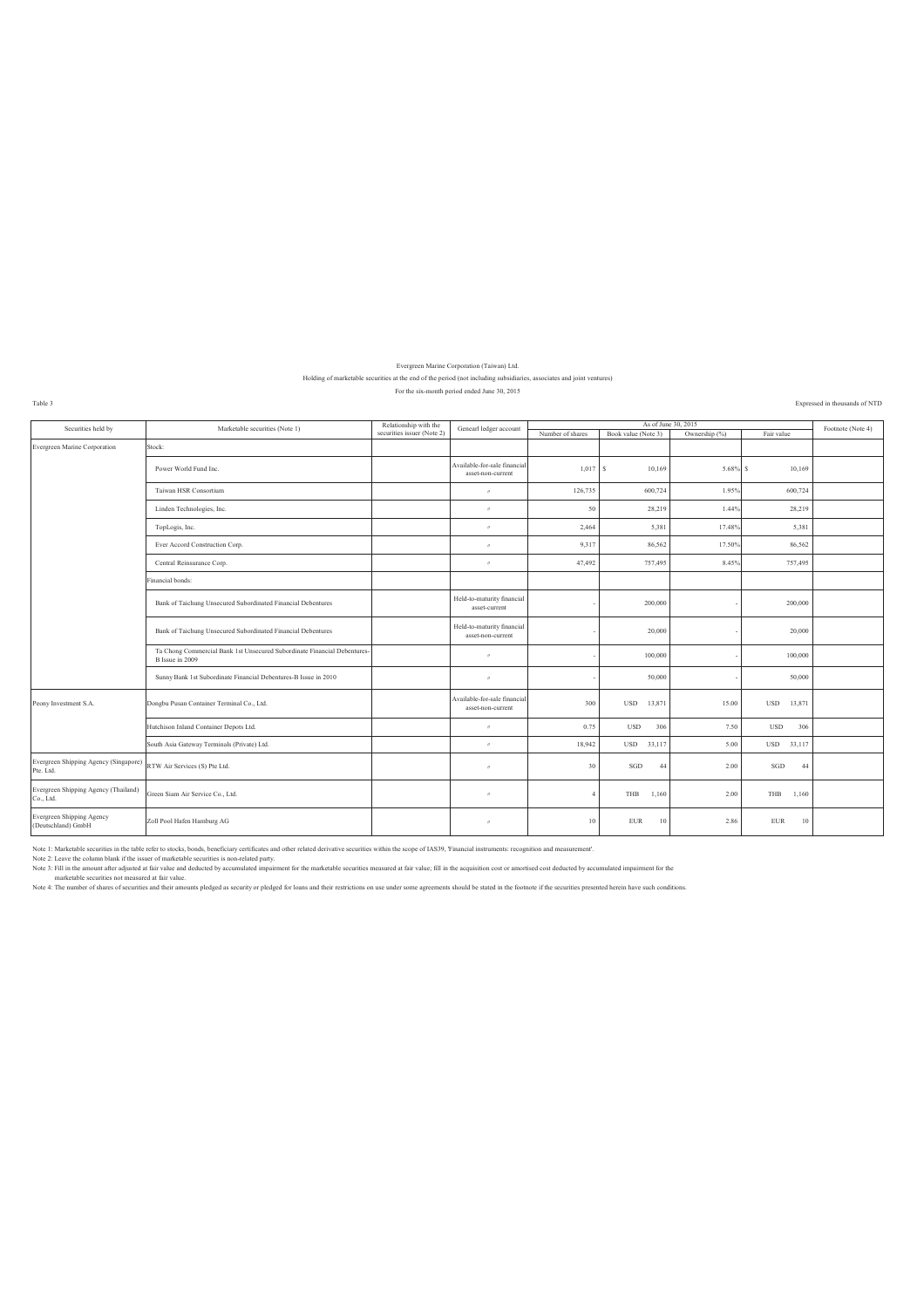### Evergreen Marine Corporation (Taiwan) Ltd.

#### Holding of marketable securities at the end of the period (not including subsidiaries, associates and joint ventures) For the six-month period ended June 30, 2015

Table 3 Expressed in thousands of NTD

| Securities held by                                     | Marketable securities (Note 1)                                                              | Relationship with the      | Genearl ledger account                            |                  |                      | As of June 30, 2015 |                      | Footnote (Note 4) |
|--------------------------------------------------------|---------------------------------------------------------------------------------------------|----------------------------|---------------------------------------------------|------------------|----------------------|---------------------|----------------------|-------------------|
|                                                        |                                                                                             | securities issuer (Note 2) |                                                   | Number of shares | Book value (Note 3)  | Ownership (%)       | Fair value           |                   |
| Evergreen Marine Corporation                           | Stock:                                                                                      |                            |                                                   |                  |                      |                     |                      |                   |
|                                                        | Power World Fund Inc.                                                                       |                            | Available-for-sale financial<br>asset-non-current | $1,017$ S        | 10,169               | $5.68\%$ S          | 10,169               |                   |
|                                                        | Taiwan HSR Consortium                                                                       |                            | $\boldsymbol{\mathcal{B}}$                        | 126,735          | 600,724              | 1.95%               | 600,724              |                   |
|                                                        | Linden Technologies, Inc.                                                                   |                            | $\boldsymbol{\theta}$                             | 50               | 28,219               | 1.44%               | 28,219               |                   |
|                                                        | TopLogis, Inc.                                                                              |                            | $\boldsymbol{\pi}$                                | 2,464            | 5,381                | 17.48%              | 5,381                |                   |
|                                                        | Ever Accord Construction Corp.                                                              |                            | $\boldsymbol{\pi}$                                | 9,317            | 86,562               | 17.50%              | 86,562               |                   |
|                                                        | Central Reinsurance Corp.                                                                   |                            | $\boldsymbol{\mathcal{B}}$                        | 47,492           | 757,495              | 8.45%               | 757,495              |                   |
|                                                        | Financial bonds:                                                                            |                            |                                                   |                  |                      |                     |                      |                   |
|                                                        | Bank of Taichung Unsecured Subordinated Financial Debentures                                |                            | Held-to-maturity financial<br>asset-current       |                  | 200.000              |                     | 200,000              |                   |
|                                                        | Bank of Taichung Unsecured Subordinated Financial Debentures                                |                            | Held-to-maturity financial<br>asset-non-current   |                  | 20,000               |                     | 20,000               |                   |
|                                                        | Ta Chong Commercial Bank 1st Unsecured Subordinate Financial Debentures-<br>B Issue in 2009 |                            | $\boldsymbol{\mathcal{B}}$                        |                  | 100,000              |                     | 100,000              |                   |
|                                                        | Sunny Bank 1st Subordinate Financial Debentures-B Issue in 2010                             |                            | $\prime\prime$                                    |                  | 50,000               |                     | 50,000               |                   |
| Peony Investment S.A.                                  | Dongbu Pusan Container Terminal Co., Ltd.                                                   |                            | Available-for-sale financial<br>asset-non-current | 300              | <b>USD</b><br>13,871 | 15.00               | <b>USD</b><br>13,871 |                   |
|                                                        | Hutchison Inland Container Depots Ltd.                                                      |                            | $\boldsymbol{\pi}$                                | 0.75             | 306<br><b>USD</b>    | 7.50                | <b>USD</b><br>306    |                   |
|                                                        | South Asia Gateway Terminals (Private) Ltd.                                                 |                            | $\boldsymbol{\pi}$                                | 18,942           | USD 33,117           | 5.00                | USD 33,117           |                   |
| Evergreen Shipping Agency (Singapore)<br>Pte. Ltd.     | RTW Air Services (S) Pte Ltd.                                                               |                            | $^{\prime\prime}$                                 | 30               | SGD<br>44            | 2.00                | SGD<br>44            |                   |
| Evergreen Shipping Agency (Thailand)<br>Co., Ltd.      | Green Siam Air Service Co., Ltd.                                                            |                            | $\boldsymbol{\mathcal{B}}$                        | $\overline{4}$   | 1,160<br>THB         | 2.00                | THB<br>1,160         |                   |
| <b>Evergreen Shipping Agency</b><br>(Deutschland) GmbH | Zoll Pool Hafen Hamburg AG                                                                  |                            | $\boldsymbol{\mathcal{B}}$                        | 10 <sup>°</sup>  | <b>EUR</b><br>10     | 2.86                | ${\rm EUR}$<br>10    |                   |

Note 1: Marketable securities in the table refer to stocks, bonds, bends, bonds, bends, then the scope of MS9, Thancial instruments: recognition and measurement".<br>Note 2: Leave the column blank if the issuer of marketable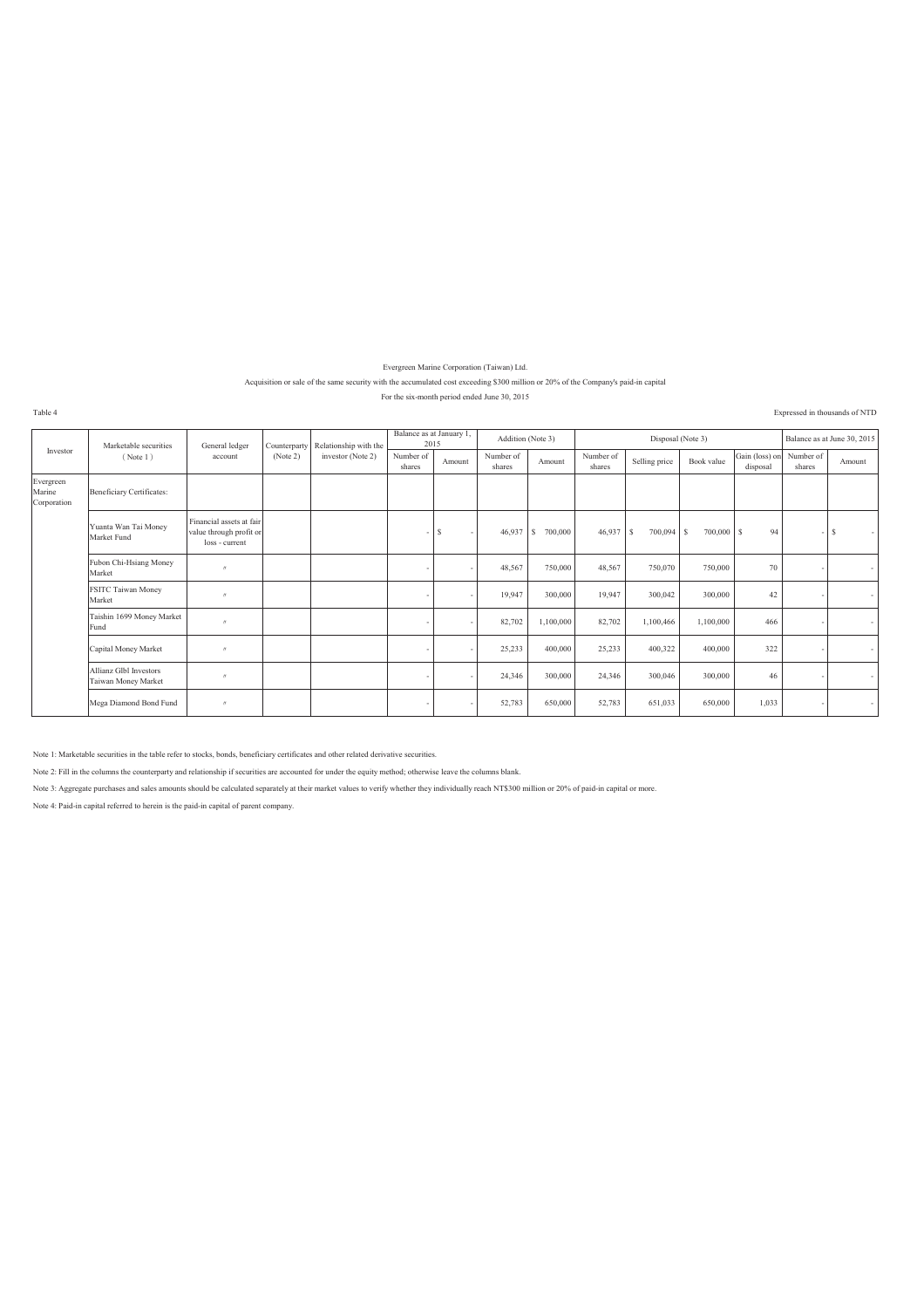Evergreen Marine Corporation (Taiwan) Ltd.

### Acquisition or sale of the same security with the accumulated cost exceeding \$300 million or 20% of the Company's paid-in capital

For the six-month period ended June 30, 2015

Table 4 Expressed in thousands of NTD

|                                    | Marketable securities                         | General ledger                                                        | Counterparty | Relationship with the | Balance as at January 1.<br>2015 |        | Addition (Note 3)   |                |                     | Disposal (Note 3) |            |                                      |        | Balance as at June 30, 2015 |
|------------------------------------|-----------------------------------------------|-----------------------------------------------------------------------|--------------|-----------------------|----------------------------------|--------|---------------------|----------------|---------------------|-------------------|------------|--------------------------------------|--------|-----------------------------|
| Investor                           | (Note 1)                                      | account                                                               | (Note 2)     | investor (Note 2)     | Number of<br>shares              | Amount | Number of<br>shares | Amount         | Number of<br>shares | Selling price     | Book value | Gain (loss) on Number of<br>disposal | shares | Amount                      |
| Evergreen<br>Marine<br>Corporation | <b>Beneficiary Certificates:</b>              |                                                                       |              |                       |                                  |        |                     |                |                     |                   |            |                                      |        |                             |
|                                    | Yuanta Wan Tai Money<br>Market Fund           | Financial assets at fair<br>value through profit or<br>loss - current |              |                       | ۰.                               | S      | 46,937              | 700,000<br>l S | $46,937$ \$         | $700,094$ \$      | 700,000 \$ | 94                                   |        | s                           |
|                                    | Fubon Chi-Hsiang Money<br>Market              | $^{\prime\prime}$                                                     |              |                       |                                  |        | 48,567              | 750,000        | 48,567              | 750,070           | 750,000    | 70                                   |        | $\sim$                      |
|                                    | FSITC Taiwan Money<br>Market                  | $^{\prime}$                                                           |              |                       |                                  |        | 19,947              | 300,000        | 19,947              | 300,042           | 300,000    | 42                                   |        | $\sim$                      |
|                                    | Taishin 1699 Money Market<br>Fund             | $^{\prime}$                                                           |              |                       |                                  |        | 82,702              | 1,100,000      | 82,702              | 1,100,466         | 1,100,000  | 466                                  |        | $\sim$                      |
|                                    | Capital Money Market                          | $^{\prime\prime}$                                                     |              |                       |                                  |        | 25,233              | 400,000        | 25,233              | 400,322           | 400,000    | 322                                  |        | $\sim$                      |
|                                    | Allianz Glbl Investors<br>Taiwan Money Market | $\boldsymbol{\mu}$                                                    |              |                       |                                  |        | 24,346              | 300,000        | 24,346              | 300,046           | 300,000    | 46                                   |        | $\sim$                      |
|                                    | Mega Diamond Bond Fund                        | $^{\prime\prime}$                                                     |              |                       |                                  |        | 52,783              | 650,000        | 52,783              | 651,033           | 650,000    | 1,033                                |        | $\sim$                      |

Note 1: Marketable securities in the table refer to stocks, bonds, beneficiary certificates and other related derivative securities.

Note 2: Fill in the columns the counterparty and relationship if securities are accounted for under the equity method; otherwise leave the columns blank.

Note 3: Aggregate purchases and sales amounts should be calculated separately at their market values to verify whether they individually reach NT\$300 million or 20% of paid-in capital or more.

Note 4: Paid-in capital referred to herein is the paid-in capital of parent company.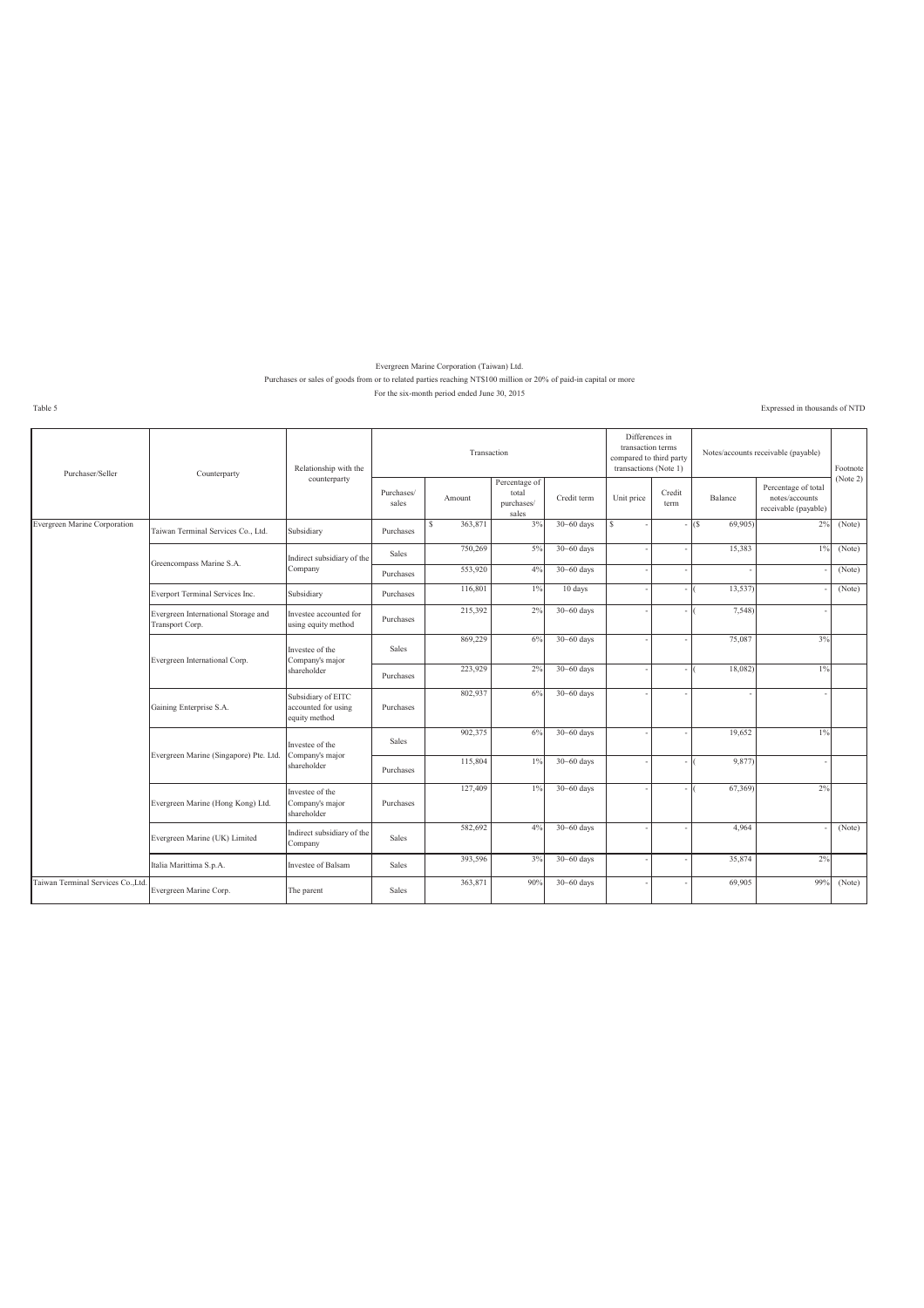#### Evergreen Marine Corporation (Taiwan) Ltd. Purchases or sales of goods from or to related parties reaching NT\$100 million or 20% of paid-in capital or more For the six-month period ended June 30, 2015

Table 5 Expressed in thousands of NTD

| Purchaser/Seller                  | Counterparty                                           | Relationship with the                                      |                     | Transaction  |                                               |                | Differences in<br>transaction terms<br>compared to third party<br>transactions (Note 1) |                |                | Notes/accounts receivable (payable)                           | Footnote |
|-----------------------------------|--------------------------------------------------------|------------------------------------------------------------|---------------------|--------------|-----------------------------------------------|----------------|-----------------------------------------------------------------------------------------|----------------|----------------|---------------------------------------------------------------|----------|
|                                   |                                                        | counterparty                                               | Purchases/<br>sales | Amount       | Percentage of<br>total<br>purchases/<br>sales | Credit term    | Unit price                                                                              | Credit<br>term | Balance        | Percentage of total<br>notes/accounts<br>receivable (payable) | (Note 2) |
| Evergreen Marine Corporation      | Taiwan Terminal Services Co., Ltd.                     | Subsidiary                                                 | Purchases           | 363,871<br>s | 3%                                            | $30 - 60$ days | S                                                                                       |                | (S)<br>69,905) | 2%                                                            | (Note)   |
|                                   | Greencompass Marine S.A.                               | Indirect subsidiary of the                                 | <b>Sales</b>        | 750,269      | 5%                                            | $30 - 60$ days |                                                                                         |                | 15,383         | 1%                                                            | (Note)   |
|                                   |                                                        | Company                                                    | Purchases           | 553,920      | 4%                                            | $30 - 60$ days |                                                                                         |                |                |                                                               | (Note)   |
|                                   | Everport Terminal Services Inc.                        | Subsidiary                                                 | Purchases           | 116,801      | $1\%$                                         | 10 days        |                                                                                         |                | 13,537         |                                                               | (Note)   |
|                                   | Evergreen International Storage and<br>Transport Corp. | Investee accounted for<br>using equity method              | Purchases           | 215,392      | 2%                                            | $30 - 60$ days |                                                                                         |                | 7,548          |                                                               |          |
|                                   | Evergreen International Corp.                          | Investee of the<br>Company's major                         | <b>Sales</b>        | 869,229      | 6%                                            | $30 - 60$ days |                                                                                         |                | 75,087         | 3%                                                            |          |
|                                   |                                                        | shareholder                                                | Purchases           | 223,929      | 2%                                            | $30 - 60$ days |                                                                                         |                | 18,082)        | 1%                                                            |          |
|                                   | Gaining Enterprise S.A.                                | Subsidiary of EITC<br>accounted for using<br>equity method | Purchases           | 802,937      | 6%                                            | $30 - 60$ days |                                                                                         |                |                |                                                               |          |
|                                   | Evergreen Marine (Singapore) Pte. Ltd.                 | Investee of the<br>Company's major                         | <b>Sales</b>        | 902,375      | 6%                                            | $30 - 60$ days |                                                                                         |                | 19,652         | $1\%$                                                         |          |
|                                   |                                                        | shareholder                                                | Purchases           | 115,804      | 1%                                            | $30 - 60$ days |                                                                                         |                | 9,877)         |                                                               |          |
|                                   | Evergreen Marine (Hong Kong) Ltd.                      | Investee of the<br>Company's major<br>shareholder          | Purchases           | 127,409      | 1%                                            | $30 - 60$ days |                                                                                         |                | 67,369)        | 2%                                                            |          |
|                                   | Evergreen Marine (UK) Limited                          | Indirect subsidiary of the<br>Company                      | <b>Sales</b>        | 582,692      | 4%                                            | $30 - 60$ days |                                                                                         |                | 4.964          |                                                               | (Note)   |
|                                   | Italia Marittima S.p.A.                                | Investee of Balsam                                         | <b>Sales</b>        | 393,596      | 3%                                            | $30 - 60$ days |                                                                                         |                | 35,874         | 2%                                                            |          |
| Taiwan Terminal Services Co. Ltd. | Evergreen Marine Corp.                                 | The parent                                                 | Sales               | 363,871      | 90%                                           | $30 - 60$ days |                                                                                         |                | 69,905         | 99%                                                           | (Note)   |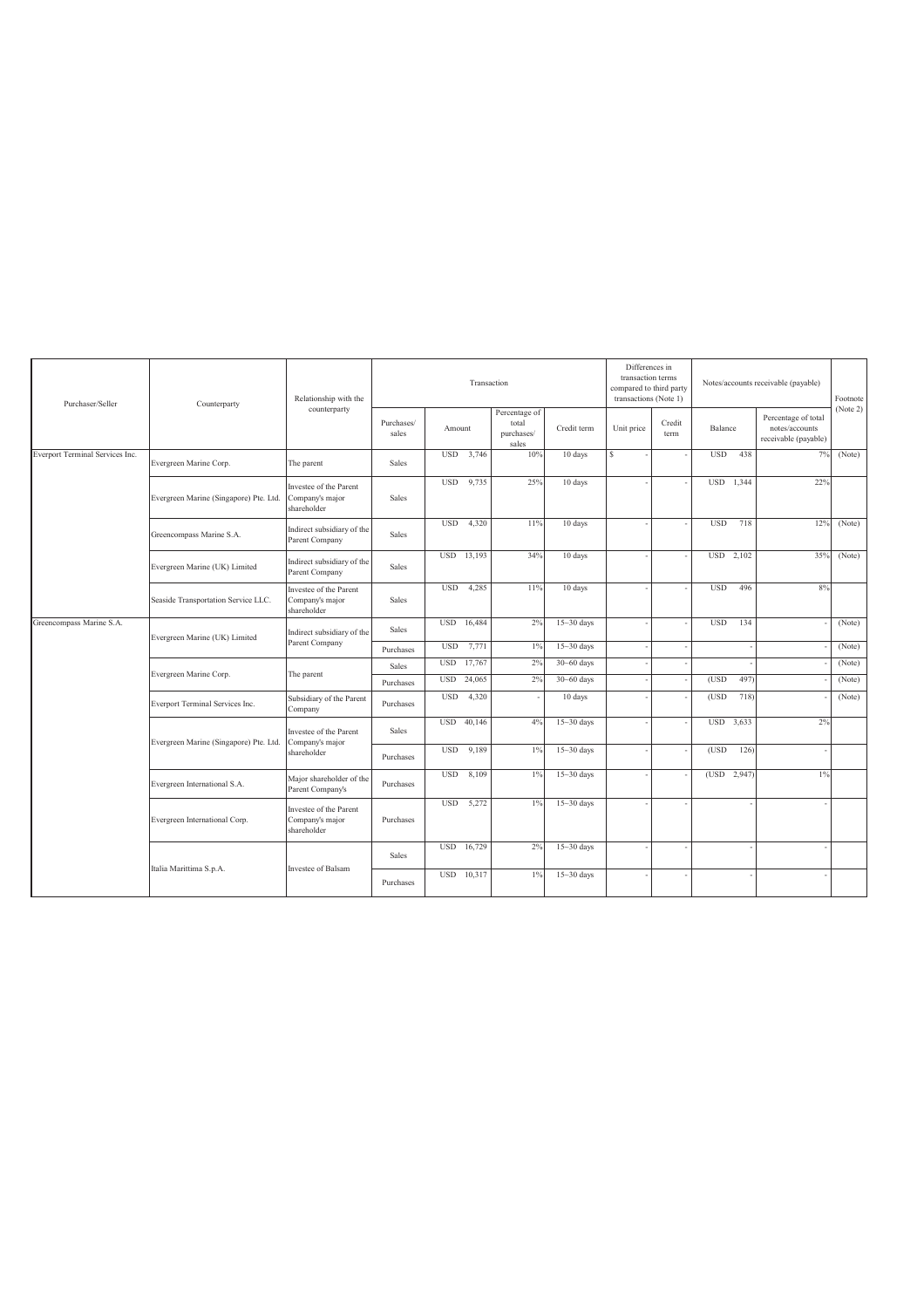| Purchaser/Seller                | Counterparty                           | Relationship with the                                    |                        |                          | Transaction      |                                               |                                  | Differences in<br>transaction terms<br>compared to third party<br>transactions (Note 1) |                |            |             | Notes/accounts receivable (payable)                           | Footnote         |
|---------------------------------|----------------------------------------|----------------------------------------------------------|------------------------|--------------------------|------------------|-----------------------------------------------|----------------------------------|-----------------------------------------------------------------------------------------|----------------|------------|-------------|---------------------------------------------------------------|------------------|
|                                 |                                        | counterparty                                             | Purchases/<br>sales    | Amount                   |                  | Percentage of<br>total<br>purchases/<br>sales | Credit term                      | Unit price                                                                              | Credit<br>term | Balance    |             | Percentage of total<br>notes/accounts<br>receivable (payable) | (Note 2)         |
| Everport Terminal Services Inc. | Evergreen Marine Corp.                 | The parent                                               | Sales                  | <b>USD</b>               | 3,746            | 10%                                           | 10 days                          | $\mathbf S$                                                                             |                | <b>USD</b> | 438         | 7%                                                            | (Note)           |
|                                 | Evergreen Marine (Singapore) Pte. Ltd. | Investee of the Parent<br>Company's major<br>shareholder | Sales                  | <b>USD</b>               | 9,735            | 25%                                           | 10 days                          |                                                                                         |                | <b>USD</b> | 1.344       | 22%                                                           |                  |
|                                 | Greencompass Marine S.A.               | Indirect subsidiary of the<br>Parent Company             | Sales                  | <b>USD</b>               | 4,320            | 11%                                           | 10 days                          |                                                                                         |                | <b>USD</b> | 718         | 12%                                                           | (Note)           |
|                                 | Evergreen Marine (UK) Limited          | Indirect subsidiary of the<br>Parent Company             | Sales                  | <b>USD</b>               | 13,193           | 34%                                           | 10 days                          |                                                                                         |                |            | USD 2,102   | 35%                                                           | (Note)           |
|                                 | Seaside Transportation Service LLC.    | Investee of the Parent<br>Company's major<br>shareholder | Sales                  | <b>USD</b>               | 4,285            | 11%                                           | 10 days                          |                                                                                         |                | <b>USD</b> | 496         | 8%                                                            |                  |
| Greencompass Marine S.A.        | Evergreen Marine (UK) Limited          | Indirect subsidiary of the<br>Parent Company             | Sales                  | <b>USD</b>               | 16,484           | 2%                                            | $15 - 30$ days                   |                                                                                         |                | <b>USD</b> | 134         |                                                               | (Note)           |
|                                 |                                        |                                                          | Purchases              | <b>USD</b>               | 7,771            | $1\%$                                         | $15 - 30$ days                   |                                                                                         |                |            |             |                                                               | (Note)           |
|                                 | Evergreen Marine Corp.                 | The parent                                               | Sales                  | <b>USD</b><br><b>USD</b> | 17,767<br>24,065 | 2%<br>2%                                      | $30 - 60$ days<br>$30 - 60$ days |                                                                                         |                | (USD)      | 497         |                                                               | (Note)<br>(Note) |
|                                 | Everport Terminal Services Inc.        | Subsidiary of the Parent<br>Company                      | Purchases<br>Purchases | <b>USD</b>               | 4,320            |                                               | 10 days                          |                                                                                         |                | (USD)      | 718         |                                                               | (Note)           |
|                                 | Evergreen Marine (Singapore) Pte. Ltd. | Investee of the Parent<br>Company's major                | <b>Sales</b>           | <b>USD</b>               | 40,146           | 4%                                            | $15 - 30$ days                   |                                                                                         |                |            | USD 3,633   | 2%                                                            |                  |
|                                 |                                        | shareholder                                              | Purchases              | <b>USD</b>               | 9,189            | 1%                                            | $15 - 30$ days                   |                                                                                         |                | (USD)      | 126         |                                                               |                  |
|                                 | Evergreen International S.A.           | Major shareholder of the<br>Parent Company's             | Purchases              | <b>USD</b>               | 8,109            | $1\%$                                         | $15 - 30$ days                   |                                                                                         |                |            | (USD 2,947) | $1\%$                                                         |                  |
|                                 | Evergreen International Corp.          | Investee of the Parent<br>Company's major<br>shareholder | Purchases              | <b>USD</b>               | 5,272            | $1\%$                                         | $15 - 30$ days                   |                                                                                         |                |            |             |                                                               |                  |
|                                 |                                        |                                                          | <b>Sales</b>           | <b>USD</b>               | 16,729           | 2%                                            | $15 - 30$ days                   |                                                                                         |                |            |             |                                                               |                  |
|                                 | Italia Marittima S.p.A.                | Investee of Balsam                                       | Purchases              | <b>USD</b>               | 10,317           | $1\%$                                         | $15 - 30$ days                   |                                                                                         |                |            |             |                                                               |                  |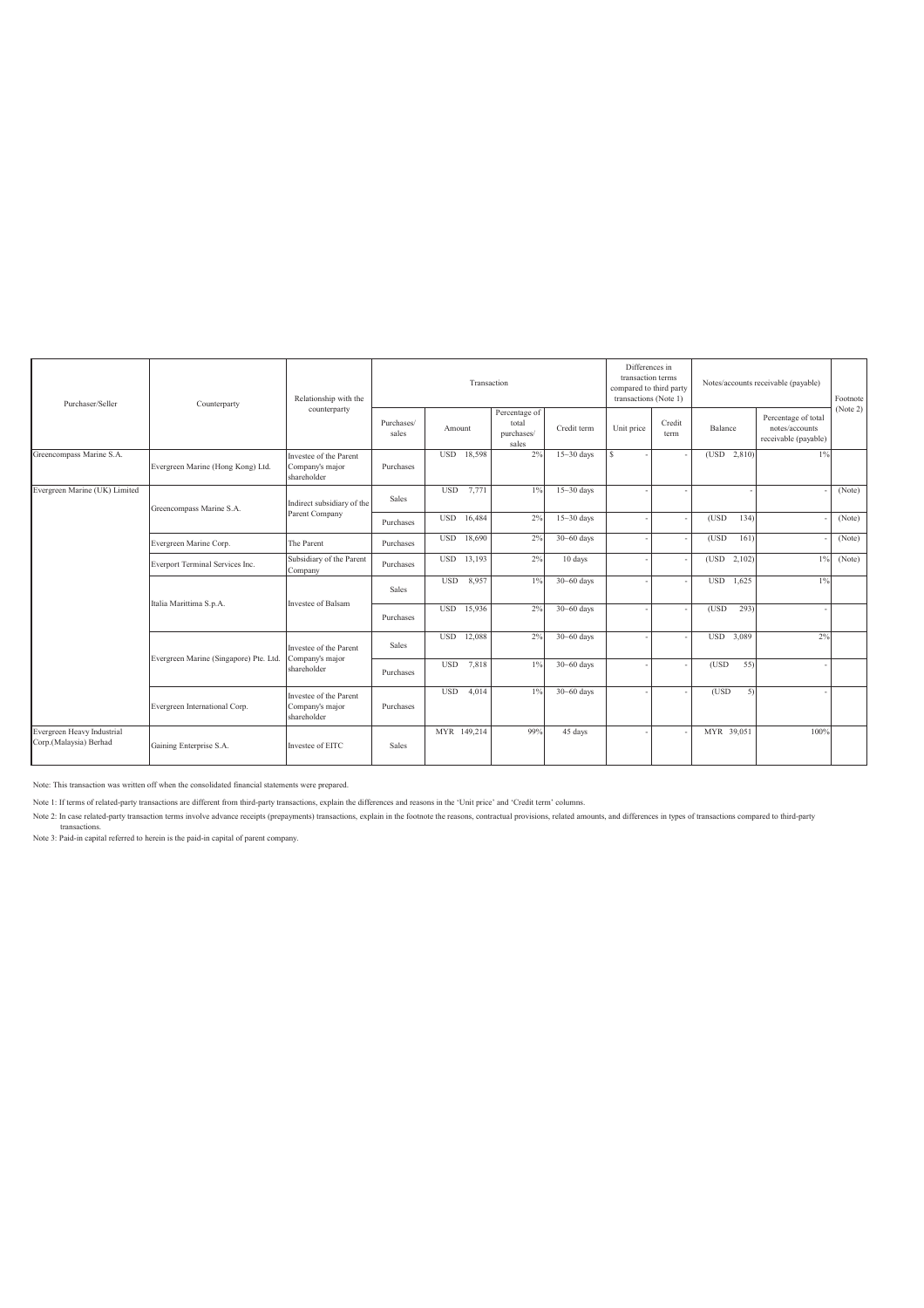| Purchaser/Seller                                          | Counterparty                      | Relationship with the                                    |                     |                      | Differences in<br>transaction terms<br>compared to third party<br>transactions (Note 1) |                | Notes/accounts receivable (payable) | Footnote<br>(Note 2) |               |                                                               |        |
|-----------------------------------------------------------|-----------------------------------|----------------------------------------------------------|---------------------|----------------------|-----------------------------------------------------------------------------------------|----------------|-------------------------------------|----------------------|---------------|---------------------------------------------------------------|--------|
|                                                           |                                   | counterparty                                             | Purchases/<br>sales | Amount               | Percentage of<br>total<br>purchases/<br>sales                                           | Credit term    | Unit price                          | Credit<br>term       | Balance       | Percentage of total<br>notes/accounts<br>receivable (payable) |        |
| Greencompass Marine S.A.                                  | Evergreen Marine (Hong Kong) Ltd. | Investee of the Parent<br>Company's major<br>shareholder | Purchases           | USD 18,598           | 2%                                                                                      | $15 - 30$ days | $\mathcal{S}$                       |                      | (USD 2,810)   | $1\%$                                                         |        |
| Evergreen Marine (UK) Limited<br>Greencompass Marine S.A. |                                   | Indirect subsidiary of the                               | <b>Sales</b>        | <b>USD</b><br>7,771  | $1\%$                                                                                   | $15 - 30$ days |                                     |                      |               |                                                               | (Note) |
|                                                           |                                   | Parent Company                                           | Purchases           | <b>USD</b><br>16,484 | 2%                                                                                      | $15 - 30$ days |                                     |                      | (USD)<br>134) |                                                               | (Note) |
|                                                           | Evergreen Marine Corp.            | The Parent                                               | Purchases           | <b>USD</b><br>18,690 | 2%                                                                                      | $30 - 60$ days |                                     |                      | (USD)<br>161) |                                                               | (Note) |
|                                                           | Everport Terminal Services Inc.   | Subsidiary of the Parent<br>Company                      | Purchases           | USD 13,193           | 2%                                                                                      | 10 days        |                                     |                      | (USD 2,102)   | $1\%$                                                         | (Note) |
|                                                           |                                   | Investee of Balsam                                       | Sales               | <b>USD</b><br>8,957  | $1\%$                                                                                   | $30 - 60$ days |                                     |                      | USD 1,625     | $1\%$                                                         |        |
|                                                           | Italia Marittima S.p.A.           |                                                          | Purchases           | <b>USD</b><br>15,936 | 2%                                                                                      | $30 - 60$ days |                                     |                      | (USD)<br>293) |                                                               |        |
|                                                           |                                   | Investee of the Parent                                   | Sales               | <b>USD</b><br>12,088 | 2%                                                                                      | $30 - 60$ days |                                     |                      | USD 3,089     | 2%                                                            |        |
| Evergreen Marine (Singapore) Pte. Ltd.                    |                                   | Company's major<br>shareholder                           | Purchases           | <b>USD</b><br>7,818  | $1\%$                                                                                   | $30 - 60$ days |                                     |                      | (USD)<br>55)  |                                                               |        |
|                                                           | Evergreen International Corp.     | Investee of the Parent<br>Company's major<br>shareholder | Purchases           | 4,014<br><b>USD</b>  | $1\%$                                                                                   | $30 - 60$ days |                                     |                      | (USD)<br>5)   |                                                               |        |
| Evergreen Heavy Industrial<br>Corp.(Malaysia) Berhad      | Gaining Enterprise S.A.           | Investee of EITC                                         | <b>Sales</b>        | MYR 149,214          | 99%                                                                                     | 45 days        |                                     |                      | MYR 39,051    | 100%                                                          |        |

Note: This transaction was written off when the consolidated financial statements were prepared.

Note 1: If terms of related-party transactions are different from third-party transactions, explain the differences and reasons in the 'Unit price' and 'Credit term' columns.

Note 2: In case related-party transaction terms involve advance receipts (prepayments) transactions, explain in the footnote the reasons, contractual provisions, related amounts, and differences in types of transactions co

transactions. Note 3: Paid-in capital referred to herein is the paid-in capital of parent company.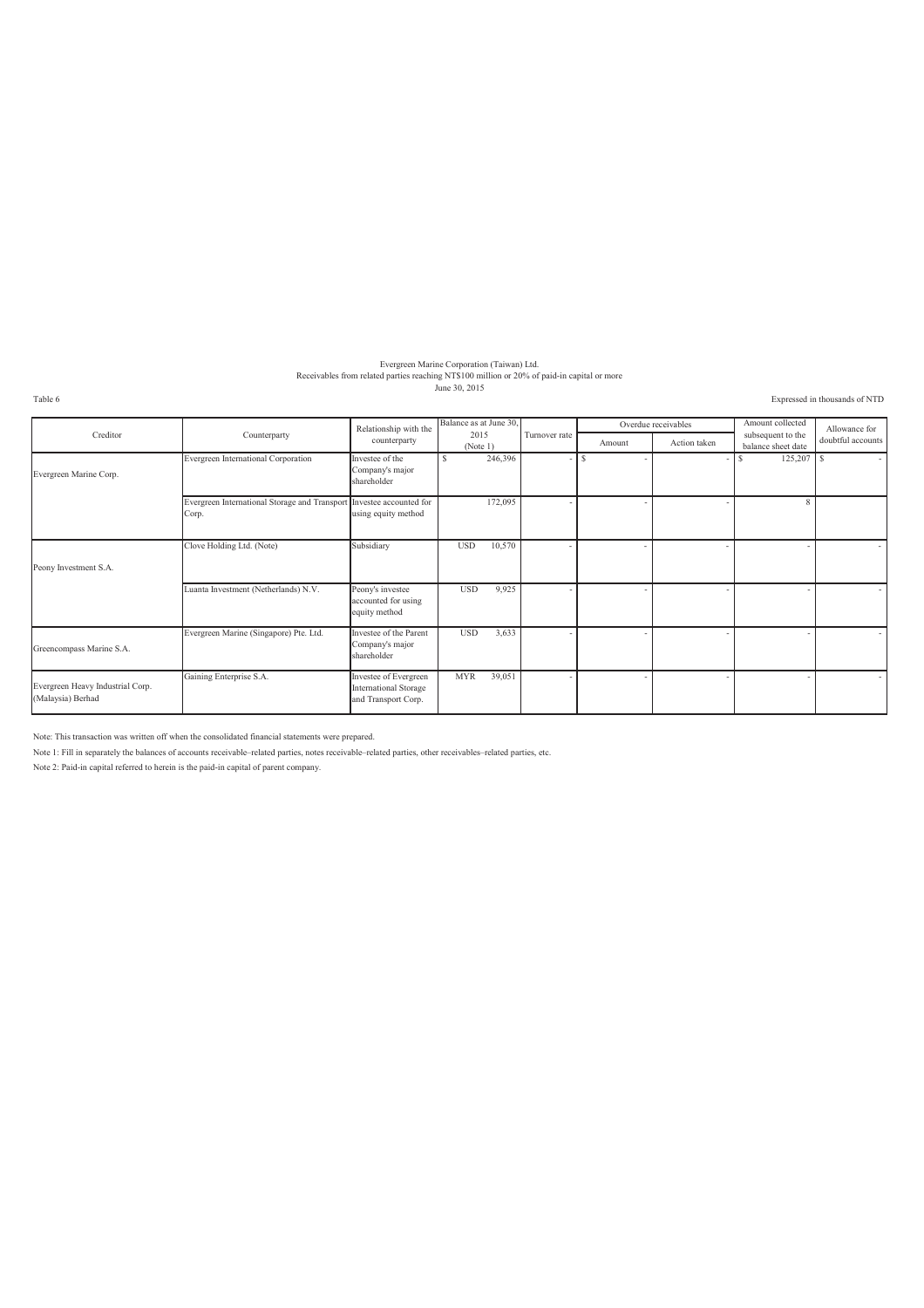# Evergreen Marine Corporation (Taiwan) Ltd.<br>Receivables from related parties reaching NT\$100 million or 20% of paid-in capital or more<br>June 30, 2015

Table 6 Expressed in thousands of NTD

|                                                       |                                                        | Relationship with the                                                        | Balance as at June 30, |                          |        | Overdue receivables | Amount collected                        | Allowance for<br>doubtful accounts |  |
|-------------------------------------------------------|--------------------------------------------------------|------------------------------------------------------------------------------|------------------------|--------------------------|--------|---------------------|-----------------------------------------|------------------------------------|--|
| Creditor                                              | Counterparty                                           | counterparty                                                                 | 2015<br>(Note 1)       | Turnover rate            | Amount | Action taken        | subsequent to the<br>balance sheet date |                                    |  |
| Evergreen Marine Corp.                                | Evergreen International Corporation                    | Investee of the<br>Company's major<br>shareholder                            | 246,396<br>S.          | $\overline{\phantom{a}}$ | -S     |                     | 125,207                                 | -S<br>$\overline{\phantom{a}}$     |  |
|                                                       | Evergreen International Storage and Transport<br>Corp. | Investee accounted for<br>using equity method                                | 172,095                |                          |        |                     | $\mathbf{\hat{z}}$                      |                                    |  |
| Peony Investment S.A.                                 | Clove Holding Ltd. (Note)                              | Subsidiary                                                                   | 10,570<br><b>USD</b>   |                          |        |                     |                                         |                                    |  |
|                                                       | Luanta Investment (Netherlands) N.V.                   | Peony's investee<br>accounted for using<br>equity method                     | 9,925<br><b>USD</b>    |                          |        |                     |                                         |                                    |  |
| Greencompass Marine S.A.                              | Evergreen Marine (Singapore) Pte. Ltd.                 | Investee of the Parent<br>Company's major<br>shareholder                     | <b>USD</b><br>3,633    |                          |        |                     |                                         |                                    |  |
| Evergreen Heavy Industrial Corp.<br>(Malaysia) Berhad | Gaining Enterprise S.A.                                | Investee of Evergreen<br><b>International Storage</b><br>and Transport Corp. | <b>MYR</b><br>39,051   |                          |        |                     |                                         |                                    |  |

Note: This transaction was written off when the consolidated financial statements were prepared.

Note 1: Fill in separately the balances of accounts receivable–related parties, notes receivable–related parties, other receivables–related parties, etc.

Note 2: Paid-in capital referred to herein is the paid-in capital of parent company.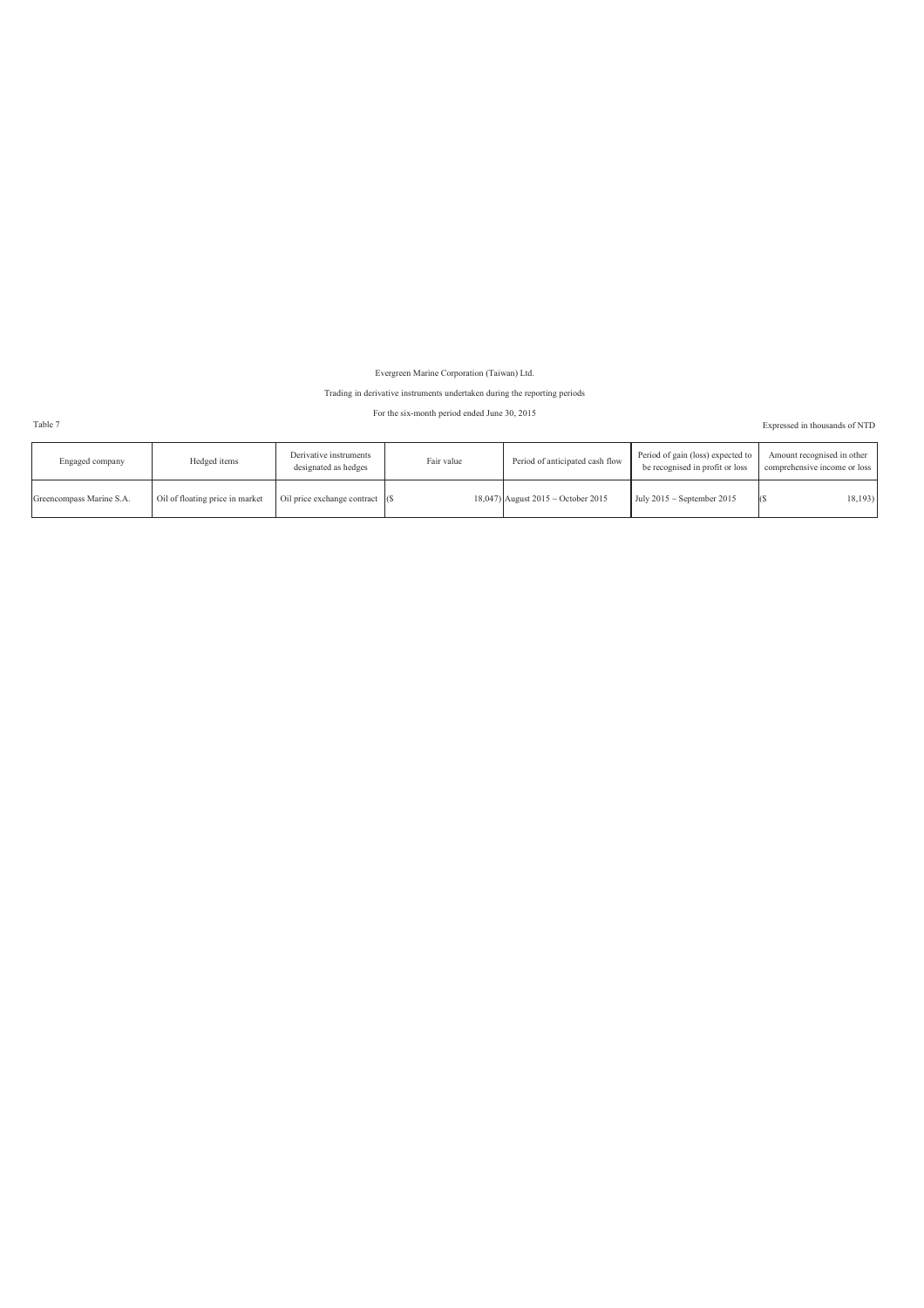Evergreen Marine Corporation (Taiwan) Ltd.

### Trading in derivative instruments undertaken during the reporting periods

### For the six-month period ended June 30, 2015

Table 7 Expressed in thousands of NTD

| Engaged company          | Hedged items                    | Derivative instruments<br>designated as hedges | Fair value | Period of anticipated cash flow         | Period of gain (loss) expected to<br>be recognised in profit or loss | Amount recognised in other<br>comprehensive income or loss |
|--------------------------|---------------------------------|------------------------------------------------|------------|-----------------------------------------|----------------------------------------------------------------------|------------------------------------------------------------|
| Greencompass Marine S.A. | Oil of floating price in market | Oil price exchange contract (\$                |            | 18,047) August $2015 \sim$ October 2015 | July $2015 \sim$ September 2015                                      | 18, 193                                                    |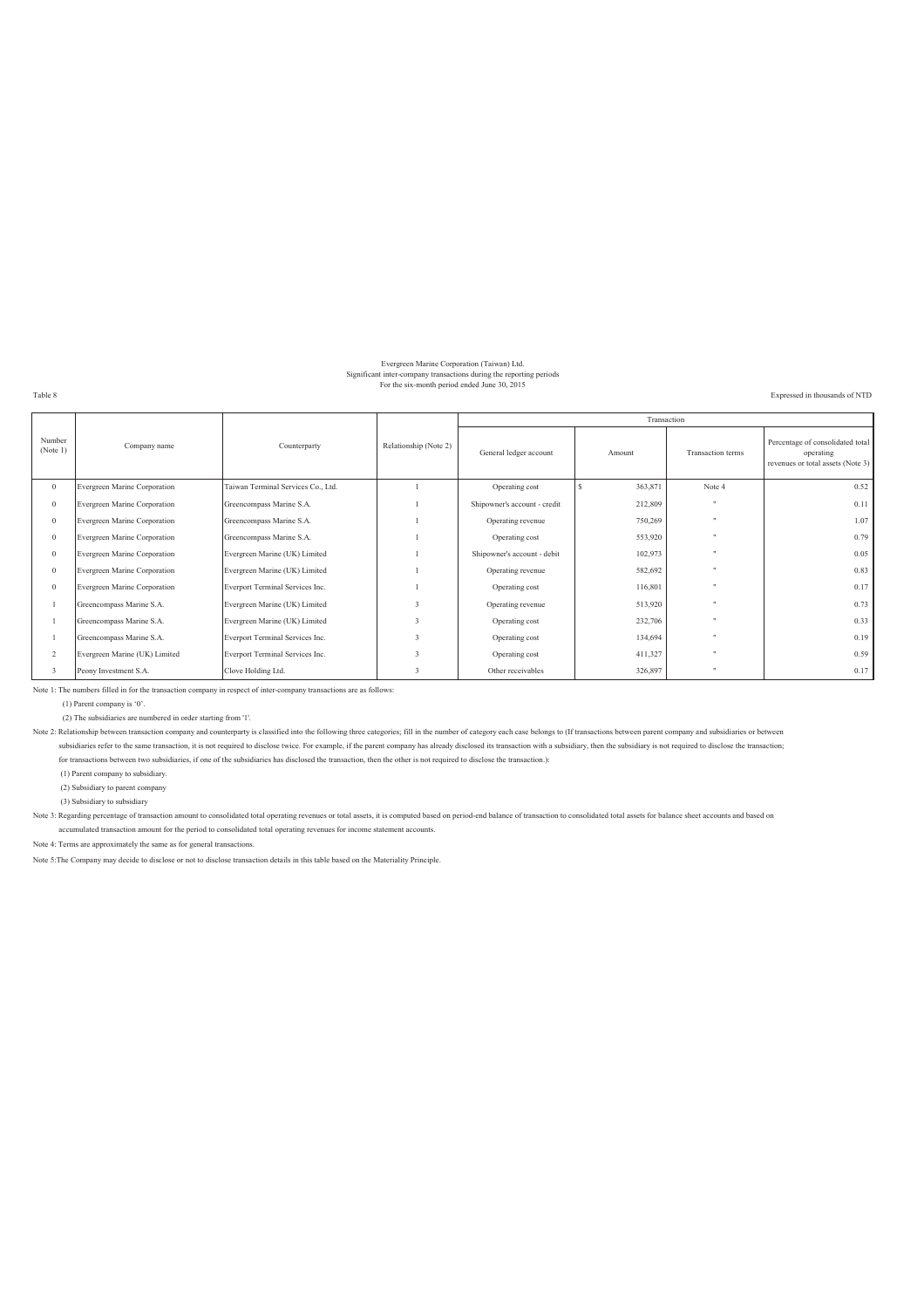### Evergreen Marine Corporation (Taiwan) Ltd. Significant inter-company transactions during the reporting periods For the six-month period ended June 30, 2015

Expressed in thousands of NTD

Table 8

|                         |                               |                                    |                                                 |                              | Transaction |                          |                                                                                    |
|-------------------------|-------------------------------|------------------------------------|-------------------------------------------------|------------------------------|-------------|--------------------------|------------------------------------------------------------------------------------|
| Number<br>(Note 1)      | Company name                  | Counterparty                       | Relationship (Note 2)<br>General ledger account |                              | Amount      | <b>Transaction</b> terms | Percentage of consolidated total<br>operating<br>revenues or total assets (Note 3) |
| $\overline{0}$          | Evergreen Marine Corporation  | Taiwan Terminal Services Co., Ltd. |                                                 | Operating cost               | 363,871     | Note 4                   | 0.52                                                                               |
| $\mathbf{0}$            | Evergreen Marine Corporation  | Greencompass Marine S.A.           |                                                 | Shipowner's account - credit | 212,809     | $\cdots$                 | 0.11                                                                               |
| $\mathbf{0}$            | Evergreen Marine Corporation  | Greencompass Marine S.A.           |                                                 | Operating revenue            | 750,269     | $\cdots$                 | 1.07                                                                               |
| $\mathbf{0}$            | Evergreen Marine Corporation  | Greencompass Marine S.A.           |                                                 | Operating cost               | 553,920     | $\mathbf{H}$             | 0.79                                                                               |
| $\mathbf{0}$            | Evergreen Marine Corporation  | Evergreen Marine (UK) Limited      |                                                 | Shipowner's account - debit  | 102,973     |                          | 0.05                                                                               |
| $\mathbf{0}$            | Evergreen Marine Corporation  | Evergreen Marine (UK) Limited      |                                                 | Operating revenue            | 582,692     | $\mathbf{H}$             | 0.83                                                                               |
| $\mathbf{0}$            | Evergreen Marine Corporation  | Everport Terminal Services Inc.    |                                                 | Operating cost               | 116,801     | $\ddot{\phantom{0}}$     | 0.17                                                                               |
|                         | Greencompass Marine S.A.      | Evergreen Marine (UK) Limited      |                                                 | Operating revenue            | 513,920     | $\cdots$                 | 0.73                                                                               |
|                         | Greencompass Marine S.A.      | Evergreen Marine (UK) Limited      |                                                 | Operating cost               | 232,706     |                          | 0.33                                                                               |
|                         | Greencompass Marine S.A.      | Everport Terminal Services Inc.    |                                                 | Operating cost               | 134,694     | $\ddot{\phantom{a}}$     | 0.19                                                                               |
| $\overline{2}$          | Evergreen Marine (UK) Limited | Everport Terminal Services Inc.    |                                                 | Operating cost               | 411,327     | $\ddot{\phantom{a}}$     | 0.59                                                                               |
| $\overline{\mathbf{3}}$ | Peony Investment S.A.         | Clove Holding Ltd.                 |                                                 | Other receivables            | 326,897     |                          | 0.17                                                                               |

Note 1: The numbers filled in for the transaction company in respect of inter-company transactions are as follows:

(1) Parent company is '0'.

(2) The subsidiaries are numbered in order starting from '1'.

Note 2: Relationship between transaction company and counterparty is classified into the following three categories; fill in the number of category each case belongs to (If transactions between parent company and subsidiar subsidiaries refer to the same transaction, it is not required to disclose twice. For example, if the parent company has already disclosed its transaction with a subsidiary, then the subsidiary is not required to disclose for transactions between two subsidiaries, if one of the subsidiaries has disclosed the transaction, then the other is not required to disclose the transaction.):

(1) Parent company to subsidiary.

(2) Subsidiary to parent company

(3) Subsidiary to subsidiary

Note 3: Regarding percentage of transaction amount to consolidated total operating revenues or total assets, it is computed based on period-end balance of transaction to consolidated total assets for balance sheet accounts accumulated transaction amount for the period to consolidated total operating revenues for income statement accounts.

Note 4: Terms are approximately the same as for general transactions.

Note 5:The Company may decide to disclose or not to disclose transaction details in this table based on the Materiality Principle.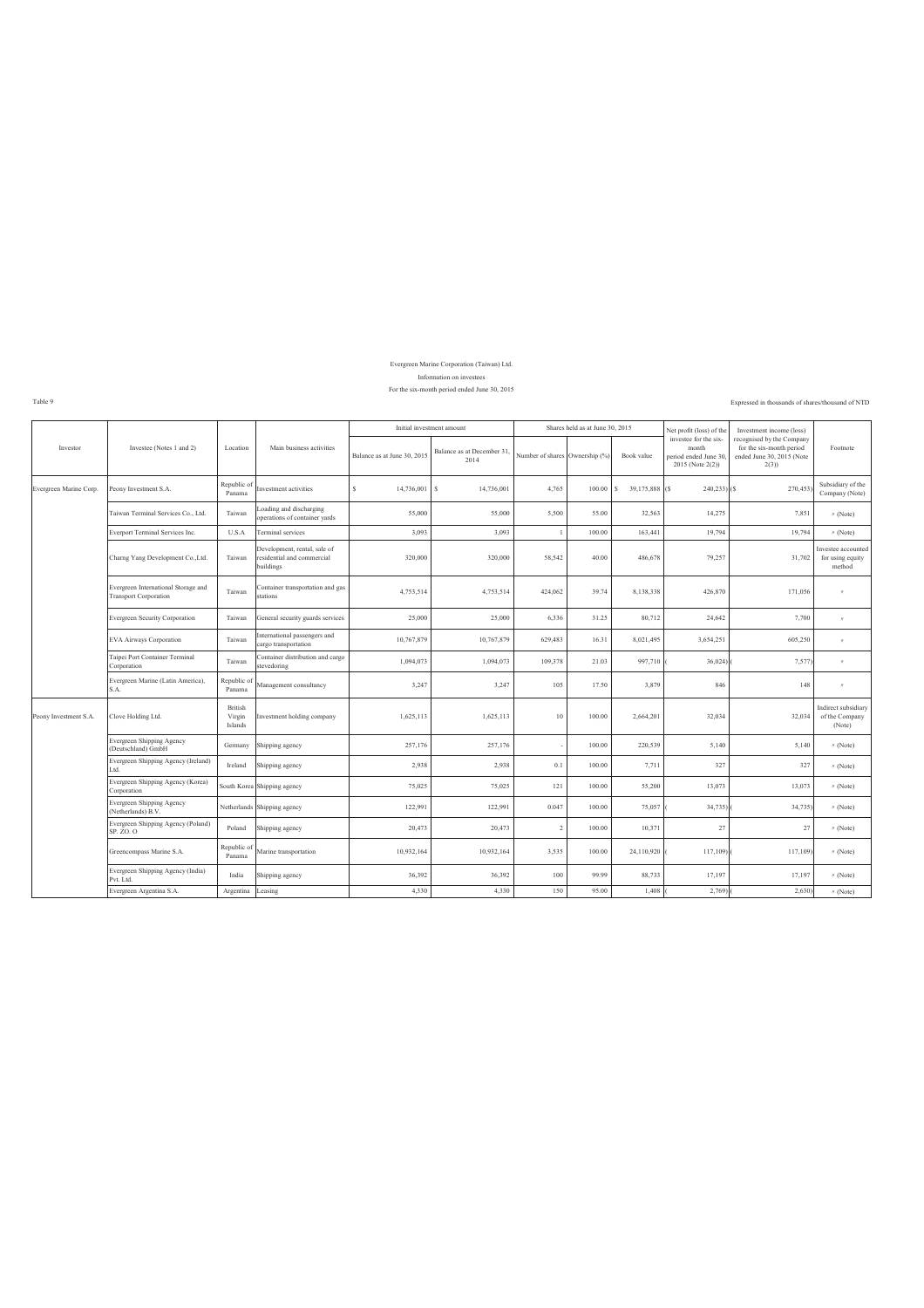#### Information on investees Evergreen Marine Corporation (Taiwan) Ltd.

#### For the six-month period ended June 30, 2015

Expressed in thousands of shares/thousand of NTD

Table 9 ł.

|                        |                                                                     |                              |                                                                         | Initial investment amount   |                                   |                                | Shares held as at June 30, 2015 |                     | Net profit (loss) of the                                                    | Investment income (loss)                                                                   |                                                  |
|------------------------|---------------------------------------------------------------------|------------------------------|-------------------------------------------------------------------------|-----------------------------|-----------------------------------|--------------------------------|---------------------------------|---------------------|-----------------------------------------------------------------------------|--------------------------------------------------------------------------------------------|--------------------------------------------------|
| Investor               | Investee (Notes 1 and 2)                                            | Location                     | Main business activities                                                | Balance as at June 30, 2015 | Balance as at December 31<br>2014 | Number of shares Ownership (%) |                                 | Book value          | investee for the six-<br>month<br>period ended June 30.<br>2015 (Note 2(2)) | recognised by the Company<br>for the six-month period<br>ended June 30, 2015 (Note<br>2(3) | Footnote                                         |
| Evergreen Marine Corp. | Peony Investment S.A.                                               | Republic of<br>Panama        | nvestment activities                                                    | 14,736,001<br>s             | s<br>14,736,001                   | 4,765                          | 100.00                          | s<br>39,175,888 (\$ | $240,233$ ) (\$)                                                            | 270,453                                                                                    | Subsidiary of the<br>Company (Note)              |
|                        | Faiwan Terminal Services Co., Ltd.                                  | Taiwan                       | oading and discharging<br>operations of container yards                 | 55,000                      | 55,000                            | 5,500                          | 55.00                           | 32,563              | 14,275                                                                      | 7,851                                                                                      | $\prime\prime$ (Note)                            |
|                        | Everport Terminal Services Inc.                                     | U.S.A                        | Terminal services                                                       | 3,093                       | 3,093                             |                                | 100.00                          | 163,441             | 19,794                                                                      | 19,794                                                                                     | $\prime\prime$ (Note)                            |
|                        | Charng Yang Development Co., Ltd.                                   | Taiwan                       | Development, rental, sale of<br>residential and commercial<br>buildings | 320,000                     | 320,000                           | 58,542                         | 40.00                           | 486,678             | 79,257                                                                      | 31,702                                                                                     | Investee accounted<br>for using equity<br>method |
|                        | Evergreen International Storage and<br><b>Transport Corporation</b> | Taiwan                       | Container transportation and gas<br>stations                            | 4,753,514                   | 4,753,514                         | 424,062                        | 39.74                           | 8,138,338           | 426,870                                                                     | 171,056                                                                                    | $\theta$                                         |
|                        | <b>Evergreen Security Corporation</b>                               | Taiwan                       | General security guards services                                        | 25,000                      | 25,000                            | 6,336                          | 31.25                           | 80,712              | 24,642                                                                      | 7,700                                                                                      | $\boldsymbol{\pi}$                               |
|                        | <b>EVA Airways Corporation</b>                                      | Taiwan                       | nternational passengers and<br>cargo transportation                     | 10,767,879                  | 10,767,879                        | 629,483                        | 16.31                           | 8,021,495           | 3,654,251                                                                   | 605,250                                                                                    | $\boldsymbol{\pi}$                               |
|                        | Taipei Port Container Terminal<br>Corporation                       | Taiwan                       | Container distribution and cargo<br>stevedoring                         | 1,094,073                   | 1,094,073                         | 109,378                        | 21.03                           | 997,710             | 36,024                                                                      | 7,577                                                                                      | $\boldsymbol{\theta}$                            |
|                        | Evergreen Marine (Latin America),<br>S.A.                           | Republic o<br>Panama         | Management consultancy                                                  | 3,247                       | 3,247                             | 105                            | 17.50                           | 3,879               | 846                                                                         | 148                                                                                        | $\boldsymbol{\pi}$                               |
| Peony Investment S.A.  | Clove Holding Ltd.                                                  | British<br>Virgin<br>Islands | nvestment holding company                                               | 1,625,113                   | 1,625,113                         | 10                             | 100.00                          | 2,664,201           | 32,034                                                                      | 32,034                                                                                     | Indirect subsidiary<br>of the Company<br>(Note)  |
|                        | Evergreen Shipping Agency<br>(Deutschland) GmbH                     | Germany                      | Shipping agency                                                         | 257,176                     | 257,176                           |                                | 100.00                          | 220,539             | 5,140                                                                       | 5,140                                                                                      | $^{\prime\prime}$ (Note)                         |
|                        | Evergreen Shipping Agency (Ireland)<br>ht. I                        | Ireland                      | Shipping agency                                                         | 2,938                       | 2,938                             | 0.1                            | 100.00                          | 7,711               | 327                                                                         | 327                                                                                        | $\prime\prime$ (Note)                            |
|                        | Evergreen Shipping Agency (Korea)<br>Corporation                    |                              | South Korea Shipping agency                                             | 75,025                      | 75,025                            | 121                            | 100.00                          | 55,200              | 13,073                                                                      | 13,073                                                                                     | $\prime\prime$ (Note)                            |
|                        | Evergreen Shipping Agency<br>(Netherlands) B.V.                     |                              | Netherlands Shipping agency                                             | 122,991                     | 122,991                           | 0.047                          | 100.00                          | 75,057              | 34,735)                                                                     | 34,735)                                                                                    | $^{\prime\prime}$ (Note)                         |
|                        | Evergreen Shipping Agency (Poland)<br>SP. ZO. O                     | Poland                       | Shipping agency                                                         | 20,473                      | 20,473                            | $\overline{2}$                 | 100.00                          | 10,371              | 27                                                                          | 27                                                                                         | $\prime\prime$ (Note)                            |
|                        | Greencompass Marine S.A.                                            | Republic o<br>Panama         | Marine transportation                                                   | 10,932,164                  | 10,932,164                        | 3,535                          | 100.00                          | 24,110,920          | 117,109)                                                                    | 117,109)                                                                                   | $\prime\prime$ (Note)                            |
|                        | Evergreen Shipping Agency (India)<br>Pvt. Ltd.                      | India                        | Shipping agency                                                         | 36,392                      | 36,392                            | 100                            | 99.99                           | 88,733              | 17,197                                                                      | 17,197                                                                                     | $\prime\prime$ (Note)                            |
|                        | Evergreen Argentina S.A.                                            | Argentina                    | Leasing                                                                 | 4,330                       | 4,330                             | 150                            | 95.00                           | 1,408               | 2,769)                                                                      | 2,630                                                                                      | $\prime\prime$ (Note)                            |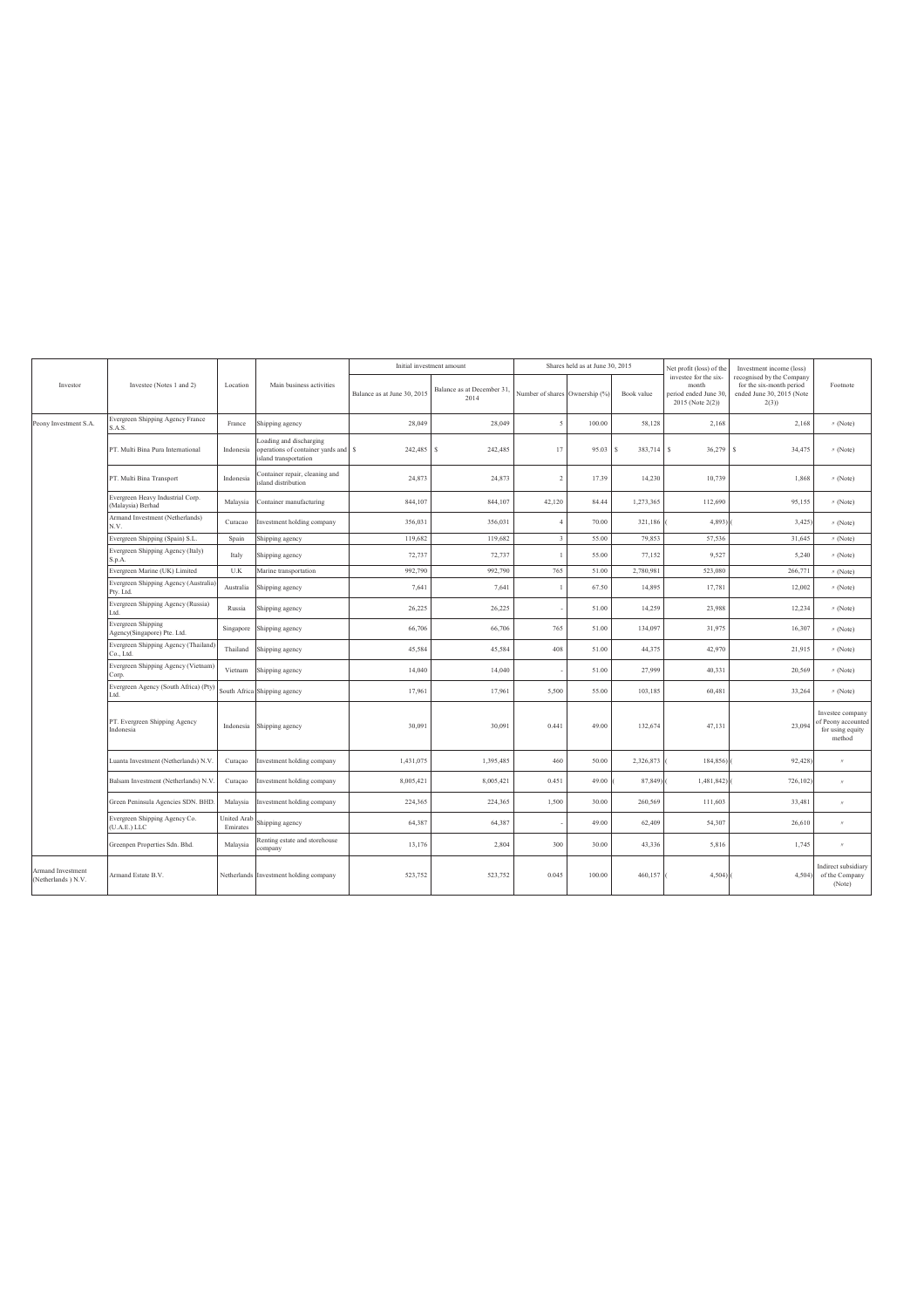|                                         |                                                       |                                |                                                                                       |                             | Initial investment amount         |                                | Shares held as at June 30, 2015 |                | Net profit (loss) of the                                                    | Investment income (loss)                                                                   |                                                                      |
|-----------------------------------------|-------------------------------------------------------|--------------------------------|---------------------------------------------------------------------------------------|-----------------------------|-----------------------------------|--------------------------------|---------------------------------|----------------|-----------------------------------------------------------------------------|--------------------------------------------------------------------------------------------|----------------------------------------------------------------------|
| Investor                                | Investee (Notes 1 and 2)                              | Location                       | Main business activities                                                              | Balance as at June 30, 2015 | Balance as at December 31<br>2014 | Number of shares Ownership (%) |                                 | Book value     | investee for the six-<br>month<br>period ended June 30.<br>2015 (Note 2(2)) | recognised by the Company<br>for the six-month period<br>ended June 30, 2015 (Note<br>2(3) | Footnote                                                             |
| Peony Investment S.A.                   | Evergreen Shipping Agency France<br>S.A.S.            | France                         | Shipping agency                                                                       | 28,049                      | 28,049                            | $\leq$                         | 100.00                          | 58,128         | 2,168                                                                       | 2,168                                                                                      | $\prime\prime$ (Note)                                                |
|                                         | PT. Multi Bina Pura International                     | Indonesia                      | oading and discharging<br>perations of container yards and \$<br>sland transportation | 242,485                     | 242,485<br>s                      | 17                             | 95.03                           | 383,714 S<br>s | 36,279                                                                      | 34,475<br>s                                                                                | $\prime\prime$ (Note)                                                |
|                                         | PT. Multi Bina Transport                              | Indonesia                      | Container repair, cleaning and<br>sland distribution                                  | 24,873                      | 24,873                            | $\mathcal{L}$                  | 17.39                           | 14,230         | 10,739                                                                      | 1,868                                                                                      | $\prime\prime$ (Note)                                                |
|                                         | Evergreen Heavy Industrial Corp.<br>(Malaysia) Berhad | Malaysia                       | Container manufacturing                                                               | 844,107                     | 844,107                           | 42,120                         | 84.44                           | 1,273,365      | 112,690                                                                     | 95,155                                                                                     | $\prime\prime$ (Note)                                                |
|                                         | Armand Investment (Netherlands)<br>N.V.               | Curacao                        | Investment holding company                                                            | 356,031                     | 356,031                           | $\Delta$                       | 70.00                           | 321,186        | 4,893)                                                                      | 3,425                                                                                      | $\prime\prime$ (Note)                                                |
|                                         | Evergreen Shipping (Spain) S.L.                       | Spain                          | Shipping agency                                                                       | 119.682                     | 119.682                           | $\overline{3}$                 | 55.00                           | 79.853         | 57,536                                                                      | 31,645                                                                                     | // (Note)                                                            |
|                                         | Evergreen Shipping Agency (Italy)<br>S.p.A.           | Italy                          | Shipping agency                                                                       | 72,737                      | 72,737                            |                                | 55.00                           | 77,152         | 9.527                                                                       | 5,240                                                                                      | $\prime\prime$ (Note)                                                |
|                                         | Evergreen Marine (UK) Limited                         | U.K                            | Marine transportation                                                                 | 992,790                     | 992,790                           | 765                            | 51.00                           | 2,780,981      | 523,080                                                                     | 266,771                                                                                    | $\prime\prime$ (Note)                                                |
|                                         | Evergreen Shipping Agency (Australia<br>Pty. Ltd.     | Australia                      | Shipping agency                                                                       | 7,641                       | 7,641                             |                                | 67.50                           | 14,895         | 17,781                                                                      | 12,002                                                                                     | $\prime\prime$ (Note)                                                |
|                                         | Evergreen Shipping Agency (Russia)<br>ht              | Russia                         | Shipping agency                                                                       | 26,225                      | 26,225                            |                                | 51.00                           | 14,259         | 23,988                                                                      | 12,234                                                                                     | $\prime\prime$ (Note)                                                |
|                                         | Evergreen Shipping<br>Agency(Singapore) Pte. Ltd.     | Singapore                      | Shipping agency                                                                       | 66,706                      | 66,706                            | 765                            | 51.00                           | 134,097        | 31,975                                                                      | 16,307                                                                                     | $\prime\prime$ (Note)                                                |
|                                         | Evergreen Shipping Agency (Thailand)<br>Co., Ltd.     | Thailand                       | Shipping agency                                                                       | 45,584                      | 45,584                            | 408                            | 51.00                           | 44,375         | 42,970                                                                      | 21,915                                                                                     | $\prime\prime$ (Note)                                                |
|                                         | Evergreen Shipping Agency (Vietnam)<br>Corp.          | Vietnam                        | Shipping agency                                                                       | 14,040                      | 14.040                            |                                | 51.00                           | 27,999         | 40,331                                                                      | 20,569                                                                                     | $\prime\prime$ (Note)                                                |
|                                         | Evergreen Agency (South Africa) (Pty)<br>Ltd.         |                                | South Africa Shipping agency                                                          | 17,961                      | 17,961                            | 5,500                          | 55.00                           | 103,185        | 60,481                                                                      | 33,264                                                                                     | $\prime\prime$ (Note)                                                |
|                                         | PT. Evergreen Shipping Agency<br>Indonesia            | Indonesia                      | Shipping agency                                                                       | 30,091                      | 30.091                            | 0.441                          | 49.00                           | 132.674        | 47,131                                                                      | 23,094                                                                                     | Investee company<br>of Peony accounted<br>for using equity<br>method |
|                                         | Luanta Investment (Netherlands) N.V                   | Curaçao                        | Investment holding company                                                            | 1,431,075                   | 1,395,485                         | 460                            | 50.00                           | 2,326,873      | 184,856)                                                                    | 92,428                                                                                     | $\boldsymbol{\pi}$                                                   |
|                                         | Balsam Investment (Netherlands) N.V                   | Curaçao                        | Investment holding company                                                            | 8,005,421                   | 8,005,421                         | 0.451                          | 49.00                           | 87,849)        | 1,481,842)                                                                  | 726,102                                                                                    | $\boldsymbol{\theta}$                                                |
|                                         | Green Peninsula Agencies SDN. BHD                     | Malaysia                       | Investment holding company                                                            | 224,365                     | 224,365                           | 1,500                          | 30.00                           | 260,569        | 111,603                                                                     | 33,481                                                                                     | $\boldsymbol{\pi}$                                                   |
|                                         | Evergreen Shipping Agency Co.<br>(U.A.E.) LLC         | <b>Jnited Arab</b><br>Emirates | Shipping agency                                                                       | 64,387                      | 64.387                            |                                | 49.00                           | 62.409         | 54,307                                                                      | 26,610                                                                                     | $\boldsymbol{\pi}$                                                   |
|                                         | Greenpen Properties Sdn. Bhd.                         | Malaysia                       | Renting estate and storehouse<br>ompany                                               | 13,176                      | 2.804                             | 300                            | 30.00                           | 43.336         | 5,816                                                                       | 1,745                                                                                      | $\boldsymbol{\pi}$                                                   |
| Armand Investment<br>(Netherlands) N.V. | Armand Estate B.V.                                    |                                | Netherlands Investment holding company                                                | 523,752                     | 523,752                           | 0.045                          | 100.00                          | 460,157        | 4,504)                                                                      | 4,504)                                                                                     | Indirect subsidiary<br>of the Company<br>(Note)                      |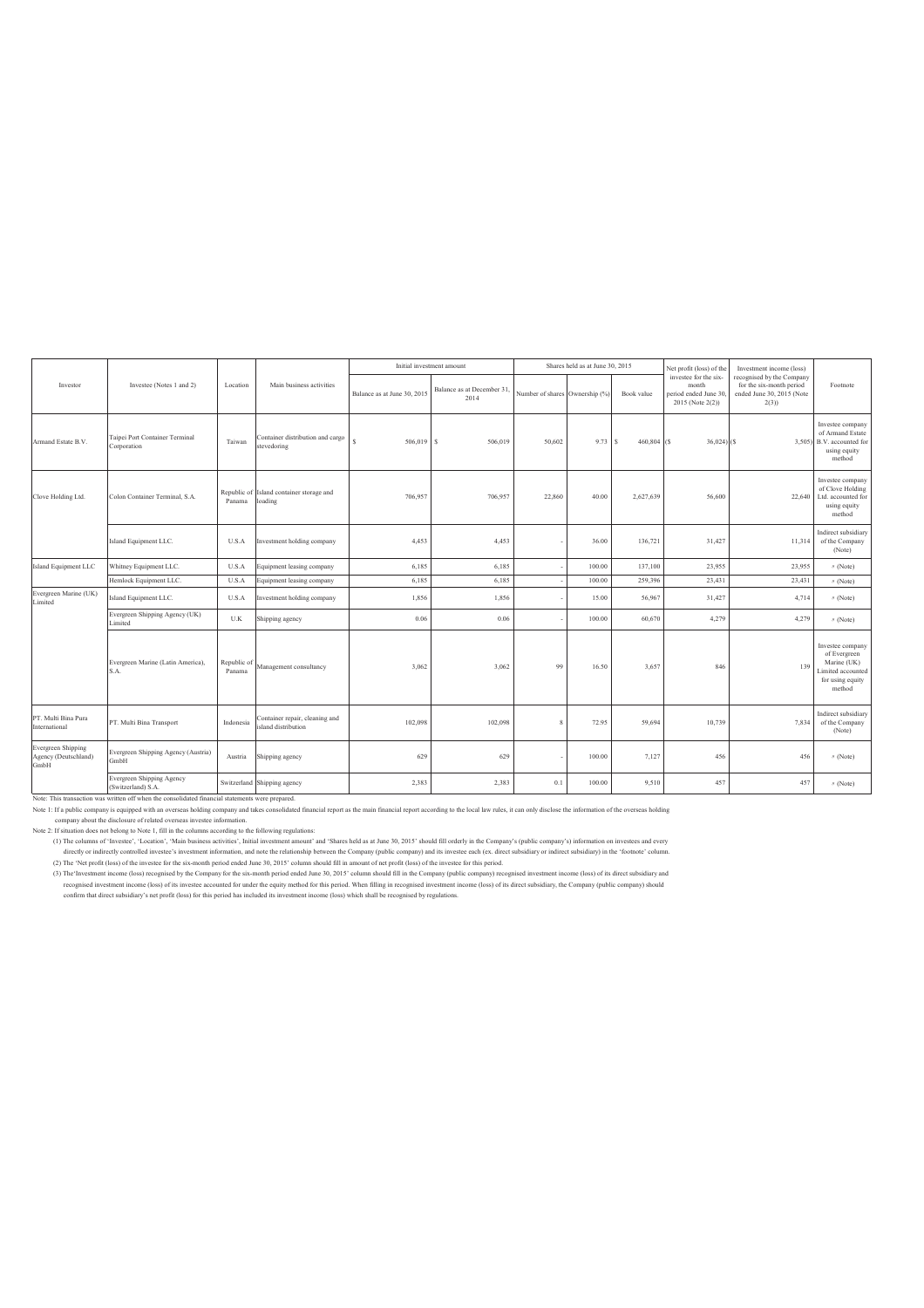|                                                    |                                                                                                                                                                                                                                                                                                                                                                                                                                                                                                                             |                       |                                                      |                             | Initial investment amount         |                                | Shares held as at June 30, 2015 |                      | Net profit (loss) of the                                                    | Investment income (loss)                                                                       |                                                                                                   |
|----------------------------------------------------|-----------------------------------------------------------------------------------------------------------------------------------------------------------------------------------------------------------------------------------------------------------------------------------------------------------------------------------------------------------------------------------------------------------------------------------------------------------------------------------------------------------------------------|-----------------------|------------------------------------------------------|-----------------------------|-----------------------------------|--------------------------------|---------------------------------|----------------------|-----------------------------------------------------------------------------|------------------------------------------------------------------------------------------------|---------------------------------------------------------------------------------------------------|
| Investor                                           | Investee (Notes 1 and 2)                                                                                                                                                                                                                                                                                                                                                                                                                                                                                                    | Location              | Main business activities                             | Balance as at June 30, 2015 | Balance as at December 31<br>2014 | Number of shares Ownership (%) |                                 | Book value           | investee for the six-<br>month<br>period ended June 30.<br>2015 (Note 2(2)) | recognised by the Company<br>for the six-month period<br>ended June 30, 2015 (Note<br>$2(3)$ ) | Footnote                                                                                          |
| Armand Estate B.V.                                 | Taipei Port Container Terminal<br>Corporation                                                                                                                                                                                                                                                                                                                                                                                                                                                                               | Taiwan                | Container distribution and cargo<br>stevedoring      | 506,019                     | 506,019<br><sup>S</sup>           | 50,602                         | 9.73                            | $460,804$ (S)<br>l S | $36,024$ ) (S                                                               |                                                                                                | Investee company<br>of Armand Estate<br>3,505) B.V. accounted for<br>using equity<br>method       |
| Clove Holding Ltd.                                 | Colon Container Terminal, S.A.                                                                                                                                                                                                                                                                                                                                                                                                                                                                                              | Panama                | Republic of Island container storage and<br>loading  | 706,957                     | 706,957                           | 22,860                         | 40.00                           | 2,627,639            | 56,600                                                                      | 22,640                                                                                         | Investee company<br>of Clove Holding<br>Ltd. accounted for<br>using equity<br>method              |
|                                                    | Island Equipment LLC.                                                                                                                                                                                                                                                                                                                                                                                                                                                                                                       | U.S.A                 | nvestment holding company                            | 4,453                       | 4,453                             |                                | 36.00                           | 136,721              | 31,427                                                                      | 11,314                                                                                         | Indirect subsidiary<br>of the Company<br>(Note)                                                   |
| sland Equipment LLC                                | Whitney Equipment LLC.                                                                                                                                                                                                                                                                                                                                                                                                                                                                                                      | U.S.A                 | Equipment leasing company                            | 6,185                       | 6,185                             |                                | 100.00                          | 137,100              | 23,955                                                                      | 23,955                                                                                         | $\prime\prime$ (Note)                                                                             |
|                                                    | Hemlock Equipment LLC.                                                                                                                                                                                                                                                                                                                                                                                                                                                                                                      | U.S.A                 | Equipment leasing company                            | 6,185                       | 6.185                             |                                | 100.00                          | 259.396              | 23,431                                                                      | 23,431                                                                                         | $\prime\prime$ (Note)                                                                             |
| Evergreen Marine (UK)<br>imited                    | Island Equipment LLC.                                                                                                                                                                                                                                                                                                                                                                                                                                                                                                       | U.S.A                 | nvestment holding company                            | 1,856                       | 1,856                             |                                | 15.00                           | 56,967               | 31,427                                                                      | 4,714                                                                                          | $\prime\prime$ (Note)                                                                             |
|                                                    | Evergreen Shipping Agency (UK)<br>Limited                                                                                                                                                                                                                                                                                                                                                                                                                                                                                   | U.K                   | Shipping agency                                      | 0.06                        | 0.06                              |                                | 100.00                          | 60,670               | 4,279                                                                       | 4,279                                                                                          | $\prime\prime$ (Note)                                                                             |
|                                                    | Evergreen Marine (Latin America),<br>S.A.                                                                                                                                                                                                                                                                                                                                                                                                                                                                                   | Republic of<br>Panama | Management consultancy                               | 3,062                       | 3.062                             | 99                             | 16.50                           | 3,657                | 846                                                                         | 139                                                                                            | Investee company<br>of Evergreen<br>Marine (UK)<br>imited accounted<br>for using equity<br>method |
| PT. Multi Bina Pura<br>nternational                | PT. Multi Bina Transport                                                                                                                                                                                                                                                                                                                                                                                                                                                                                                    | Indonesia             | Container repair, cleaning and<br>sland distribution | 102,098                     | 102,098                           |                                | 72.95                           | 59,694               | 10,739                                                                      | 7,834                                                                                          | Indirect subsidiary<br>of the Company<br>(Note)                                                   |
| Evergreen Shipping<br>Agency (Deutschland)<br>GmbH | Evergreen Shipping Agency (Austria)<br>GmbH                                                                                                                                                                                                                                                                                                                                                                                                                                                                                 | Austria               | Shipping agency                                      | 629                         | 629                               |                                | 100.00                          | 7,127                | 456                                                                         | 456                                                                                            | $\prime\prime$ (Note)                                                                             |
|                                                    | Evergreen Shipping Agency<br>(Switzerland) S.A.                                                                                                                                                                                                                                                                                                                                                                                                                                                                             |                       | Switzerland Shipping agency                          | 2,383                       | 2.383                             | 0.1                            | 100.00                          | 9.510                | 457                                                                         | 457                                                                                            | $\prime\prime$ (Note)                                                                             |
|                                                    | Note: This transaction was written off when the consolidated financial statements were prepared.<br>Note 1: If a public company is equipped with an overseas holding company and takes consolidated financial report as the main financial report according to the local law rules, it can only disclose the information of the ov<br>company about the disclosure of related overseas investee information.<br>Note 2: If situation does not belong to Note 1, fill in the columns according to the following regulations: |                       |                                                      |                             |                                   |                                |                                 |                      |                                                                             |                                                                                                |                                                                                                   |

(1) The columns of 'Investee', 'Location', 'Main business activities', Initial investment amount' and 'Shares held as at June 30, 2015' should fill orderly in the Company's (public company's) information on investees and e